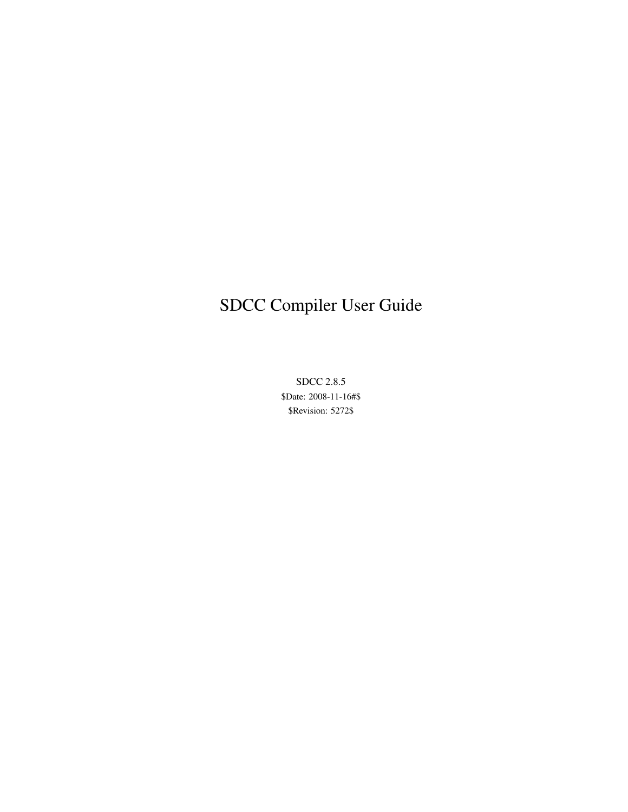## SDCC Compiler User Guide

SDCC 2.8.5 \$Date: 2008-11-16#\$ \$Revision: 5272\$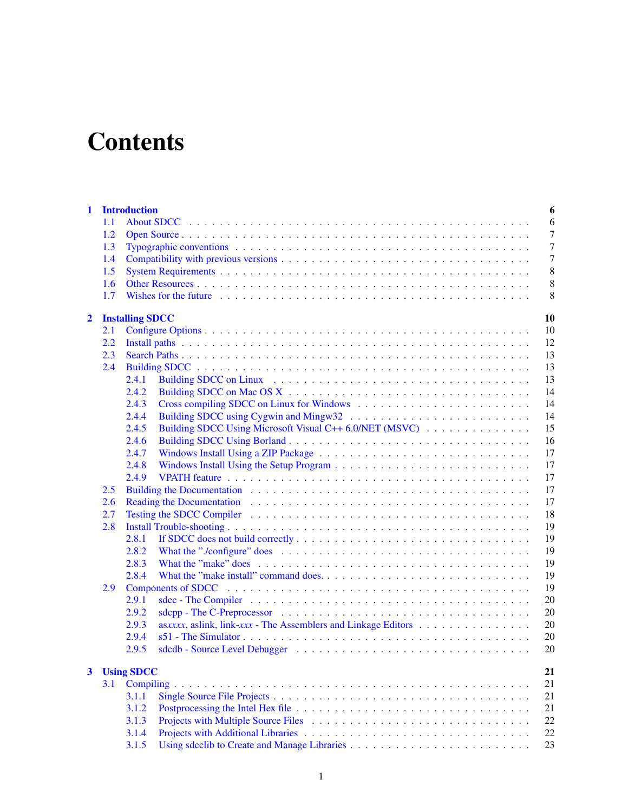# **Contents**

| $\mathbf{1}$            |     | <b>Introduction</b><br>6                                                                                                                                                                                                             |
|-------------------------|-----|--------------------------------------------------------------------------------------------------------------------------------------------------------------------------------------------------------------------------------------|
|                         | 1.1 | 6                                                                                                                                                                                                                                    |
|                         | 1.2 | 7                                                                                                                                                                                                                                    |
|                         | 1.3 | $\overline{7}$                                                                                                                                                                                                                       |
|                         | 1.4 | 7                                                                                                                                                                                                                                    |
|                         | 1.5 | 8                                                                                                                                                                                                                                    |
|                         | 1.6 | 8                                                                                                                                                                                                                                    |
|                         | 1.7 | 8                                                                                                                                                                                                                                    |
|                         |     |                                                                                                                                                                                                                                      |
| $\overline{2}$          |     | 10<br><b>Installing SDCC</b>                                                                                                                                                                                                         |
|                         | 2.1 | 10                                                                                                                                                                                                                                   |
|                         | 2.2 | 12                                                                                                                                                                                                                                   |
|                         | 2.3 | 13                                                                                                                                                                                                                                   |
|                         | 2.4 | 13                                                                                                                                                                                                                                   |
|                         |     | 13<br>2.4.1                                                                                                                                                                                                                          |
|                         |     | 14<br>2.4.2                                                                                                                                                                                                                          |
|                         |     | 14<br>2.4.3                                                                                                                                                                                                                          |
|                         |     | 2.4.4<br>14                                                                                                                                                                                                                          |
|                         |     | 15<br>2.4.5<br>Building SDCC Using Microsoft Visual C++ 6.0/NET (MSVC)                                                                                                                                                               |
|                         |     | 2.4.6<br>16                                                                                                                                                                                                                          |
|                         |     | 17<br>2.4.7                                                                                                                                                                                                                          |
|                         |     | 17<br>2.4.8                                                                                                                                                                                                                          |
|                         |     | 17<br>2.4.9                                                                                                                                                                                                                          |
|                         | 2.5 | 17                                                                                                                                                                                                                                   |
|                         | 2.6 | 17<br>Reading the Documentation entries and the set of the set of the set of the set of the set of the set of the set of the set of the set of the set of the set of the set of the set of the set of the set of the set of the set  |
|                         | 2.7 | Testing the SDCC Compiler (a) and a subset of the state of the state of the SDCC Compiler (a) and a set of the state of the state of the state of the state of the state of the state of the state of the state of the state o<br>18 |
|                         | 2.8 | 19                                                                                                                                                                                                                                   |
|                         |     | 19<br>2.8.1                                                                                                                                                                                                                          |
|                         |     | 19<br>2.8.2                                                                                                                                                                                                                          |
|                         |     | What the "./configure" does $\ldots \ldots \ldots \ldots \ldots \ldots \ldots \ldots \ldots \ldots \ldots \ldots \ldots$                                                                                                             |
|                         |     | 19<br>2.8.3                                                                                                                                                                                                                          |
|                         |     | 19<br>2.8.4                                                                                                                                                                                                                          |
|                         | 2.9 | 19                                                                                                                                                                                                                                   |
|                         |     | 20<br>2.9.1<br>sdcc - The Compiler $\dots \dots \dots \dots \dots \dots \dots \dots \dots \dots \dots \dots \dots \dots \dots \dots \dots$                                                                                           |
|                         |     | 20<br>2.9.2                                                                                                                                                                                                                          |
|                         |     | 20<br>2.9.3                                                                                                                                                                                                                          |
|                         |     | 20<br>2.9.4                                                                                                                                                                                                                          |
|                         |     | 20<br>2.9.5                                                                                                                                                                                                                          |
|                         |     |                                                                                                                                                                                                                                      |
| $\overline{\mathbf{3}}$ |     | <b>Using SDCC</b><br>21                                                                                                                                                                                                              |
|                         | 3.1 | 21                                                                                                                                                                                                                                   |
|                         |     | 3.1.1<br>21                                                                                                                                                                                                                          |
|                         |     | 3.1.2<br>21                                                                                                                                                                                                                          |
|                         |     | 3.1.3<br>22                                                                                                                                                                                                                          |
|                         |     | 3.1.4<br>22                                                                                                                                                                                                                          |
|                         |     | 3.1.5<br>23                                                                                                                                                                                                                          |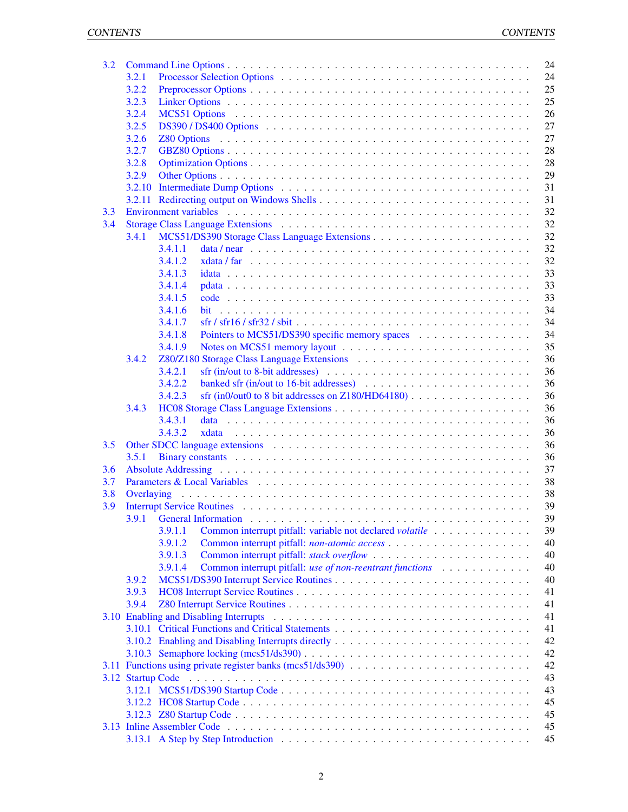| 3.2 |        | 24                                                                                                          |
|-----|--------|-------------------------------------------------------------------------------------------------------------|
|     | 3.2.1  | 24                                                                                                          |
|     | 3.2.2  | 25                                                                                                          |
|     | 3.2.3  | 25                                                                                                          |
|     | 3.2.4  | 26                                                                                                          |
|     | 3.2.5  | 27                                                                                                          |
|     | 3.2.6  | 27                                                                                                          |
|     | 3.2.7  | 28                                                                                                          |
|     | 3.2.8  | 28                                                                                                          |
|     | 3.2.9  | 29                                                                                                          |
|     | 3.2.10 | 31                                                                                                          |
|     | 3.2.11 | 31                                                                                                          |
| 3.3 |        | 32                                                                                                          |
| 3.4 |        | 32                                                                                                          |
|     | 3.4.1  | 32                                                                                                          |
|     |        | 32<br>3.4.1.1                                                                                               |
|     |        | 3.4.1.2<br>32                                                                                               |
|     |        | 33<br>3.4.1.3                                                                                               |
|     |        | 33<br>3.4.1.4                                                                                               |
|     |        | 33<br>3.4.1.5                                                                                               |
|     |        | 3.4.1.6<br>34                                                                                               |
|     |        | 3.4.1.7<br>34                                                                                               |
|     |        | 3.4.1.8<br>Pointers to MCS51/DS390 specific memory spaces<br>34                                             |
|     |        | 35<br>3.4.1.9                                                                                               |
|     | 3.4.2  | 36                                                                                                          |
|     |        | 3.4.2.1<br>36                                                                                               |
|     |        | 3.4.2.2<br>banked sfr (in/out to 16-bit addresses) $\ldots \ldots \ldots \ldots \ldots \ldots \ldots$<br>36 |
|     |        | sfr (in0/out0 to 8 bit addresses on Z180/HD64180) $\ldots$<br>36<br>3.4.2.3                                 |
|     | 3.4.3  | 36                                                                                                          |
|     |        | 3.4.3.1<br>36                                                                                               |
|     |        | 3.4.3.2<br>36                                                                                               |
| 3.5 |        | 36                                                                                                          |
|     | 3.5.1  | 36                                                                                                          |
| 3.6 |        | 37                                                                                                          |
| 3.7 |        | 38                                                                                                          |
| 3.8 |        | 38                                                                                                          |
| 3.9 |        | 39                                                                                                          |
|     |        | 39                                                                                                          |
|     |        | Common interrupt pitfall: variable not declared volatile<br>39<br>3.9.1.1                                   |
|     |        | 3.9.1.2<br>40                                                                                               |
|     |        | 3.9.1.3<br>40                                                                                               |
|     |        | 3.9.1.4<br>Common interrupt pitfall: use of non-reentrant functions<br>40                                   |
|     | 3.9.2  | 40                                                                                                          |
|     | 3.9.3  | 41                                                                                                          |
|     | 3.9.4  | 41                                                                                                          |
|     |        | 41                                                                                                          |
|     |        | 41                                                                                                          |
|     |        | 42                                                                                                          |
|     |        | 42                                                                                                          |
|     |        | 42                                                                                                          |
|     |        | 43                                                                                                          |
|     |        |                                                                                                             |
|     |        | 43                                                                                                          |
|     |        | 45                                                                                                          |
|     |        | 45                                                                                                          |
|     |        | 45                                                                                                          |
|     |        | 45                                                                                                          |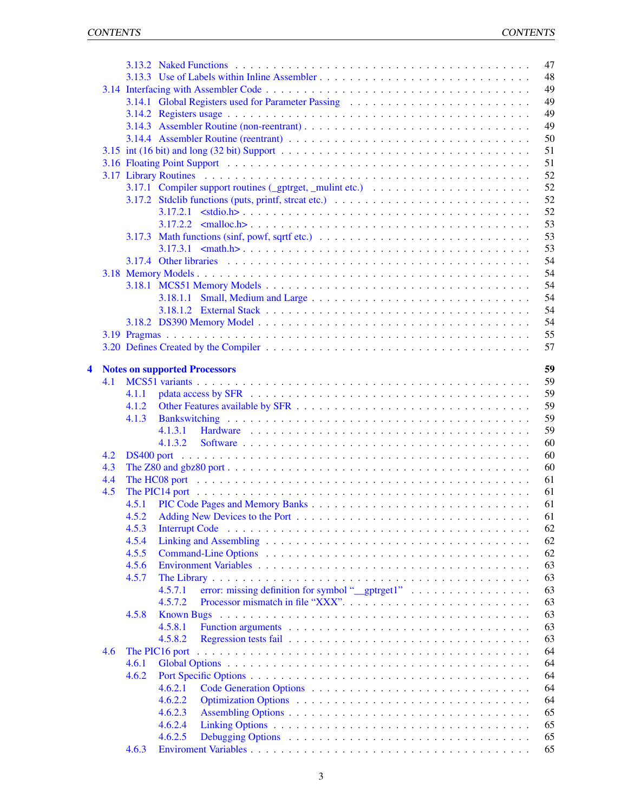|   |     |       | 47                                                                                                                                                                                                                                  |  |
|---|-----|-------|-------------------------------------------------------------------------------------------------------------------------------------------------------------------------------------------------------------------------------------|--|
|   |     |       | 48<br>3.13.3 Use of Labels within Inline Assembler                                                                                                                                                                                  |  |
|   |     |       | 49                                                                                                                                                                                                                                  |  |
|   |     |       | 49                                                                                                                                                                                                                                  |  |
|   |     |       | 49                                                                                                                                                                                                                                  |  |
|   |     |       | 49<br>3.14.3 Assembler Routine (non-reentrant)                                                                                                                                                                                      |  |
|   |     |       | 50                                                                                                                                                                                                                                  |  |
|   |     |       | 51                                                                                                                                                                                                                                  |  |
|   |     |       | 3.16 Floating Point Support (a) respectively and the contract of the contract of the contract of the contract of the contract of the contract of the contract of the contract of the contract of the contract of the contract<br>51 |  |
|   |     |       | 52                                                                                                                                                                                                                                  |  |
|   |     |       | 52<br>3.17.1 Compiler support routines (_gptrget, _mulint etc.) $\ldots \ldots \ldots \ldots \ldots \ldots$                                                                                                                         |  |
|   |     |       | 52                                                                                                                                                                                                                                  |  |
|   |     |       | 52                                                                                                                                                                                                                                  |  |
|   |     |       | 53                                                                                                                                                                                                                                  |  |
|   |     |       | 53                                                                                                                                                                                                                                  |  |
|   |     |       | 3.17.3 Math functions (sinf, powf, sqrtf etc.) $\ldots \ldots \ldots \ldots \ldots \ldots \ldots \ldots \ldots \ldots$<br>53                                                                                                        |  |
|   |     |       |                                                                                                                                                                                                                                     |  |
|   |     |       | 54                                                                                                                                                                                                                                  |  |
|   |     |       | 54                                                                                                                                                                                                                                  |  |
|   |     |       | 54                                                                                                                                                                                                                                  |  |
|   |     |       | 54                                                                                                                                                                                                                                  |  |
|   |     |       | 54                                                                                                                                                                                                                                  |  |
|   |     |       | 54                                                                                                                                                                                                                                  |  |
|   |     |       | 55                                                                                                                                                                                                                                  |  |
|   |     |       | 57                                                                                                                                                                                                                                  |  |
|   |     |       |                                                                                                                                                                                                                                     |  |
| 4 |     |       | 59<br><b>Notes on supported Processors</b>                                                                                                                                                                                          |  |
|   | 4.1 |       | 59                                                                                                                                                                                                                                  |  |
|   |     | 4.1.1 | 59                                                                                                                                                                                                                                  |  |
|   |     | 4.1.2 | 59                                                                                                                                                                                                                                  |  |
|   |     | 4.1.3 | 59                                                                                                                                                                                                                                  |  |
|   |     |       | 59<br>4.1.3.1                                                                                                                                                                                                                       |  |
|   |     |       | 60<br>4.1.3.2                                                                                                                                                                                                                       |  |
|   | 4.2 |       | 60                                                                                                                                                                                                                                  |  |
|   | 4.3 |       | 60                                                                                                                                                                                                                                  |  |
|   | 4.4 |       | 61                                                                                                                                                                                                                                  |  |
|   | 4.5 |       | 61                                                                                                                                                                                                                                  |  |
|   |     | 4.5.1 | 61                                                                                                                                                                                                                                  |  |
|   |     | 4.5.2 | 61                                                                                                                                                                                                                                  |  |
|   |     | 4.5.3 | 62                                                                                                                                                                                                                                  |  |
|   |     | 4.5.4 | 62                                                                                                                                                                                                                                  |  |
|   |     | 4.5.5 | 62                                                                                                                                                                                                                                  |  |
|   |     | 4.5.6 | 63                                                                                                                                                                                                                                  |  |
|   |     | 4.5.7 | 63                                                                                                                                                                                                                                  |  |
|   |     |       | error: missing definition for symbol "_gptrget1"<br>63<br>4.5.7.1                                                                                                                                                                   |  |
|   |     |       | 63<br>4.5.7.2                                                                                                                                                                                                                       |  |
|   |     | 4.5.8 | 63<br><b>Known Bugs</b>                                                                                                                                                                                                             |  |
|   |     |       | 63<br>4.5.8.1                                                                                                                                                                                                                       |  |
|   |     |       | 63<br>4.5.8.2                                                                                                                                                                                                                       |  |
|   | 4.6 |       | 64<br>The PIC16 port                                                                                                                                                                                                                |  |
|   |     | 4.6.1 | 64                                                                                                                                                                                                                                  |  |
|   |     | 4.6.2 | 64                                                                                                                                                                                                                                  |  |
|   |     |       | 64<br>4.6.2.1                                                                                                                                                                                                                       |  |
|   |     |       | 64<br>4.6.2.2                                                                                                                                                                                                                       |  |
|   |     |       | 65<br>4.6.2.3                                                                                                                                                                                                                       |  |
|   |     |       | 65<br>4.6.2.4                                                                                                                                                                                                                       |  |
|   |     |       | 4.6.2.5<br>65                                                                                                                                                                                                                       |  |
|   |     |       |                                                                                                                                                                                                                                     |  |
|   |     | 4.6.3 | 65                                                                                                                                                                                                                                  |  |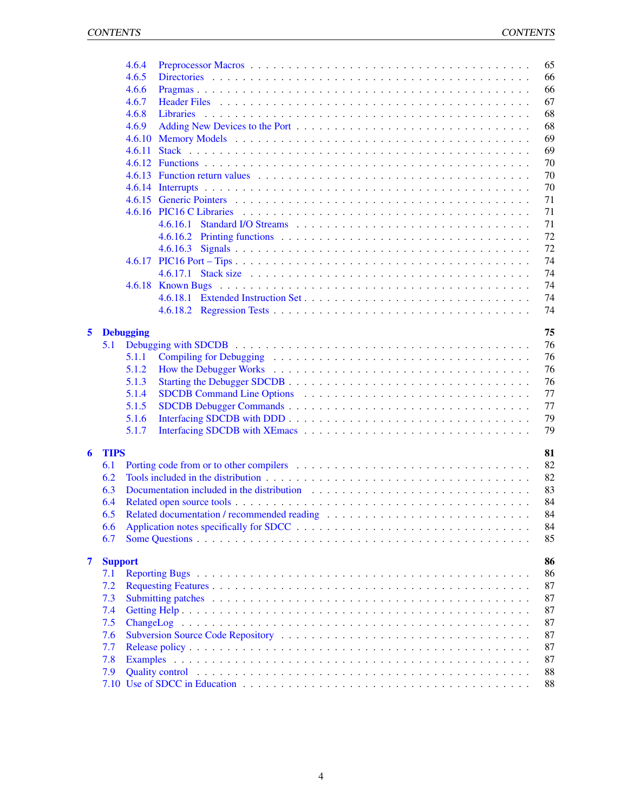|   |                | 4.6.4            |                                                                                                                                                                                                                                |  |  |  |  |  |  |  |  |  |  | 65 |
|---|----------------|------------------|--------------------------------------------------------------------------------------------------------------------------------------------------------------------------------------------------------------------------------|--|--|--|--|--|--|--|--|--|--|----|
|   |                | 4.6.5            |                                                                                                                                                                                                                                |  |  |  |  |  |  |  |  |  |  | 66 |
|   |                | 4.6.6            |                                                                                                                                                                                                                                |  |  |  |  |  |  |  |  |  |  | 66 |
|   |                | 4.6.7            |                                                                                                                                                                                                                                |  |  |  |  |  |  |  |  |  |  | 67 |
|   |                | 4.6.8            |                                                                                                                                                                                                                                |  |  |  |  |  |  |  |  |  |  | 68 |
|   |                | 4.6.9            |                                                                                                                                                                                                                                |  |  |  |  |  |  |  |  |  |  | 68 |
|   |                |                  |                                                                                                                                                                                                                                |  |  |  |  |  |  |  |  |  |  | 69 |
|   |                | 4.6.10           |                                                                                                                                                                                                                                |  |  |  |  |  |  |  |  |  |  | 69 |
|   |                | 4.6.11           |                                                                                                                                                                                                                                |  |  |  |  |  |  |  |  |  |  |    |
|   |                |                  |                                                                                                                                                                                                                                |  |  |  |  |  |  |  |  |  |  | 70 |
|   |                |                  |                                                                                                                                                                                                                                |  |  |  |  |  |  |  |  |  |  | 70 |
|   |                |                  |                                                                                                                                                                                                                                |  |  |  |  |  |  |  |  |  |  | 70 |
|   |                | 4.6.15           |                                                                                                                                                                                                                                |  |  |  |  |  |  |  |  |  |  | 71 |
|   |                |                  |                                                                                                                                                                                                                                |  |  |  |  |  |  |  |  |  |  | 71 |
|   |                |                  | 4.6.16.1                                                                                                                                                                                                                       |  |  |  |  |  |  |  |  |  |  | 71 |
|   |                |                  |                                                                                                                                                                                                                                |  |  |  |  |  |  |  |  |  |  | 72 |
|   |                |                  |                                                                                                                                                                                                                                |  |  |  |  |  |  |  |  |  |  | 72 |
|   |                |                  |                                                                                                                                                                                                                                |  |  |  |  |  |  |  |  |  |  | 74 |
|   |                |                  | 4.6.17.1                                                                                                                                                                                                                       |  |  |  |  |  |  |  |  |  |  | 74 |
|   |                |                  |                                                                                                                                                                                                                                |  |  |  |  |  |  |  |  |  |  | 74 |
|   |                |                  |                                                                                                                                                                                                                                |  |  |  |  |  |  |  |  |  |  | 74 |
|   |                |                  |                                                                                                                                                                                                                                |  |  |  |  |  |  |  |  |  |  | 74 |
|   |                |                  |                                                                                                                                                                                                                                |  |  |  |  |  |  |  |  |  |  |    |
| 5 |                | <b>Debugging</b> |                                                                                                                                                                                                                                |  |  |  |  |  |  |  |  |  |  | 75 |
|   | 5.1            |                  |                                                                                                                                                                                                                                |  |  |  |  |  |  |  |  |  |  | 76 |
|   |                | 5.1.1            |                                                                                                                                                                                                                                |  |  |  |  |  |  |  |  |  |  | 76 |
|   |                | 5.1.2            |                                                                                                                                                                                                                                |  |  |  |  |  |  |  |  |  |  | 76 |
|   |                | 5.1.3            |                                                                                                                                                                                                                                |  |  |  |  |  |  |  |  |  |  | 76 |
|   |                | 5.1.4            |                                                                                                                                                                                                                                |  |  |  |  |  |  |  |  |  |  | 77 |
|   |                | 5.1.5            |                                                                                                                                                                                                                                |  |  |  |  |  |  |  |  |  |  | 77 |
|   |                | 5.1.6            |                                                                                                                                                                                                                                |  |  |  |  |  |  |  |  |  |  | 79 |
|   |                |                  |                                                                                                                                                                                                                                |  |  |  |  |  |  |  |  |  |  |    |
|   |                | 5.1.7            |                                                                                                                                                                                                                                |  |  |  |  |  |  |  |  |  |  | 79 |
| 6 | <b>TIPS</b>    |                  |                                                                                                                                                                                                                                |  |  |  |  |  |  |  |  |  |  | 81 |
|   | 6.1            |                  |                                                                                                                                                                                                                                |  |  |  |  |  |  |  |  |  |  | 82 |
|   | 6.2            |                  |                                                                                                                                                                                                                                |  |  |  |  |  |  |  |  |  |  | 82 |
|   |                |                  |                                                                                                                                                                                                                                |  |  |  |  |  |  |  |  |  |  | 83 |
|   | 6.3            |                  |                                                                                                                                                                                                                                |  |  |  |  |  |  |  |  |  |  |    |
|   | 6.4            |                  |                                                                                                                                                                                                                                |  |  |  |  |  |  |  |  |  |  | 84 |
|   | 6.5            |                  |                                                                                                                                                                                                                                |  |  |  |  |  |  |  |  |  |  | 84 |
|   | 6.6            |                  |                                                                                                                                                                                                                                |  |  |  |  |  |  |  |  |  |  | 84 |
|   | 6.7            |                  |                                                                                                                                                                                                                                |  |  |  |  |  |  |  |  |  |  | 85 |
|   |                |                  |                                                                                                                                                                                                                                |  |  |  |  |  |  |  |  |  |  |    |
| 7 | <b>Support</b> |                  |                                                                                                                                                                                                                                |  |  |  |  |  |  |  |  |  |  | 86 |
|   | 7.1            |                  |                                                                                                                                                                                                                                |  |  |  |  |  |  |  |  |  |  | 86 |
|   | 7.2            |                  |                                                                                                                                                                                                                                |  |  |  |  |  |  |  |  |  |  | 87 |
|   | 7.3            |                  | Submitting patches in the contract of the contract of the contract of the contract of the contract of the contract of the contract of the contract of the contract of the contract of the contract of the contract of the cont |  |  |  |  |  |  |  |  |  |  | 87 |
|   | 7.4            |                  |                                                                                                                                                                                                                                |  |  |  |  |  |  |  |  |  |  | 87 |
|   | 7.5            |                  |                                                                                                                                                                                                                                |  |  |  |  |  |  |  |  |  |  | 87 |
|   | 7.6            |                  |                                                                                                                                                                                                                                |  |  |  |  |  |  |  |  |  |  | 87 |
|   | 7.7            |                  |                                                                                                                                                                                                                                |  |  |  |  |  |  |  |  |  |  | 87 |
|   | 7.8            |                  |                                                                                                                                                                                                                                |  |  |  |  |  |  |  |  |  |  | 87 |
|   | 7.9            |                  | Quality control is a series of the control of the control of the control of the control of the control of the control of the control of the control of the control of the control of the control of the control of the control |  |  |  |  |  |  |  |  |  |  | 88 |
|   |                |                  |                                                                                                                                                                                                                                |  |  |  |  |  |  |  |  |  |  | 88 |
|   |                |                  |                                                                                                                                                                                                                                |  |  |  |  |  |  |  |  |  |  |    |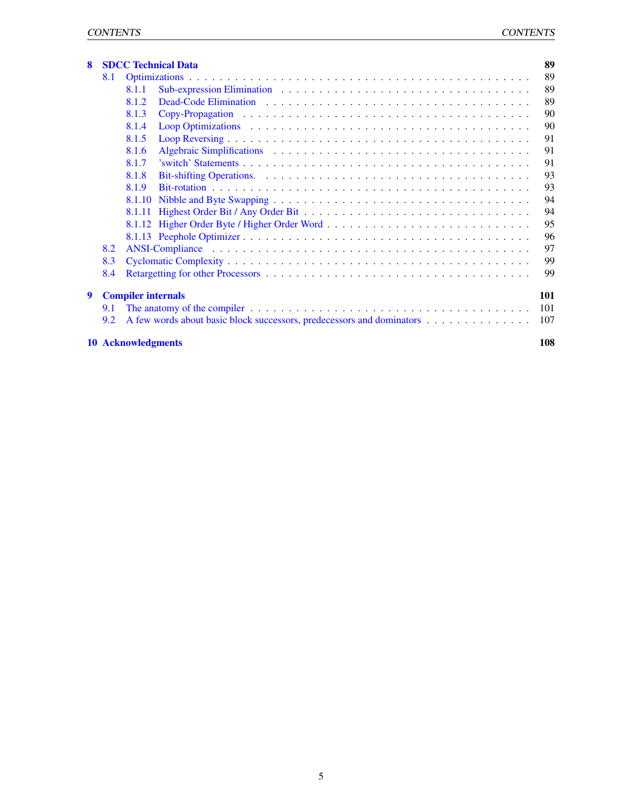| 8 |                                  | <b>SDCC Technical Data</b>                                            | 89  |  |  |  |  |  |
|---|----------------------------------|-----------------------------------------------------------------------|-----|--|--|--|--|--|
|   | 8.1                              |                                                                       | 89  |  |  |  |  |  |
|   |                                  | 8.1.1                                                                 | 89  |  |  |  |  |  |
|   |                                  | 8.1.2                                                                 | 89  |  |  |  |  |  |
|   |                                  | 8.1.3                                                                 | 90  |  |  |  |  |  |
|   |                                  | 8.1.4                                                                 | 90  |  |  |  |  |  |
|   |                                  | 8.1.5                                                                 | 91  |  |  |  |  |  |
|   |                                  | 8.1.6                                                                 | 91  |  |  |  |  |  |
|   |                                  | 8.1.7                                                                 | 91  |  |  |  |  |  |
|   |                                  | 8.1.8                                                                 | 93  |  |  |  |  |  |
|   |                                  | 8.1.9                                                                 | 93  |  |  |  |  |  |
|   |                                  | 8.1.10                                                                | 94  |  |  |  |  |  |
|   |                                  | 8.1.11                                                                | 94  |  |  |  |  |  |
|   |                                  |                                                                       | 95  |  |  |  |  |  |
|   |                                  |                                                                       | 96  |  |  |  |  |  |
|   | 8.2                              |                                                                       | 97  |  |  |  |  |  |
|   | 8.3                              |                                                                       | 99  |  |  |  |  |  |
|   | 8.4                              |                                                                       | 99  |  |  |  |  |  |
| 9 |                                  | <b>Compiler internals</b>                                             | 101 |  |  |  |  |  |
|   | 9.1                              |                                                                       | 101 |  |  |  |  |  |
|   | 9.2                              | A few words about basic block successors, predecessors and dominators | 107 |  |  |  |  |  |
|   | 108<br><b>10 Acknowledgments</b> |                                                                       |     |  |  |  |  |  |

## 5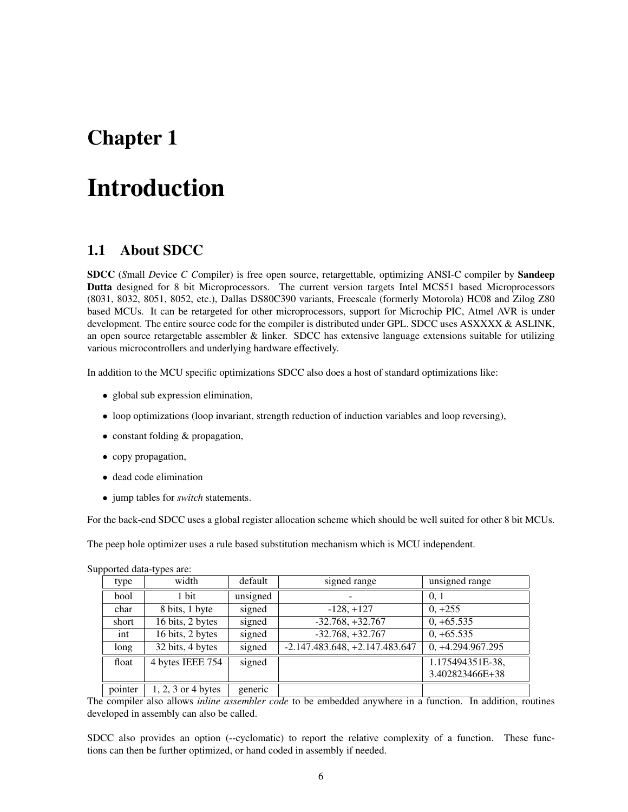## <span id="page-6-0"></span>Chapter 1

# Introduction

## <span id="page-6-1"></span>1.1 About SDCC

SDCC (*S*mall *D*evice *C C*ompiler) is free open source, retargettable, optimizing ANSI-C compiler by Sandeep Dutta designed for 8 bit Microprocessors. The current version targets Intel MCS51 based Microprocessors (8031, 8032, 8051, 8052, etc.), Dallas DS80C390 variants, Freescale (formerly Motorola) HC08 and Zilog Z80 based MCUs. It can be retargeted for other microprocessors, support for Microchip PIC, Atmel AVR is under development. The entire source code for the compiler is distributed under GPL. SDCC uses ASXXXX & ASLINK, an open source retargetable assembler  $&$  linker. SDCC has extensive language extensions suitable for utilizing various microcontrollers and underlying hardware effectively.

In addition to the MCU specific optimizations SDCC also does a host of standard optimizations like:

- global sub expression elimination,
- loop optimizations (loop invariant, strength reduction of induction variables and loop reversing),
- constant folding & propagation,
- copy propagation,
- dead code elimination
- jump tables for *switch* statements.

For the back-end SDCC uses a global register allocation scheme which should be well suited for other 8 bit MCUs.

The peep hole optimizer uses a rule based substitution mechanism which is MCU independent.

|         | . .                  |          |                                  |                     |
|---------|----------------------|----------|----------------------------------|---------------------|
| type    | width                | default  | signed range                     | unsigned range      |
| bool    | 1 bit                | unsigned |                                  | 0.1                 |
| char    | 8 bits, 1 byte       | signed   | $-128, +127$                     | $0, +255$           |
| short   | 16 bits, 2 bytes     | signed   | $-32.768, +32.767$               | $0, +65.535$        |
| int     | 16 bits, 2 bytes     | signed   | $-32.768, +32.767$               | $0, +65.535$        |
| long    | 32 bits, 4 bytes     | signed   | $-2.147.483.648, +2.147.483.647$ | $0, +4.294.967.295$ |
| float   | 4 bytes IEEE 754     | signed   |                                  | 1.175494351E-38,    |
|         |                      |          |                                  | 3.402823466E+38     |
| pointer | $1, 2, 3$ or 4 bytes | generic  |                                  |                     |

Supported data-types are:

The compiler also allows *inline assembler code* to be embedded anywhere in a function. In addition, routines developed in assembly can also be called.

SDCC also provides an option (--cyclomatic) to report the relative complexity of a function. These functions can then be further optimized, or hand coded in assembly if needed.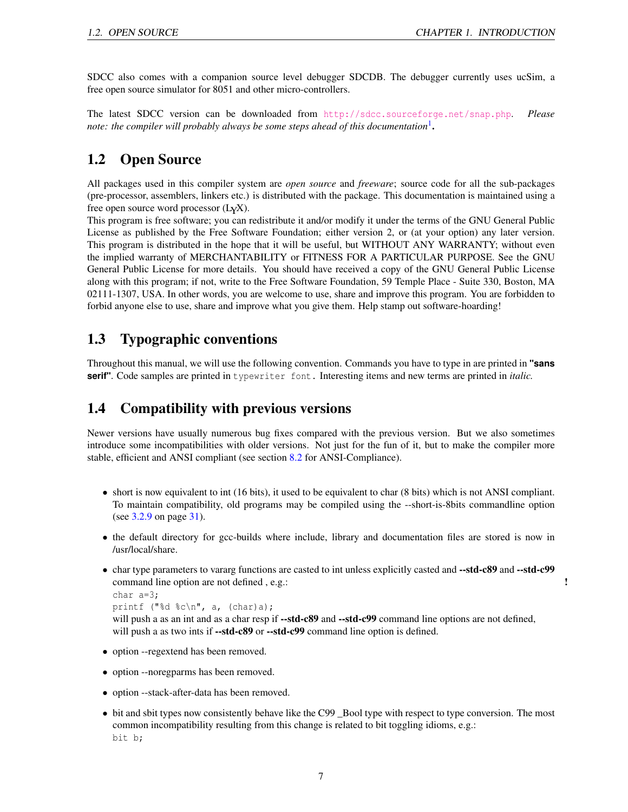SDCC also comes with a companion source level debugger SDCDB. The debugger currently uses ucSim, a free open source simulator for 8051 and other micro-controllers.

The latest SDCC version can be downloaded from <http://sdcc.sourceforge.net/snap.php>. *Please* note: the compiler will probably always be some steps ahead of this documentation<sup>[1](#page-8-3)</sup>.

## <span id="page-7-0"></span>1.2 Open Source

All packages used in this compiler system are *open source* and *freeware*; source code for all the sub-packages (pre-processor, assemblers, linkers etc.) is distributed with the package. This documentation is maintained using a free open source word processor (LYX).

This program is free software; you can redistribute it and/or modify it under the terms of the GNU General Public License as published by the Free Software Foundation; either version 2, or (at your option) any later version. This program is distributed in the hope that it will be useful, but WITHOUT ANY WARRANTY; without even the implied warranty of MERCHANTABILITY or FITNESS FOR A PARTICULAR PURPOSE. See the GNU General Public License for more details. You should have received a copy of the GNU General Public License along with this program; if not, write to the Free Software Foundation, 59 Temple Place - Suite 330, Boston, MA 02111-1307, USA. In other words, you are welcome to use, share and improve this program. You are forbidden to forbid anyone else to use, share and improve what you give them. Help stamp out software-hoarding!

## <span id="page-7-1"></span>1.3 Typographic conventions

Throughout this manual, we will use the following convention. Commands you have to type in are printed in **"sans serif"**. Code samples are printed in typewriter font. Interesting items and new terms are printed in *italic.*

## <span id="page-7-2"></span>1.4 Compatibility with previous versions

Newer versions have usually numerous bug fixes compared with the previous version. But we also sometimes introduce some incompatibilities with older versions. Not just for the fun of it, but to make the compiler more stable, efficient and ANSI compliant (see section [8.2](#page-97-0) for ANSI-Compliance).

- short is now equivalent to int (16 bits), it used to be equivalent to char (8 bits) which is not ANSI compliant. To maintain compatibility, old programs may be compiled using the --short-is-8bits commandline option (see [3.2.9](#page-29-0) on page [31\)](#page-29-0).
- the default directory for gcc-builds where include, library and documentation files are stored is now in /usr/local/share.
- char type parameters to vararg functions are casted to int unless explicitly casted and --std-c89 and --std-c99 command line option are not defined , e.g.:  $\blacksquare$

```
char a=3;
printf ("%d %c\n", a, (char)a);
```
will push a as an int and as a char resp if --std-c89 and --std-c99 command line options are not defined, will push a as two ints if --std-c89 or --std-c99 command line option is defined.

- option --regextend has been removed.
- option --noregparms has been removed.
- option --stack-after-data has been removed.
- bit and sbit types now consistently behave like the C99 \_Bool type with respect to type conversion. The most common incompatibility resulting from this change is related to bit toggling idioms, e.g.: bit b;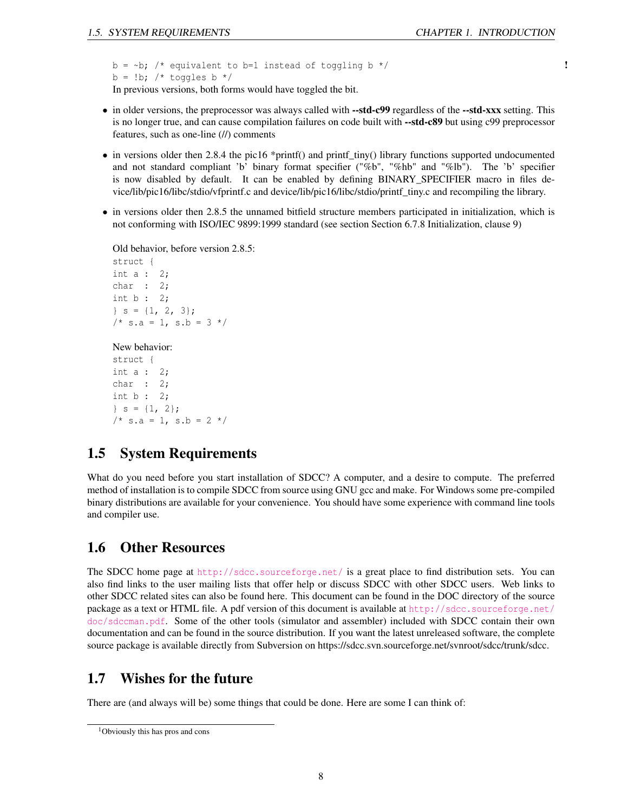```
b = \neg b; /* equivalent to b=1 instead of toggling b */ \qquad !
b = !b; /* toggles b */
In previous versions, both forms would have toggled the bit.
```
- in older versions, the preprocessor was always called with --std-c99 regardless of the --std-xxx setting. This is no longer true, and can cause compilation failures on code built with --std-c89 but using c99 preprocessor features, such as one-line (//) comments
- in versions older then 2.8.4 the pic16 \*printf() and printf\_tiny() library functions supported undocumented and not standard compliant 'b' binary format specifier ("%b", "%hb" and "%lb"). The 'b' specifier is now disabled by default. It can be enabled by defining BINARY\_SPECIFIER macro in files device/lib/pic16/libc/stdio/vfprintf.c and device/lib/pic16/libc/stdio/printf\_tiny.c and recompiling the library.
- in versions older then 2.8.5 the unnamed bitfield structure members participated in initialization, which is not conforming with ISO/IEC 9899:1999 standard (see section Section 6.7.8 Initialization, clause 9)

Old behavior, before version 2.8.5: struct { int a : 2; char : 2; int b : 2;  $\}$  s = {1, 2, 3};  $/*$  s.a = 1, s.b = 3 \*/

### New behavior:

struct { int a : 2; char : 2; int b : 2;  $\{s = \{1, 2\};\}$  $/* s.a = 1, s.b = 2 */$ 

## <span id="page-8-0"></span>1.5 System Requirements

What do you need before you start installation of SDCC? A computer, and a desire to compute. The preferred method of installation is to compile SDCC from source using GNU gcc and make. For Windows some pre-compiled binary distributions are available for your convenience. You should have some experience with command line tools and compiler use.

## <span id="page-8-1"></span>1.6 Other Resources

The SDCC home page at <http://sdcc.sourceforge.net/> is a great place to find distribution sets. You can also find links to the user mailing lists that offer help or discuss SDCC with other SDCC users. Web links to other SDCC related sites can also be found here. This document can be found in the DOC directory of the source package as a text or HTML file. A pdf version of this document is available at [http://sdcc.sourceforge.net/](http://sdcc.sourceforge.net/doc/sdccman.pdf) [doc/sdccman.pdf](http://sdcc.sourceforge.net/doc/sdccman.pdf). Some of the other tools (simulator and assembler) included with SDCC contain their own documentation and can be found in the source distribution. If you want the latest unreleased software, the complete source package is available directly from Subversion on https://sdcc.svn.sourceforge.net/svnroot/sdcc/trunk/sdcc.

## <span id="page-8-2"></span>1.7 Wishes for the future

There are (and always will be) some things that could be done. Here are some I can think of:

<span id="page-8-3"></span><sup>1</sup>Obviously this has pros and cons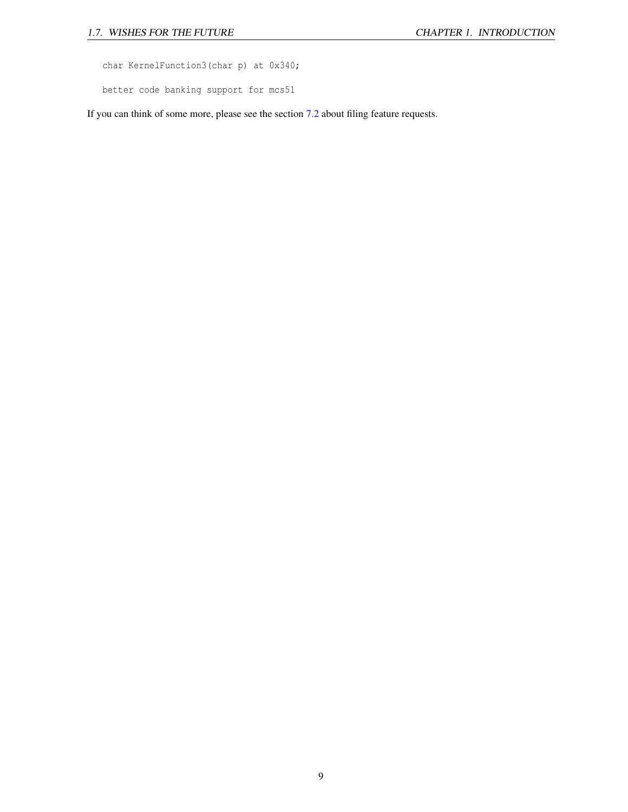char KernelFunction3(char p) at 0x340;

better code banking support for mcs51

If you can think of some more, please see the section [7.2](#page-87-0) about filing feature requests.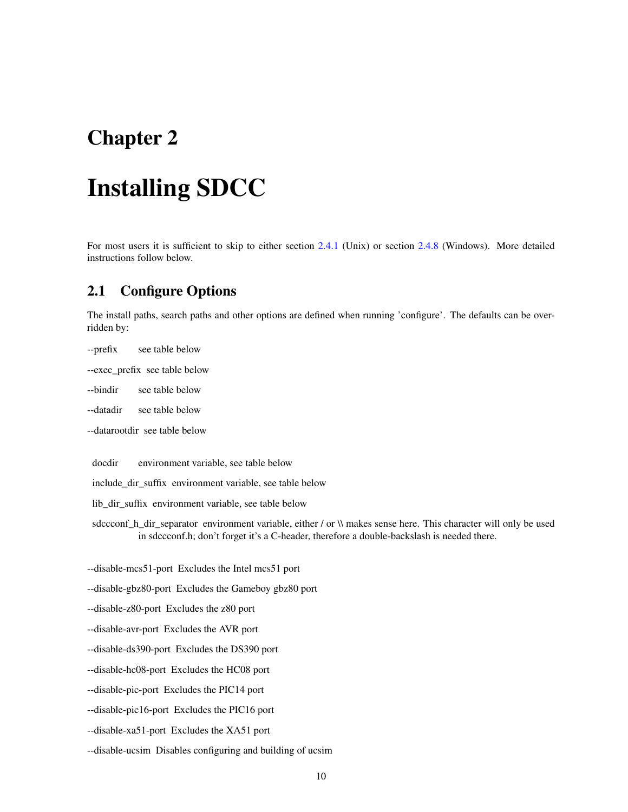## <span id="page-10-0"></span>Chapter 2

# Installing SDCC

For most users it is sufficient to skip to either section [2.4.1](#page-13-2) (Unix) or section [2.4.8](#page-17-1) (Windows). More detailed instructions follow below.

## <span id="page-10-1"></span>2.1 Configure Options

The install paths, search paths and other options are defined when running 'configure'. The defaults can be overridden by:

- --prefix see table below
- --exec\_prefix see table below

--bindir see table below

- --datadir see table below
- --datarootdir see table below

docdir environment variable, see table below

include\_dir\_suffix environment variable, see table below

lib\_dir\_suffix\_environment variable, see table below

sdccconf\_h\_dir\_separator environment variable, either / or \\ makes sense here. This character will only be used in sdccconf.h; don't forget it's a C-header, therefore a double-backslash is needed there.

--disable-mcs51-port Excludes the Intel mcs51 port

--disable-gbz80-port Excludes the Gameboy gbz80 port

--disable-z80-port Excludes the z80 port

--disable-avr-port Excludes the AVR port

--disable-ds390-port Excludes the DS390 port

--disable-hc08-port Excludes the HC08 port

--disable-pic-port Excludes the PIC14 port

--disable-pic16-port Excludes the PIC16 port

--disable-xa51-port Excludes the XA51 port

--disable-ucsim Disables configuring and building of ucsim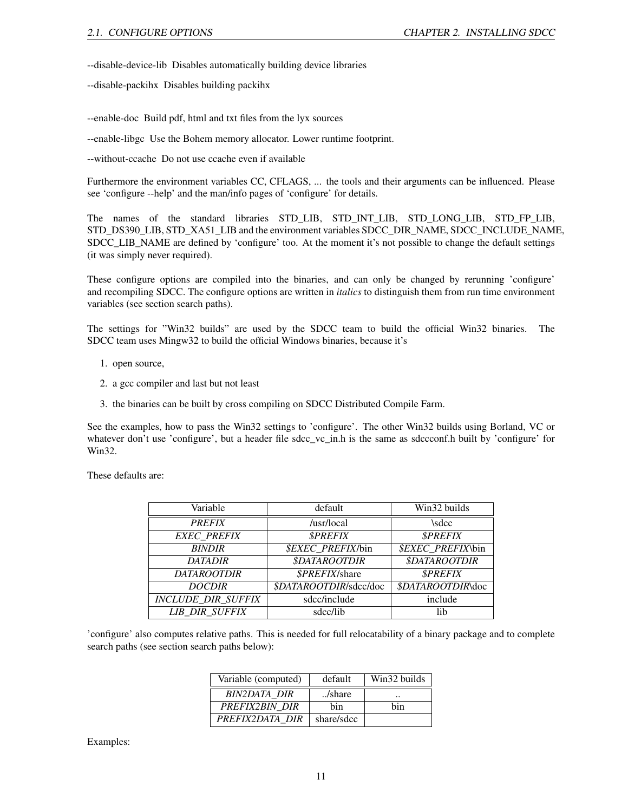--disable-device-lib Disables automatically building device libraries

--disable-packihx Disables building packihx

--enable-doc Build pdf, html and txt files from the lyx sources

--enable-libgc Use the Bohem memory allocator. Lower runtime footprint.

--without-ccache Do not use ccache even if available

Furthermore the environment variables CC, CFLAGS, ... the tools and their arguments can be influenced. Please see 'configure --help' and the man/info pages of 'configure' for details.

The names of the standard libraries STD\_LIB, STD\_INT\_LIB, STD\_LONG\_LIB, STD\_FP\_LIB, STD\_DS390\_LIB, STD\_XA51\_LIB and the environment variables SDCC\_DIR\_NAME, SDCC\_INCLUDE\_NAME, SDCC\_LIB\_NAME are defined by 'configure' too. At the moment it's not possible to change the default settings (it was simply never required).

These configure options are compiled into the binaries, and can only be changed by rerunning 'configure' and recompiling SDCC. The configure options are written in *italics* to distinguish them from run time environment variables (see section search paths).

The settings for "Win32 builds" are used by the SDCC team to build the official Win32 binaries. The SDCC team uses Mingw32 to build the official Windows binaries, because it's

- 1. open source,
- 2. a gcc compiler and last but not least
- 3. the binaries can be built by cross compiling on SDCC Distributed Compile Farm.

See the examples, how to pass the Win32 settings to 'configure'. The other Win32 builds using Borland, VC or whatever don't use 'configure', but a header file sdcc\_vc\_in.h is the same as sdccconf.h built by 'configure' for Win32.

These defaults are:

| Variable                  | default                         | Win32 builds                    |
|---------------------------|---------------------------------|---------------------------------|
| <b>PREFIX</b>             | /usr/local                      | \sdcc                           |
| <b>EXEC PREFIX</b>        | <b><i>SPREFIX</i></b>           | <b><i>SPREFIX</i></b>           |
| <b>BINDIR</b>             | <i><b>\$EXEC PREFIX/bin</b></i> | <i><b>\$EXEC PREFIX\bin</b></i> |
| <b>DATADIR</b>            | <b>\$DATAROOTDIR</b>            | <b>\$DATAROOTDIR</b>            |
| <b>DATAROOTDIR</b>        | \$PREFIX/share                  | <b><i>SPREFIX</i></b>           |
| <b>DOCDIR</b>             | \$DATAROOTDIR/sdcc/doc          | \$DATAROOTDIR\doc               |
| <b>INCLUDE DIR SUFFIX</b> | sdcc/include                    | include                         |
| <b>LIB DIR SUFFIX</b>     | sdcc/lib                        | lib                             |

'configure' also computes relative paths. This is needed for full relocatability of a binary package and to complete search paths (see section search paths below):

| Variable (computed) | default    | Win32 builds |
|---------------------|------------|--------------|
| BIN2DATA DIR        | /share     |              |
| PREFIX2BIN DIR      | hin        | hin          |
| PREFIX2DATA DIR     | share/sdcc |              |

Examples: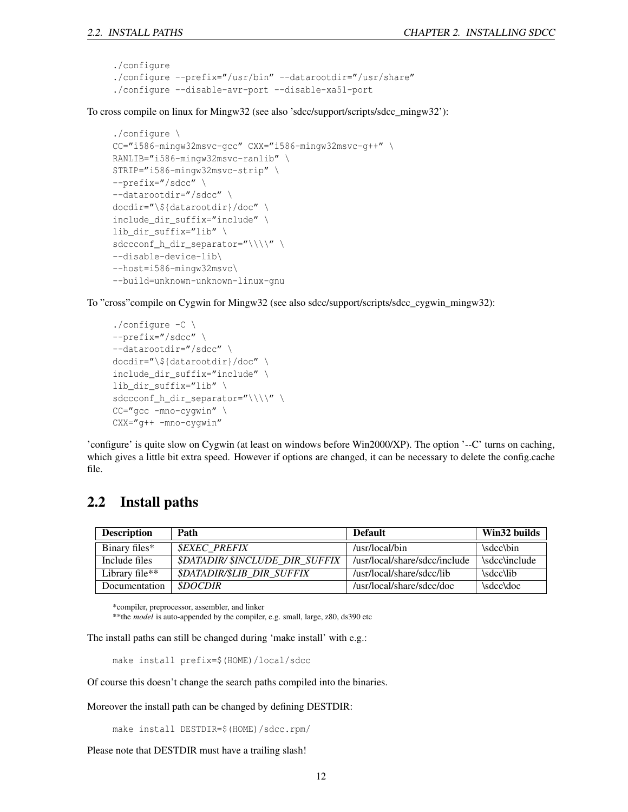```
./configure
./configure --prefix="/usr/bin" --datarootdir="/usr/share"
./configure --disable-avr-port --disable-xa51-port
```
To cross compile on linux for Mingw32 (see also 'sdcc/support/scripts/sdcc\_mingw32'):

```
./configure \
CC="i586-mingw32msvc-gcc" CXX="i586-mingw32msvc-g++" \
RANLIB="i586-mingw32msvc-ranlib" \
STRIP="i586-mingw32msvc-strip" \
--prefix="/sdcc" \
--datarootdir="/sdcc" \
docdir="\${datarootdir}/doc" \
include_dir_suffix="include" \
lib_dir_suffix="lib" \
sdccconf_h_dir_separator="\\\\" \
--disable-device-lib\
--host=i586-mingw32msvc\
--build=unknown-unknown-linux-gnu
```
To "cross"compile on Cygwin for Mingw32 (see also sdcc/support/scripts/sdcc\_cygwin\_mingw32):

```
./configure -C \
--prefix="/sdcc" \
--datarootdir="/sdcc" \
docdir="\${datarootdir}/doc" \
include dir suffix="include" \
lib dir suffix="lib" \setminussdccconf_h_dir_separator="\\\\" \
CC="gcc -mno-cygwin" \
CXX="g++ -mno-cygwin"
```
'configure' is quite slow on Cygwin (at least on windows before Win2000/XP). The option '--C' turns on caching, which gives a little bit extra speed. However if options are changed, it can be necessary to delete the config.cache file.

## <span id="page-12-0"></span>2.2 Install paths

| <b>Description</b>                      | Path                                     | <b>Default</b>                | Win32 builds        |
|-----------------------------------------|------------------------------------------|-------------------------------|---------------------|
| Binary files*                           | <b>SEXEC PREFIX</b>                      | /usr/local/bin                | \sdcc\bin           |
| Include files                           | <b>\$DATADIR/\$INCLUDE DIR SUFFIX</b>    | /usr/local/share/sdcc/include | <i>sdcc/include</i> |
| Library file <sup><math>**</math></sup> | <i><b>\$DATADIR/\$LIB DIR SUFFIX</b></i> | /usr/local/share/sdcc/lib     | \sdcc\lib           |
| Documentation                           | <i>SDOCDIR</i>                           | /usr/local/share/sdcc/doc     | \sdcc\doc           |

\*compiler, preprocessor, assembler, and linker

\*\* the *model* is auto-appended by the compiler, e.g. small, large, z80, ds390 etc

The install paths can still be changed during 'make install' with e.g.:

```
make install prefix=$(HOME)/local/sdcc
```
Of course this doesn't change the search paths compiled into the binaries.

Moreover the install path can be changed by defining DESTDIR:

make install DESTDIR=\$(HOME)/sdcc.rpm/

Please note that DESTDIR must have a trailing slash!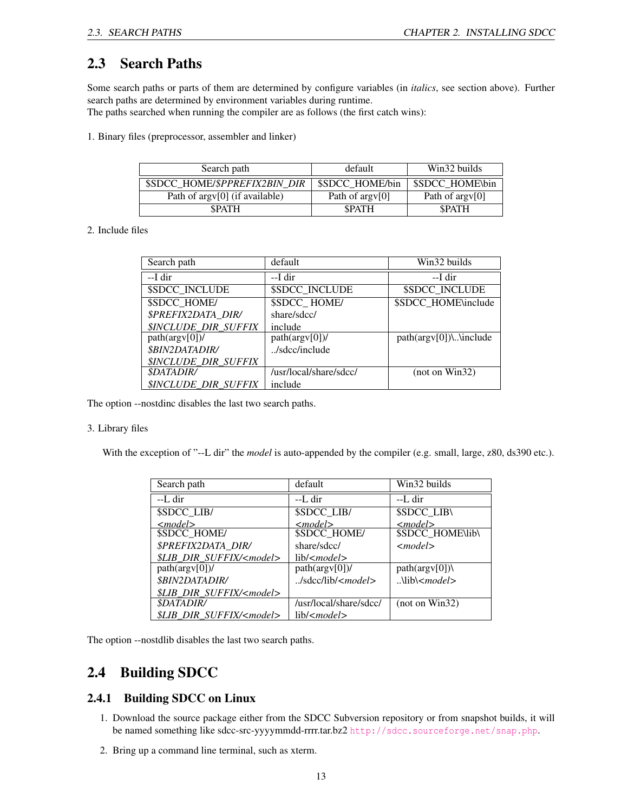## <span id="page-13-0"></span>2.3 Search Paths

Some search paths or parts of them are determined by configure variables (in *italics*, see section above). Further search paths are determined by environment variables during runtime.

The paths searched when running the compiler are as follows (the first catch wins):

1. Binary files (preprocessor, assembler and linker)

| Search path                      | default                     | Win32 builds    |
|----------------------------------|-----------------------------|-----------------|
| \$SDCC HOME/\$PPREFIX2BIN DIR    | \$SDCC HOME/bin             | \$SDCC HOME\bin |
| Path of $argv[0]$ (if available) | Path of argy <sup>[0]</sup> | Path of argy[0] |
| <b>SPATH</b>                     | <b>SPATH</b>                | <b>SPATH</b>    |

2. Include files

| Search path                        | default                | Win32 builds              |
|------------------------------------|------------------------|---------------------------|
| --I dir                            | --I dir                | --I dir                   |
| <b>\$SDCC INCLUDE</b>              | <b>\$SDCC INCLUDE</b>  | <b>\$SDCC INCLUDE</b>     |
| <b>\$SDCC HOME/</b>                | \$SDCC HOME/           | \$SDCC_HOME\include       |
| <b>\$PREFIX2DATA DIR/</b>          | share/sdcc/            |                           |
| <b><i>\$INCLUDE DIR SUFFIX</i></b> | include                |                           |
| $path(argv[0])$ /                  | $path(argv[0])$ /      | $path(argv[0])\$ \include |
| <i><b>\$BIN2DATADIR/</b></i>       | $./$ sdcc/include      |                           |
| <b><i>SINCLUDE DIR SUFFIX</i></b>  |                        |                           |
| <i><b>\$DATADIR/</b></i>           | /usr/local/share/sdcc/ | (not on Win32)            |
| <b><i>SINCLUDE DIR SUFFIX</i></b>  | include                |                           |

The option --nostdinc disables the last two search paths.

### 3. Library files

With the exception of "--L dir" the *model* is auto-appended by the compiler (e.g. small, large, z80, ds390 etc.).

| Search path                            | default                                  | Win32 builds                   |
|----------------------------------------|------------------------------------------|--------------------------------|
| --L dir                                | --L dir                                  | --L dir                        |
| \$SDCC LIB/                            | \$SDCC LIB/                              | <b>\$SDCC LIB\</b>             |
| $<$ model $>$                          | $\leq$ model $>$                         | $<$ model $>$                  |
| \$SDCC_HOME/                           | <b>\$SDCC HOME/</b>                      | <b>\$SDCC HOME\lib\</b>        |
| <i><b>\$PREFIX2DATA DIR/</b></i>       | share/sdcc/                              | $<$ model $>$                  |
| <i>SLIB DIR SUFFIX/<model></model></i> | lib/ <model></model>                     |                                |
| $path(argv[0])$ /                      | $path(argv[0])$ /                        | $path(argv[0])\setminus$       |
| <i><b>\$BIN2DATADIR/</b></i>           | J <sub>sdcc</sub> /lib/ <sub>model</sub> | $\Lambda$ lib $\leq$ model $>$ |
| \$LIB DIR SUFFIX/ <model></model>      |                                          |                                |
| <i><b>\$DATADIR/</b></i>               | /usr/local/share/sdcc/                   | (not on Win32)                 |
| \$LIB DIR SUFFIX/ <model></model>      | lib/cmodel>                              |                                |

The option --nostdlib disables the last two search paths.

## <span id="page-13-1"></span>2.4 Building SDCC

### <span id="page-13-2"></span>2.4.1 Building SDCC on Linux

- 1. Download the source package either from the SDCC Subversion repository or from snapshot builds, it will be named something like sdcc-src-yyyymmdd-rrrr.tar.bz2 <http://sdcc.sourceforge.net/snap.php>.
- 2. Bring up a command line terminal, such as xterm.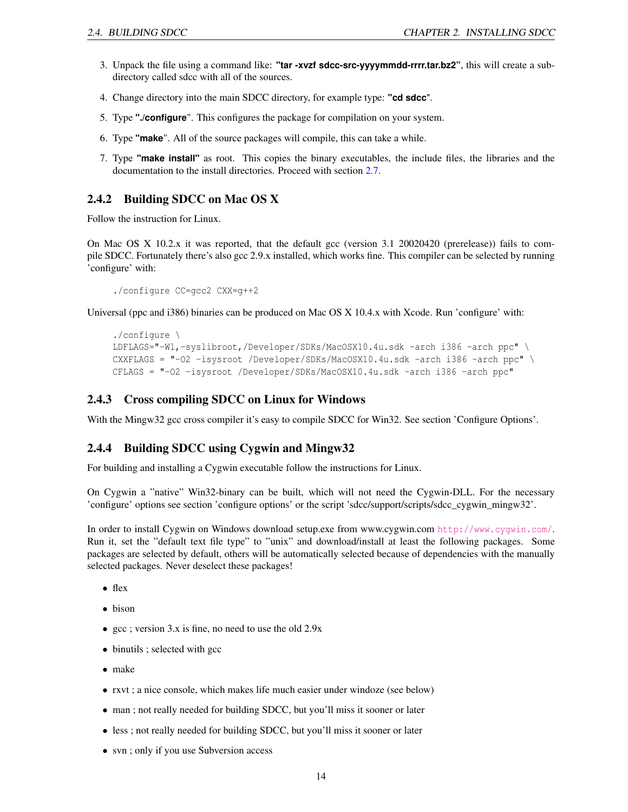- 3. Unpack the file using a command like: **"tar -xvzf sdcc-src-yyyymmdd-rrrr.tar.bz2"**, this will create a subdirectory called sdcc with all of the sources.
- 4. Change directory into the main SDCC directory, for example type: **"cd sdcc**".
- 5. Type **"./configure**". This configures the package for compilation on your system.
- 6. Type **"make**". All of the source packages will compile, this can take a while.
- 7. Type **"make install"** as root. This copies the binary executables, the include files, the libraries and the documentation to the install directories. Proceed with section [2.7.](#page-18-0)

### <span id="page-14-0"></span>2.4.2 Building SDCC on Mac OS X

Follow the instruction for Linux.

On Mac OS X 10.2.x it was reported, that the default gcc (version 3.1 20020420 (prerelease)) fails to compile SDCC. Fortunately there's also gcc 2.9.x installed, which works fine. This compiler can be selected by running 'configure' with:

./configure CC=gcc2 CXX=g++2

Universal (ppc and i386) binaries can be produced on Mac OS X 10.4.x with Xcode. Run 'configure' with:

```
./configure \
LDFLAGS="-Wl,-syslibroot,/Developer/SDKs/MacOSX10.4u.sdk -arch i386 -arch ppc" \
CXXFLAGS = "-O2 -isysroot /Developer/SDKs/MacOSX10.4u.sdk -arch i386 -arch ppc" \
CFLAGS = "-O2 -isysroot /Developer/SDKs/MacOSX10.4u.sdk -arch i386 -arch ppc"
```
### <span id="page-14-1"></span>2.4.3 Cross compiling SDCC on Linux for Windows

With the Mingw32 gcc cross compiler it's easy to compile SDCC for Win32. See section 'Configure Options'.

### <span id="page-14-2"></span>2.4.4 Building SDCC using Cygwin and Mingw32

For building and installing a Cygwin executable follow the instructions for Linux.

On Cygwin a "native" Win32-binary can be built, which will not need the Cygwin-DLL. For the necessary 'configure' options see section 'configure options' or the script 'sdcc/support/scripts/sdcc\_cygwin\_mingw32'.

In order to install Cygwin on Windows download setup.exe from www.cygwin.com <http://www.cygwin.com/>. Run it, set the "default text file type" to "unix" and download/install at least the following packages. Some packages are selected by default, others will be automatically selected because of dependencies with the manually selected packages. Never deselect these packages!

- flex
- bison
- gcc ; version 3.x is fine, no need to use the old 2.9x
- binutils ; selected with gcc
- make
- rxvt ; a nice console, which makes life much easier under windoze (see below)
- man ; not really needed for building SDCC, but you'll miss it sooner or later
- less ; not really needed for building SDCC, but you'll miss it sooner or later
- svn; only if you use Subversion access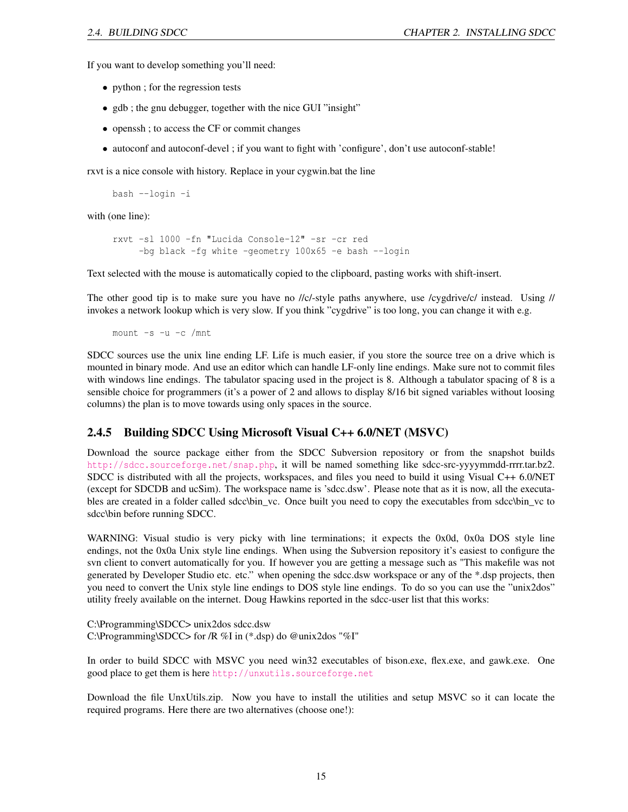If you want to develop something you'll need:

- python ; for the regression tests
- gdb; the gnu debugger, together with the nice GUI "insight"
- openssh ; to access the CF or commit changes
- autoconf and autoconf-devel ; if you want to fight with 'configure', don't use autoconf-stable!

rxvt is a nice console with history. Replace in your cygwin.bat the line

bash --login -i

with (one line):

```
rxvt -sl 1000 -fn "Lucida Console-12" -sr -cr red
     -bg black -fg white -geometry 100x65 -e bash --login
```
Text selected with the mouse is automatically copied to the clipboard, pasting works with shift-insert.

The other good tip is to make sure you have no //c/-style paths anywhere, use /cygdrive/c/ instead. Using // invokes a network lookup which is very slow. If you think "cygdrive" is too long, you can change it with e.g.

mount  $-s$  -u -c /mnt

SDCC sources use the unix line ending LF. Life is much easier, if you store the source tree on a drive which is mounted in binary mode. And use an editor which can handle LF-only line endings. Make sure not to commit files with windows line endings. The tabulator spacing used in the project is 8. Although a tabulator spacing of 8 is a sensible choice for programmers (it's a power of 2 and allows to display 8/16 bit signed variables without loosing columns) the plan is to move towards using only spaces in the source.

### <span id="page-15-0"></span>2.4.5 Building SDCC Using Microsoft Visual C++ 6.0/NET (MSVC)

Download the source package either from the SDCC Subversion repository or from the snapshot builds <http://sdcc.sourceforge.net/snap.php>, it will be named something like sdcc-src-yyyymmdd-rrrr.tar.bz2. SDCC is distributed with all the projects, workspaces, and files you need to build it using Visual C++ 6.0/NET (except for SDCDB and ucSim). The workspace name is 'sdcc.dsw'. Please note that as it is now, all the executables are created in a folder called sdcc\bin\_vc. Once built you need to copy the executables from sdcc\bin\_vc to sdcc\bin before running SDCC.

WARNING: Visual studio is very picky with line terminations; it expects the 0x0d, 0x0a DOS style line endings, not the 0x0a Unix style line endings. When using the Subversion repository it's easiest to configure the svn client to convert automatically for you. If however you are getting a message such as "This makefile was not generated by Developer Studio etc. etc." when opening the sdcc.dsw workspace or any of the \*.dsp projects, then you need to convert the Unix style line endings to DOS style line endings. To do so you can use the "unix2dos" utility freely available on the internet. Doug Hawkins reported in the sdcc-user list that this works:

C:\Programming\SDCC> unix2dos sdcc.dsw C:\Programming\SDCC> for /R %I in (\*.dsp) do @unix2dos "%I"

In order to build SDCC with MSVC you need win32 executables of bison.exe, flex.exe, and gawk.exe. One good place to get them is here <http://unxutils.sourceforge.net>

Download the file UnxUtils.zip. Now you have to install the utilities and setup MSVC so it can locate the required programs. Here there are two alternatives (choose one!):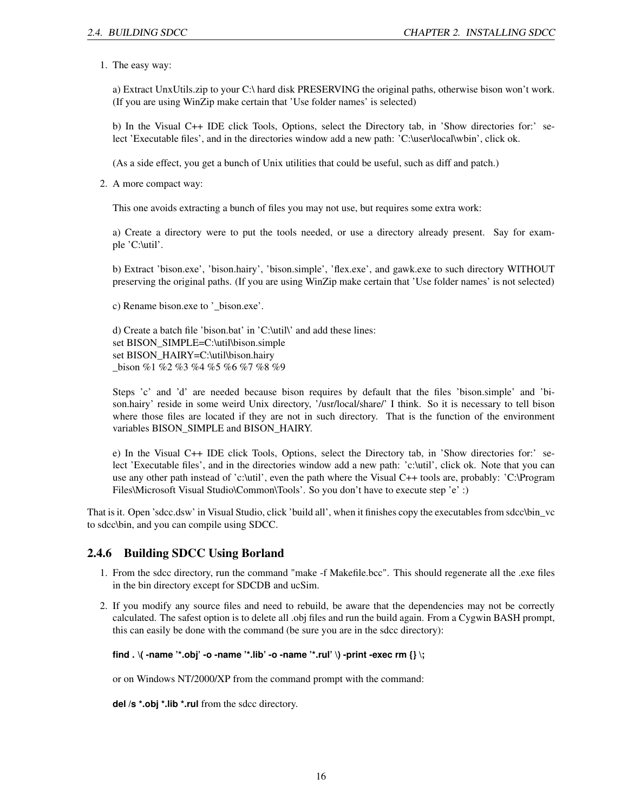1. The easy way:

a) Extract UnxUtils.zip to your C:\ hard disk PRESERVING the original paths, otherwise bison won't work. (If you are using WinZip make certain that 'Use folder names' is selected)

b) In the Visual C++ IDE click Tools, Options, select the Directory tab, in 'Show directories for:' select 'Executable files', and in the directories window add a new path: 'C:\user\local\wbin', click ok.

(As a side effect, you get a bunch of Unix utilities that could be useful, such as diff and patch.)

2. A more compact way:

This one avoids extracting a bunch of files you may not use, but requires some extra work:

a) Create a directory were to put the tools needed, or use a directory already present. Say for example 'C:\util'.

b) Extract 'bison.exe', 'bison.hairy', 'bison.simple', 'flex.exe', and gawk.exe to such directory WITHOUT preserving the original paths. (If you are using WinZip make certain that 'Use folder names' is not selected)

c) Rename bison.exe to '\_bison.exe'.

d) Create a batch file 'bison.bat' in 'C:\util\' and add these lines: set BISON\_SIMPLE=C:\util\bison.simple set BISON\_HAIRY=C:\util\bison.hairy \_bison %1 %2 %3 %4 %5 %6 %7 %8 %9

Steps 'c' and 'd' are needed because bison requires by default that the files 'bison.simple' and 'bison.hairy' reside in some weird Unix directory, '/usr/local/share/' I think. So it is necessary to tell bison where those files are located if they are not in such directory. That is the function of the environment variables BISON\_SIMPLE and BISON\_HAIRY.

e) In the Visual C++ IDE click Tools, Options, select the Directory tab, in 'Show directories for:' select 'Executable files', and in the directories window add a new path: 'c:\util', click ok. Note that you can use any other path instead of 'c:\util', even the path where the Visual C++ tools are, probably: 'C:\Program Files\Microsoft Visual Studio\Common\Tools'. So you don't have to execute step 'e' :)

That is it. Open 'sdcc.dsw' in Visual Studio, click 'build all', when it finishes copy the executables from sdcc\bin\_vc to sdcc\bin, and you can compile using SDCC.

### <span id="page-16-0"></span>2.4.6 Building SDCC Using Borland

- 1. From the sdcc directory, run the command "make -f Makefile.bcc". This should regenerate all the .exe files in the bin directory except for SDCDB and ucSim.
- 2. If you modify any source files and need to rebuild, be aware that the dependencies may not be correctly calculated. The safest option is to delete all .obj files and run the build again. From a Cygwin BASH prompt, this can easily be done with the command (be sure you are in the sdcc directory):

### **find . \( -name '\*.obj' -o -name '\*.lib' -o -name '\*.rul' \) -print -exec rm {} \;**

or on Windows NT/2000/XP from the command prompt with the command:

**del /s \*.obj \*.lib \*.rul** from the sdcc directory.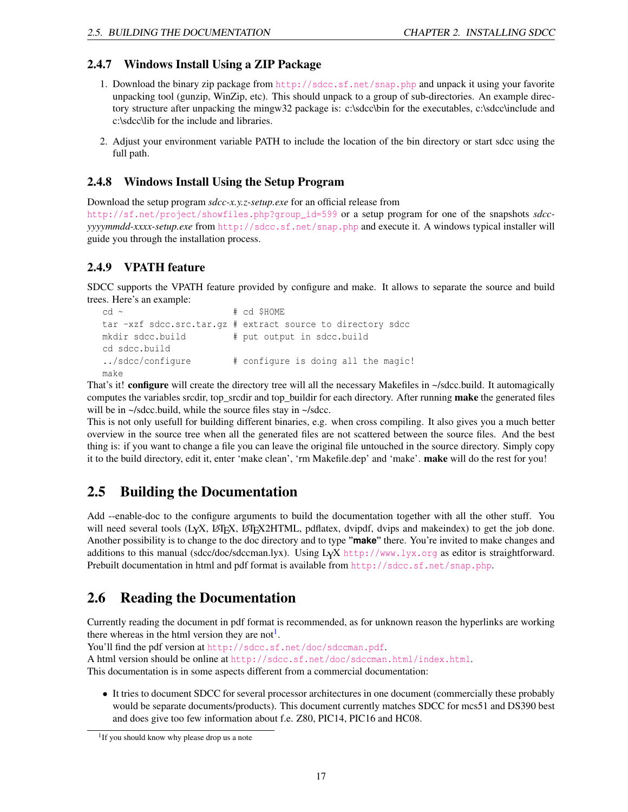### <span id="page-17-0"></span>2.4.7 Windows Install Using a ZIP Package

- 1. Download the binary zip package from <http://sdcc.sf.net/snap.php> and unpack it using your favorite unpacking tool (gunzip, WinZip, etc). This should unpack to a group of sub-directories. An example directory structure after unpacking the mingw32 package is: c:\sdcc\bin for the executables, c:\sdcc\include and c:\sdcc\lib for the include and libraries.
- 2. Adjust your environment variable PATH to include the location of the bin directory or start sdcc using the full path.

### <span id="page-17-1"></span>2.4.8 Windows Install Using the Setup Program

Download the setup program *sdcc-x.y.z-setup.exe* for an official release from

[http://sf.net/project/showfiles.php?group\\_id=599](http://sf.net/project/showfiles.php?group_id=599) or a setup program for one of the snapshots *sdccyyyymmdd-xxxx-setup.exe* from <http://sdcc.sf.net/snap.php> and execute it. A windows typical installer will guide you through the installation process.

### <span id="page-17-2"></span>2.4.9 VPATH feature

SDCC supports the VPATH feature provided by configure and make. It allows to separate the source and build trees. Here's an example:

```
cd ~ # cd $HOME
tar -xzf sdcc.src.tar.gz # extract source to directory sdcc
mkdir sdcc.build # put output in sdcc.build
cd sdcc.build
../sdcc/configure # configure is doing all the magic!
make
```
That's it! configure will create the directory tree will all the necessary Makefiles in ~/sdcc.build. It automagically computes the variables srcdir, top\_srcdir and top\_buildir for each directory. After running **make** the generated files will be in  $\sim$ /sdcc.build, while the source files stay in  $\sim$ /sdcc.

This is not only usefull for building different binaries, e.g. when cross compiling. It also gives you a much better overview in the source tree when all the generated files are not scattered between the source files. And the best thing is: if you want to change a file you can leave the original file untouched in the source directory. Simply copy it to the build directory, edit it, enter 'make clean', 'rm Makefile.dep' and 'make'. make will do the rest for you!

## <span id="page-17-3"></span>2.5 Building the Documentation

Add --enable-doc to the configure arguments to build the documentation together with all the other stuff. You will need several tools (L<sub>Y</sub>X, LAT<sub>EX</sub>, LAT<sub>EX</sub>2HTML, pdflatex, dvipdf, dvips and makeindex) to get the job done. Another possibility is to change to the doc directory and to type **"make"** there. You're invited to make changes and additions to this manual (sdcc/doc/sdccman.lyx). Using LYX <http://www.lyx.org> as editor is straightforward. Prebuilt documentation in html and pdf format is available from <http://sdcc.sf.net/snap.php>.

## <span id="page-17-4"></span>2.6 Reading the Documentation

Currently reading the document in pdf format is recommended, as for unknown reason the hyperlinks are working there whereas in the html version they are not<sup>[1](#page-17-5)</sup>.

You'll find the pdf version at <http://sdcc.sf.net/doc/sdccman.pdf>.

A html version should be online at <http://sdcc.sf.net/doc/sdccman.html/index.html>.

This documentation is in some aspects different from a commercial documentation:

• It tries to document SDCC for several processor architectures in one document (commercially these probably would be separate documents/products). This document currently matches SDCC for mcs51 and DS390 best and does give too few information about f.e. Z80, PIC14, PIC16 and HC08.

<span id="page-17-5"></span><sup>&</sup>lt;sup>1</sup>If you should know why please drop us a note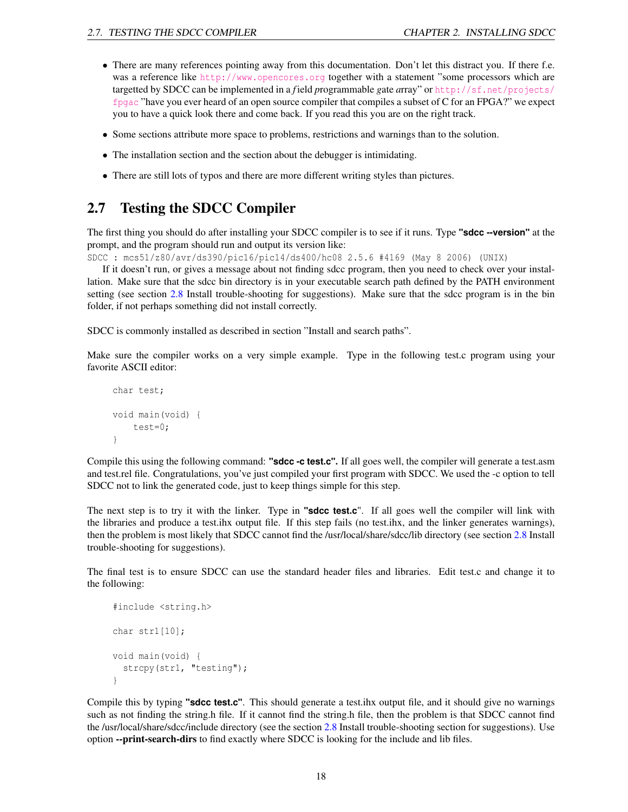- There are many references pointing away from this documentation. Don't let this distract you. If there f.e. was a reference like <http://www.opencores.org> together with a statement "some processors which are targetted by SDCC can be implemented in a *f* ield *p*rogrammable *g*ate *a*rray" or [http://sf.net/projects/](http://sf.net/projects/fpgac) [fpgac](http://sf.net/projects/fpgac) "have you ever heard of an open source compiler that compiles a subset of C for an FPGA?" we expect you to have a quick look there and come back. If you read this you are on the right track.
- Some sections attribute more space to problems, restrictions and warnings than to the solution.
- The installation section and the section about the debugger is intimidating.
- There are still lots of typos and there are more different writing styles than pictures.

## <span id="page-18-0"></span>2.7 Testing the SDCC Compiler

The first thing you should do after installing your SDCC compiler is to see if it runs. Type **"sdcc --version"** at the prompt, and the program should run and output its version like:

SDCC : mcs51/z80/avr/ds390/pic16/pic14/ds400/hc08 2.5.6 #4169 (May 8 2006) (UNIX)

If it doesn't run, or gives a message about not finding sdcc program, then you need to check over your installation. Make sure that the sdcc bin directory is in your executable search path defined by the PATH environment setting (see section [2.8](#page-19-0) Install trouble-shooting for suggestions). Make sure that the sdcc program is in the bin folder, if not perhaps something did not install correctly.

SDCC is commonly installed as described in section "Install and search paths".

Make sure the compiler works on a very simple example. Type in the following test.c program using your favorite ASCII editor:

```
char test;
void main(void) {
    test=0;
}
```
Compile this using the following command: **"sdcc -c test.c".** If all goes well, the compiler will generate a test.asm and test.rel file. Congratulations, you've just compiled your first program with SDCC. We used the -c option to tell SDCC not to link the generated code, just to keep things simple for this step.

The next step is to try it with the linker. Type in **"sdcc test.c**". If all goes well the compiler will link with the libraries and produce a test.ihx output file. If this step fails (no test.ihx, and the linker generates warnings), then the problem is most likely that SDCC cannot find the /usr/local/share/sdcc/lib directory (see section [2.8](#page-19-0) Install trouble-shooting for suggestions).

The final test is to ensure SDCC can use the standard header files and libraries. Edit test.c and change it to the following:

```
#include <string.h>
char str1[10];
void main(void) {
  strcpy(str1, "testing");
}
```
Compile this by typing **"sdcc test.c"**. This should generate a test.ihx output file, and it should give no warnings such as not finding the string.h file. If it cannot find the string.h file, then the problem is that SDCC cannot find the /usr/local/share/sdcc/include directory (see the section [2.8](#page-19-0) Install trouble-shooting section for suggestions). Use option --print-search-dirs to find exactly where SDCC is looking for the include and lib files.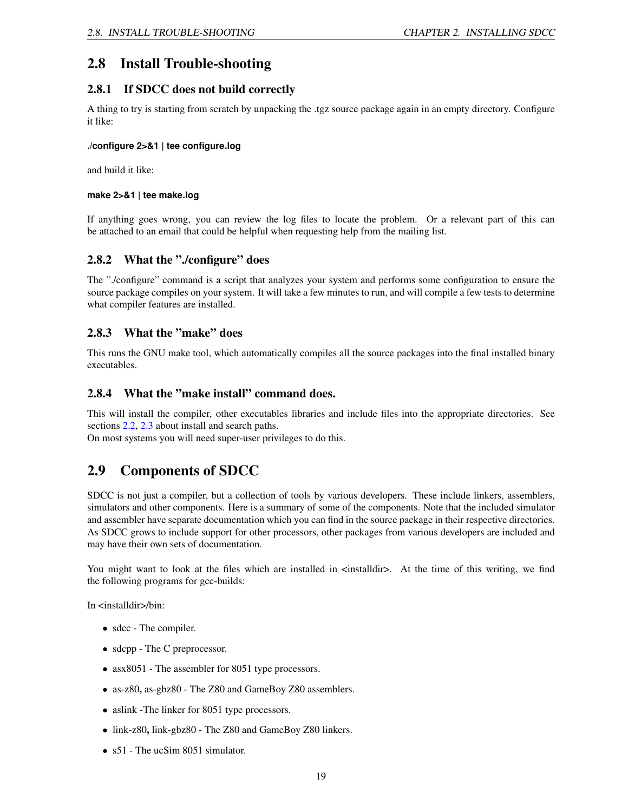## <span id="page-19-0"></span>2.8 Install Trouble-shooting

### <span id="page-19-1"></span>2.8.1 If SDCC does not build correctly

A thing to try is starting from scratch by unpacking the .tgz source package again in an empty directory. Configure it like:

### **./configure 2>&1 | tee configure.log**

and build it like:

### **make 2>&1 | tee make.log**

If anything goes wrong, you can review the log files to locate the problem. Or a relevant part of this can be attached to an email that could be helpful when requesting help from the mailing list.

### <span id="page-19-2"></span>2.8.2 What the "./configure" does

The "./configure" command is a script that analyzes your system and performs some configuration to ensure the source package compiles on your system. It will take a few minutes to run, and will compile a few tests to determine what compiler features are installed.

### <span id="page-19-3"></span>2.8.3 What the "make" does

This runs the GNU make tool, which automatically compiles all the source packages into the final installed binary executables.

### <span id="page-19-4"></span>2.8.4 What the "make install" command does.

This will install the compiler, other executables libraries and include files into the appropriate directories. See sections [2.2,](#page-12-0) [2.3](#page-13-0) about install and search paths.

On most systems you will need super-user privileges to do this.

## <span id="page-19-5"></span>2.9 Components of SDCC

SDCC is not just a compiler, but a collection of tools by various developers. These include linkers, assemblers, simulators and other components. Here is a summary of some of the components. Note that the included simulator and assembler have separate documentation which you can find in the source package in their respective directories. As SDCC grows to include support for other processors, other packages from various developers are included and may have their own sets of documentation.

You might want to look at the files which are installed in  $\epsilon$  installdir>. At the time of this writing, we find the following programs for gcc-builds:

In <installdir>/bin:

- sdcc The compiler.
- sdcpp The C preprocessor.
- asx8051 The assembler for 8051 type processors.
- as-z80, as-gbz80 The Z80 and GameBoy Z80 assemblers.
- aslink -The linker for 8051 type processors.
- link-z80, link-gbz80 The Z80 and GameBoy Z80 linkers.
- s51 The ucSim 8051 simulator.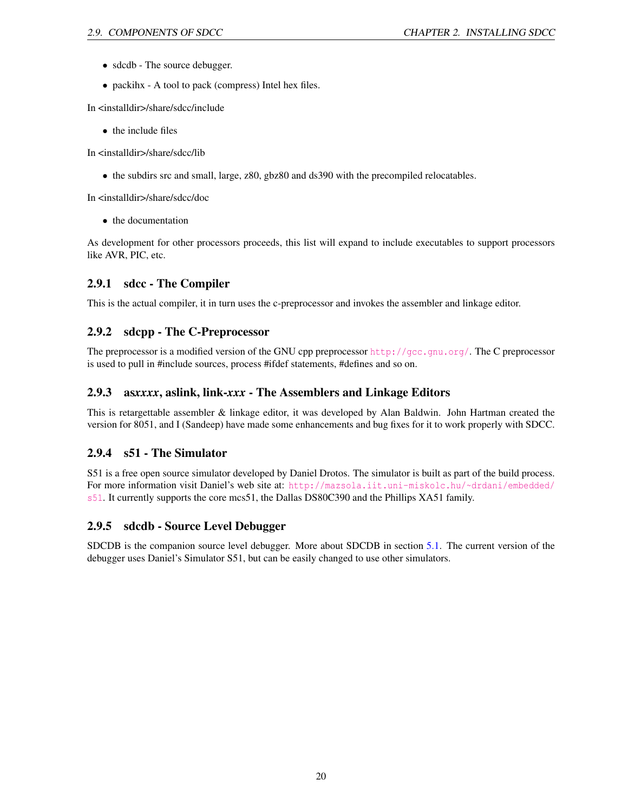- sdcdb The source debugger.
- packihx A tool to pack (compress) Intel hex files.

In <installdir>/share/sdcc/include

• the include files

In <installdir>/share/sdcc/lib

• the subdirs src and small, large, z80, gbz80 and ds390 with the precompiled relocatables.

In <installdir>/share/sdcc/doc

• the documentation

As development for other processors proceeds, this list will expand to include executables to support processors like AVR, PIC, etc.

### <span id="page-20-0"></span>2.9.1 sdcc - The Compiler

This is the actual compiler, it in turn uses the c-preprocessor and invokes the assembler and linkage editor.

## <span id="page-20-1"></span>2.9.2 sdcpp - The C-Preprocessor

The preprocessor is a modified version of the GNU cpp preprocessor <http://gcc.gnu.org/>. The C preprocessor is used to pull in #include sources, process #ifdef statements, #defines and so on.

### <span id="page-20-2"></span>2.9.3 as*xxxx*, aslink, link-*xxx* - The Assemblers and Linkage Editors

This is retargettable assembler & linkage editor, it was developed by Alan Baldwin. John Hartman created the version for 8051, and I (Sandeep) have made some enhancements and bug fixes for it to work properly with SDCC.

### <span id="page-20-3"></span>2.9.4 s51 - The Simulator

S51 is a free open source simulator developed by Daniel Drotos. The simulator is built as part of the build process. For more information visit Daniel's web site at: [http://mazsola.iit.uni-miskolc.hu/~drdani/embedded/](http://mazsola.iit.uni-miskolc.hu/~drdani/embedded/s51) [s51](http://mazsola.iit.uni-miskolc.hu/~drdani/embedded/s51). It currently supports the core mcs51, the Dallas DS80C390 and the Phillips XA51 family.

### <span id="page-20-4"></span>2.9.5 sdcdb - Source Level Debugger

SDCDB is the companion source level debugger. More about SDCDB in section [5.1.](#page-76-0) The current version of the debugger uses Daniel's Simulator S51, but can be easily changed to use other simulators.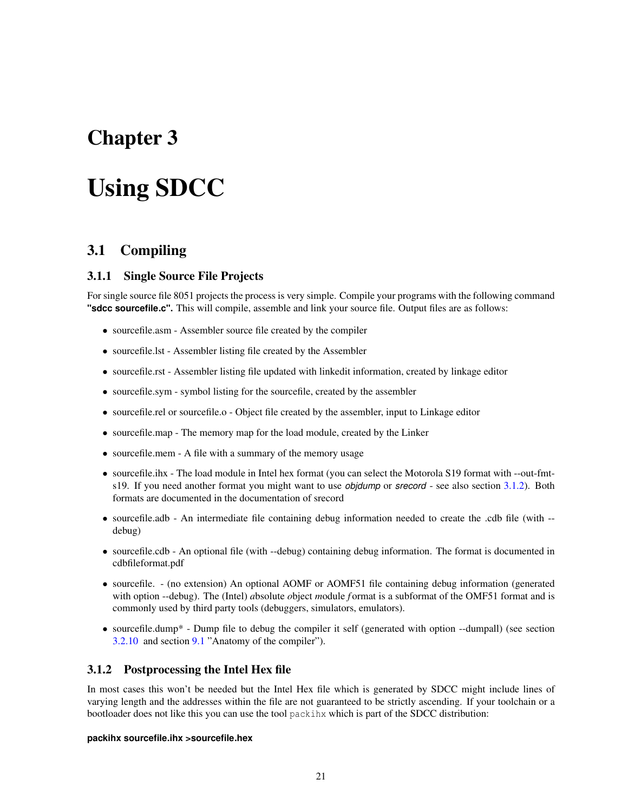## <span id="page-21-0"></span>Chapter 3

# Using SDCC

## <span id="page-21-1"></span>3.1 Compiling

### <span id="page-21-2"></span>3.1.1 Single Source File Projects

For single source file 8051 projects the process is very simple. Compile your programs with the following command **"sdcc sourcefile.c".** This will compile, assemble and link your source file. Output files are as follows:

- sourcefile.asm Assembler source file created by the compiler
- sourcefile.lst Assembler listing file created by the Assembler
- sourcefile.rst Assembler listing file updated with linkedit information, created by linkage editor
- sourcefile.sym symbol listing for the sourcefile, created by the assembler
- sourcefile.rel or sourcefile.o Object file created by the assembler, input to Linkage editor
- sourcefile.map The memory map for the load module, created by the Linker
- sourcefile.mem A file with a summary of the memory usage
- sourcefile.ihx The load module in Intel hex format (you can select the Motorola S19 format with --out-fmts19. If you need another format you might want to use *objdump* or *srecord* - see also section [3.1.2\)](#page-21-3). Both formats are documented in the documentation of srecord
- sourcefile.adb An intermediate file containing debug information needed to create the .cdb file (with -debug)
- sourcefile.cdb An optional file (with --debug) containing debug information. The format is documented in cdbfileformat.pdf
- sourcefile. (no extension) An optional AOMF or AOMF51 file containing debug information (generated with option --debug). The (Intel) *a*bsolute *o*bject *m*odule *f* ormat is a subformat of the OMF51 format and is commonly used by third party tools (debuggers, simulators, emulators).
- sourcefile.dump\* Dump file to debug the compiler it self (generated with option --dumpall) (see section [3.2.10](#page-31-0) and section [9.1](#page-101-1) "Anatomy of the compiler").

### <span id="page-21-3"></span>3.1.2 Postprocessing the Intel Hex file

In most cases this won't be needed but the Intel Hex file which is generated by SDCC might include lines of varying length and the addresses within the file are not guaranteed to be strictly ascending. If your toolchain or a bootloader does not like this you can use the tool packihx which is part of the SDCC distribution:

### **packihx sourcefile.ihx >sourcefile.hex**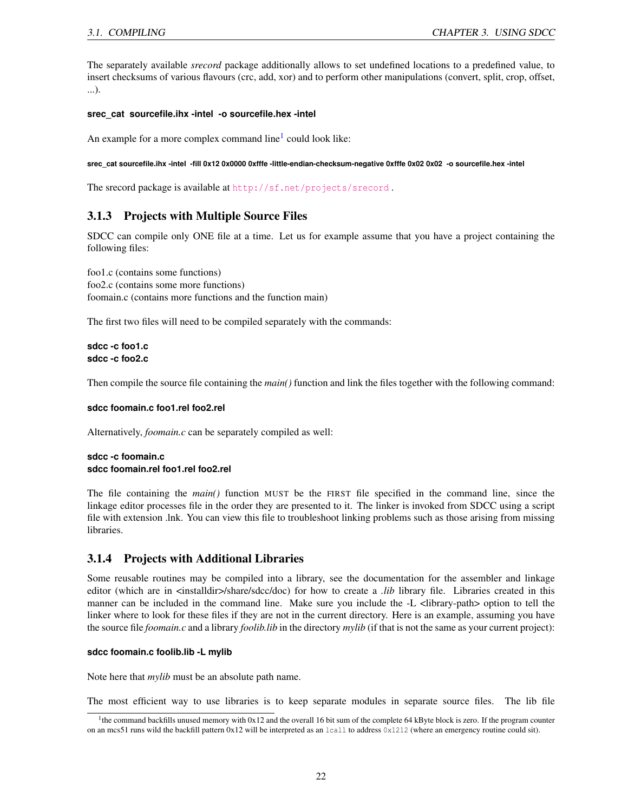The separately available *srecord* package additionally allows to set undefined locations to a predefined value, to insert checksums of various flavours (crc, add, xor) and to perform other manipulations (convert, split, crop, offset, ...).

### **srec\_cat sourcefile.ihx -intel -o sourcefile.hex -intel**

An example for a more complex command line $<sup>1</sup>$  $<sup>1</sup>$  $<sup>1</sup>$  could look like:</sup>

**srec\_cat sourcefile.ihx -intel -fill 0x12 0x0000 0xfffe -little-endian-checksum-negative 0xfffe 0x02 0x02 -o sourcefile.hex -intel**

The srecord package is available at <http://sf.net/projects/srecord> .

### <span id="page-22-0"></span>3.1.3 Projects with Multiple Source Files

SDCC can compile only ONE file at a time. Let us for example assume that you have a project containing the following files:

foo1.c (contains some functions) foo2.c (contains some more functions) foomain.c (contains more functions and the function main)

The first two files will need to be compiled separately with the commands:

**sdcc -c foo1.c sdcc -c foo2.c**

Then compile the source file containing the *main()* function and link the files together with the following command:

### **sdcc foomain.c foo1.rel foo2.rel**

Alternatively, *foomain.c* can be separately compiled as well:

### **sdcc -c foomain.c sdcc foomain.rel foo1.rel foo2.rel**

The file containing the *main()* function MUST be the FIRST file specified in the command line, since the linkage editor processes file in the order they are presented to it. The linker is invoked from SDCC using a script file with extension .lnk. You can view this file to troubleshoot linking problems such as those arising from missing libraries.

### <span id="page-22-1"></span>3.1.4 Projects with Additional Libraries

Some reusable routines may be compiled into a library, see the documentation for the assembler and linkage editor (which are in <installdir>/share/sdcc/doc) for how to create a *.lib* library file. Libraries created in this manner can be included in the command line. Make sure you include the -L <library-path> option to tell the linker where to look for these files if they are not in the current directory. Here is an example, assuming you have the source file *foomain.c* and a library *foolib.lib* in the directory *mylib* (if that is not the same as your current project):

### **sdcc foomain.c foolib.lib -L mylib**

Note here that *mylib* must be an absolute path name.

The most efficient way to use libraries is to keep separate modules in separate source files. The lib file

<span id="page-22-2"></span><sup>&</sup>lt;sup>1</sup>the command backfills unused memory with 0x12 and the overall 16 bit sum of the complete 64 kByte block is zero. If the program counter on an mcs51 runs wild the backfill pattern 0x12 will be interpreted as an lcall to address 0x1212 (where an emergency routine could sit).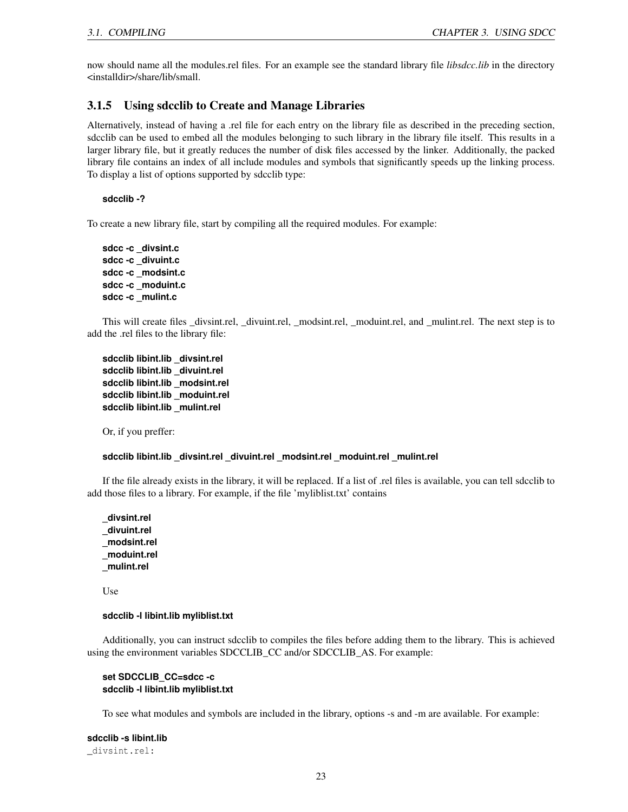now should name all the modules.rel files. For an example see the standard library file *libsdcc.lib* in the directory <installdir>/share/lib/small.

### <span id="page-23-0"></span>3.1.5 Using sdcclib to Create and Manage Libraries

Alternatively, instead of having a .rel file for each entry on the library file as described in the preceding section, sdcclib can be used to embed all the modules belonging to such library in the library file itself. This results in a larger library file, but it greatly reduces the number of disk files accessed by the linker. Additionally, the packed library file contains an index of all include modules and symbols that significantly speeds up the linking process. To display a list of options supported by sdcclib type:

**sdcclib -?**

To create a new library file, start by compiling all the required modules. For example:

**sdcc -c \_divsint.c sdcc -c \_divuint.c sdcc -c \_modsint.c sdcc -c \_moduint.c sdcc -c \_mulint.c**

This will create files \_divsint.rel, \_divuint.rel, \_modsint.rel, \_moduint.rel, and \_mulint.rel. The next step is to add the .rel files to the library file:

**sdcclib libint.lib \_divsint.rel sdcclib libint.lib \_divuint.rel sdcclib libint.lib \_modsint.rel sdcclib libint.lib \_moduint.rel sdcclib libint.lib \_mulint.rel**

Or, if you preffer:

### **sdcclib libint.lib \_divsint.rel \_divuint.rel \_modsint.rel \_moduint.rel \_mulint.rel**

If the file already exists in the library, it will be replaced. If a list of .rel files is available, you can tell sdcclib to add those files to a library. For example, if the file 'myliblist.txt' contains

**\_divsint.rel \_divuint.rel \_modsint.rel \_moduint.rel \_mulint.rel**

Use

### **sdcclib -l libint.lib myliblist.txt**

Additionally, you can instruct sdcclib to compiles the files before adding them to the library. This is achieved using the environment variables SDCCLIB\_CC and/or SDCCLIB\_AS. For example:

### **set SDCCLIB\_CC=sdcc -c sdcclib -l libint.lib myliblist.txt**

To see what modules and symbols are included in the library, options -s and -m are available. For example:

**sdcclib -s libint.lib** \_divsint.rel: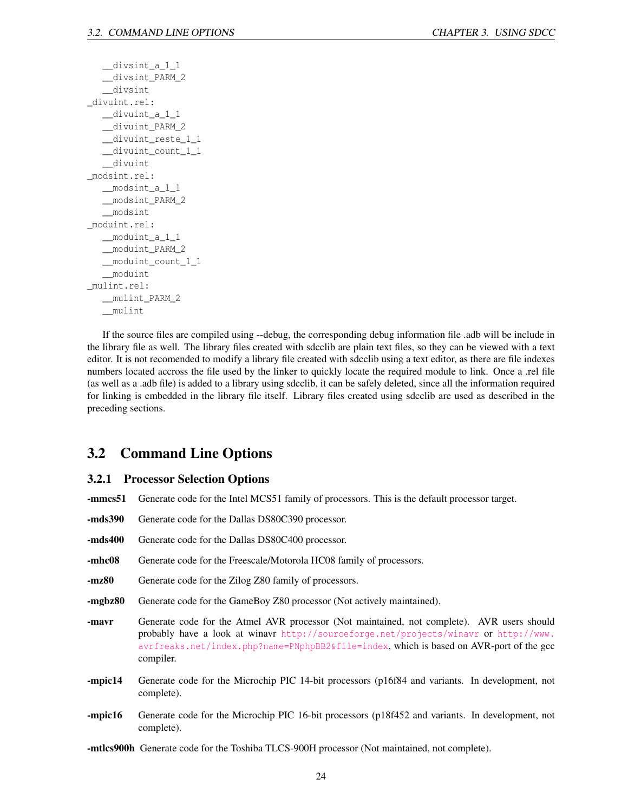```
_<sub>divsint_a_1_1</sub>
   __divsint_PARM_2
   __divsint
_divuint.rel:
   __divuint_a_1_1
   __divuint_PARM_2
   __divuint_reste_1_1
   __divuint_count_1_1
   __divuint
_modsint.rel:
   __modsint_a_1_1
   __modsint_PARM_2
   __modsint
_moduint.rel:
   __moduint_a_1_1
   __moduint_PARM_2
   __moduint_count_1_1
   __moduint
_mulint.rel:
   __mulint_PARM_2
   __mulint
```
If the source files are compiled using --debug, the corresponding debug information file .adb will be include in the library file as well. The library files created with sdcclib are plain text files, so they can be viewed with a text editor. It is not recomended to modify a library file created with sdcclib using a text editor, as there are file indexes numbers located accross the file used by the linker to quickly locate the required module to link. Once a .rel file (as well as a .adb file) is added to a library using sdcclib, it can be safely deleted, since all the information required for linking is embedded in the library file itself. Library files created using sdcclib are used as described in the preceding sections.

## <span id="page-24-0"></span>3.2 Command Line Options

### <span id="page-24-1"></span>3.2.1 Processor Selection Options

- -mmcs51 Generate code for the Intel MCS51 family of processors. This is the default processor target.
- -mds390 Generate code for the Dallas DS80C390 processor.
- -mds400 Generate code for the Dallas DS80C400 processor.
- -mhc08 Generate code for the Freescale/Motorola HC08 family of processors.
- -mz80 Generate code for the Zilog Z80 family of processors.
- -mgbz80 Generate code for the GameBoy Z80 processor (Not actively maintained).
- -mavr Generate code for the Atmel AVR processor (Not maintained, not complete). AVR users should probably have a look at winavr <http://sourceforge.net/projects/winavr> or [http://www.](http://www.avrfreaks.net/index.php?name=PNphpBB2&file=index) [avrfreaks.net/index.php?name=PNphpBB2&file=index](http://www.avrfreaks.net/index.php?name=PNphpBB2&file=index), which is based on AVR-port of the gcc compiler.
- -mpic14 Generate code for the Microchip PIC 14-bit processors (p16f84 and variants. In development, not complete).
- -mpic16 Generate code for the Microchip PIC 16-bit processors (p18f452 and variants. In development, not complete).
- -mtlcs900h Generate code for the Toshiba TLCS-900H processor (Not maintained, not complete).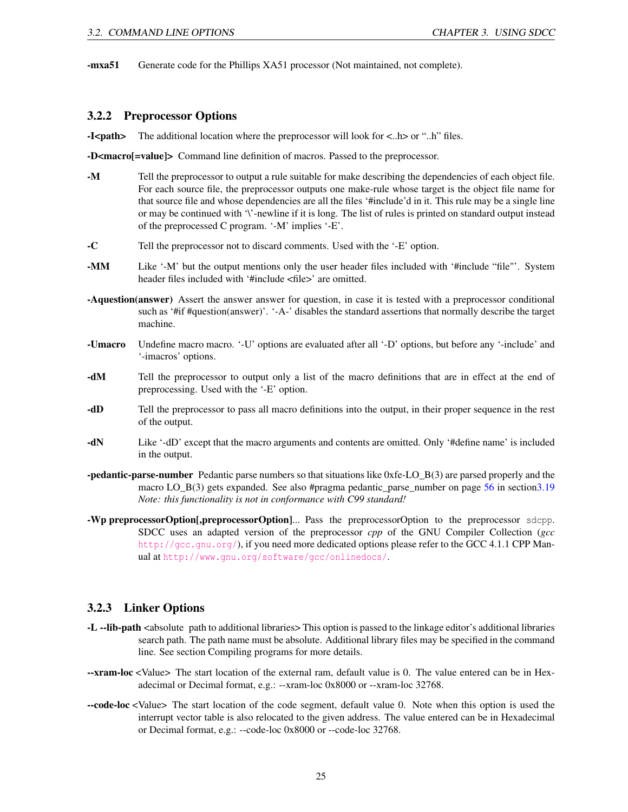-mxa51 Generate code for the Phillips XA51 processor (Not maintained, not complete).

### <span id="page-25-0"></span>3.2.2 Preprocessor Options

-I<path> The additional location where the preprocessor will look for  $\langle ...h \rangle$  or "..h" files.

-D<macro[=value]> Command line definition of macros. Passed to the preprocessor.

- -M Tell the preprocessor to output a rule suitable for make describing the dependencies of each object file. For each source file, the preprocessor outputs one make-rule whose target is the object file name for that source file and whose dependencies are all the files '#include'd in it. This rule may be a single line or may be continued with '\'-newline if it is long. The list of rules is printed on standard output instead of the preprocessed C program. '-M' implies '-E'.
- -C Tell the preprocessor not to discard comments. Used with the '-E' option.
- -MM Like '-M' but the output mentions only the user header files included with '#include "file"'. System header files included with '#include <file>' are omitted.
- -Aquestion(answer) Assert the answer answer for question, in case it is tested with a preprocessor conditional such as '#if #question(answer)'. '-A-' disables the standard assertions that normally describe the target machine.
- -Umacro Undefine macro macro. '-U' options are evaluated after all '-D' options, but before any '-include' and '-imacros' options.
- -dM Tell the preprocessor to output only a list of the macro definitions that are in effect at the end of preprocessing. Used with the '-E' option.
- -dD Tell the preprocessor to pass all macro definitions into the output, in their proper sequence in the rest of the output.
- -dN Like '-dD' except that the macro arguments and contents are omitted. Only '#define name' is included in the output.
- **-pedantic-parse-number** Pedantic parse numbers so that situations like 0xfe-LO B(3) are parsed properly and the macro LO\_B(3) gets expanded. See also #pragma pedantic\_parse\_number on page [56](#page-55-0) in sectio[n3.19](#page-55-0) *Note: this functionality is not in conformance with C99 standard!*
- -Wp preprocessorOption[,preprocessorOption]... Pass the preprocessorOption to the preprocessor sdcpp. SDCC uses an adapted version of the preprocessor *cpp* of the GNU Compiler Collection (*gcc* <http://gcc.gnu.org/>), if you need more dedicated options please refer to the GCC 4.1.1 CPP Manual at <http://www.gnu.org/software/gcc/onlinedocs/>.

### <span id="page-25-1"></span>3.2.3 Linker Options

- -L --lib-path <absolute path to additional libraries> This option is passed to the linkage editor's additional libraries search path. The path name must be absolute. Additional library files may be specified in the command line. See section Compiling programs for more details.
- --xram-loc <Value> The start location of the external ram, default value is 0. The value entered can be in Hexadecimal or Decimal format, e.g.: --xram-loc 0x8000 or --xram-loc 32768.
- --code-loc <Value> The start location of the code segment, default value 0. Note when this option is used the interrupt vector table is also relocated to the given address. The value entered can be in Hexadecimal or Decimal format, e.g.: --code-loc 0x8000 or --code-loc 32768.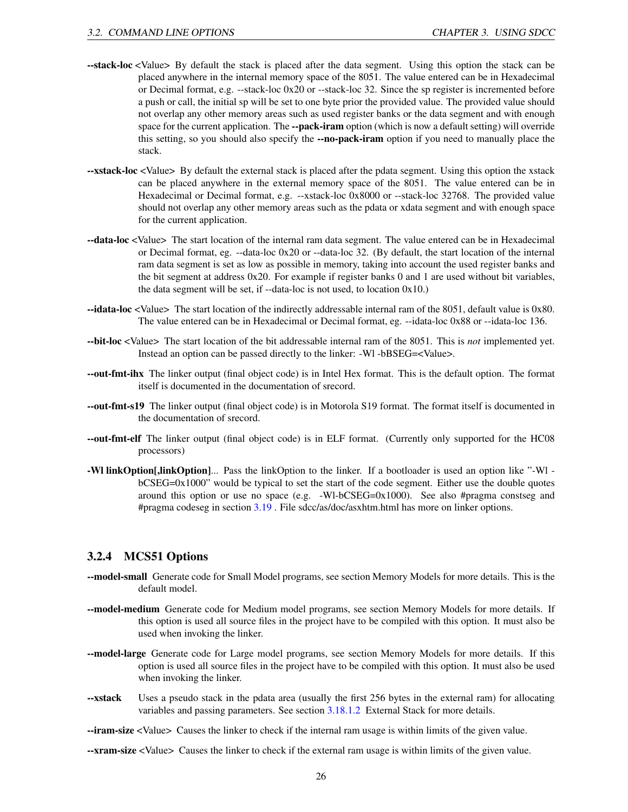- --stack-loc <Value> By default the stack is placed after the data segment. Using this option the stack can be placed anywhere in the internal memory space of the 8051. The value entered can be in Hexadecimal or Decimal format, e.g. --stack-loc 0x20 or --stack-loc 32. Since the sp register is incremented before a push or call, the initial sp will be set to one byte prior the provided value. The provided value should not overlap any other memory areas such as used register banks or the data segment and with enough space for the current application. The --pack-iram option (which is now a default setting) will override this setting, so you should also specify the --no-pack-iram option if you need to manually place the stack.
- --xstack-loc <Value> By default the external stack is placed after the pdata segment. Using this option the xstack can be placed anywhere in the external memory space of the 8051. The value entered can be in Hexadecimal or Decimal format, e.g. --xstack-loc 0x8000 or --stack-loc 32768. The provided value should not overlap any other memory areas such as the pdata or xdata segment and with enough space for the current application.
- --data-loc <Value> The start location of the internal ram data segment. The value entered can be in Hexadecimal or Decimal format, eg. --data-loc 0x20 or --data-loc 32. (By default, the start location of the internal ram data segment is set as low as possible in memory, taking into account the used register banks and the bit segment at address 0x20. For example if register banks 0 and 1 are used without bit variables, the data segment will be set, if  $-$ data-loc is not used, to location  $0x10$ .)
- --idata-loc <Value> The start location of the indirectly addressable internal ram of the 8051, default value is 0x80. The value entered can be in Hexadecimal or Decimal format, eg. --idata-loc 0x88 or --idata-loc 136.
- --bit-loc <Value> The start location of the bit addressable internal ram of the 8051. This is *not* implemented yet. Instead an option can be passed directly to the linker: -Wl -bBSEG=<Value>.
- --out-fmt-ihx The linker output (final object code) is in Intel Hex format. This is the default option. The format itself is documented in the documentation of srecord.
- --out-fmt-s19 The linker output (final object code) is in Motorola S19 format. The format itself is documented in the documentation of srecord.
- --out-fmt-elf The linker output (final object code) is in ELF format. (Currently only supported for the HC08 processors)
- -Wl linkOption[,linkOption]... Pass the linkOption to the linker. If a bootloader is used an option like "-Wl bCSEG=0x1000" would be typical to set the start of the code segment. Either use the double quotes around this option or use no space (e.g.  $-Wl-bCSEG=0x1000$ ). See also #pragma constseg and #pragma codeseg in section [3.19](#page-55-0) . File sdcc/as/doc/asxhtm.html has more on linker options.

### <span id="page-26-0"></span>3.2.4 MCS51 Options

- --model-small Generate code for Small Model programs, see section Memory Models for more details. This is the default model.
- --model-medium Generate code for Medium model programs, see section Memory Models for more details. If this option is used all source files in the project have to be compiled with this option. It must also be used when invoking the linker.
- --model-large Generate code for Large model programs, see section Memory Models for more details. If this option is used all source files in the project have to be compiled with this option. It must also be used when invoking the linker.
- --xstack Uses a pseudo stack in the pdata area (usually the first 256 bytes in the external ram) for allocating variables and passing parameters. See section [3.18.1.2](#page-54-4) External Stack for more details.
- --iram-size <Value> Causes the linker to check if the internal ram usage is within limits of the given value.
- --xram-size <Value> Causes the linker to check if the external ram usage is within limits of the given value.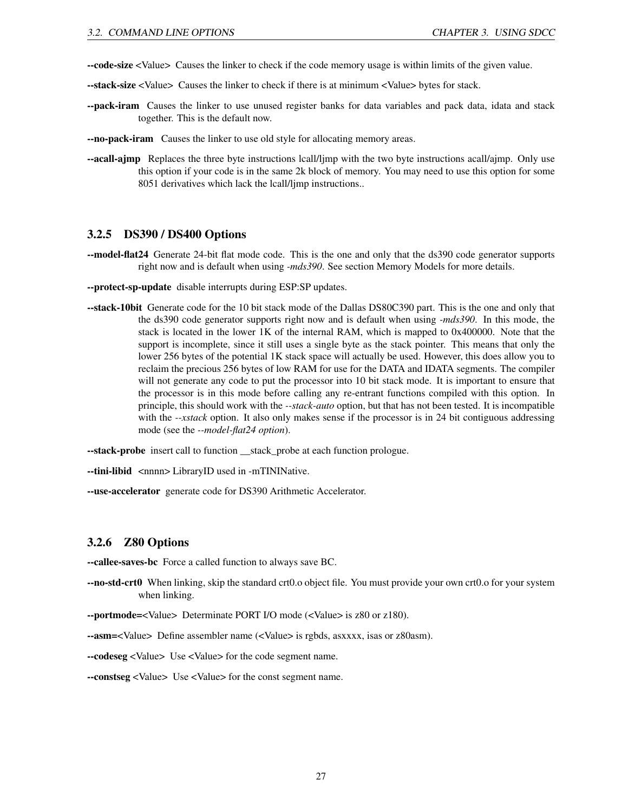- --code-size <Value> Causes the linker to check if the code memory usage is within limits of the given value.
- --stack-size <Value> Causes the linker to check if there is at minimum <Value> bytes for stack.
- --pack-iram Causes the linker to use unused register banks for data variables and pack data, idata and stack together. This is the default now.
- --no-pack-iram Causes the linker to use old style for allocating memory areas.
- --acall-ajmp Replaces the three byte instructions lcall/ljmp with the two byte instructions acall/ajmp. Only use this option if your code is in the same 2k block of memory. You may need to use this option for some 8051 derivatives which lack the lcall/ljmp instructions..

### <span id="page-27-0"></span>3.2.5 DS390 / DS400 Options

- --model-flat24 Generate 24-bit flat mode code. This is the one and only that the ds390 code generator supports right now and is default when using *-mds390*. See section Memory Models for more details.
- --protect-sp-update disable interrupts during ESP:SP updates.
- --stack-10bit Generate code for the 10 bit stack mode of the Dallas DS80C390 part. This is the one and only that the ds390 code generator supports right now and is default when using *-mds390*. In this mode, the stack is located in the lower 1K of the internal RAM, which is mapped to 0x400000. Note that the support is incomplete, since it still uses a single byte as the stack pointer. This means that only the lower 256 bytes of the potential 1K stack space will actually be used. However, this does allow you to reclaim the precious 256 bytes of low RAM for use for the DATA and IDATA segments. The compiler will not generate any code to put the processor into 10 bit stack mode. It is important to ensure that the processor is in this mode before calling any re-entrant functions compiled with this option. In principle, this should work with the *--stack-auto* option, but that has not been tested. It is incompatible with the *--xstack* option. It also only makes sense if the processor is in 24 bit contiguous addressing mode (see the *--model-flat24 option*).

--stack-probe insert call to function \_\_stack\_probe at each function prologue.

--tini-libid <nnnn> LibraryID used in -mTININative.

--use-accelerator generate code for DS390 Arithmetic Accelerator.

### <span id="page-27-1"></span>3.2.6 Z80 Options

--callee-saves-bc Force a called function to always save BC.

--no-std-crt0 When linking, skip the standard crt0.o object file. You must provide your own crt0.o for your system when linking.

--portmode=<Value> Determinate PORT I/O mode (<Value> is z80 or z180).

--asm=<Value> Define assembler name (<Value> is rgbds, asxxxx, isas or z80asm).

--codeseg <Value> Use <Value> for the code segment name.

--constseg <Value> Use <Value> for the const segment name.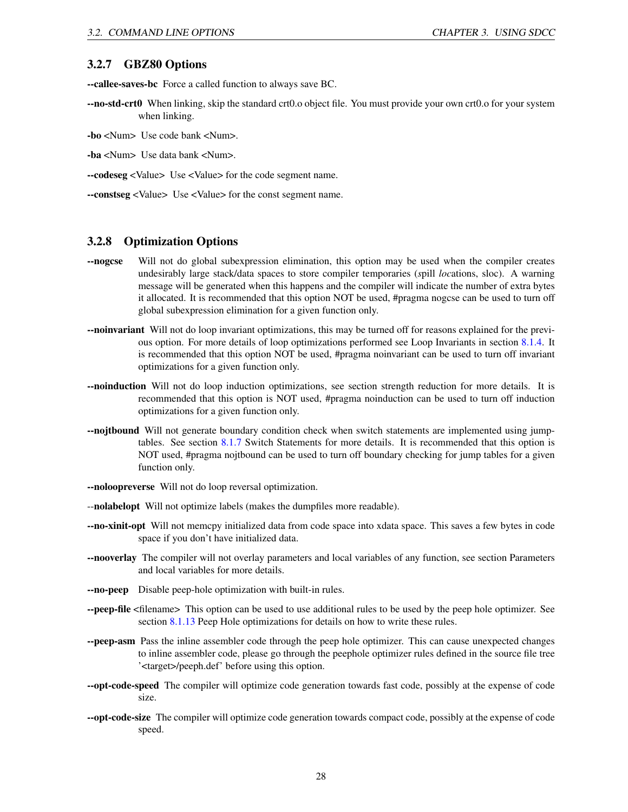### <span id="page-28-0"></span>3.2.7 GBZ80 Options

--callee-saves-bc Force a called function to always save BC.

- --no-std-crt0 When linking, skip the standard crt0.o object file. You must provide your own crt0.o for your system when linking.
- -bo <Num> Use code bank <Num>.
- -ba <Num> Use data bank <Num>.
- --codeseg <Value> Use <Value> for the code segment name.
- --constseg <Value> Use <Value> for the const segment name.

### <span id="page-28-1"></span>3.2.8 Optimization Options

- --nogcse Will not do global subexpression elimination, this option may be used when the compiler creates undesirably large stack/data spaces to store compiler temporaries (*s*pill *loc*ations, sloc). A warning message will be generated when this happens and the compiler will indicate the number of extra bytes it allocated. It is recommended that this option NOT be used, #pragma nogcse can be used to turn off global subexpression elimination for a given function only.
- --noinvariant Will not do loop invariant optimizations, this may be turned off for reasons explained for the previous option. For more details of loop optimizations performed see Loop Invariants in section [8.1.4.](#page-90-1) It is recommended that this option NOT be used, #pragma noinvariant can be used to turn off invariant optimizations for a given function only.
- --noinduction Will not do loop induction optimizations, see section strength reduction for more details. It is recommended that this option is NOT used, #pragma noinduction can be used to turn off induction optimizations for a given function only.
- -nojtbound Will not generate boundary condition check when switch statements are implemented using jumptables. See section [8.1.7](#page-91-2) Switch Statements for more details. It is recommended that this option is NOT used, #pragma nojtbound can be used to turn off boundary checking for jump tables for a given function only.
- --noloopreverse Will not do loop reversal optimization.
- --nolabelopt Will not optimize labels (makes the dumpfiles more readable).
- --no-xinit-opt Will not memcpy initialized data from code space into xdata space. This saves a few bytes in code space if you don't have initialized data.
- --nooverlay The compiler will not overlay parameters and local variables of any function, see section Parameters and local variables for more details.
- --no-peep Disable peep-hole optimization with built-in rules.
- --peep-file <filename> This option can be used to use additional rules to be used by the peep hole optimizer. See section [8.1.13](#page-96-0) Peep Hole optimizations for details on how to write these rules.
- --peep-asm Pass the inline assembler code through the peep hole optimizer. This can cause unexpected changes to inline assembler code, please go through the peephole optimizer rules defined in the source file tree '<target>/peeph.def' before using this option.
- --opt-code-speed The compiler will optimize code generation towards fast code, possibly at the expense of code size.
- **--opt-code-size** The compiler will optimize code generation towards compact code, possibly at the expense of code speed.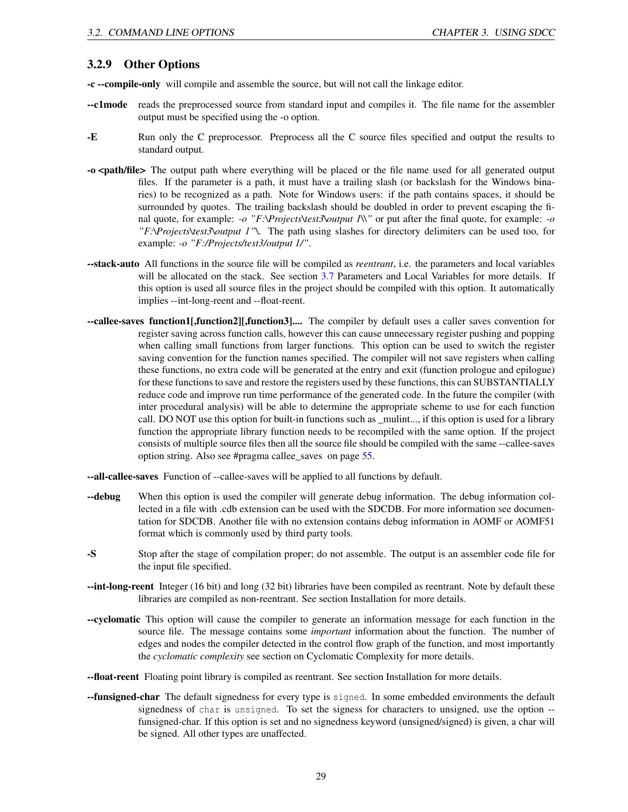### <span id="page-29-0"></span>3.2.9 Other Options

-c --compile-only will compile and assemble the source, but will not call the linkage editor.

- --c1mode reads the preprocessed source from standard input and compiles it. The file name for the assembler output must be specified using the -o option.
- -E Run only the C preprocessor. Preprocess all the C source files specified and output the results to standard output.
- -o <path/file> The output path where everything will be placed or the file name used for all generated output files. If the parameter is a path, it must have a trailing slash (or backslash for the Windows binaries) to be recognized as a path. Note for Windows users: if the path contains spaces, it should be surrounded by quotes. The trailing backslash should be doubled in order to prevent escaping the final quote, for example: *-o "F:\Projects\test3\output 1\\"* or put after the final quote, for example: *-o "F:\Projects\test3\output 1"\*. The path using slashes for directory delimiters can be used too, for example: *-o "F:/Projects/test3/output 1/"*.
- --stack-auto All functions in the source file will be compiled as *reentrant*, i.e. the parameters and local variables will be allocated on the stack. See section [3.7](#page-38-0) Parameters and Local Variables for more details. If this option is used all source files in the project should be compiled with this option. It automatically implies --int-long-reent and --float-reent.
- --callee-saves function1[,function2][,function3].... The compiler by default uses a caller saves convention for register saving across function calls, however this can cause unnecessary register pushing and popping when calling small functions from larger functions. This option can be used to switch the register saving convention for the function names specified. The compiler will not save registers when calling these functions, no extra code will be generated at the entry and exit (function prologue and epilogue) for these functions to save and restore the registers used by these functions, this can SUBSTANTIALLY reduce code and improve run time performance of the generated code. In the future the compiler (with inter procedural analysis) will be able to determine the appropriate scheme to use for each function call. DO NOT use this option for built-in functions such as \_mulint..., if this option is used for a library function the appropriate library function needs to be recompiled with the same option. If the project consists of multiple source files then all the source file should be compiled with the same --callee-saves option string. Also see #pragma callee\_saves on page [55.](#page-55-0)

--all-callee-saves Function of --callee-saves will be applied to all functions by default.

- --debug When this option is used the compiler will generate debug information. The debug information collected in a file with .cdb extension can be used with the SDCDB. For more information see documentation for SDCDB. Another file with no extension contains debug information in AOMF or AOMF51 format which is commonly used by third party tools.
- -S Stop after the stage of compilation proper; do not assemble. The output is an assembler code file for the input file specified.
- --int-long-reent Integer (16 bit) and long (32 bit) libraries have been compiled as reentrant. Note by default these libraries are compiled as non-reentrant. See section Installation for more details.
- --cyclomatic This option will cause the compiler to generate an information message for each function in the source file. The message contains some *important* information about the function. The number of edges and nodes the compiler detected in the control flow graph of the function, and most importantly the *cyclomatic complexity* see section on Cyclomatic Complexity for more details.
- --float-reent Floating point library is compiled as reentrant. See section Installation for more details.
- **--funsigned-char** The default signedness for every type is signed. In some embedded environments the default signedness of char is unsigned. To set the signess for characters to unsigned, use the option - funsigned-char. If this option is set and no signedness keyword (unsigned/signed) is given, a char will be signed. All other types are unaffected.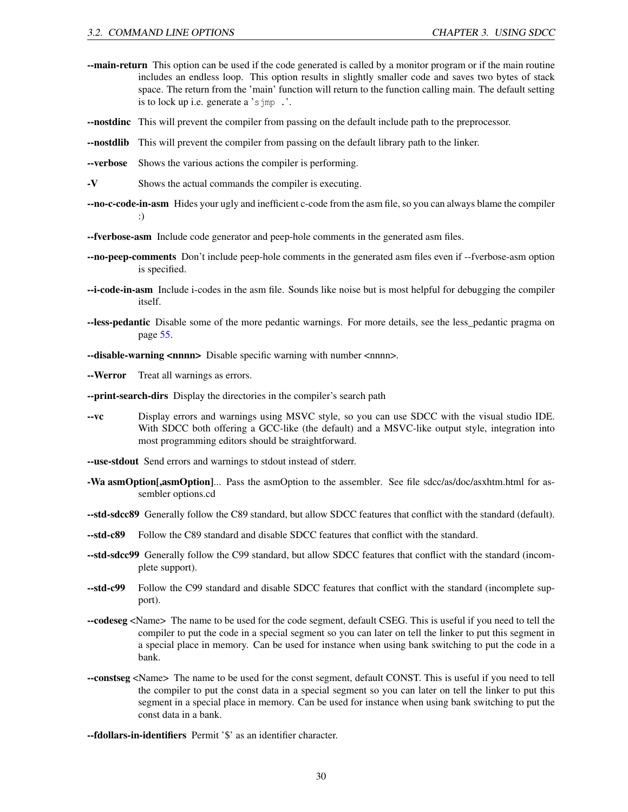- --main-return This option can be used if the code generated is called by a monitor program or if the main routine includes an endless loop. This option results in slightly smaller code and saves two bytes of stack space. The return from the 'main' function will return to the function calling main. The default setting is to lock up i.e. generate a 'sjmp .'.
- --nostdinc This will prevent the compiler from passing on the default include path to the preprocessor.
- --nostdlib This will prevent the compiler from passing on the default library path to the linker.
- --verbose Shows the various actions the compiler is performing.
- -V Shows the actual commands the compiler is executing.
- --no-c-code-in-asm Hides your ugly and inefficient c-code from the asm file, so you can always blame the compiler :)
- --fverbose-asm Include code generator and peep-hole comments in the generated asm files.
- --no-peep-comments Don't include peep-hole comments in the generated asm files even if --fverbose-asm option is specified.
- --i-code-in-asm Include i-codes in the asm file. Sounds like noise but is most helpful for debugging the compiler itself.
- --less-pedantic Disable some of the more pedantic warnings. For more details, see the less\_pedantic pragma on page [55.](#page-55-0)
- --disable-warning <nnnn> Disable specific warning with number <nnnn>.
- --Werror Treat all warnings as errors.
- --print-search-dirs Display the directories in the compiler's search path
- --vc Display errors and warnings using MSVC style, so you can use SDCC with the visual studio IDE. With SDCC both offering a GCC-like (the default) and a MSVC-like output style, integration into most programming editors should be straightforward.
- --use-stdout Send errors and warnings to stdout instead of stderr.
- -Wa asmOption[,asmOption]... Pass the asmOption to the assembler. See file sdcc/as/doc/asxhtm.html for assembler options.cd
- --std-sdcc89 Generally follow the C89 standard, but allow SDCC features that conflict with the standard (default).
- --std-c89 Follow the C89 standard and disable SDCC features that conflict with the standard.
- --std-sdcc99 Generally follow the C99 standard, but allow SDCC features that conflict with the standard (incomplete support).
- --std-c99 Follow the C99 standard and disable SDCC features that conflict with the standard (incomplete support).
- --codeseg <Name> The name to be used for the code segment, default CSEG. This is useful if you need to tell the compiler to put the code in a special segment so you can later on tell the linker to put this segment in a special place in memory. Can be used for instance when using bank switching to put the code in a bank.
- --constseg <Name> The name to be used for the const segment, default CONST. This is useful if you need to tell the compiler to put the const data in a special segment so you can later on tell the linker to put this segment in a special place in memory. Can be used for instance when using bank switching to put the const data in a bank.
- --fdollars-in-identifiers Permit '\$' as an identifier character.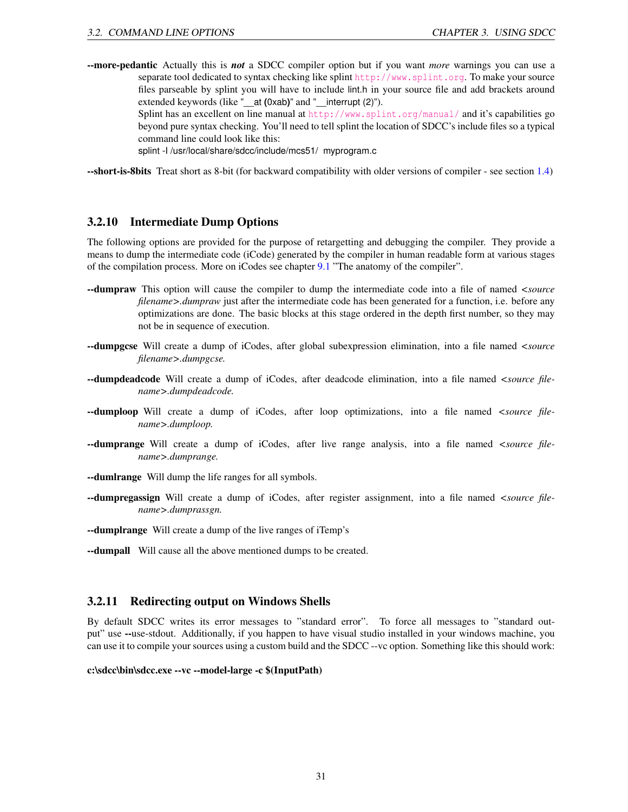--more-pedantic Actually this is *not* a SDCC compiler option but if you want *more* warnings you can use a separate tool dedicated to syntax checking like splint <http://www.splint.org>. To make your source files parseable by splint you will have to include lint.h in your source file and add brackets around extended keywords (like "\_\_at **(**0xab**)**" and "\_\_interrupt (2)").

> Splint has an excellent on line manual at <http://www.splint.org/manual/> and it's capabilities go beyond pure syntax checking. You'll need to tell splint the location of SDCC's include files so a typical command line could look like this:

splint -I /usr/local/share/sdcc/include/mcs51/ myprogram.c

--short-is-8bits Treat short as 8-bit (for backward compatibility with older versions of compiler - see section [1.4\)](#page-7-2)

### <span id="page-31-0"></span>3.2.10 Intermediate Dump Options

The following options are provided for the purpose of retargetting and debugging the compiler. They provide a means to dump the intermediate code (iCode) generated by the compiler in human readable form at various stages of the compilation process. More on iCodes see chapter [9.1](#page-101-1) "The anatomy of the compiler".

- --dumpraw This option will cause the compiler to dump the intermediate code into a file of named *<source filename>.dumpraw* just after the intermediate code has been generated for a function, i.e. before any optimizations are done. The basic blocks at this stage ordered in the depth first number, so they may not be in sequence of execution.
- --dumpgcse Will create a dump of iCodes, after global subexpression elimination, into a file named *<source filename>.dumpgcse.*
- --dumpdeadcode Will create a dump of iCodes, after deadcode elimination, into a file named *<source filename>.dumpdeadcode.*
- --dumploop Will create a dump of iCodes, after loop optimizations, into a file named *<source filename>.dumploop.*
- --dumprange Will create a dump of iCodes, after live range analysis, into a file named *<source filename>.dumprange.*
- **--dumirange** Will dump the life ranges for all symbols.
- --dumpregassign Will create a dump of iCodes, after register assignment, into a file named *<source filename>.dumprassgn.*
- --dumplrange Will create a dump of the live ranges of iTemp's
- --dumpall Will cause all the above mentioned dumps to be created.

### <span id="page-31-1"></span>3.2.11 Redirecting output on Windows Shells

By default SDCC writes its error messages to "standard error". To force all messages to "standard output" use --use-stdout. Additionally, if you happen to have visual studio installed in your windows machine, you can use it to compile your sources using a custom build and the SDCC --vc option. Something like this should work:

### c:\sdcc\bin\sdcc.exe --vc --model-large -c \$(InputPath)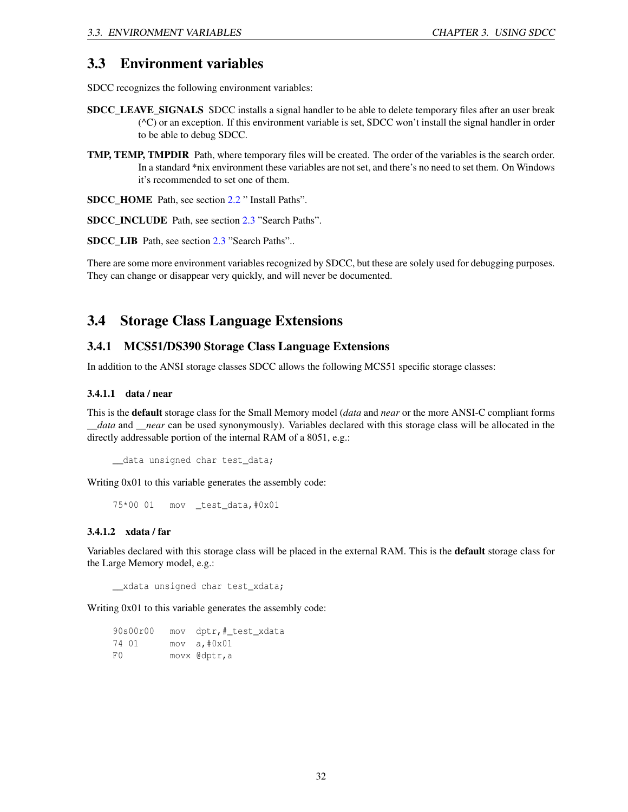### <span id="page-32-0"></span>3.3 Environment variables

SDCC recognizes the following environment variables:

- SDCC\_LEAVE\_SIGNALS\_SDCC\_installs a signal handler to be able to delete temporary files after an user break (^C) or an exception. If this environment variable is set, SDCC won't install the signal handler in order to be able to debug SDCC.
- TMP, TEMP, TMPDIR Path, where temporary files will be created. The order of the variables is the search order. In a standard \*nix environment these variables are not set, and there's no need to set them. On Windows it's recommended to set one of them.

SDCC\_HOME Path, see section [2.2](#page-12-0) " Install Paths".

SDCC\_INCLUDE Path, see section [2.3](#page-13-0) "Search Paths".

SDCC\_LIB Path, see section [2.3](#page-13-0) "Search Paths"..

There are some more environment variables recognized by SDCC, but these are solely used for debugging purposes. They can change or disappear very quickly, and will never be documented.

## <span id="page-32-1"></span>3.4 Storage Class Language Extensions

### <span id="page-32-2"></span>3.4.1 MCS51/DS390 Storage Class Language Extensions

In addition to the ANSI storage classes SDCC allows the following MCS51 specific storage classes:

### <span id="page-32-3"></span>3.4.1.1 data / near

This is the default storage class for the Small Memory model (*data* and *near* or the more ANSI-C compliant forms *data* and *\_\_near* can be used synonymously). Variables declared with this storage class will be allocated in the directly addressable portion of the internal RAM of a 8051, e.g.:

\_\_data unsigned char test\_data;

Writing 0x01 to this variable generates the assembly code:

75\*00 01 mov \_test\_data,#0x01

### <span id="page-32-4"></span>3.4.1.2 xdata / far

Variables declared with this storage class will be placed in the external RAM. This is the default storage class for the Large Memory model, e.g.:

\_\_xdata unsigned char test\_xdata;

Writing 0x01 to this variable generates the assembly code:

| 90s00r00 | mov dptr,# test xdata |
|----------|-----------------------|
| 74 01    | mov a, #0x01          |
| F O      | movx @dptr,a          |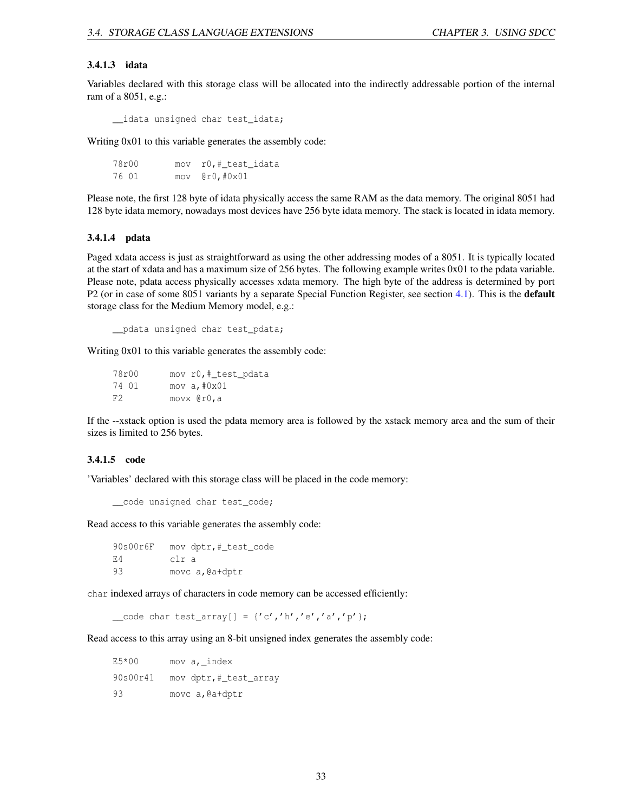#### <span id="page-33-0"></span>3.4.1.3 idata

Variables declared with this storage class will be allocated into the indirectly addressable portion of the internal ram of a 8051, e.g.:

\_\_idata unsigned char test\_idata;

Writing 0x01 to this variable generates the assembly code:

78r00 mov r0,#\_test\_idata 76 01 mov @r0,#0x01

Please note, the first 128 byte of idata physically access the same RAM as the data memory. The original 8051 had 128 byte idata memory, nowadays most devices have 256 byte idata memory. The stack is located in idata memory.

#### <span id="page-33-1"></span>3.4.1.4 pdata

Paged xdata access is just as straightforward as using the other addressing modes of a 8051. It is typically located at the start of xdata and has a maximum size of 256 bytes. The following example writes 0x01 to the pdata variable. Please note, pdata access physically accesses xdata memory. The high byte of the address is determined by port P2 (or in case of some 8051 variants by a separate Special Function Register, see section [4.1\)](#page-59-1). This is the default storage class for the Medium Memory model, e.g.:

\_\_pdata unsigned char test\_pdata;

Writing 0x01 to this variable generates the assembly code:

78r00 mov r0,# test pdata 74 01 mov a,#0x01 F2 movx @r0,a

If the --xstack option is used the pdata memory area is followed by the xstack memory area and the sum of their sizes is limited to 256 bytes.

### <span id="page-33-2"></span>3.4.1.5 code

'Variables' declared with this storage class will be placed in the code memory:

\_\_code unsigned char test\_code;

Read access to this variable generates the assembly code:

90s00r6F mov dptr,#\_test\_code E4 clr a 93 movc a, @a+dptr

char indexed arrays of characters in code memory can be accessed efficiently:

 $\text{\textendash}$  code char test\_array[] = {'c','h','e','a','p'};

Read access to this array using an 8-bit unsigned index generates the assembly code:

 $E5*00$  mov a, index 90s00r41 mov dptr,#\_test\_array 93 movc a, @a+dptr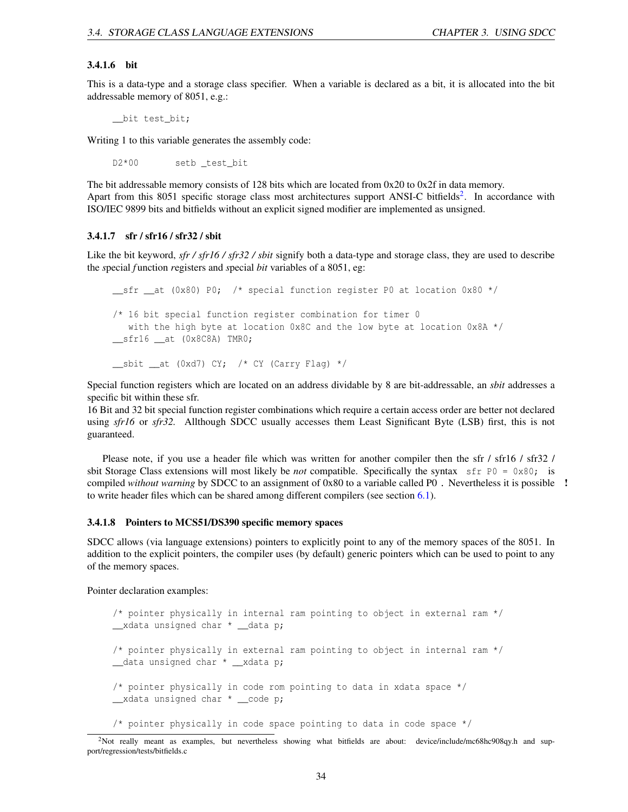#### <span id="page-34-0"></span>3.4.1.6 bit

This is a data-type and a storage class specifier. When a variable is declared as a bit, it is allocated into the bit addressable memory of 8051, e.g.:

\_\_bit test\_bit;

Writing 1 to this variable generates the assembly code:

D2\*00 setb\_test\_bit

The bit addressable memory consists of 128 bits which are located from 0x20 to 0x2f in data memory. Apart from this 8051 specific storage class most architectures support ANSI-C bitfields<sup>[2](#page-34-3)</sup>. In accordance with ISO/IEC 9899 bits and bitfields without an explicit signed modifier are implemented as unsigned.

### <span id="page-34-1"></span>3.4.1.7 sfr / sfr16 / sfr32 / sbit

Like the bit keyword, *sfr / sfr16 / sfr32 / sbit* signify both a data-type and storage class, they are used to describe the *s*pecial *f* unction *r*egisters and *s*pecial *bit* variables of a 8051, eg:

```
sfr at (0x80) P0; /* special function register P0 at location 0x80 */
/* 16 bit special function register combination for timer 0
  with the high byte at location 0x8C and the low byte at location 0x8A */
__sfr16 __at (0x8C8A) TMR0;
jsbit __at (0xd7) CY; /* CY (Carry Flag) */
```
Special function registers which are located on an address dividable by 8 are bit-addressable, an *sbit* addresses a specific bit within these sfr.

16 Bit and 32 bit special function register combinations which require a certain access order are better not declared using *sfr16* or *sfr32.* Allthough SDCC usually accesses them Least Significant Byte (LSB) first, this is not guaranteed.

Please note, if you use a header file which was written for another compiler then the sfr / sfr16 / sfr32 / sbit Storage Class extensions will most likely be *not* compatible. Specifically the syntax sfr P0 = 0x80; is compiled *without warning* by SDCC to an assignment of 0x80 to a variable called P0 . Nevertheless it is possible ! to write header files which can be shared among different compilers (see section [6.1\)](#page-82-0).

### <span id="page-34-2"></span>3.4.1.8 Pointers to MCS51/DS390 specific memory spaces

SDCC allows (via language extensions) pointers to explicitly point to any of the memory spaces of the 8051. In addition to the explicit pointers, the compiler uses (by default) generic pointers which can be used to point to any of the memory spaces.

Pointer declaration examples:

```
/* pointer physically in internal ram pointing to object in external ram */
__xdata unsigned char * __data p;
/* pointer physically in external ram pointing to object in internal ram */
__data unsigned char * __xdata p;
/* pointer physically in code rom pointing to data in xdata space */
__xdata unsigned char * __code p;
/* pointer physically in code space pointing to data in code space */
```
<span id="page-34-3"></span><sup>&</sup>lt;sup>2</sup>Not really meant as examples, but nevertheless showing what bitfields are about: device/include/mc68hc908qy.h and support/regression/tests/bitfields.c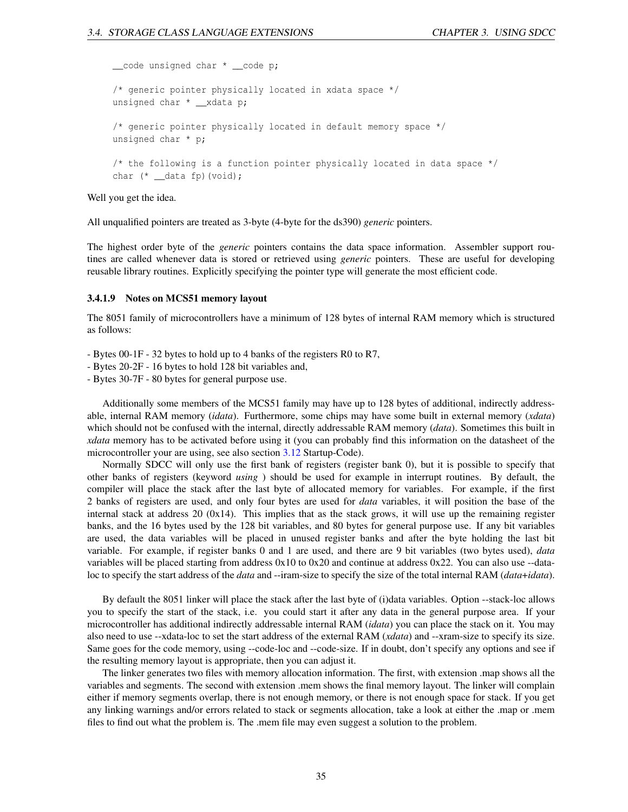\_\_code unsigned char \* \_\_code p; /\* generic pointer physically located in xdata space \*/ unsigned char \* \_\_xdata p; /\* generic pointer physically located in default memory space \*/ unsigned char \* p; /\* the following is a function pointer physically located in data space \*/ char (\* \_\_data fp)(void);

Well you get the idea.

All unqualified pointers are treated as 3-byte (4-byte for the ds390) *generic* pointers.

The highest order byte of the *generic* pointers contains the data space information. Assembler support routines are called whenever data is stored or retrieved using *generic* pointers. These are useful for developing reusable library routines. Explicitly specifying the pointer type will generate the most efficient code.

### <span id="page-35-0"></span>3.4.1.9 Notes on MCS51 memory layout

The 8051 family of microcontrollers have a minimum of 128 bytes of internal RAM memory which is structured as follows:

- Bytes 00-1F - 32 bytes to hold up to 4 banks of the registers R0 to R7,

- Bytes 20-2F - 16 bytes to hold 128 bit variables and,

- Bytes 30-7F - 80 bytes for general purpose use.

Additionally some members of the MCS51 family may have up to 128 bytes of additional, indirectly addressable, internal RAM memory (*idata*). Furthermore, some chips may have some built in external memory (*xdata*) which should not be confused with the internal, directly addressable RAM memory (*data*). Sometimes this built in *xdata* memory has to be activated before using it (you can probably find this information on the datasheet of the microcontroller your are using, see also section [3.12](#page-43-0) Startup-Code).

Normally SDCC will only use the first bank of registers (register bank 0), but it is possible to specify that other banks of registers (keyword *using* ) should be used for example in interrupt routines. By default, the compiler will place the stack after the last byte of allocated memory for variables. For example, if the first 2 banks of registers are used, and only four bytes are used for *data* variables, it will position the base of the internal stack at address 20  $(0x14)$ . This implies that as the stack grows, it will use up the remaining register banks, and the 16 bytes used by the 128 bit variables, and 80 bytes for general purpose use. If any bit variables are used, the data variables will be placed in unused register banks and after the byte holding the last bit variable. For example, if register banks 0 and 1 are used, and there are 9 bit variables (two bytes used), *data* variables will be placed starting from address 0x10 to 0x20 and continue at address 0x22. You can also use --dataloc to specify the start address of the *data* and --iram-size to specify the size of the total internal RAM (*data*+*idata*).

By default the 8051 linker will place the stack after the last byte of (i)data variables. Option --stack-loc allows you to specify the start of the stack, i.e. you could start it after any data in the general purpose area. If your microcontroller has additional indirectly addressable internal RAM (*idata*) you can place the stack on it. You may also need to use --xdata-loc to set the start address of the external RAM (*xdata*) and --xram-size to specify its size. Same goes for the code memory, using --code-loc and --code-size. If in doubt, don't specify any options and see if the resulting memory layout is appropriate, then you can adjust it.

The linker generates two files with memory allocation information. The first, with extension .map shows all the variables and segments. The second with extension .mem shows the final memory layout. The linker will complain either if memory segments overlap, there is not enough memory, or there is not enough space for stack. If you get any linking warnings and/or errors related to stack or segments allocation, take a look at either the .map or .mem files to find out what the problem is. The .mem file may even suggest a solution to the problem.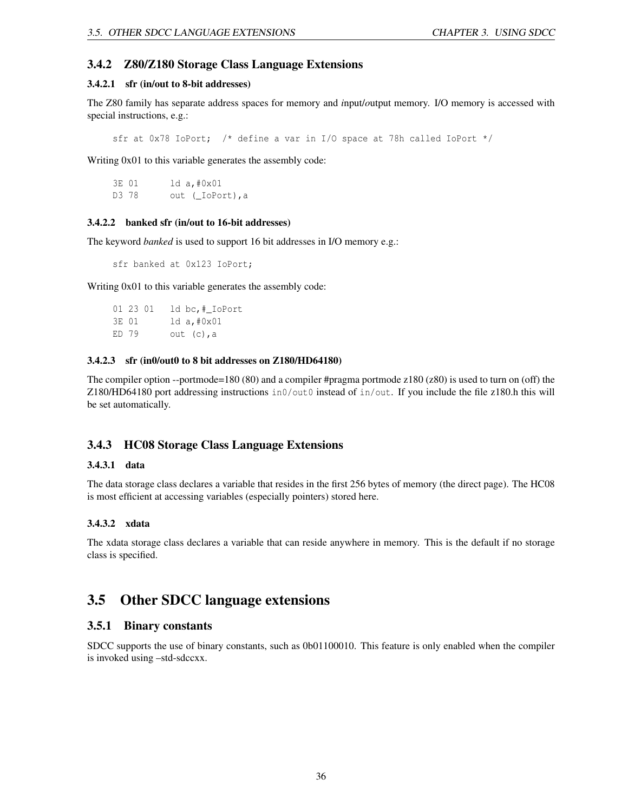### 3.4.2 Z80/Z180 Storage Class Language Extensions

### 3.4.2.1 sfr (in/out to 8-bit addresses)

The Z80 family has separate address spaces for memory and *i*nput/*o*utput memory. I/O memory is accessed with special instructions, e.g.:

sfr at 0x78 IoPort; /\* define a var in I/O space at 78h called IoPort \*/

Writing 0x01 to this variable generates the assembly code:

3E 01 ld a,#0x01 D3 78 out (\_IoPort), a

#### 3.4.2.2 banked sfr (in/out to 16-bit addresses)

The keyword *banked* is used to support 16 bit addresses in I/O memory e.g.:

sfr banked at 0x123 IoPort;

Writing 0x01 to this variable generates the assembly code:

01 23 01 ld bc,#\_IoPort 3E 01 ld a,#0x01 ED  $79$  out  $(c)$ , a

#### 3.4.2.3 sfr (in0/out0 to 8 bit addresses on Z180/HD64180)

The compiler option --portmode=180 (80) and a compiler #pragma portmode z180 (z80) is used to turn on (off) the Z180/HD64180 port addressing instructions  $\text{in0}/\text{out0}$  instead of  $\text{in}/\text{out}$ . If you include the file z180.h this will be set automatically.

### 3.4.3 HC08 Storage Class Language Extensions

### 3.4.3.1 data

The data storage class declares a variable that resides in the first 256 bytes of memory (the direct page). The HC08 is most efficient at accessing variables (especially pointers) stored here.

### 3.4.3.2 xdata

The xdata storage class declares a variable that can reside anywhere in memory. This is the default if no storage class is specified.

# 3.5 Other SDCC language extensions

### 3.5.1 Binary constants

SDCC supports the use of binary constants, such as 0b01100010. This feature is only enabled when the compiler is invoked using –std-sdccxx.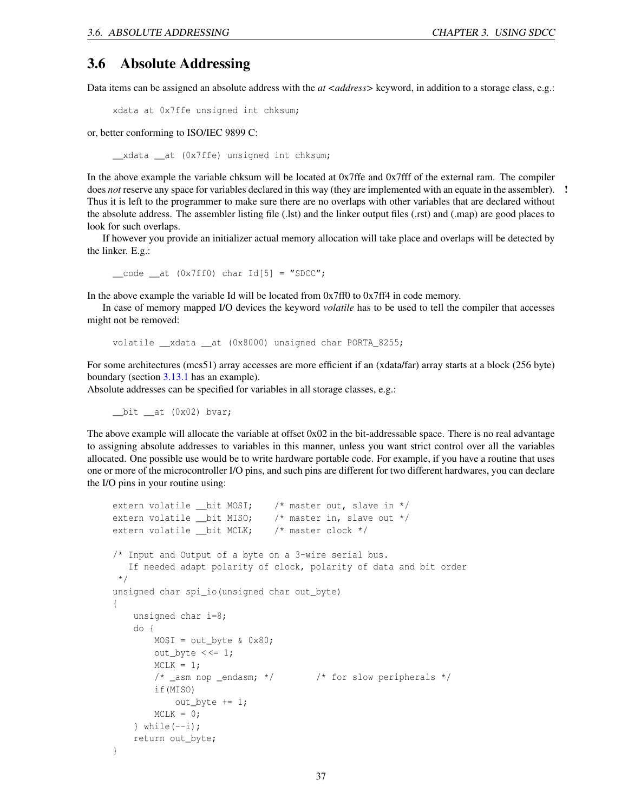# 3.6 Absolute Addressing

Data items can be assigned an absolute address with the *at <address*> keyword, in addition to a storage class, e.g.:

xdata at 0x7ffe unsigned int chksum;

or, better conforming to ISO/IEC 9899 C:

\_\_xdata \_\_at (0x7ffe) unsigned int chksum;

In the above example the variable chksum will be located at 0x7ffe and 0x7fff of the external ram. The compiler does *not* reserve any space for variables declared in this way (they are implemented with an equate in the assembler). ! Thus it is left to the programmer to make sure there are no overlaps with other variables that are declared without the absolute address. The assembler listing file (.lst) and the linker output files (.rst) and (.map) are good places to look for such overlaps.

If however you provide an initializer actual memory allocation will take place and overlaps will be detected by the linker. E.g.:

 $\text{\_code}$  code  $\text{\_at}$  (0x7ff0) char Id[5] = "SDCC";

In the above example the variable Id will be located from 0x7ff0 to 0x7ff4 in code memory.

In case of memory mapped I/O devices the keyword *volatile* has to be used to tell the compiler that accesses might not be removed:

volatile \_\_xdata \_\_at (0x8000) unsigned char PORTA\_8255;

For some architectures (mcs51) array accesses are more efficient if an (xdata/far) array starts at a block (256 byte) boundary (section [3.13.1](#page-45-0) has an example).

Absolute addresses can be specified for variables in all storage classes, e.g.:

 $\_bit$   $\_at$  (0x02) bvar;

The above example will allocate the variable at offset 0x02 in the bit-addressable space. There is no real advantage to assigning absolute addresses to variables in this manner, unless you want strict control over all the variables allocated. One possible use would be to write hardware portable code. For example, if you have a routine that uses one or more of the microcontroller I/O pins, and such pins are different for two different hardwares, you can declare the I/O pins in your routine using:

```
extern volatile __bit MOSI; /* master out, slave in */extern volatile __bit MISO; /* master in, slave out */
extern volatile __bit MCLK; /* master clock */
/* Input and Output of a byte on a 3-wire serial bus.
   If needed adapt polarity of clock, polarity of data and bit order
 */
unsigned char spi_io(unsigned char out_byte)
{
    unsigned char i=8;
    do {
       MOSI = out_byte & 0x80;
       out_byte <<= 1;MCLK = 1;/* _asm nop _endasm; */ /* for slow peripherals */
        if(MISO)
           out_byte += 1;MCLK = 0;} while (--i);
    return out_byte;
}
```

```
37
```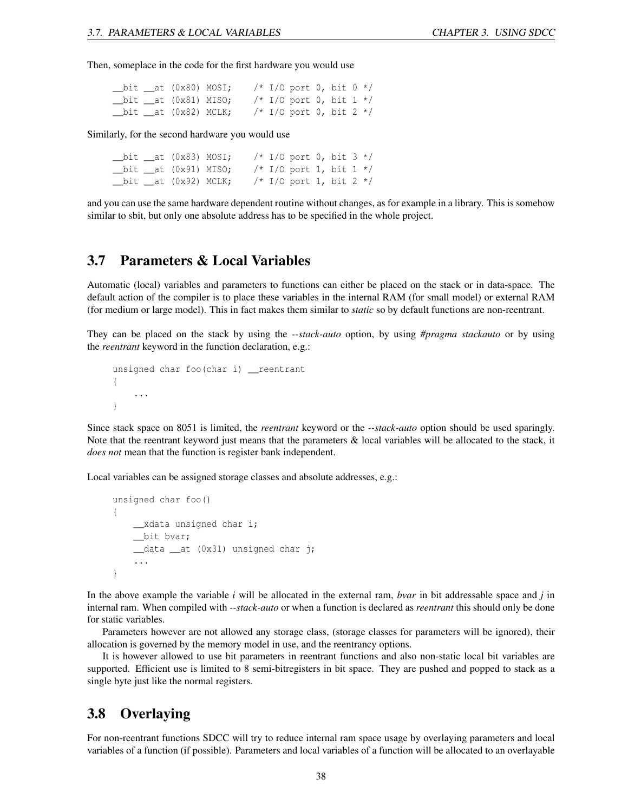Then, someplace in the code for the first hardware you would use

|  | $-bit __at (0x80) MOSI;$      |  | /* I/O port 0, bit 0 */     |  |  |
|--|-------------------------------|--|-----------------------------|--|--|
|  | $\_bit$ $\_at$ $(0x81)$ MISO; |  | /* I/O port 0, bit 1 */     |  |  |
|  | __bit __at (0x82) MCLK;       |  | $/* I/O$ port 0, bit 2 $*/$ |  |  |

Similarly, for the second hardware you would use

|  | $\_bit$ $\_at$ (0x83) MOSI;   |  | /* I/O port 0, bit $3$ */  |  |  |
|--|-------------------------------|--|----------------------------|--|--|
|  | $\_bit$ $\_at$ $(0x91)$ MISO; |  | /* I/O port 1, bit $1 * /$ |  |  |
|  | $\_bit\_at$ (0x92) MCLK;      |  | /* I/O port 1, bit 2 */    |  |  |

and you can use the same hardware dependent routine without changes, as for example in a library. This is somehow similar to sbit, but only one absolute address has to be specified in the whole project.

# <span id="page-38-1"></span>3.7 Parameters & Local Variables

Automatic (local) variables and parameters to functions can either be placed on the stack or in data-space. The default action of the compiler is to place these variables in the internal RAM (for small model) or external RAM (for medium or large model). This in fact makes them similar to *static* so by default functions are non-reentrant.

They can be placed on the stack by using the *--stack-auto* option, by using *#pragma stackauto* or by using the *reentrant* keyword in the function declaration, e.g.:

```
unsigned char foo(char i) __ reentrant
{
    ...
}
```
Since stack space on 8051 is limited, the *reentrant* keyword or the *--stack-auto* option should be used sparingly. Note that the reentrant keyword just means that the parameters & local variables will be allocated to the stack, it *does not* mean that the function is register bank independent.

Local variables can be assigned storage classes and absolute addresses, e.g.:

```
unsigned char foo()
{
    __xdata unsigned char i;
    __bit bvar;
    __data __at (0x31) unsigned char j;
    ...
}
```
In the above example the variable *i* will be allocated in the external ram, *bvar* in bit addressable space and *j* in internal ram. When compiled with *--stack-auto* or when a function is declared as *reentrant* this should only be done for static variables.

Parameters however are not allowed any storage class, (storage classes for parameters will be ignored), their allocation is governed by the memory model in use, and the reentrancy options.

It is however allowed to use bit parameters in reentrant functions and also non-static local bit variables are supported. Efficient use is limited to 8 semi-bitregisters in bit space. They are pushed and popped to stack as a single byte just like the normal registers.

### <span id="page-38-0"></span>3.8 Overlaying

For non-reentrant functions SDCC will try to reduce internal ram space usage by overlaying parameters and local variables of a function (if possible). Parameters and local variables of a function will be allocated to an overlayable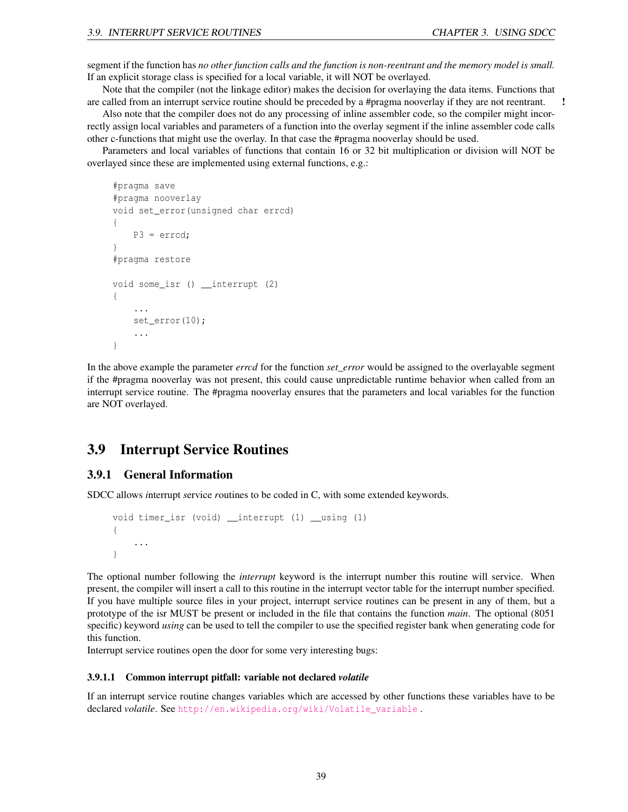segment if the function has *no other function calls and the function is non-reentrant and the memory model is small.* If an explicit storage class is specified for a local variable, it will NOT be overlayed.

Note that the compiler (not the linkage editor) makes the decision for overlaying the data items. Functions that are called from an interrupt service routine should be preceded by a #pragma nooverlay if they are not reentrant. !

Also note that the compiler does not do any processing of inline assembler code, so the compiler might incorrectly assign local variables and parameters of a function into the overlay segment if the inline assembler code calls other c-functions that might use the overlay. In that case the #pragma nooverlay should be used.

Parameters and local variables of functions that contain 16 or 32 bit multiplication or division will NOT be overlayed since these are implemented using external functions, e.g.:

```
#pragma save
#pragma nooverlay
void set_error(unsigned char errcd)
{
    P3 = errcd;
}
#pragma restore
void some_isr () __interrupt (2)
{
    ...
    set_error(10);
    ...
}
```
In the above example the parameter *errcd* for the function *set\_error* would be assigned to the overlayable segment if the #pragma nooverlay was not present, this could cause unpredictable runtime behavior when called from an interrupt service routine. The #pragma nooverlay ensures that the parameters and local variables for the function are NOT overlayed.

# <span id="page-39-1"></span>3.9 Interrupt Service Routines

### 3.9.1 General Information

SDCC allows *i*nterrupt *s*ervice *r*outines to be coded in C, with some extended keywords.

```
void timer_isr (void) __interrupt (1) __using (1)
{
    ...
}
```
The optional number following the *interrupt* keyword is the interrupt number this routine will service. When present, the compiler will insert a call to this routine in the interrupt vector table for the interrupt number specified. If you have multiple source files in your project, interrupt service routines can be present in any of them, but a prototype of the isr MUST be present or included in the file that contains the function *main*. The optional (8051 specific) keyword *using* can be used to tell the compiler to use the specified register bank when generating code for this function.

Interrupt service routines open the door for some very interesting bugs:

#### <span id="page-39-0"></span>3.9.1.1 Common interrupt pitfall: variable not declared *volatile*

If an interrupt service routine changes variables which are accessed by other functions these variables have to be declared *volatile*. See http://en.wikipedia.org/wiki/Volatile variable.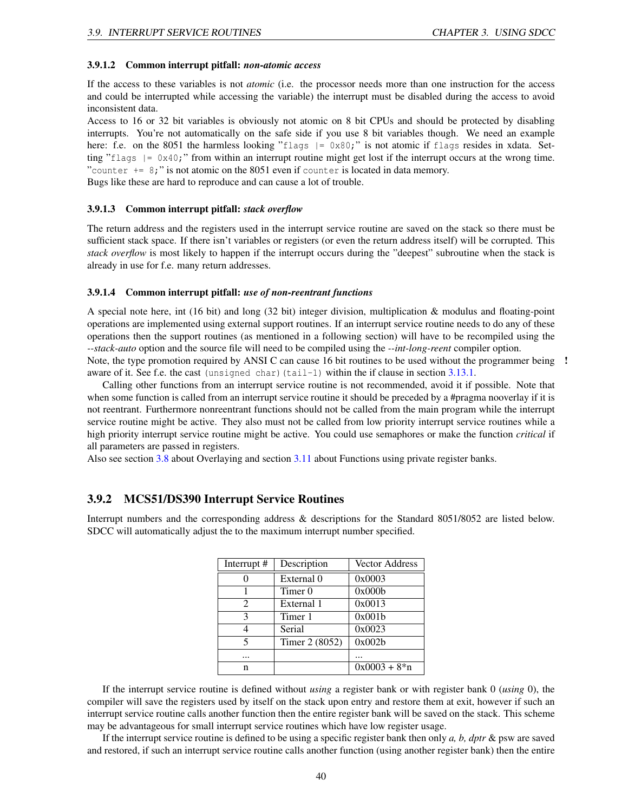#### 3.9.1.2 Common interrupt pitfall: *non-atomic access*

If the access to these variables is not *atomic* (i.e. the processor needs more than one instruction for the access and could be interrupted while accessing the variable) the interrupt must be disabled during the access to avoid inconsistent data.

Access to 16 or 32 bit variables is obviously not atomic on 8 bit CPUs and should be protected by disabling interrupts. You're not automatically on the safe side if you use 8 bit variables though. We need an example here: f.e. on the 8051 the harmless looking "flags  $| = 0x80$ ;" is not atomic if flags resides in xdata. Setting "flags  $| = 0x40$ ;" from within an interrupt routine might get lost if the interrupt occurs at the wrong time. "counter  $+= 8;$ " is not atomic on the 8051 even if counter is located in data memory.

Bugs like these are hard to reproduce and can cause a lot of trouble.

#### 3.9.1.3 Common interrupt pitfall: *stack overflow*

The return address and the registers used in the interrupt service routine are saved on the stack so there must be sufficient stack space. If there isn't variables or registers (or even the return address itself) will be corrupted. This *stack overflow* is most likely to happen if the interrupt occurs during the "deepest" subroutine when the stack is already in use for f.e. many return addresses.

### 3.9.1.4 Common interrupt pitfall: *use of non-reentrant functions*

A special note here, int (16 bit) and long (32 bit) integer division, multiplication & modulus and floating-point operations are implemented using external support routines. If an interrupt service routine needs to do any of these operations then the support routines (as mentioned in a following section) will have to be recompiled using the *--stack-auto* option and the source file will need to be compiled using the *--int-long-reent* compiler option. Note, the type promotion required by ANSI C can cause 16 bit routines to be used without the programmer being !

aware of it. See f.e. the cast (unsigned char) (tail-1) within the if clause in section  $3.13.1$ .

Calling other functions from an interrupt service routine is not recommended, avoid it if possible. Note that when some function is called from an interrupt service routine it should be preceded by a #pragma nooverlay if it is not reentrant. Furthermore nonreentrant functions should not be called from the main program while the interrupt service routine might be active. They also must not be called from low priority interrupt service routines while a high priority interrupt service routine might be active. You could use semaphores or make the function *critical* if all parameters are passed in registers.

Also see section [3.8](#page-38-0) about Overlaying and section [3.11](#page-42-0) about Functions using private register banks.

### 3.9.2 MCS51/DS390 Interrupt Service Routines

Interrupt numbers and the corresponding address & descriptions for the Standard 8051/8052 are listed below. SDCC will automatically adjust the to the maximum interrupt number specified.

| Interrupt #                 | Description    | <b>Vector Address</b> |
|-----------------------------|----------------|-----------------------|
|                             | External 0     | 0x0003                |
|                             | Timer 0        | 0x000b                |
| $\mathcal{D}_{\mathcal{L}}$ | External 1     | 0x0013                |
| 3                           | Timer 1        | 0x001b                |
|                             | Serial         | 0x0023                |
| 5                           | Timer 2 (8052) | 0x002b                |
|                             |                |                       |
| n                           |                | $0x0003 + 8*n$        |

If the interrupt service routine is defined without *using* a register bank or with register bank 0 (*using* 0), the compiler will save the registers used by itself on the stack upon entry and restore them at exit, however if such an interrupt service routine calls another function then the entire register bank will be saved on the stack. This scheme may be advantageous for small interrupt service routines which have low register usage.

If the interrupt service routine is defined to be using a specific register bank then only *a, b, dptr* & psw are saved and restored, if such an interrupt service routine calls another function (using another register bank) then the entire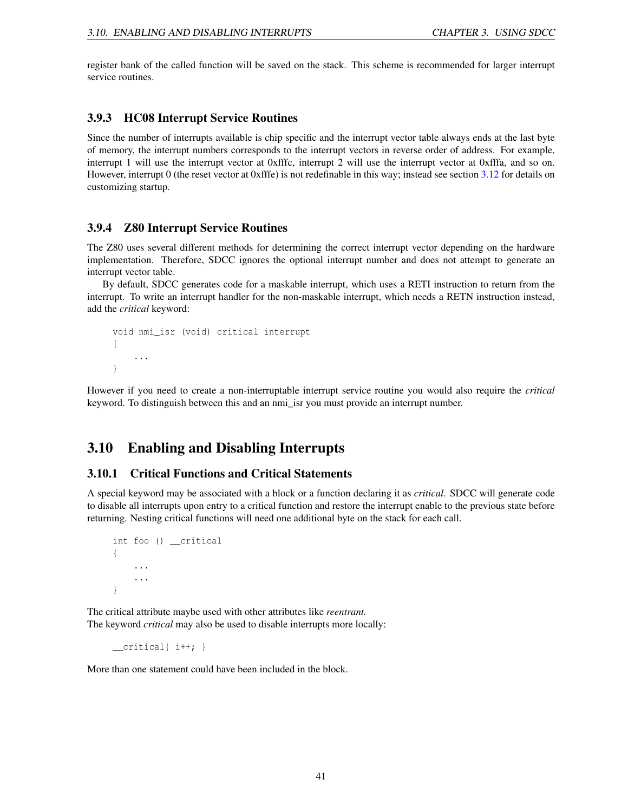register bank of the called function will be saved on the stack. This scheme is recommended for larger interrupt service routines.

### 3.9.3 HC08 Interrupt Service Routines

Since the number of interrupts available is chip specific and the interrupt vector table always ends at the last byte of memory, the interrupt numbers corresponds to the interrupt vectors in reverse order of address. For example, interrupt 1 will use the interrupt vector at 0xfffc, interrupt 2 will use the interrupt vector at 0xfffa, and so on. However, interrupt 0 (the reset vector at 0xfffe) is not redefinable in this way; instead see section [3.12](#page-43-0) for details on customizing startup.

### 3.9.4 Z80 Interrupt Service Routines

The Z80 uses several different methods for determining the correct interrupt vector depending on the hardware implementation. Therefore, SDCC ignores the optional interrupt number and does not attempt to generate an interrupt vector table.

By default, SDCC generates code for a maskable interrupt, which uses a RETI instruction to return from the interrupt. To write an interrupt handler for the non-maskable interrupt, which needs a RETN instruction instead, add the *critical* keyword:

```
void nmi_isr (void) critical interrupt
{
    ...
}
```
However if you need to create a non-interruptable interrupt service routine you would also require the *critical* keyword. To distinguish between this and an nmi\_isr you must provide an interrupt number.

# 3.10 Enabling and Disabling Interrupts

### 3.10.1 Critical Functions and Critical Statements

A special keyword may be associated with a block or a function declaring it as *critical*. SDCC will generate code to disable all interrupts upon entry to a critical function and restore the interrupt enable to the previous state before returning. Nesting critical functions will need one additional byte on the stack for each call.

```
int foo () __critical
{
    ...
     ...
}
```
The critical attribute maybe used with other attributes like *reentrant.* The keyword *critical* may also be used to disable interrupts more locally:

\_\_critical{ i++; }

More than one statement could have been included in the block.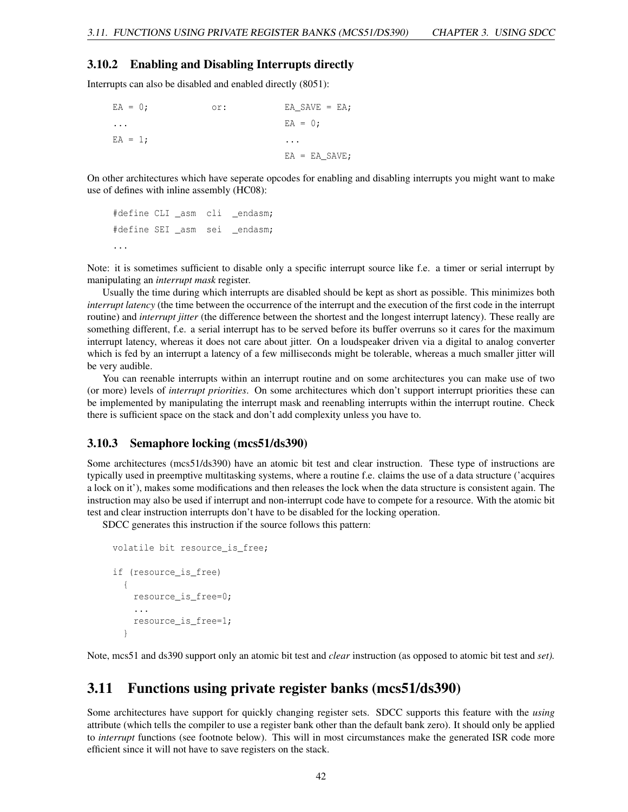### 3.10.2 Enabling and Disabling Interrupts directly

Interrupts can also be disabled and enabled directly (8051):

| $EA = 0$ ; | or: | $EA$ SAVE = EA; |
|------------|-----|-----------------|
| $\cdots$   |     | $EA = 0$ :      |
| $EA = 1;$  |     | $\cdots$        |
|            |     | $EA = EA SAVE;$ |

On other architectures which have seperate opcodes for enabling and disabling interrupts you might want to make use of defines with inline assembly (HC08):

```
#define CLI _asm cli _endasm;
#define SEI asm sei endasm;
...
```
Note: it is sometimes sufficient to disable only a specific interrupt source like f.e. a timer or serial interrupt by manipulating an *interrupt mask* register.

Usually the time during which interrupts are disabled should be kept as short as possible. This minimizes both *interrupt latency* (the time between the occurrence of the interrupt and the execution of the first code in the interrupt routine) and *interrupt jitter* (the difference between the shortest and the longest interrupt latency). These really are something different, f.e. a serial interrupt has to be served before its buffer overruns so it cares for the maximum interrupt latency, whereas it does not care about jitter. On a loudspeaker driven via a digital to analog converter which is fed by an interrupt a latency of a few milliseconds might be tolerable, whereas a much smaller jitter will be very audible.

You can reenable interrupts within an interrupt routine and on some architectures you can make use of two (or more) levels of *interrupt priorities*. On some architectures which don't support interrupt priorities these can be implemented by manipulating the interrupt mask and reenabling interrupts within the interrupt routine. Check there is sufficient space on the stack and don't add complexity unless you have to.

### 3.10.3 Semaphore locking (mcs51/ds390)

Some architectures (mcs51/ds390) have an atomic bit test and clear instruction. These type of instructions are typically used in preemptive multitasking systems, where a routine f.e. claims the use of a data structure ('acquires a lock on it'), makes some modifications and then releases the lock when the data structure is consistent again. The instruction may also be used if interrupt and non-interrupt code have to compete for a resource. With the atomic bit test and clear instruction interrupts don't have to be disabled for the locking operation.

SDCC generates this instruction if the source follows this pattern:

```
volatile bit resource_is_free;
if (resource_is_free)
  {
    resource_is_free=0;
    ...
    resource_is_free=1;
  }
```
Note, mcs51 and ds390 support only an atomic bit test and *clear* instruction (as opposed to atomic bit test and *set).*

# <span id="page-42-0"></span>3.11 Functions using private register banks (mcs51/ds390)

Some architectures have support for quickly changing register sets. SDCC supports this feature with the *using* attribute (which tells the compiler to use a register bank other than the default bank zero). It should only be applied to *interrupt* functions (see footnote below). This will in most circumstances make the generated ISR code more efficient since it will not have to save registers on the stack.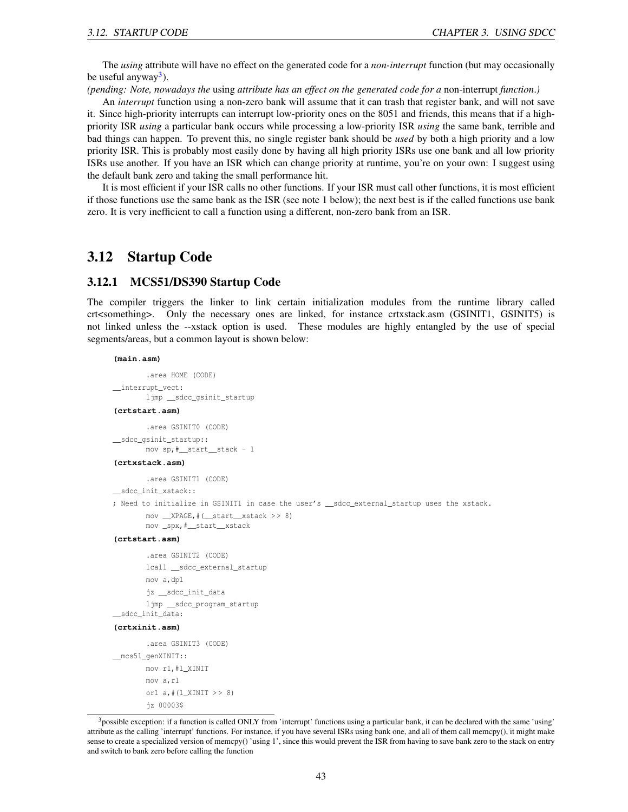The *using* attribute will have no effect on the generated code for a *non-interrupt* function (but may occasionally be useful anyway<sup>[3](#page-43-1)</sup>).

*(pending: Note, nowadays the* using *attribute has an effect on the generated code for a* non-interrupt *function*.*)*

An *interrupt* function using a non-zero bank will assume that it can trash that register bank, and will not save it. Since high-priority interrupts can interrupt low-priority ones on the 8051 and friends, this means that if a highpriority ISR *using* a particular bank occurs while processing a low-priority ISR *using* the same bank, terrible and bad things can happen. To prevent this, no single register bank should be *used* by both a high priority and a low priority ISR. This is probably most easily done by having all high priority ISRs use one bank and all low priority ISRs use another. If you have an ISR which can change priority at runtime, you're on your own: I suggest using the default bank zero and taking the small performance hit.

It is most efficient if your ISR calls no other functions. If your ISR must call other functions, it is most efficient if those functions use the same bank as the ISR (see note 1 below); the next best is if the called functions use bank zero. It is very inefficient to call a function using a different, non-zero bank from an ISR.

# <span id="page-43-0"></span>3.12 Startup Code

### 3.12.1 MCS51/DS390 Startup Code

The compiler triggers the linker to link certain initialization modules from the runtime library called crt<something>. Only the necessary ones are linked, for instance crtxstack.asm (GSINIT1, GSINIT5) is not linked unless the --xstack option is used. These modules are highly entangled by the use of special segments/areas, but a common layout is shown below:

#### **(main.asm)**

```
.area HOME (CODE)
__interrupt_vect:
       ljmp __sdcc_gsinit_startup
(crtstart.asm)
        .area GSINIT0 (CODE)
__sdcc_gsinit_startup::
       mov sp,#__start__stack - 1
(crtxstack.asm)
        .area GSINIT1 (CODE)
__sdcc_init_xstack::
; Need to initialize in GSINIT1 in case the user's __sdcc_external_startup uses the xstack.
       mov __XPAGE,#(__start__xstack > > 8)
       mov _spx,#__start__xstack
(crtstart.asm)
        .area GSINIT2 (CODE)
       lcall __sdcc_external_startup
       mov a,dpl
       jz __sdcc_init_data
       ljmp __sdcc_program_startup
__sdcc_init_data:
(crtxinit.asm)
        .area GSINIT3 (CODE)
__mcs51_genXINIT::
       mov r1,#l_XINIT
       mov a,r1
```

```
orl a,#(l_XINIT > > 8)
jz 00003$
```
<span id="page-43-1"></span><sup>&</sup>lt;sup>3</sup>possible exception: if a function is called ONLY from 'interrupt' functions using a particular bank, it can be declared with the same 'using' attribute as the calling 'interrupt' functions. For instance, if you have several ISRs using bank one, and all of them call memcpy(), it might make sense to create a specialized version of memcpy() 'using 1', since this would prevent the ISR from having to save bank zero to the stack on entry and switch to bank zero before calling the function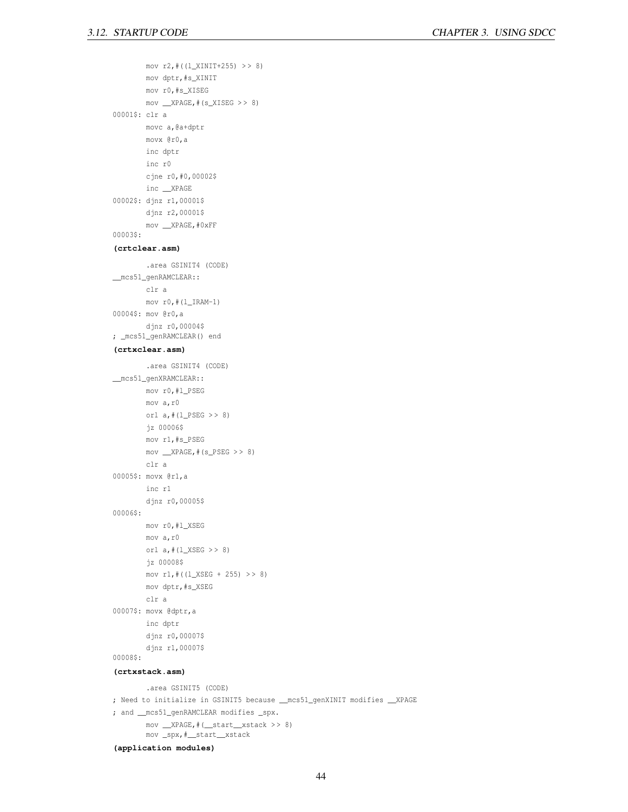```
mov r2,#((l_XINIT+255) > > 8)
       mov dptr,#s_XINIT
       mov r0,#s_XISEG
       mov __XPAGE,#(s_XISEG > > 8)
00001$: clr a
       movc a,@a+dptr
       movx @r0,a
       inc dptr
       inc r0
       cjne r0,#0,00002$
       inc __XPAGE
00002$: djnz r1,00001$
       djnz r2,00001$
       mov __XPAGE,#0xFF
00003$:
(crtclear.asm)
        .area GSINIT4 (CODE)
__mcs51_genRAMCLEAR::
       clr a
       mov r0, # (l_IRAM-1)00004$: mov @r0,a
       djnz r0,00004$
; _mcs51_genRAMCLEAR() end
(crtxclear.asm)
        .area GSINIT4 (CODE)
__mcs51_genXRAMCLEAR::
       mov r0,#l_PSEG
       mov a,r0
       orl a, \# (l_PSEG \gt 8)jz 00006$
       mov r1,#s_PSEG
       mov _XPAGE, # (s_PSEG >> 8)clr a
00005$: movx @r1,a
       inc r1
       djnz r0,00005$
00006$:
       mov r0,#l_XSEG
       mov a,r0
       orl a, \# (l_XSEG \gg 8)jz 00008$
       mov r1,#((1_XSEG + 255) >> 8)mov dptr,#s_XSEG
       clr a
00007$: movx @dptr,a
       inc dptr
        djnz r0,00007$
        djnz r1,00007$
00008$:
(crtxstack.asm)
        .area GSINIT5 (CODE)
; Need to initialize in GSINIT5 because __mcs51_genXINIT modifies __XPAGE
; and __mcs51_genRAMCLEAR modifies _spx.
        mov __XPAGE,#(__start__xstack > > 8)
```
mov \_spx,#\_\_start\_\_xstack

**(application modules)**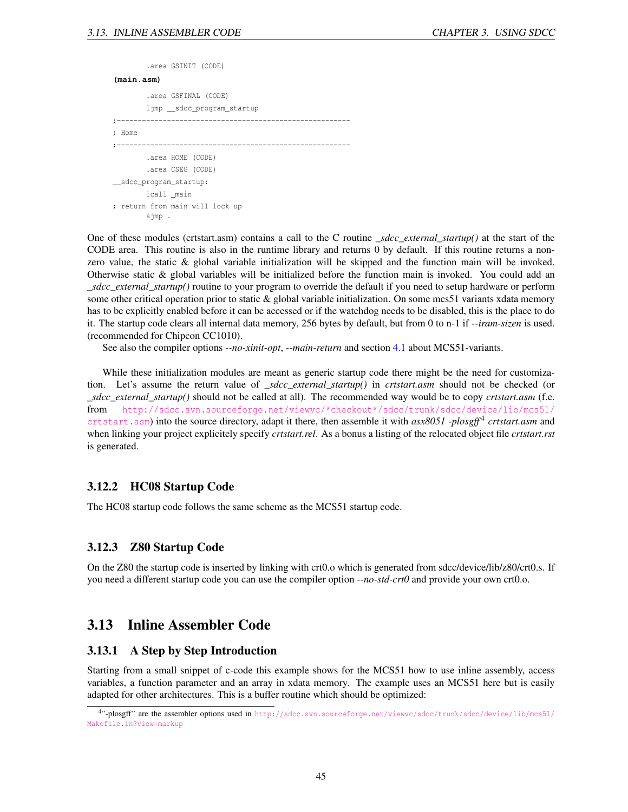# .area GSINIT (CODE) **(main.asm)** .area GSFINAL (CODE) ljmp \_\_sdcc\_program\_startup ;-------------------------------------------------------- ; Home ;-------------------------------------------------------- .area HOME (CODE) .area CSEG (CODE) \_\_sdcc\_program\_startup: lcall \_main ; return from main will lock up sjmp .

One of these modules (crtstart.asm) contains a call to the C routine *\_sdcc\_external\_startup()* at the start of the CODE area. This routine is also in the runtime library and returns 0 by default. If this routine returns a nonzero value, the static & global variable initialization will be skipped and the function main will be invoked. Otherwise static & global variables will be initialized before the function main is invoked. You could add an *\_sdcc\_external\_startup()* routine to your program to override the default if you need to setup hardware or perform some other critical operation prior to static & global variable initialization. On some mcs51 variants xdata memory has to be explicitly enabled before it can be accessed or if the watchdog needs to be disabled, this is the place to do it. The startup code clears all internal data memory, 256 bytes by default, but from 0 to n-1 if *--iram-sizen* is used. (recommended for Chipcon CC1010).

See also the compiler options *--no-xinit*-*opt*, *--main-return* and section [4.1](#page-59-0) about MCS51-variants.

While these initialization modules are meant as generic startup code there might be the need for customization. Let's assume the return value of *\_sdcc\_external\_startup()* in *crtstart.asm* should not be checked (or *\_sdcc\_external\_startup()* should not be called at all). The recommended way would be to copy *crtstart.asm* (f.e. from [http://sdcc.svn.sourceforge.net/viewvc/\\*checkout\\*/sdcc/trunk/sdcc/device/lib/mcs51/](http://sdcc.svn.sourceforge.net/viewvc/*checkout*/sdcc/trunk/sdcc/device/lib/mcs51/crtstart.asm) [crtstart.asm](http://sdcc.svn.sourceforge.net/viewvc/*checkout*/sdcc/trunk/sdcc/device/lib/mcs51/crtstart.asm)) into the source directory, adapt it there, then assemble it with *asx8051* -plosgff<sup>[4](#page-45-1)</sup> crtstart.asm and when linking your project explicitely specify *crtstart.rel*. As a bonus a listing of the relocated object file *crtstart.rst* is generated.

### 3.12.2 HC08 Startup Code

The HC08 startup code follows the same scheme as the MCS51 startup code.

## 3.12.3 Z80 Startup Code

On the Z80 the startup code is inserted by linking with crt0.o which is generated from sdcc/device/lib/z80/crt0.s. If you need a different startup code you can use the compiler option *--no-std-crt0* and provide your own crt0.o.

# 3.13 Inline Assembler Code

### <span id="page-45-0"></span>3.13.1 A Step by Step Introduction

Starting from a small snippet of c-code this example shows for the MCS51 how to use inline assembly, access variables, a function parameter and an array in xdata memory. The example uses an MCS51 here but is easily adapted for other architectures. This is a buffer routine which should be optimized:

<span id="page-45-1"></span><sup>4</sup> "-plosgff" are the assembler options used in [http://sdcc.svn.sourceforge.net/viewvc/sdcc/trunk/sdcc/device/lib/mcs51/](http://sdcc.svn.sourceforge.net/viewvc/sdcc/trunk/sdcc/device/lib/mcs51/Makefile.in?view=markup ) [Makefile.in?view=markup](http://sdcc.svn.sourceforge.net/viewvc/sdcc/trunk/sdcc/device/lib/mcs51/Makefile.in?view=markup )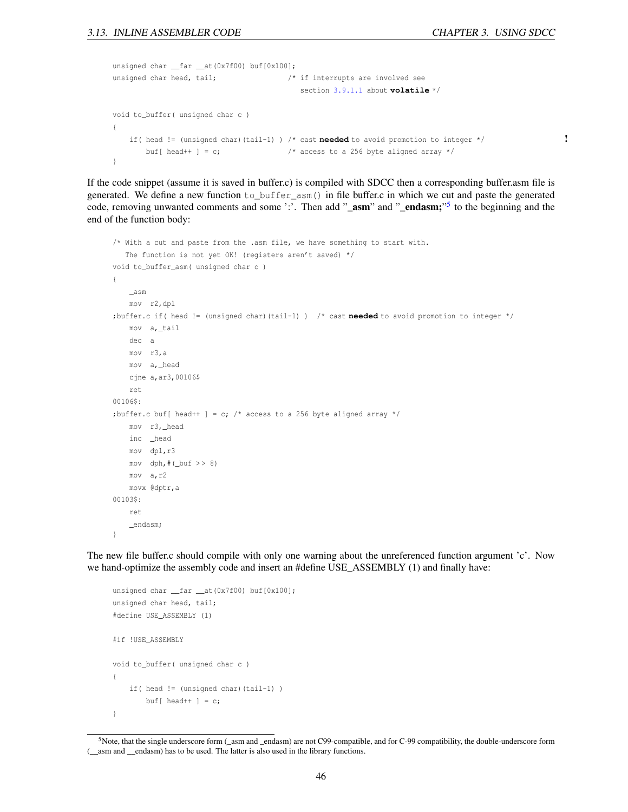```
unsigned char __far __at(0x7f00) buf[0x100];
unsigned char head, tail; / /* if interrupts are involved see
                                         section 3.9.1.1 about volatile */
void to_buffer( unsigned char c )
{
   if( head != (unsigned char)(tail-1) ) /* cast needed to avoid promotion to integer */ !
       buf[ head++ ] = c; \frac{1}{2} /* access to a 256 byte aligned array */
}
```
If the code snippet (assume it is saved in buffer.c) is compiled with SDCC then a corresponding buffer.asm file is generated. We define a new function to\_buffer\_asm() in file buffer.c in which we cut and paste the generated code, removing unwanted comments and some ':'. Then add "\_asm" and "\_endasm;"<sup>[5](#page-46-0)</sup> to the beginning and the end of the function body:

```
/* With a cut and paste from the .asm file, we have something to start with.
   The function is not yet OK! (registers aren't saved) */
void to_buffer_asm( unsigned char c )
{
    _asm
   mov r2,dpl
;buffer.c if( head != (unsigned char)(tail-1) ) /* cast needed to avoid promotion to integer */
   mov a,_tail
   dec a
   mov r3,a
   mov a,_head
   cjne a,ar3,00106$
   ret
00106$:
;buffer.c buf[ head++ ] = c; /* access to a 256 byte aligned array */
   mov r3,_head
   inc _head
   mov dpl,r3
   mov dph, \#(\underline{but} >> 8)mov a,r2
   movx @dptr,a
00103$:
   ret
    _endasm;
}
```
The new file buffer.c should compile with only one warning about the unreferenced function argument 'c'. Now we hand-optimize the assembly code and insert an #define USE\_ASSEMBLY (1) and finally have:

```
unsigned char __far __at(0x7f00) buf[0x100];
unsigned char head, tail;
#define USE_ASSEMBLY (1)
#if !USE_ASSEMBLY
void to_buffer( unsigned char c )
{
   if( head != (unsigned char)(tail-1) )
       buf [ head++ ] = c;
}
```
<span id="page-46-0"></span> $5$ Note, that the single underscore form (\_asm and \_endasm) are not C99-compatible, and for C-99 compatibility, the double-underscore form (\_\_asm and \_\_endasm) has to be used. The latter is also used in the library functions.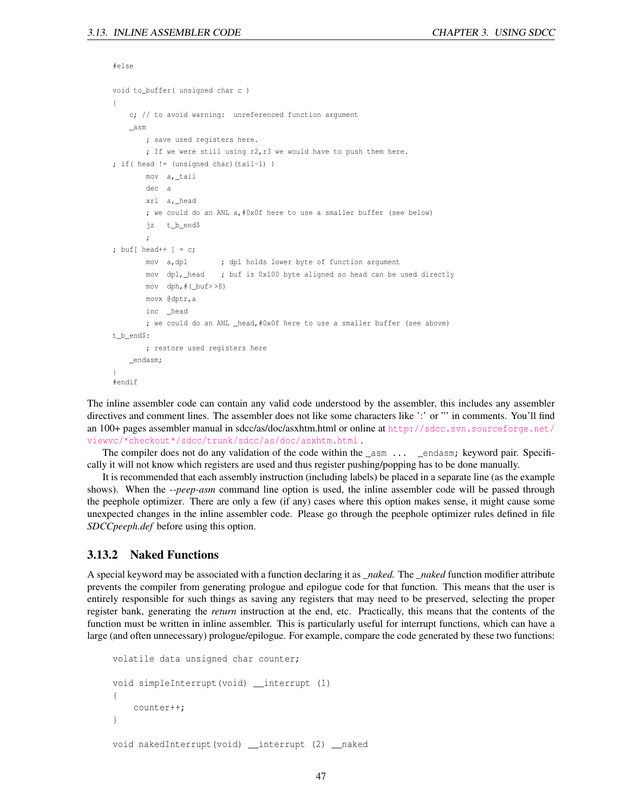#else

```
void to_buffer( unsigned char c )
{
   c; // to avoid warning: unreferenced function argument
    _asm
        ; save used registers here.
        ; If we were still using r2,r3 we would have to push them here.
; if( head != (unsigned char)(tail-1) )
       mov a,_tail
       dec a
        xrl a,_head
        ; we could do an ANL a,#0x0f here to use a smaller buffer (see below)
        jz t_b_end$
        ;
; buf [ head++ ] = c;
       mov a, dpl \qquad ; dpl holds lower byte of function argument
        mov dpl,_head ; buf is 0x100 byte aligned so head can be used directly
        mov dph, \# (_buf> >8)
        movx @dptr,a
        inc _head
        ; we could do an ANL _head,#0x0f here to use a smaller buffer (see above)
t_b_end$:
       ; restore used registers here
    _endasm;
}
#endif
```
The inline assembler code can contain any valid code understood by the assembler, this includes any assembler directives and comment lines. The assembler does not like some characters like ':' or "' in comments. You'll find an 100+ pages assembler manual in sdcc/as/doc/asxhtm.html or online at [http://sdcc.svn.sourceforge.net/](http://sdcc.svn.sourceforge.net/viewvc/*checkout*/sdcc/trunk/sdcc/as/doc/asxhtm.html) [viewvc/\\*checkout\\*/sdcc/trunk/sdcc/as/doc/asxhtm.html](http://sdcc.svn.sourceforge.net/viewvc/*checkout*/sdcc/trunk/sdcc/as/doc/asxhtm.html) .

The compiler does not do any validation of the code within the \_asm ... \_endasm; keyword pair. Specifically it will not know which registers are used and thus register pushing/popping has to be done manually.

It is recommended that each assembly instruction (including labels) be placed in a separate line (as the example shows). When the --*peep-asm* command line option is used, the inline assembler code will be passed through the peephole optimizer. There are only a few (if any) cases where this option makes sense, it might cause some unexpected changes in the inline assembler code. Please go through the peephole optimizer rules defined in file *SDCCpeeph.def* before using this option.

### 3.13.2 Naked Functions

A special keyword may be associated with a function declaring it as *\_naked.* The *\_naked* function modifier attribute prevents the compiler from generating prologue and epilogue code for that function. This means that the user is entirely responsible for such things as saving any registers that may need to be preserved, selecting the proper register bank, generating the *return* instruction at the end, etc. Practically, this means that the contents of the function must be written in inline assembler. This is particularly useful for interrupt functions, which can have a large (and often unnecessary) prologue/epilogue. For example, compare the code generated by these two functions:

```
volatile data unsigned char counter;
void simpleInterrupt(void) __interrupt (1)
{
    counter++;
}
void nakedInterrupt(void) __interrupt (2) __naked
```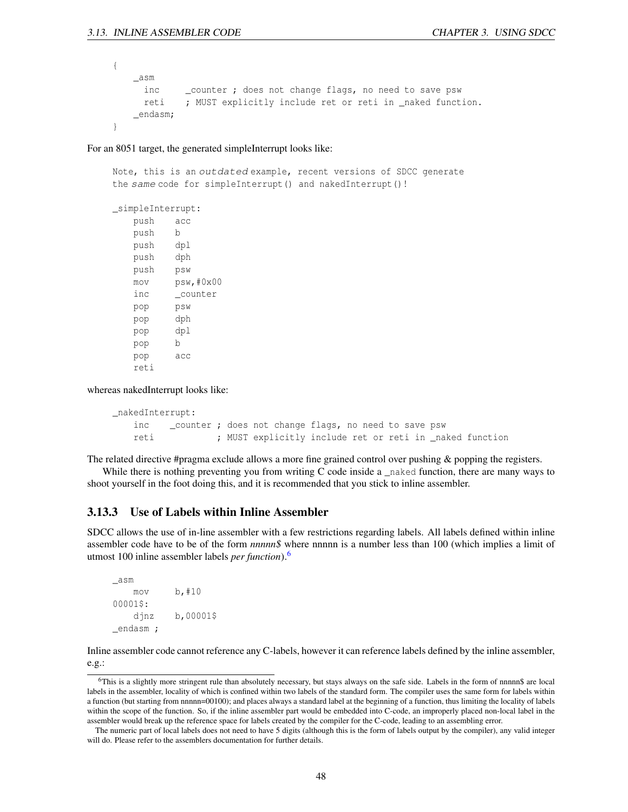```
{
   _asm
     inc _counter ; does not change flags, no need to save psw
     reti ; MUST explicitly include ret or reti in _naked function.
   _endasm;
}
```
For an 8051 target, the generated simpleInterrupt looks like:

Note, this is an outdated example, recent versions of SDCC generate the same code for simpleInterrupt() and nakedInterrupt()!

\_simpleInterrupt: push acc push b push dpl push dph push psw mov psw,#0x00 inc \_counter pop psw pop dph pop dpl pop b pop acc reti

whereas nakedInterrupt looks like:

```
_nakedInterrupt:
   inc counter ; does not change flags, no need to save psw
   reti ; MUST explicitly include ret or reti in _naked function
```
The related directive #pragma exclude allows a more fine grained control over pushing & popping the registers.

While there is nothing preventing you from writing C code inside a \_naked function, there are many ways to shoot yourself in the foot doing this, and it is recommended that you stick to inline assembler.

### 3.13.3 Use of Labels within Inline Assembler

SDCC allows the use of in-line assembler with a few restrictions regarding labels. All labels defined within inline assembler code have to be of the form *nnnnn\$* where nnnnn is a number less than 100 (which implies a limit of utmost 100 inline assembler labels *per function*).[6](#page-48-0)

```
_asm
   mov b,#10
00001$:
   djnz b,00001$
_endasm ;
```
Inline assembler code cannot reference any C-labels, however it can reference labels defined by the inline assembler, e.g.:

<span id="page-48-0"></span><sup>6</sup>This is a slightly more stringent rule than absolutely necessary, but stays always on the safe side. Labels in the form of nnnnn\$ are local labels in the assembler, locality of which is confined within two labels of the standard form. The compiler uses the same form for labels within a function (but starting from nnnnn=00100); and places always a standard label at the beginning of a function, thus limiting the locality of labels within the scope of the function. So, if the inline assembler part would be embedded into C-code, an improperly placed non-local label in the assembler would break up the reference space for labels created by the compiler for the C-code, leading to an assembling error.

The numeric part of local labels does not need to have 5 digits (although this is the form of labels output by the compiler), any valid integer will do. Please refer to the assemblers documentation for further details.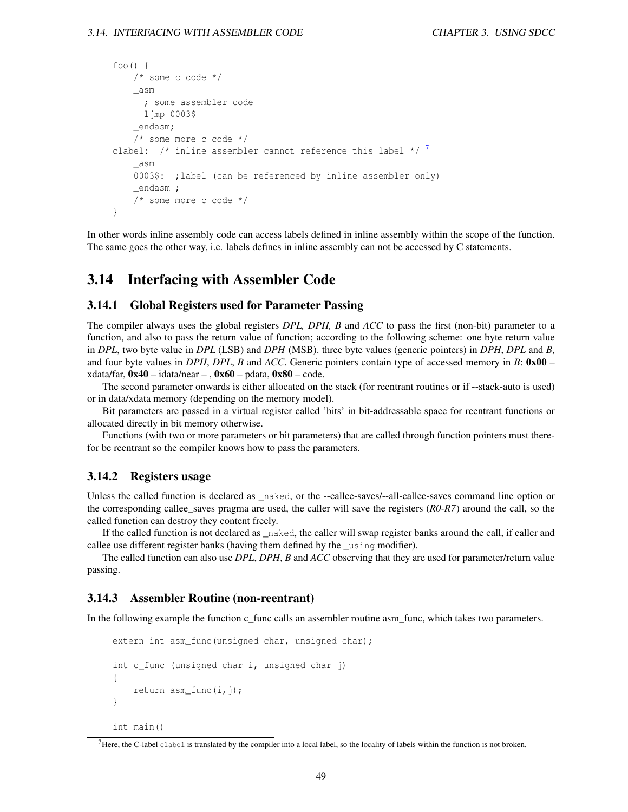```
foo()/* some c code */_asm
      ; some assembler code
      ljmp 0003$
    _endasm;
    /* some more c code */
clabel: \frac{1}{2} inline assembler cannot reference this label \frac{1}{2}_asm
    0003$: ;label (can be referenced by inline assembler only)
    _endasm ;
    /* some more c code */
}
```
In other words inline assembly code can access labels defined in inline assembly within the scope of the function. The same goes the other way, i.e. labels defines in inline assembly can not be accessed by C statements.

# 3.14 Interfacing with Assembler Code

#### 3.14.1 Global Registers used for Parameter Passing

The compiler always uses the global registers *DPL, DPH, B* and *ACC* to pass the first (non-bit) parameter to a function, and also to pass the return value of function; according to the following scheme: one byte return value in *DPL*, two byte value in *DPL* (LSB) and *DPH* (MSB). three byte values (generic pointers) in *DPH*, *DPL* and *B*, and four byte values in *DPH*, *DPL*, *B* and *ACC*. Generic pointers contain type of accessed memory in *B*: 0x00 – xdata/far,  $0x40 - i$ data/near – ,  $0x60 -$  pdata,  $0x80 -$  code.

The second parameter onwards is either allocated on the stack (for reentrant routines or if --stack-auto is used) or in data/xdata memory (depending on the memory model).

Bit parameters are passed in a virtual register called 'bits' in bit-addressable space for reentrant functions or allocated directly in bit memory otherwise.

Functions (with two or more parameters or bit parameters) that are called through function pointers must therefor be reentrant so the compiler knows how to pass the parameters.

### 3.14.2 Registers usage

Unless the called function is declared as \_naked, or the --callee-saves/--all-callee-saves command line option or the corresponding callee\_saves pragma are used, the caller will save the registers (*R0-R7*) around the call, so the called function can destroy they content freely.

If the called function is not declared as \_naked, the caller will swap register banks around the call, if caller and callee use different register banks (having them defined by the \_using modifier).

The called function can also use *DPL*, *DPH*, *B* and *ACC* observing that they are used for parameter/return value passing.

#### 3.14.3 Assembler Routine (non-reentrant)

In the following example the function c\_func calls an assembler routine asm\_func, which takes two parameters.

```
extern int asm_func(unsigned char, unsigned char);
int c_func (unsigned char i, unsigned char j)
{
    return asm func(i,j);}
int main()
```
<span id="page-49-0"></span> $<sup>7</sup>$  Here, the C-label clabel is translated by the compiler into a local label, so the locality of labels within the function is not broken.</sup>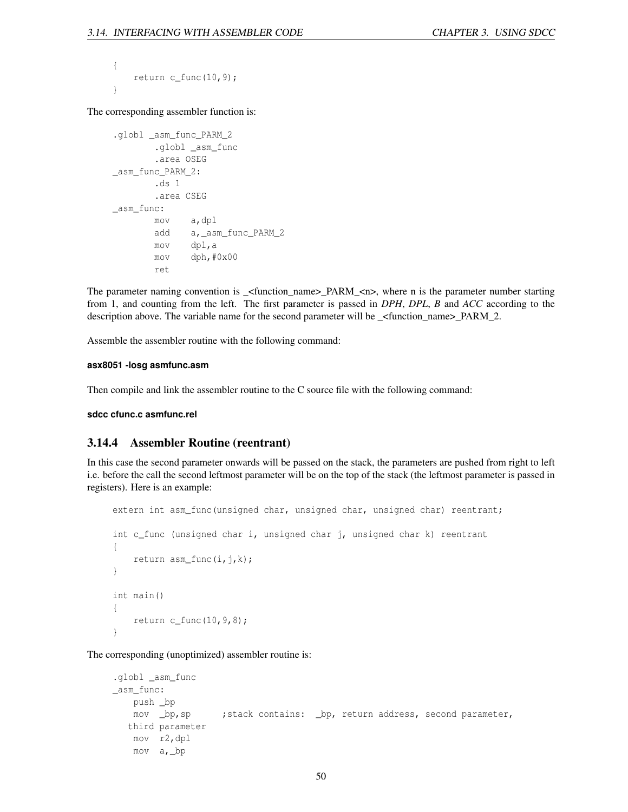```
{
    return c_func(10, 9);
}
```
The corresponding assembler function is:

```
.globl _asm_func_PARM_2
       .globl _asm_func
       .area OSEG
_asm_func_PARM_2:
       .ds 1
       .area CSEG
_asm_func:
       mov a,dpl
       add a,_asm_func_PARM_2
       mov dpl,a
       mov dph,#0x00
       ret
```
The parameter naming convention is \_<function\_name>\_PARM\_<n>, where n is the parameter number starting from 1, and counting from the left. The first parameter is passed in *DPH*, *DPL*, *B* and *ACC* according to the description above. The variable name for the second parameter will be \_<function\_name>\_PARM\_2.

Assemble the assembler routine with the following command:

#### **asx8051 -losg asmfunc.asm**

Then compile and link the assembler routine to the C source file with the following command:

**sdcc cfunc.c asmfunc.rel**

### 3.14.4 Assembler Routine (reentrant)

In this case the second parameter onwards will be passed on the stack, the parameters are pushed from right to left i.e. before the call the second leftmost parameter will be on the top of the stack (the leftmost parameter is passed in registers). Here is an example:

```
extern int asm_func(unsigned char, unsigned char, unsigned char) reentrant;
int c_func (unsigned char i, unsigned char j, unsigned char k) reentrant
{
    return asm_func(i, j, k);
}
int main()
{
    return c_func(10, 9, 8);}
```
The corresponding (unoptimized) assembler routine is:

```
.globl _asm_func
_asm_func:
   push _bp
   mov _bp,sp ;stack contains: _bp, return address, second parameter,
  third parameter
   mov r2,dpl
   mov a,_bp
```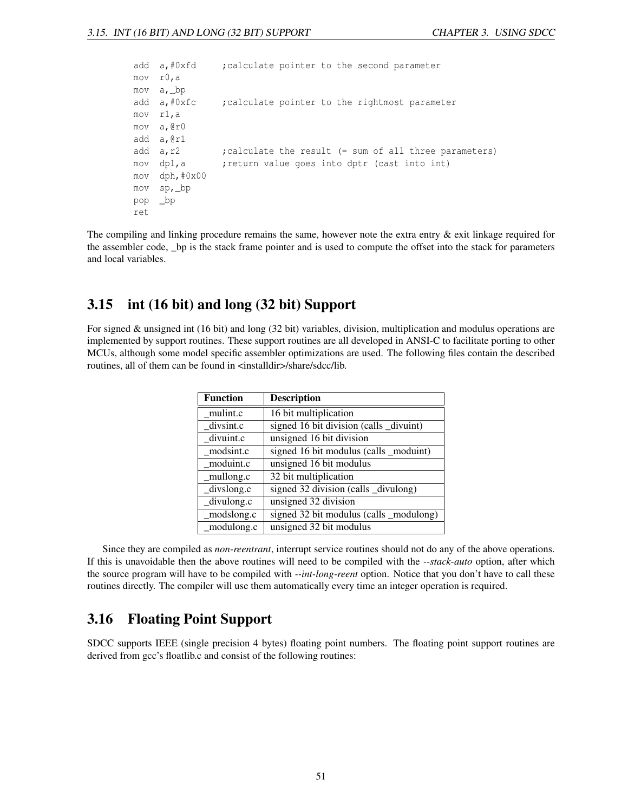|     | add a,#0xfd   | ; calculate pointer to the second parameter            |
|-----|---------------|--------------------------------------------------------|
|     | mov r0,a      |                                                        |
|     | mov a, bp     |                                                        |
|     | add a,#0xfc   | ; calculate pointer to the rightmost parameter         |
|     | mov r1,a      |                                                        |
|     | mov a,@rO     |                                                        |
|     | add a,@r1     |                                                        |
|     | add a,r2      | ; calculate the result (= sum of all three parameters) |
|     | mov dpl,a     | ; return value goes into dptr (cast into int)          |
|     | mov dph,#0x00 |                                                        |
|     | mov sp,_bp    |                                                        |
| pop | bp            |                                                        |
| ret |               |                                                        |
|     |               |                                                        |

The compiling and linking procedure remains the same, however note the extra entry & exit linkage required for the assembler code, \_bp is the stack frame pointer and is used to compute the offset into the stack for parameters and local variables.

# 3.15 int (16 bit) and long (32 bit) Support

For signed & unsigned int (16 bit) and long (32 bit) variables, division, multiplication and modulus operations are implemented by support routines. These support routines are all developed in ANSI-C to facilitate porting to other MCUs, although some model specific assembler optimizations are used. The following files contain the described routines, all of them can be found in <installdir>/share/sdcc/lib.

| <b>Function</b> | <b>Description</b>                      |
|-----------------|-----------------------------------------|
| mulint.c        | 16 bit multiplication                   |
| divsint.c       | signed 16 bit division (calls _divuint) |
| divuint.c       | unsigned 16 bit division                |
| modsint.c       | signed 16 bit modulus (calls _moduint)  |
| moduint.c       | unsigned 16 bit modulus                 |
| mullong.c       | 32 bit multiplication                   |
| _divslong.c     | signed 32 division (calls _divulong)    |
| divulong.c      | unsigned 32 division                    |
| modslong.c      | signed 32 bit modulus (calls _modulong) |
| modulong.c      | unsigned 32 bit modulus                 |

Since they are compiled as *non-reentrant*, interrupt service routines should not do any of the above operations. If this is unavoidable then the above routines will need to be compiled with the *--stack-auto* option, after which the source program will have to be compiled with *--int-long-reent* option. Notice that you don't have to call these routines directly. The compiler will use them automatically every time an integer operation is required.

# 3.16 Floating Point Support

SDCC supports IEEE (single precision 4 bytes) floating point numbers. The floating point support routines are derived from gcc's floatlib.c and consist of the following routines: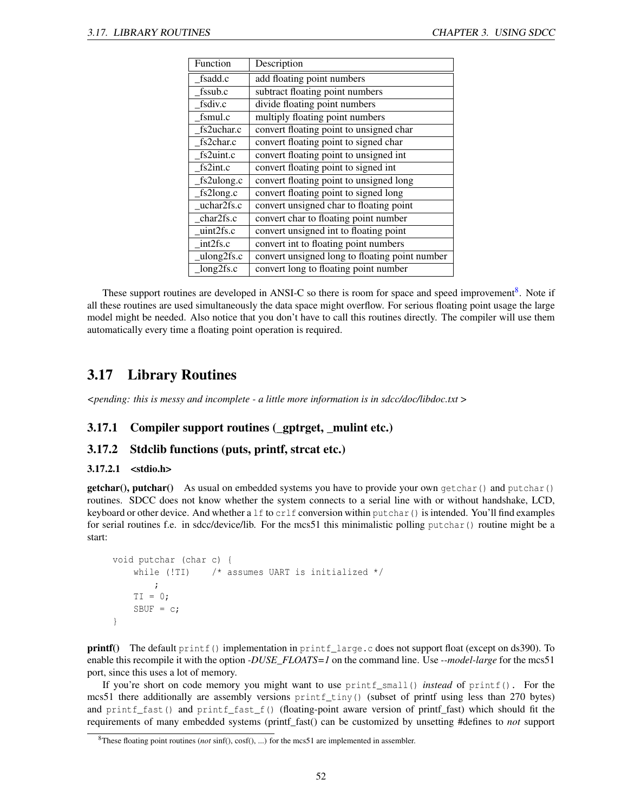| Function   | Description                                    |
|------------|------------------------------------------------|
| fsadd.c    | add floating point numbers                     |
| fssub.c    | subtract floating point numbers                |
| fsdiv.c    | divide floating point numbers                  |
| fsmul.c    | multiply floating point numbers                |
| fs2uchar.c | convert floating point to unsigned char        |
| fs2char.c  | convert floating point to signed char          |
| fs2uint.c  | convert floating point to unsigned int         |
| fs2int.c   | convert floating point to signed int           |
| fs2ulong.c | convert floating point to unsigned long        |
| fs2long.c  | convert floating point to signed long          |
| uchar2fs.c | convert unsigned char to floating point        |
| char2fs.c  | convert char to floating point number          |
| uint2fs.c  | convert unsigned int to floating point         |
| int2fs.c   | convert int to floating point numbers          |
| ulong2fs.c | convert unsigned long to floating point number |
| long2fs.c  | convert long to floating point number          |

These support routines are developed in ANSI-C so there is room for space and speed improvement<sup>[8](#page-52-0)</sup>. Note if all these routines are used simultaneously the data space might overflow. For serious floating point usage the large model might be needed. Also notice that you don't have to call this routines directly. The compiler will use them automatically every time a floating point operation is required.

# 3.17 Library Routines

*<pending: this is messy and incomplete - a little more information is in sdcc/doc/libdoc.txt* >

# 3.17.1 Compiler support routines (\_gptrget, \_mulint etc.)

### 3.17.2 Stdclib functions (puts, printf, strcat etc.)

#### 3.17.2.1 <stdio.h>

 $getchar()$ ,  $putchar()$  As usual on embedded systems you have to provide your own getchar() and putchar() routines. SDCC does not know whether the system connects to a serial line with or without handshake, LCD, keyboard or other device. And whether a lf to crlf conversion within putchar() is intended. You'll find examples for serial routines f.e. in sdcc/device/lib. For the mcs51 this minimalistic polling putchar() routine might be a start:

```
void putchar (char c) {
    while (!TI) \frac{1}{x} assumes UART is initialized \frac{x}{x};
    TI = 0;SBUF = c;}
```
printf() The default printf() implementation in printf\_large.c does not support float (except on ds390). To enable this recompile it with the option *-DUSE\_FLOATS=1* on the command line. Use *--model-large* for the mcs51 port, since this uses a lot of memory.

If you're short on code memory you might want to use printf\_small() *instead* of printf(). For the mcs51 there additionally are assembly versions printf\_tiny() (subset of printf using less than 270 bytes) and printf\_fast() and printf\_fast\_f() (floating-point aware version of printf\_fast) which should fit the requirements of many embedded systems (printf\_fast() can be customized by unsetting #defines to *not* support

<span id="page-52-0"></span><sup>8</sup>These floating point routines (*not* sinf(), cosf(), ...) for the mcs51 are implemented in assembler.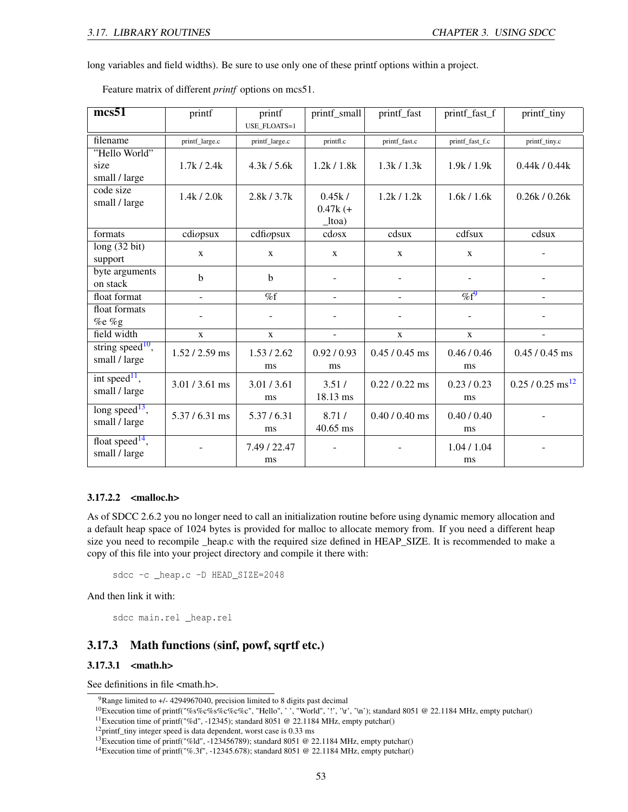long variables and field widths). Be sure to use only one of these printf options within a project.

| mcs51                        | printf           | printf              | printf_small | printf_fast      | printf_fast_f   | printf_tiny                    |
|------------------------------|------------------|---------------------|--------------|------------------|-----------------|--------------------------------|
|                              |                  | <b>USE FLOATS=1</b> |              |                  |                 |                                |
| filename                     | printf_large.c   | printf_large.c      | printfl.c    | printf_fast.c    | printf_fast_f.c | printf_tiny.c                  |
| "Hello World"                |                  |                     |              |                  |                 |                                |
| size                         | 1.7k/2.4k        | 4.3k / 5.6k         | 1.2k / 1.8k  | 1.3k/1.3k        | 1.9k / 1.9k     | 0.44k / 0.44k                  |
| small / large                |                  |                     |              |                  |                 |                                |
| code size                    |                  |                     |              |                  |                 |                                |
| small / large                | 1.4k/2.0k        | 2.8k/3.7k           | 0.45k/       | 1.2k/1.2k        | 1.6k / 1.6k     | 0.26k / 0.26k                  |
|                              |                  |                     | $0.47k$ (+   |                  |                 |                                |
|                              |                  |                     | $_l$ toa)    |                  |                 |                                |
| formats                      | cdiopus          | cdfi                | cdosx        | cdsux            | cdfsux          | cdsux                          |
| long(32 bit)                 | $\mathbf{X}$     | $\mathbf{x}$        | $\mathbf{x}$ | $\mathbf{X}$     | $\mathbf{x}$    |                                |
| support                      |                  |                     |              |                  |                 |                                |
| byte arguments               | b                | $\mathbf b$         |              |                  |                 |                                |
| on stack                     |                  |                     |              |                  |                 |                                |
| float format                 | $\overline{a}$   | $\overline{\%f}$    | ÷.           | $\overline{a}$   | $\%f^9$         | $\mathbf{r}$                   |
| float formats                |                  |                     |              |                  |                 |                                |
| $%e$ %g                      |                  |                     |              |                  |                 |                                |
| field width                  | $\mathbf{X}$     | $\mathbf{X}$        | ÷            | $\mathbf{X}$     | $\mathbf{X}$    | $\overline{\phantom{a}}$       |
| string speed <sup>10</sup> , | $1.52 / 2.59$ ms | 1.53 / 2.62         | 0.92/0.93    | $0.45 / 0.45$ ms | 0.46/0.46       | $0.45 / 0.45$ ms               |
| small / large                |                  |                     |              |                  |                 |                                |
|                              |                  | ms                  | ms           |                  | ms              |                                |
| int speed <sup>11</sup> ,    | 3.01/3.61 ms     | 3.01 / 3.61         | 3.51/        | $0.22 / 0.22$ ms | 0.23/0.23       | $0.25 / 0.25$ ms <sup>12</sup> |
| small / large                |                  | ms                  | 18.13 ms     |                  | ms              |                                |
| long speed <sup>13</sup> ,   |                  |                     |              |                  |                 |                                |
| small / large                | $5.37 / 6.31$ ms | 5.37/6.31           | 8.71/        | $0.40 / 0.40$ ms | 0.40/0.40       |                                |
|                              |                  | ms                  | $40.65$ ms   |                  | ms              |                                |
| float speed <sup>14</sup> ,  |                  | 7.49 / 22.47        |              |                  | 1.04/1.04       |                                |
| small / large                |                  | ms                  |              |                  | ms              |                                |

Feature matrix of different *printf* options on mcs51.

#### 3.17.2.2 <malloc.h>

As of SDCC 2.6.2 you no longer need to call an initialization routine before using dynamic memory allocation and a default heap space of 1024 bytes is provided for malloc to allocate memory from. If you need a different heap size you need to recompile \_heap.c with the required size defined in HEAP\_SIZE. It is recommended to make a copy of this file into your project directory and compile it there with:

sdcc -c \_heap.c -D HEAD\_SIZE=2048

And then link it with:

sdcc main.rel \_heap.rel

### 3.17.3 Math functions (sinf, powf, sqrtf etc.)

### 3.17.3.1 <math.h>

See definitions in file <math.h>.

<span id="page-53-0"></span><sup>9</sup>Range limited to +/- 4294967040, precision limited to 8 digits past decimal

<span id="page-53-1"></span><sup>10</sup>Execution time of printf("%s%c%s%c%c%c", "Hello", ' ', "World", '!', '\r', '\n'); standard 8051 @ 22.1184 MHz, empty putchar()

<span id="page-53-2"></span><sup>&</sup>lt;sup>11</sup>Execution time of printf("%d", -12345); standard 8051 @ 22.1184 MHz, empty putchar()

<span id="page-53-3"></span> $12$  printf\_tiny integer speed is data dependent, worst case is 0.33 ms

<span id="page-53-4"></span><sup>13</sup>Execution time of printf("%ld", -123456789); standard 8051 @ 22.1184 MHz, empty putchar()

<span id="page-53-5"></span><sup>&</sup>lt;sup>14</sup>Execution time of printf("%.3f", -12345.678); standard 8051 @ 22.1184 MHz, empty putchar()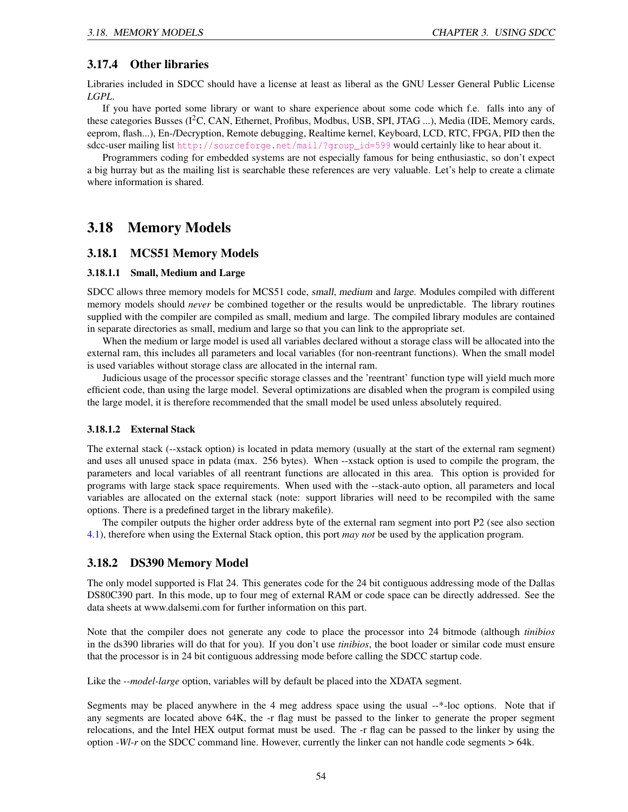### 3.17.4 Other libraries

Libraries included in SDCC should have a license at least as liberal as the GNU Lesser General Public License *LGPL*.

If you have ported some library or want to share experience about some code which f.e. falls into any of these categories Busses (I<sup>2</sup>C, CAN, Ethernet, Profibus, Modbus, USB, SPI, JTAG ...), Media (IDE, Memory cards, eeprom, flash...), En-/Decryption, Remote debugging, Realtime kernel, Keyboard, LCD, RTC, FPGA, PID then the sdcc-user mailing list [http://sourceforge.net/mail/?group\\_id=599](http://sourceforge.net/mail/?group_id=599) would certainly like to hear about it.

Programmers coding for embedded systems are not especially famous for being enthusiastic, so don't expect a big hurray but as the mailing list is searchable these references are very valuable. Let's help to create a climate where information is shared.

# 3.18 Memory Models

### 3.18.1 MCS51 Memory Models

#### 3.18.1.1 Small, Medium and Large

SDCC allows three memory models for MCS51 code, small, medium and large. Modules compiled with different memory models should *never* be combined together or the results would be unpredictable. The library routines supplied with the compiler are compiled as small, medium and large. The compiled library modules are contained in separate directories as small, medium and large so that you can link to the appropriate set.

When the medium or large model is used all variables declared without a storage class will be allocated into the external ram, this includes all parameters and local variables (for non-reentrant functions). When the small model is used variables without storage class are allocated in the internal ram.

Judicious usage of the processor specific storage classes and the 'reentrant' function type will yield much more efficient code, than using the large model. Several optimizations are disabled when the program is compiled using the large model, it is therefore recommended that the small model be used unless absolutely required.

#### 3.18.1.2 External Stack

The external stack (--xstack option) is located in pdata memory (usually at the start of the external ram segment) and uses all unused space in pdata (max. 256 bytes). When --xstack option is used to compile the program, the parameters and local variables of all reentrant functions are allocated in this area. This option is provided for programs with large stack space requirements. When used with the --stack-auto option, all parameters and local variables are allocated on the external stack (note: support libraries will need to be recompiled with the same options. There is a predefined target in the library makefile).

The compiler outputs the higher order address byte of the external ram segment into port P2 (see also section [4.1\)](#page-59-0), therefore when using the External Stack option, this port *may not* be used by the application program.

### 3.18.2 DS390 Memory Model

The only model supported is Flat 24. This generates code for the 24 bit contiguous addressing mode of the Dallas DS80C390 part. In this mode, up to four meg of external RAM or code space can be directly addressed. See the data sheets at www.dalsemi.com for further information on this part.

Note that the compiler does not generate any code to place the processor into 24 bitmode (although *tinibios* in the ds390 libraries will do that for you). If you don't use *tinibios*, the boot loader or similar code must ensure that the processor is in 24 bit contiguous addressing mode before calling the SDCC startup code.

Like the *--model-large* option, variables will by default be placed into the XDATA segment.

Segments may be placed anywhere in the 4 meg address space using the usual --\*-loc options. Note that if any segments are located above 64K, the -r flag must be passed to the linker to generate the proper segment relocations, and the Intel HEX output format must be used. The -r flag can be passed to the linker by using the option *-Wl-r* on the SDCC command line. However, currently the linker can not handle code segments > 64k.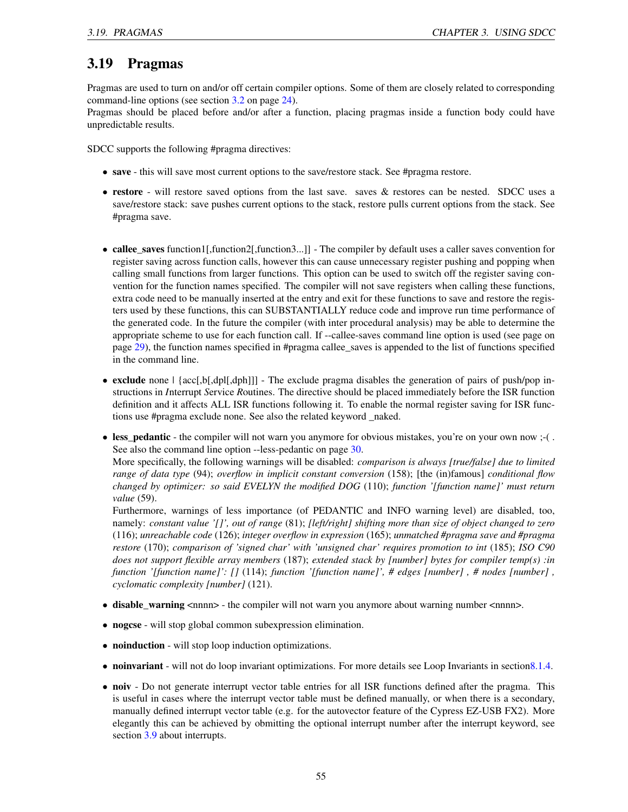# <span id="page-55-0"></span>3.19 Pragmas

Pragmas are used to turn on and/or off certain compiler options. Some of them are closely related to corresponding command-line options (see section [3.2](#page-24-0) on page [24\)](#page-24-0).

Pragmas should be placed before and/or after a function, placing pragmas inside a function body could have unpredictable results.

SDCC supports the following #pragma directives:

- save this will save most current options to the save/restore stack. See #pragma restore.
- restore will restore saved options from the last save. saves & restores can be nested. SDCC uses a save/restore stack: save pushes current options to the stack, restore pulls current options from the stack. See #pragma save.
- callee saves function1[,function2],function3...]] The compiler by default uses a caller saves convention for register saving across function calls, however this can cause unnecessary register pushing and popping when calling small functions from larger functions. This option can be used to switch off the register saving convention for the function names specified. The compiler will not save registers when calling these functions, extra code need to be manually inserted at the entry and exit for these functions to save and restore the registers used by these functions, this can SUBSTANTIALLY reduce code and improve run time performance of the generated code. In the future the compiler (with inter procedural analysis) may be able to determine the appropriate scheme to use for each function call. If --callee-saves command line option is used (see page on page [29\)](#page-29-0), the function names specified in #pragma callee\_saves is appended to the list of functions specified in the command line.
- exclude none  $\left[\frac{acc[0, b]}{dph}]\right]$  The exclude pragma disables the generation of pairs of push/pop instructions in *I*nterrupt *S*ervice *R*outines. The directive should be placed immediately before the ISR function definition and it affects ALL ISR functions following it. To enable the normal register saving for ISR functions use #pragma exclude none. See also the related keyword \_naked.
- less\_pedantic the compiler will not warn you anymore for obvious mistakes, you're on your own now ;-(. See also the command line option --less-pedantic on page [30.](#page-29-0)

More specifically, the following warnings will be disabled: *comparison is always [true/false] due to limited range of data type* (94); *overflow in implicit constant conversion* (158); [the (in)famous] *conditional flow changed by optimizer: so said EVELYN the modified DOG* (110); *function '[function name]' must return value* (59).

Furthermore, warnings of less importance (of PEDANTIC and INFO warning level) are disabled, too, namely: *constant value '[]', out of range* (81); *[left/right] shifting more than size of object changed to zero* (116); *unreachable code* (126); *integer overflow in expression* (165); *unmatched #pragma save and #pragma restore* (170); *comparison of 'signed char' with 'unsigned char' requires promotion to int* (185); *ISO C90 does not support flexible array members* (187); *extended stack by [number] bytes for compiler temp(s) :in function '[function name]': []* (114); *function '[function name]', # edges [number] , # nodes [number] , cyclomatic complexity [number]* (121).

- disable\_warning <nnnn> the compiler will not warn you anymore about warning number <nnnn>.
- nogcse will stop global common subexpression elimination.
- noinduction will stop loop induction optimizations.
- noinvariant will not do loop invariant optimizations. For more details see Loop Invariants in section 8.1.4.
- noiv Do not generate interrupt vector table entries for all ISR functions defined after the pragma. This is useful in cases where the interrupt vector table must be defined manually, or when there is a secondary, manually defined interrupt vector table (e.g. for the autovector feature of the Cypress EZ-USB FX2). More elegantly this can be achieved by obmitting the optional interrupt number after the interrupt keyword, see section [3.9](#page-39-1) about interrupts.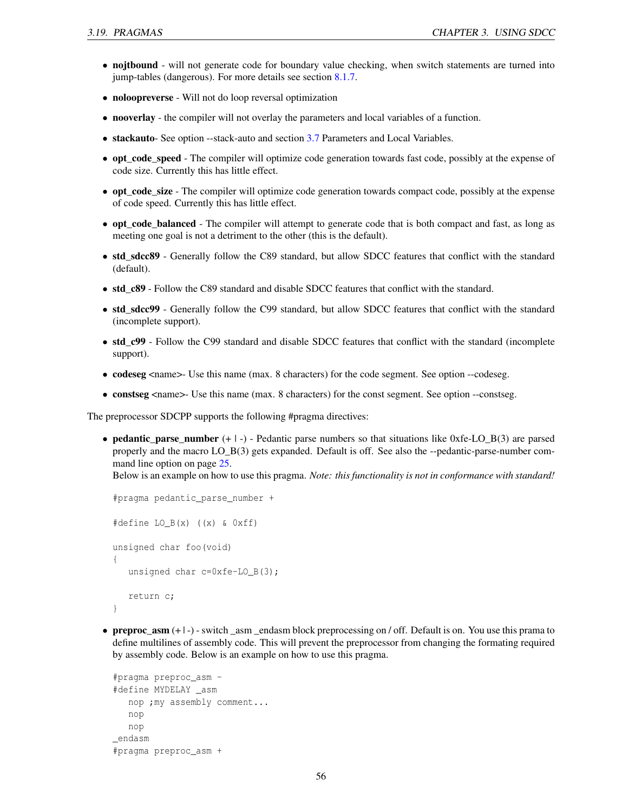- nojtbound will not generate code for boundary value checking, when switch statements are turned into jump-tables (dangerous). For more details see section [8.1.7.](#page-91-0)
- noloopreverse Will not do loop reversal optimization
- nooverlay the compiler will not overlay the parameters and local variables of a function.
- stackauto- See option --stack-auto and section [3.7](#page-38-1) Parameters and Local Variables.
- opt\_code\_speed The compiler will optimize code generation towards fast code, possibly at the expense of code size. Currently this has little effect.
- opt\_code\_size The compiler will optimize code generation towards compact code, possibly at the expense of code speed. Currently this has little effect.
- opt\_code\_balanced The compiler will attempt to generate code that is both compact and fast, as long as meeting one goal is not a detriment to the other (this is the default).
- std\_sdcc89 Generally follow the C89 standard, but allow SDCC features that conflict with the standard (default).
- std c89 Follow the C89 standard and disable SDCC features that conflict with the standard.
- std\_sdcc99 Generally follow the C99 standard, but allow SDCC features that conflict with the standard (incomplete support).
- std\_c99 Follow the C99 standard and disable SDCC features that conflict with the standard (incomplete support).
- codeseg <name>- Use this name (max. 8 characters) for the code segment. See option --codeseg.
- constseg <name>- Use this name (max. 8 characters) for the const segment. See option --constseg.

The preprocessor SDCPP supports the following #pragma directives:

• pedantic\_parse\_number (+ | -) - Pedantic parse numbers so that situations like 0xfe-LO\_B(3) are parsed properly and the macro LO\_B(3) gets expanded. Default is off. See also the --pedantic-parse-number command line option on page [25.](#page-25-0)

Below is an example on how to use this pragma. *Note: this functionality is not in conformance with standard!*

```
#pragma pedantic_parse_number +
#define LO_B(x) ((x) & 0xff)
unsigned char foo(void)
{
   unsigned char c=0xfe-LO B(3);
   return c;
}
```
• preproc  $\text{asm } (+ \rceil)$  - switch asm endasm block preprocessing on / off. Default is on. You use this prama to define multilines of assembly code. This will prevent the preprocessor from changing the formating required by assembly code. Below is an example on how to use this pragma.

```
#pragma preproc_asm -
#define MYDELAY _asm
  nop ;my assembly comment...
  nop
  nop
_endasm
#pragma preproc_asm +
```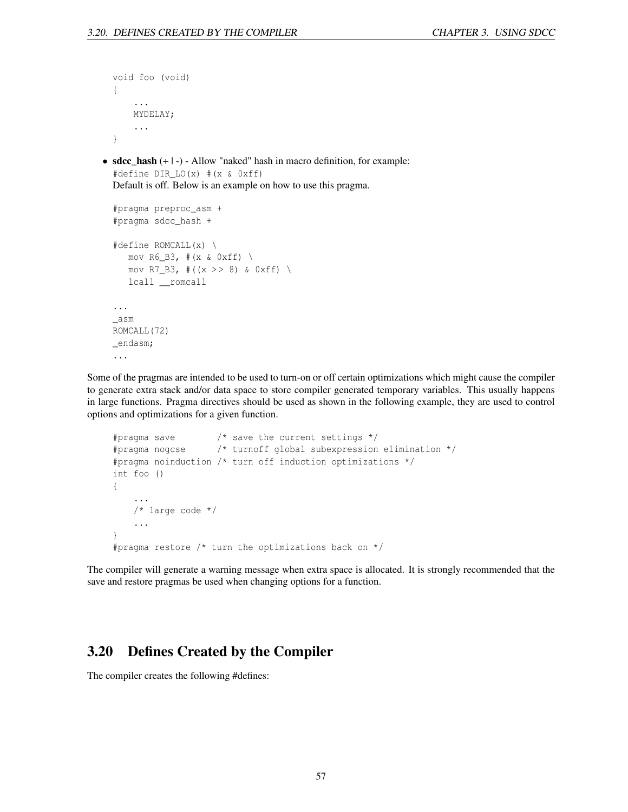```
void foo (void)
  {
      ...
      MYDELAY;
      ...
  }
• sdcc_hash (+ | -) - Allow "naked" hash in macro definition, for example:
  #define DIR_LO(x) #(x & 0xff)
  Default is off. Below is an example on how to use this pragma.
  #pragma preproc_asm +
  #pragma sdcc_hash +
  #define ROMCALL(x) \
     mov R6_B3, \#(x & 0xff) \
     mov R7_B3, #((x > > 8) \& 0xff)lcall __romcall
  ...
  _asm
  ROMCALL(72)
```
Some of the pragmas are intended to be used to turn-on or off certain optimizations which might cause the compiler to generate extra stack and/or data space to store compiler generated temporary variables. This usually happens in large functions. Pragma directives should be used as shown in the following example, they are used to control options and optimizations for a given function.

```
#pragma save /* save the current settings */
#pragma nogcse /* turnoff global subexpression elimination */
#pragma noinduction /* turn off induction optimizations */
int foo ()
{
    ...
    /* large code */
    ...
}
#pragma restore /* turn the optimizations back on */
```
The compiler will generate a warning message when extra space is allocated. It is strongly recommended that the save and restore pragmas be used when changing options for a function.

# 3.20 Defines Created by the Compiler

The compiler creates the following #defines:

\_endasm; ...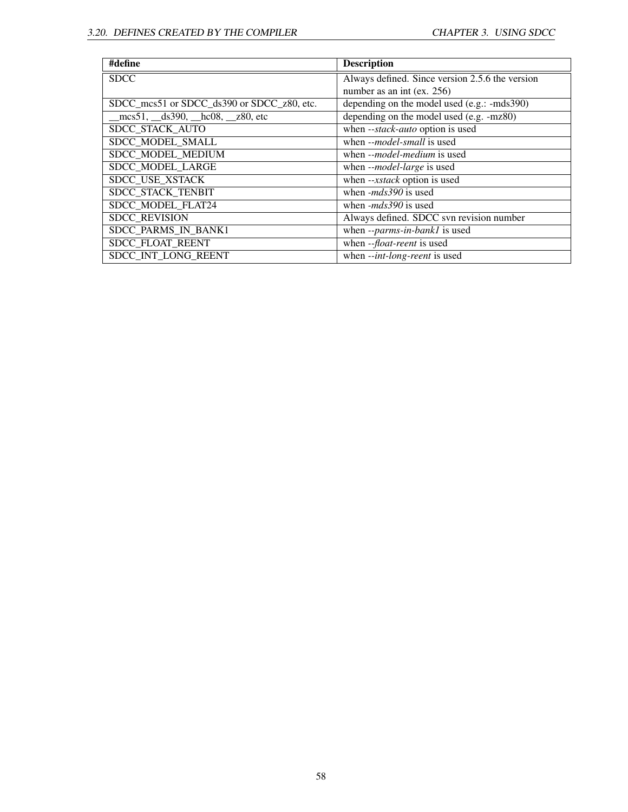| #define                                                                      | <b>Description</b>                              |
|------------------------------------------------------------------------------|-------------------------------------------------|
| <b>SDCC</b>                                                                  | Always defined. Since version 2.5.6 the version |
|                                                                              | number as an int (ex. 256)                      |
| SDCC_mcs51 or SDCC_ds390 or SDCC_z80, etc.                                   | depending on the model used (e.g.: -mds390)     |
| $\text{mes} 51, \_\text{ds} 390, \_\text{hc} 08, \_\text{z} 280, \text{etc}$ | depending on the model used (e.g. -mz80)        |
| SDCC STACK AUTO                                                              | when --stack-auto option is used                |
| SDCC MODEL SMALL                                                             | when --model-small is used                      |
| SDCC_MODEL_MEDIUM                                                            | when -- <i>model-medium</i> is used             |
| <b>SDCC MODEL LARGE</b>                                                      | when --model-large is used                      |
| SDCC USE XSTACK                                                              | when --xstack option is used                    |
| SDCC STACK TENBIT                                                            | when $-mds390$ is used                          |
| SDCC MODEL FLAT24                                                            | when $-mds390$ is used                          |
| <b>SDCC REVISION</b>                                                         | Always defined. SDCC svn revision number        |
| SDCC PARMS IN BANK1                                                          | when --parms-in-bank1 is used                   |
| SDCC FLOAT REENT                                                             | when -- <i>float-reent</i> is used              |
| SDCC INT LONG REENT                                                          | when --int-long-reent is used                   |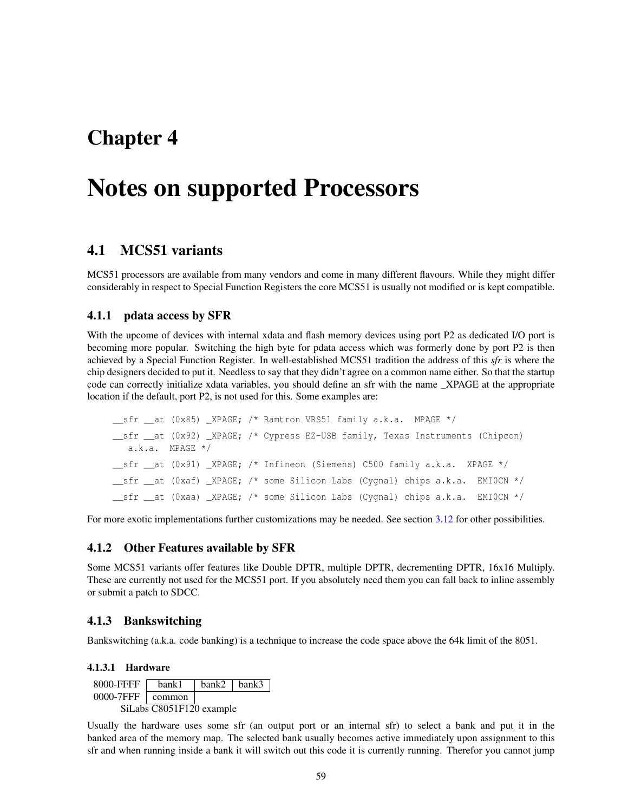# Chapter 4

# Notes on supported Processors

# <span id="page-59-0"></span>4.1 MCS51 variants

MCS51 processors are available from many vendors and come in many different flavours. While they might differ considerably in respect to Special Function Registers the core MCS51 is usually not modified or is kept compatible.

### 4.1.1 pdata access by SFR

With the upcome of devices with internal xdata and flash memory devices using port P2 as dedicated I/O port is becoming more popular. Switching the high byte for pdata access which was formerly done by port P2 is then achieved by a Special Function Register. In well-established MCS51 tradition the address of this *sfr* is where the chip designers decided to put it. Needless to say that they didn't agree on a common name either. So that the startup code can correctly initialize xdata variables, you should define an sfr with the name \_XPAGE at the appropriate location if the default, port P2, is not used for this. Some examples are:

```
sfr at (0x85) XPAGE; /* Ramtron VRS51 family a.k.a. MPAGE */
__sfr __at (0x92) _XPAGE; /* Cypress EZ-USB family, Texas Instruments (Chipcon)
  a.k.a. MPAGE */
sfr at (0x91) XPAGE; /* Infineon (Siemens) C500 family a.k.a. XPAGE */
sfr at (0xaf) XPAGE; /* some Silicon Labs (Cygnal) chips a.k.a. EMI0CN */
__sfr __at (0xaa) _XPAGE; /* some Silicon Labs (Cygnal) chips a.k.a. EMI0CN */
```
For more exotic implementations further customizations may be needed. See section [3.12](#page-43-0) for other possibilities.

### 4.1.2 Other Features available by SFR

Some MCS51 variants offer features like Double DPTR, multiple DPTR, decrementing DPTR, 16x16 Multiply. These are currently not used for the MCS51 port. If you absolutely need them you can fall back to inline assembly or submit a patch to SDCC.

### 4.1.3 Bankswitching

Bankswitching (a.k.a. code banking) is a technique to increase the code space above the 64k limit of the 8051.

#### 4.1.3.1 Hardware

| 8000-FFFF                | bank 1        | bank2 | bank3 |  |  |
|--------------------------|---------------|-------|-------|--|--|
| 0000-7FFF                | $\mid$ common |       |       |  |  |
| SiLabs C8051F120 example |               |       |       |  |  |

Usually the hardware uses some sfr (an output port or an internal sfr) to select a bank and put it in the banked area of the memory map. The selected bank usually becomes active immediately upon assignment to this sfr and when running inside a bank it will switch out this code it is currently running. Therefor you cannot jump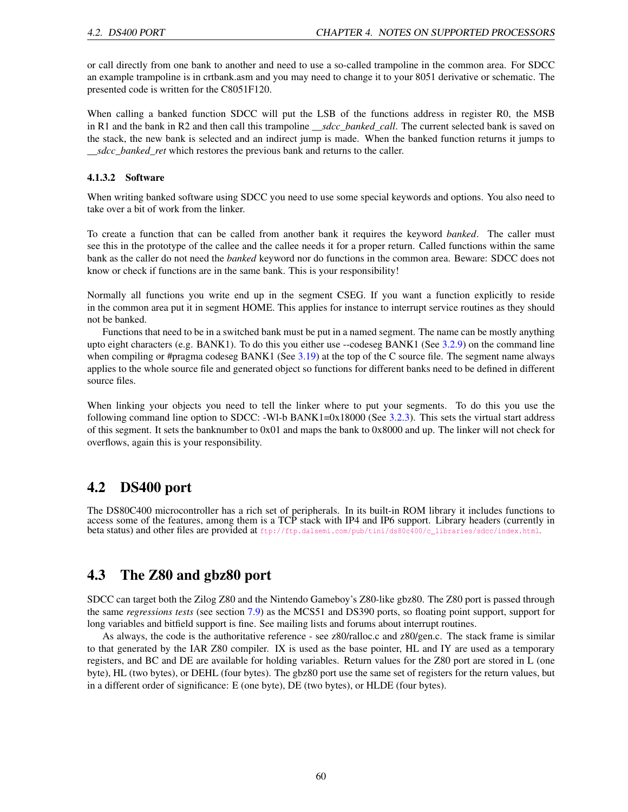or call directly from one bank to another and need to use a so-called trampoline in the common area. For SDCC an example trampoline is in crtbank.asm and you may need to change it to your 8051 derivative or schematic. The presented code is written for the C8051F120.

When calling a banked function SDCC will put the LSB of the functions address in register R0, the MSB in R1 and the bank in R2 and then call this trampoline *\_\_sdcc\_banked\_call*. The current selected bank is saved on the stack, the new bank is selected and an indirect jump is made. When the banked function returns it jumps to *\_\_sdcc\_banked\_ret* which restores the previous bank and returns to the caller.

#### 4.1.3.2 Software

When writing banked software using SDCC you need to use some special keywords and options. You also need to take over a bit of work from the linker.

To create a function that can be called from another bank it requires the keyword *banked*. The caller must see this in the prototype of the callee and the callee needs it for a proper return. Called functions within the same bank as the caller do not need the *banked* keyword nor do functions in the common area. Beware: SDCC does not know or check if functions are in the same bank. This is your responsibility!

Normally all functions you write end up in the segment CSEG. If you want a function explicitly to reside in the common area put it in segment HOME. This applies for instance to interrupt service routines as they should not be banked.

Functions that need to be in a switched bank must be put in a named segment. The name can be mostly anything upto eight characters (e.g. BANK1). To do this you either use --codeseg BANK1 (See [3.2.9\)](#page-29-0) on the command line when compiling or #pragma codeseg BANK1 (See  $3.19$ ) at the top of the C source file. The segment name always applies to the whole source file and generated object so functions for different banks need to be defined in different source files.

When linking your objects you need to tell the linker where to put your segments. To do this you use the following command line option to SDCC: -Wl-b BANK1=0x18000 (See [3.2.3\)](#page-25-1). This sets the virtual start address of this segment. It sets the banknumber to 0x01 and maps the bank to 0x8000 and up. The linker will not check for overflows, again this is your responsibility.

# 4.2 DS400 port

The DS80C400 microcontroller has a rich set of peripherals. In its built-in ROM library it includes functions to access some of the features, among them is a TCP stack with IP4 and IP6 support. Library headers (currently in beta status) and other files are provided at [ftp://ftp.dalsemi.com/pub/tini/ds80c400/c\\_libraries/sdcc/index.html](ftp://ftp.dalsemi.com/pub/tini/ds80c400/c_libraries/sdcc/index.html).

# 4.3 The Z80 and gbz80 port

SDCC can target both the Zilog Z80 and the Nintendo Gameboy's Z80-like gbz80. The Z80 port is passed through the same *regressions tests* (see section [7.9\)](#page-88-0) as the MCS51 and DS390 ports, so floating point support, support for long variables and bitfield support is fine. See mailing lists and forums about interrupt routines.

As always, the code is the authoritative reference - see z80/ralloc.c and z80/gen.c. The stack frame is similar to that generated by the IAR Z80 compiler. IX is used as the base pointer, HL and IY are used as a temporary registers, and BC and DE are available for holding variables. Return values for the Z80 port are stored in L (one byte), HL (two bytes), or DEHL (four bytes). The gbz80 port use the same set of registers for the return values, but in a different order of significance: E (one byte), DE (two bytes), or HLDE (four bytes).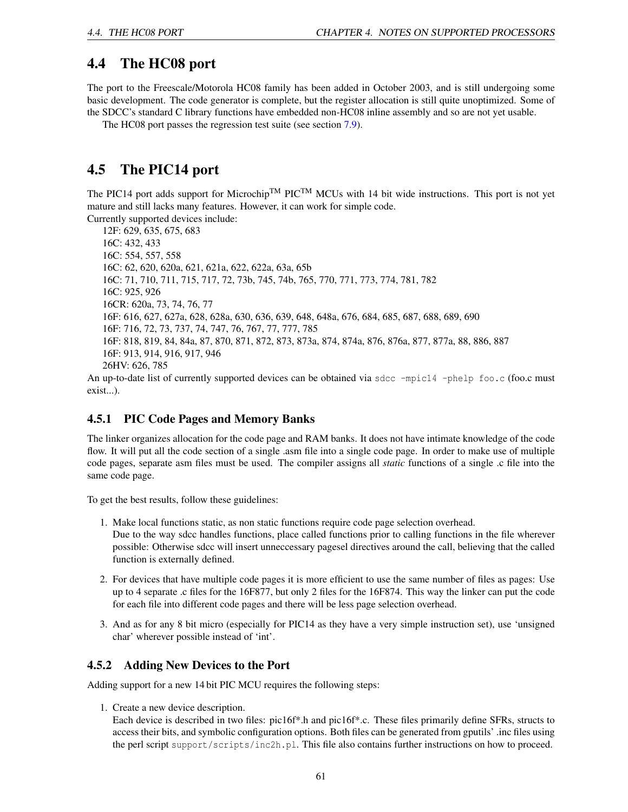# 4.4 The HC08 port

The port to the Freescale/Motorola HC08 family has been added in October 2003, and is still undergoing some basic development. The code generator is complete, but the register allocation is still quite unoptimized. Some of the SDCC's standard C library functions have embedded non-HC08 inline assembly and so are not yet usable.

The HC08 port passes the regression test suite (see section [7.9\)](#page-88-0).

# 4.5 The PIC14 port

The PIC14 port adds support for Microchip<sup>TM</sup> PIC<sup>TM</sup> MCUs with 14 bit wide instructions. This port is not yet mature and still lacks many features. However, it can work for simple code.

Currently supported devices include:

12F: 629, 635, 675, 683 16C: 432, 433 16C: 554, 557, 558 16C: 62, 620, 620a, 621, 621a, 622, 622a, 63a, 65b 16C: 71, 710, 711, 715, 717, 72, 73b, 745, 74b, 765, 770, 771, 773, 774, 781, 782 16C: 925, 926 16CR: 620a, 73, 74, 76, 77 16F: 616, 627, 627a, 628, 628a, 630, 636, 639, 648, 648a, 676, 684, 685, 687, 688, 689, 690 16F: 716, 72, 73, 737, 74, 747, 76, 767, 77, 777, 785 16F: 818, 819, 84, 84a, 87, 870, 871, 872, 873, 873a, 874, 874a, 876, 876a, 877, 877a, 88, 886, 887 16F: 913, 914, 916, 917, 946 26HV: 626, 785

An up-to-date list of currently supported devices can be obtained via sdcc -mpic14 -phelp foo.c (foo.c must exist...).

### 4.5.1 PIC Code Pages and Memory Banks

The linker organizes allocation for the code page and RAM banks. It does not have intimate knowledge of the code flow. It will put all the code section of a single .asm file into a single code page. In order to make use of multiple code pages, separate asm files must be used. The compiler assigns all *static* functions of a single .c file into the same code page.

To get the best results, follow these guidelines:

- 1. Make local functions static, as non static functions require code page selection overhead. Due to the way sdcc handles functions, place called functions prior to calling functions in the file wherever possible: Otherwise sdcc will insert unneccessary pagesel directives around the call, believing that the called function is externally defined.
- 2. For devices that have multiple code pages it is more efficient to use the same number of files as pages: Use up to 4 separate .c files for the 16F877, but only 2 files for the 16F874. This way the linker can put the code for each file into different code pages and there will be less page selection overhead.
- 3. And as for any 8 bit micro (especially for PIC14 as they have a very simple instruction set), use 'unsigned char' wherever possible instead of 'int'.

### 4.5.2 Adding New Devices to the Port

Adding support for a new 14 bit PIC MCU requires the following steps:

1. Create a new device description.

Each device is described in two files: pic16f\*.h and pic16f\*.c. These files primarily define SFRs, structs to access their bits, and symbolic configuration options. Both files can be generated from gputils' .inc files using the perl script support/scripts/inc2h.pl. This file also contains further instructions on how to proceed.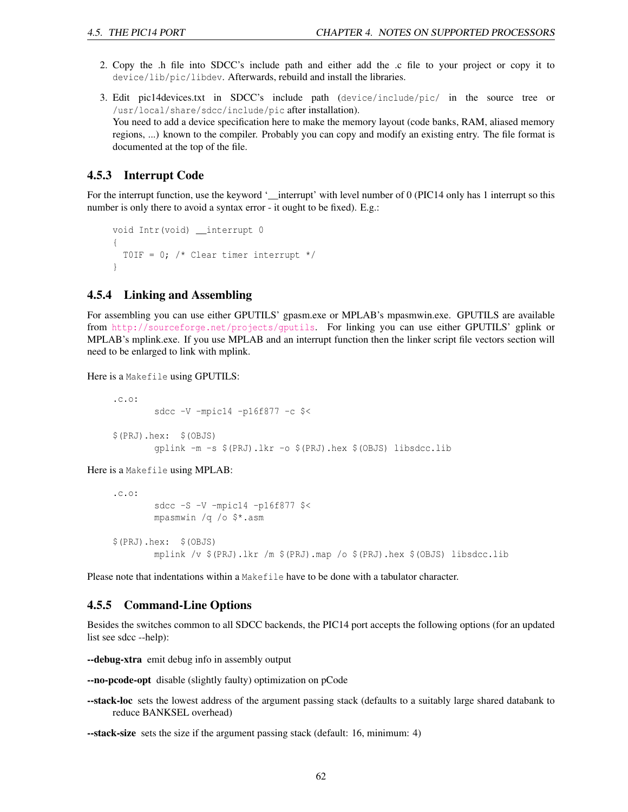- 2. Copy the .h file into SDCC's include path and either add the .c file to your project or copy it to device/lib/pic/libdev. Afterwards, rebuild and install the libraries.
- 3. Edit pic14devices.txt in SDCC's include path (device/include/pic/ in the source tree or /usr/local/share/sdcc/include/pic after installation). You need to add a device specification here to make the memory layout (code banks, RAM, aliased memory regions, ...) known to the compiler. Probably you can copy and modify an existing entry. The file format is documented at the top of the file.

### 4.5.3 Interrupt Code

For the interrupt function, use the keyword '\_interrupt' with level number of 0 (PIC14 only has 1 interrupt so this number is only there to avoid a syntax error - it ought to be fixed). E.g.:

```
void Intr(void) __interrupt 0
{
 TOIF = 0; /* Clear timer interrupt */}
```
### 4.5.4 Linking and Assembling

For assembling you can use either GPUTILS' gpasm.exe or MPLAB's mpasmwin.exe. GPUTILS are available from <http://sourceforge.net/projects/gputils>. For linking you can use either GPUTILS' gplink or MPLAB's mplink.exe. If you use MPLAB and an interrupt function then the linker script file vectors section will need to be enlarged to link with mplink.

Here is a Makefile using GPUTILS:

```
.c.o:
       sdcc -V -mpic14 -p16f877 -c $<
$(PRJ).hex: $(OBJS)
       gplink -m -s $(PRJ).lkr -o $(PRJ).hex $(OBJS) libsdcc.lib
```
Here is a Makefile using MPLAB:

```
.c.o:
       sdcc -S -V -mpic14 -p16f877 $<
       mpasmwin /q /o $*.asm
$(PRJ).hex: $(OBJS)
       mplink /v $(PRJ).lkr /m $(PRJ).map /o $(PRJ).hex $(OBJS) libsdcc.lib
```
Please note that indentations within a Makefile have to be done with a tabulator character.

### 4.5.5 Command-Line Options

Besides the switches common to all SDCC backends, the PIC14 port accepts the following options (for an updated list see sdcc --help):

--debug-xtra emit debug info in assembly output

- --no-pcode-opt disable (slightly faulty) optimization on pCode
- **--stack-loc** sets the lowest address of the argument passing stack (defaults to a suitably large shared databank to reduce BANKSEL overhead)

--stack-size sets the size if the argument passing stack (default: 16, minimum: 4)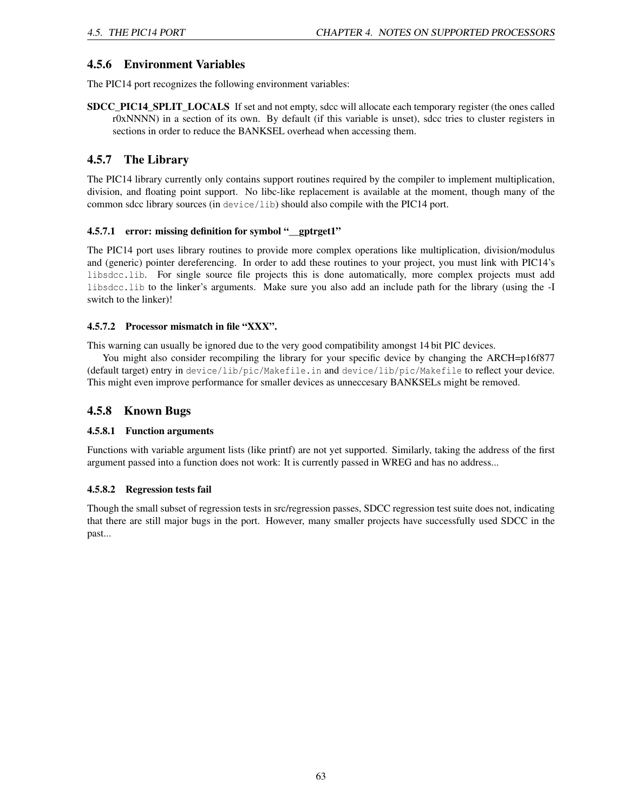# 4.5.6 Environment Variables

The PIC14 port recognizes the following environment variables:

SDCC\_PIC14\_SPLIT\_LOCALS If set and not empty, sdcc will allocate each temporary register (the ones called r0xNNNN) in a section of its own. By default (if this variable is unset), sdcc tries to cluster registers in sections in order to reduce the BANKSEL overhead when accessing them.

# 4.5.7 The Library

The PIC14 library currently only contains support routines required by the compiler to implement multiplication, division, and floating point support. No libc-like replacement is available at the moment, though many of the common sdcc library sources (in device/lib) should also compile with the PIC14 port.

### 4.5.7.1 error: missing definition for symbol "\_\_gptrget1"

The PIC14 port uses library routines to provide more complex operations like multiplication, division/modulus and (generic) pointer dereferencing. In order to add these routines to your project, you must link with PIC14's libsdcc.lib. For single source file projects this is done automatically, more complex projects must add libsdcc.lib to the linker's arguments. Make sure you also add an include path for the library (using the -I switch to the linker)!

### 4.5.7.2 Processor mismatch in file "XXX".

This warning can usually be ignored due to the very good compatibility amongst 14 bit PIC devices.

You might also consider recompiling the library for your specific device by changing the ARCH=p16f877 (default target) entry in device/lib/pic/Makefile.in and device/lib/pic/Makefile to reflect your device. This might even improve performance for smaller devices as unneccesary BANKSELs might be removed.

## 4.5.8 Known Bugs

### 4.5.8.1 Function arguments

Functions with variable argument lists (like printf) are not yet supported. Similarly, taking the address of the first argument passed into a function does not work: It is currently passed in WREG and has no address...

### 4.5.8.2 Regression tests fail

Though the small subset of regression tests in src/regression passes, SDCC regression test suite does not, indicating that there are still major bugs in the port. However, many smaller projects have successfully used SDCC in the past...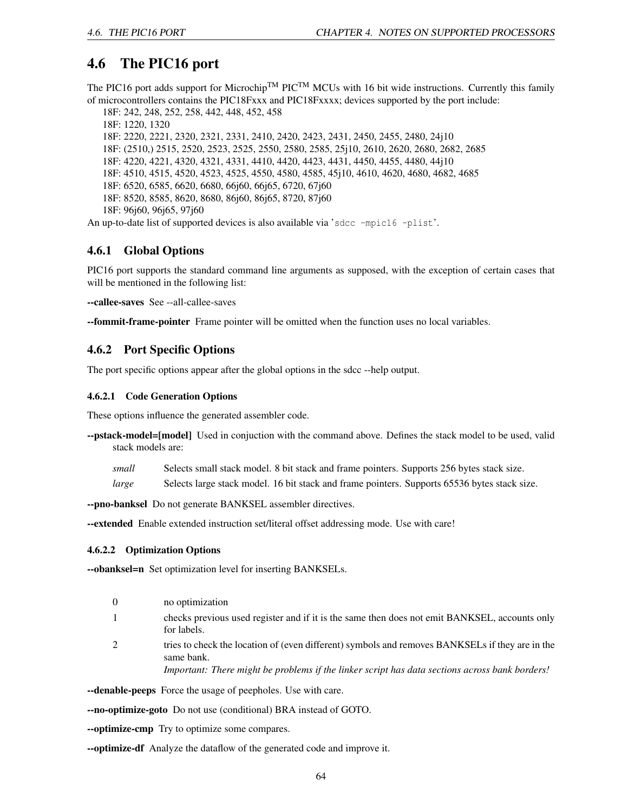# 4.6 The PIC16 port

The PIC16 port adds support for Microchip<sup>TM</sup> PIC<sup>TM</sup> MCUs with 16 bit wide instructions. Currently this family of microcontrollers contains the PIC18Fxxx and PIC18Fxxxx; devices supported by the port include:

18F: 242, 248, 252, 258, 442, 448, 452, 458 18F: 1220, 1320 18F: 2220, 2221, 2320, 2321, 2331, 2410, 2420, 2423, 2431, 2450, 2455, 2480, 24j10 18F: (2510,) 2515, 2520, 2523, 2525, 2550, 2580, 2585, 25j10, 2610, 2620, 2680, 2682, 2685 18F: 4220, 4221, 4320, 4321, 4331, 4410, 4420, 4423, 4431, 4450, 4455, 4480, 44j10 18F: 4510, 4515, 4520, 4523, 4525, 4550, 4580, 4585, 45j10, 4610, 4620, 4680, 4682, 4685 18F: 6520, 6585, 6620, 6680, 66j60, 66j65, 6720, 67j60 18F: 8520, 8585, 8620, 8680, 86j60, 86j65, 8720, 87j60 18F: 96j60, 96j65, 97j60 An up-to-date list of supported devices is also available via 'sdcc -mpic16 -plist'.

### 4.6.1 Global Options

PIC16 port supports the standard command line arguments as supposed, with the exception of certain cases that will be mentioned in the following list:

--callee-saves See --all-callee-saves

--fommit-frame-pointer Frame pointer will be omitted when the function uses no local variables.

### 4.6.2 Port Specific Options

The port specific options appear after the global options in the sdcc --help output.

#### 4.6.2.1 Code Generation Options

These options influence the generated assembler code.

- --pstack-model=[model] Used in conjuction with the command above. Defines the stack model to be used, valid stack models are:
	- *small* Selects small stack model. 8 bit stack and frame pointers. Supports 256 bytes stack size.
	- *large* Selects large stack model. 16 bit stack and frame pointers. Supports 65536 bytes stack size.

--pno-banksel Do not generate BANKSEL assembler directives.

--extended Enable extended instruction set/literal offset addressing mode. Use with care!

#### 4.6.2.2 Optimization Options

--obanksel=n Set optimization level for inserting BANKSELs.

- 0 no optimization
- 1 checks previous used register and if it is the same then does not emit BANKSEL, accounts only for labels.
- 2 tries to check the location of (even different) symbols and removes BANKSELs if they are in the same bank.

*Important: There might be problems if the linker script has data sections across bank borders!*

--denable-peeps Force the usage of peepholes. Use with care.

--no-optimize-goto Do not use (conditional) BRA instead of GOTO.

--optimize-cmp Try to optimize some compares.

--optimize-df Analyze the dataflow of the generated code and improve it.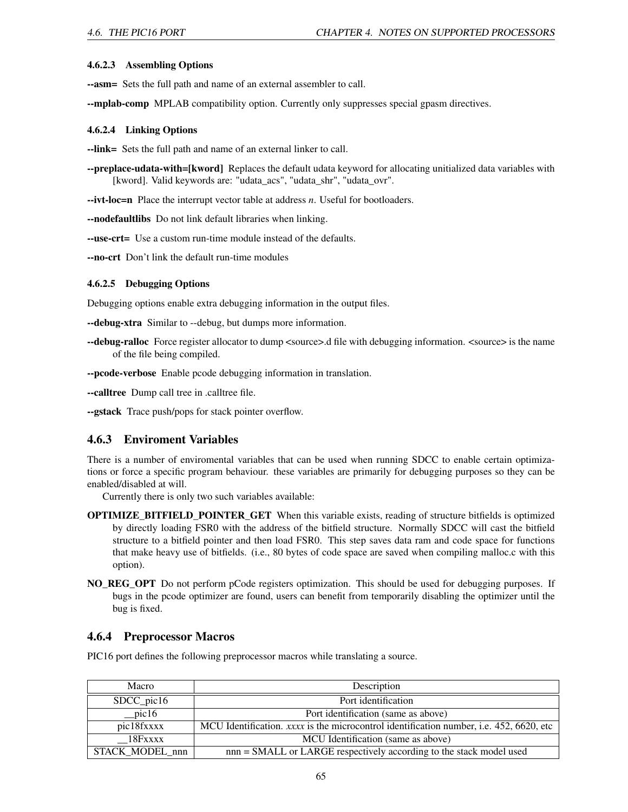#### 4.6.2.3 Assembling Options

--asm= Sets the full path and name of an external assembler to call.

--mplab-comp MPLAB compatibility option. Currently only suppresses special gpasm directives.

#### 4.6.2.4 Linking Options

--link= Sets the full path and name of an external linker to call.

--preplace-udata-with=[kword] Replaces the default udata keyword for allocating unitialized data variables with [kword]. Valid keywords are: "udata\_acs", "udata\_shr", "udata\_ovr".

--ivt-loc=n Place the interrupt vector table at address *n*. Useful for bootloaders.

--nodefaultlibs Do not link default libraries when linking.

--use-crt= Use a custom run-time module instead of the defaults.

--no-crt Don't link the default run-time modules

#### 4.6.2.5 Debugging Options

Debugging options enable extra debugging information in the output files.

--debug-xtra Similar to --debug, but dumps more information.

--debug-ralloc Force register allocator to dump <source>.d file with debugging information. <source> is the name of the file being compiled.

--pcode-verbose Enable pcode debugging information in translation.

--calltree Dump call tree in .calltree file.

--gstack Trace push/pops for stack pointer overflow.

### 4.6.3 Enviroment Variables

There is a number of enviromental variables that can be used when running SDCC to enable certain optimizations or force a specific program behaviour. these variables are primarily for debugging purposes so they can be enabled/disabled at will.

Currently there is only two such variables available:

- **OPTIMIZE BITFIELD POINTER GET** When this variable exists, reading of structure bitfields is optimized by directly loading FSR0 with the address of the bitfield structure. Normally SDCC will cast the bitfield structure to a bitfield pointer and then load FSR0. This step saves data ram and code space for functions that make heavy use of bitfields. (i.e., 80 bytes of code space are saved when compiling malloc.c with this option).
- NO\_REG\_OPT Do not perform pCode registers optimization. This should be used for debugging purposes. If bugs in the pcode optimizer are found, users can benefit from temporarily disabling the optimizer until the bug is fixed.

### 4.6.4 Preprocessor Macros

PIC16 port defines the following preprocessor macros while translating a source.

| Macro           | Description                                                                                    |
|-----------------|------------------------------------------------------------------------------------------------|
| SDCC_pic16      | Port identification                                                                            |
| $\_pic16$       | Port identification (same as above)                                                            |
| pic18fxxxx      | MCU Identification. <i>xxxx</i> is the microcontrol identification number, i.e. 452, 6620, etc |
| 18Fxxxx         | MCU Identification (same as above)                                                             |
| STACK_MODEL_nnn | nnn = SMALL or LARGE respectively according to the stack model used                            |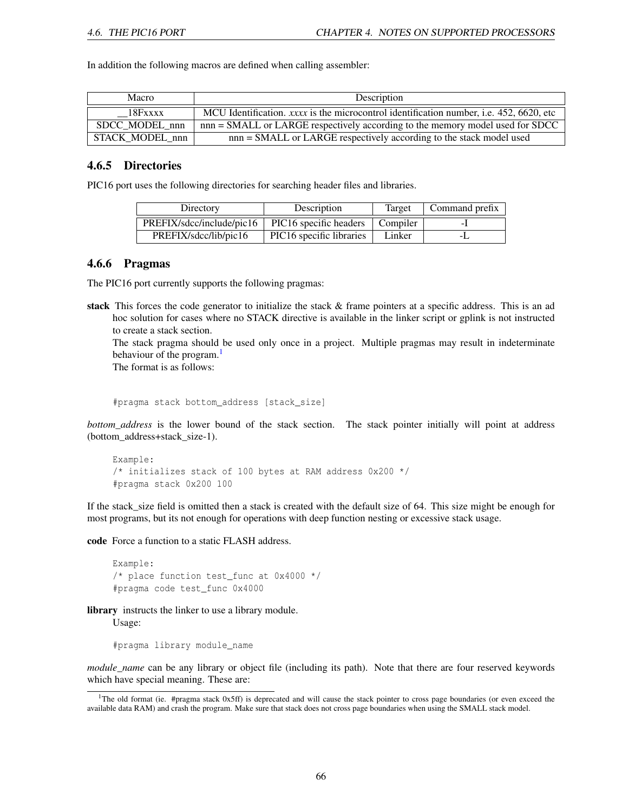In addition the following macros are defined when calling assembler:

| Macro           | Description                                                                             |
|-----------------|-----------------------------------------------------------------------------------------|
| 18Fxxxx         | MCU Identification, xxxx is the microcontrol identification number, i.e. 452, 6620, etc |
| SDCC MODEL nnn  | nnn = SMALL or LARGE respectively according to the memory model used for SDCC           |
| STACK MODEL nnn | nnn = SMALL or LARGE respectively according to the stack model used                     |

### 4.6.5 Directories

PIC16 port uses the following directories for searching header files and libraries.

| Directory                 | Description                          | Target   | Command prefix |
|---------------------------|--------------------------------------|----------|----------------|
| PREFIX/sdcc/include/pic16 | PIC16 specific headers               | Compiler | - 1            |
| PREFIX/sdcc/lib/pic16     | PIC <sub>16</sub> specific libraries | Linker   |                |

### 4.6.6 Pragmas

The PIC16 port currently supports the following pragmas:

stack This forces the code generator to initialize the stack & frame pointers at a specific address. This is an ad hoc solution for cases where no STACK directive is available in the linker script or gplink is not instructed to create a stack section.

The stack pragma should be used only once in a project. Multiple pragmas may result in indeterminate behaviour of the program.<sup>[1](#page-66-0)</sup>

The format is as follows:

#pragma stack bottom\_address [stack\_size]

*bottom address* is the lower bound of the stack section. The stack pointer initially will point at address (bottom\_address+stack\_size-1).

```
Example:
/* initializes stack of 100 bytes at RAM address 0x200 */
#pragma stack 0x200 100
```
If the stack\_size field is omitted then a stack is created with the default size of 64. This size might be enough for most programs, but its not enough for operations with deep function nesting or excessive stack usage.

code Force a function to a static FLASH address.

```
Example:
/* place function test_func at 0x4000 */
#pragma code test_func 0x4000
```
library instructs the linker to use a library module. Usage:

#pragma library module\_name

*module\_name* can be any library or object file (including its path). Note that there are four reserved keywords which have special meaning. These are:

<span id="page-66-0"></span><sup>&</sup>lt;sup>1</sup>The old format (ie.  $#$ pragma stack 0x5ff) is deprecated and will cause the stack pointer to cross page boundaries (or even exceed the available data RAM) and crash the program. Make sure that stack does not cross page boundaries when using the SMALL stack model.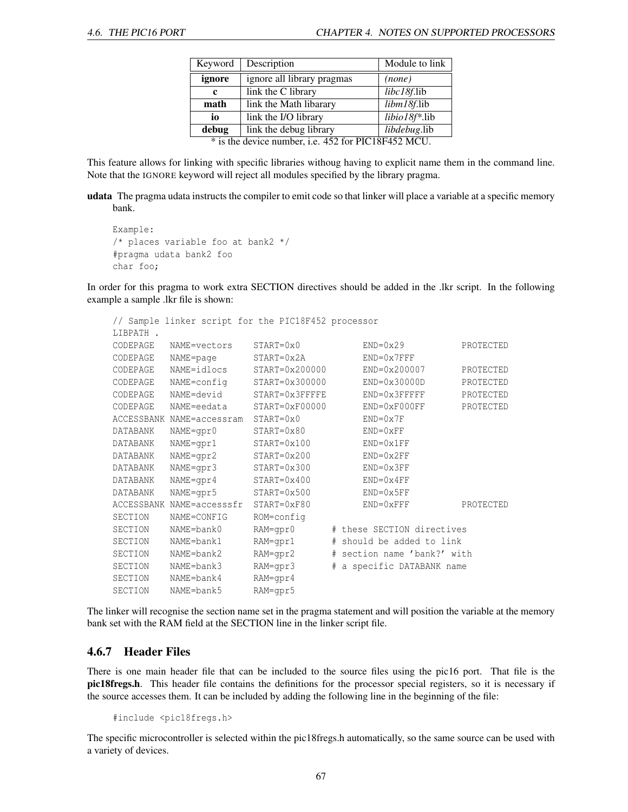| Keyword                                             | Description                | Module to link |  |  |
|-----------------------------------------------------|----------------------------|----------------|--|--|
| ignore                                              | ignore all library pragmas | (none)         |  |  |
| libc18f.lib<br>link the C library<br>c              |                            |                |  |  |
| math                                                | link the Math libarary     | libm18f.lib    |  |  |
| libio18f*.lib<br>link the I/O library<br>io         |                            |                |  |  |
| debug                                               | libdebug.lib               |                |  |  |
| * is the device number, i.e. 452 for PIC18F452 MCU. |                            |                |  |  |

This feature allows for linking with specific libraries withoug having to explicit name them in the command line. Note that the IGNORE keyword will reject all modules specified by the library pragma.

udata The pragma udata instructs the compiler to emit code so that linker will place a variable at a specific memory bank.

```
Example:
/* places variable foo at bank2 */
#pragma udata bank2 foo
char foo;
```
In order for this pragma to work extra SECTION directives should be added in the .lkr script. In the following example a sample .lkr file is shown:

```
// Sample linker script for the PIC18F452 processor
LIBPATH .
CODEPAGE NAME=vectors START=0x0 END=0x29 PROTECTED
CODEPAGE NAME=page START=0x2A END=0x7FFF
CODEPAGE NAME=idlocs START=0x200000 END=0x200007 PROTECTED
CODEPAGE NAME=config START=0x300000 END=0x30000D PROTECTED<br>CODEPAGE NAME=devid START=0x3FFFFE END=0x3FFFFF PROTECTED<br>CODEPAGE NAME=eedata START=0xF00000 END=0xF000FF PROTECTED
CODEPAGE NAME=devid START=0x3FFFFE END=0x3FFFFF PROTECTED
CODEPAGE NAME=eedata START=0xF00000 END=0xF000FF PROTECTED
ACCESSBANK NAME=accessram START=0x0 END=0x7F
DATABANK NAME=gpr0 START=0x80 END=0xFF
DATABANK NAME=gpr1 START=0x100 END=0x1FF
DATABANK NAME=gpr2 START=0x200 END=0x2FF
DATABANK NAME=gpr3 START=0x300 END=0x3FF
DATABANK NAME=gpr4 START=0x400 END=0x4FF
DATABANK NAME=gpr5 START=0x500 END=0x5FF
ACCESSBANK NAME=accesssfr START=0xF80 END=0xFFF PROTECTED
SECTION NAME=CONFIG ROM=config
SECTION NAME=bank0 RAM=gpr0 # these SECTION directives
SECTION NAME=bank1 RAM=gpr1 # should be added to link
SECTION NAME=bank2 RAM=gpr2 # section name 'bank?' with
SECTION NAME=bank3 RAM=gpr3 # a specific DATABANK name
SECTION NAME=bank4 RAM=gpr4
SECTION NAME=bank5 RAM=gpr5
```
The linker will recognise the section name set in the pragma statement and will position the variable at the memory bank set with the RAM field at the SECTION line in the linker script file.

### <span id="page-67-0"></span>4.6.7 Header Files

There is one main header file that can be included to the source files using the pic16 port. That file is the pic18fregs.h. This header file contains the definitions for the processor special registers, so it is necessary if the source accesses them. It can be included by adding the following line in the beginning of the file:

#include <pic18fregs.h>

The specific microcontroller is selected within the pic18fregs.h automatically, so the same source can be used with a variety of devices.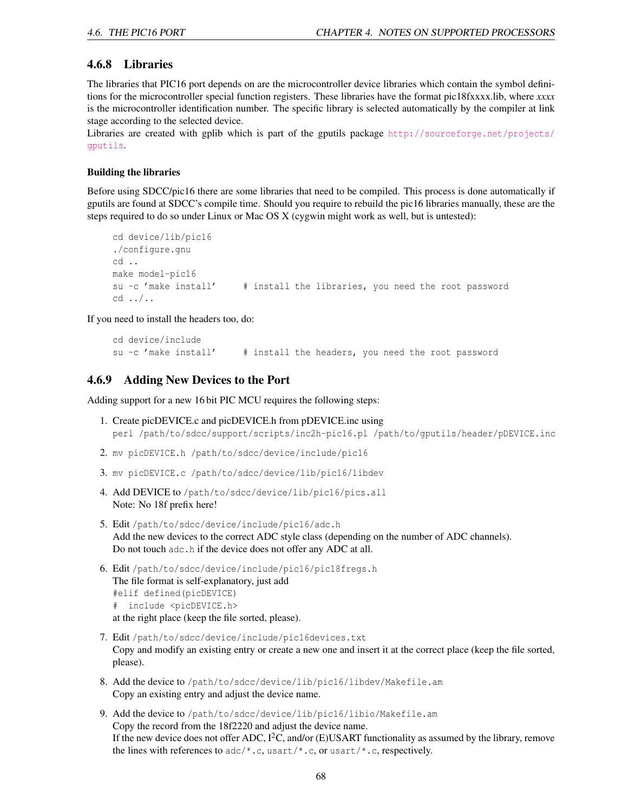### <span id="page-68-0"></span>4.6.8 Libraries

The libraries that PIC16 port depends on are the microcontroller device libraries which contain the symbol definitions for the microcontroller special function registers. These libraries have the format pic18fxxxx.lib, where *xxxx* is the microcontroller identification number. The specific library is selected automatically by the compiler at link stage according to the selected device.

Libraries are created with gplib which is part of the gputils package [http://sourceforge.net/projects/](http://sourceforge.net/projects/gputils) [gputils](http://sourceforge.net/projects/gputils).

#### Building the libraries

Before using SDCC/pic16 there are some libraries that need to be compiled. This process is done automatically if gputils are found at SDCC's compile time. Should you require to rebuild the pic16 libraries manually, these are the steps required to do so under Linux or Mac OS X (cygwin might work as well, but is untested):

```
cd device/lib/pic16
./configure.gnu
cd ..
make model-pic16
su -c 'make install' # install the libraries, you need the root password
cd ../..
```
If you need to install the headers too, do:

```
cd device/include
su -c 'make install' # install the headers, you need the root password
```
### 4.6.9 Adding New Devices to the Port

Adding support for a new 16 bit PIC MCU requires the following steps:

- 1. Create picDEVICE.c and picDEVICE.h from pDEVICE.inc using perl /path/to/sdcc/support/scripts/inc2h-pic16.pl /path/to/gputils/header/pDEVICE.inc
- 2. mv picDEVICE.h /path/to/sdcc/device/include/pic16
- 3. mv picDEVICE.c /path/to/sdcc/device/lib/pic16/libdev
- 4. Add DEVICE to /path/to/sdcc/device/lib/pic16/pics.all Note: No 18f prefix here!
- 5. Edit /path/to/sdcc/device/include/pic16/adc.h Add the new devices to the correct ADC style class (depending on the number of ADC channels). Do not touch adc.h if the device does not offer any ADC at all.
- 6. Edit /path/to/sdcc/device/include/pic16/pic18fregs.h The file format is self-explanatory, just add #elif defined(picDEVICE) # include <picDEVICE.h> at the right place (keep the file sorted, please).
- 7. Edit /path/to/sdcc/device/include/pic16devices.txt Copy and modify an existing entry or create a new one and insert it at the correct place (keep the file sorted, please).
- 8. Add the device to /path/to/sdcc/device/lib/pic16/libdev/Makefile.am Copy an existing entry and adjust the device name.
- 9. Add the device to /path/to/sdcc/device/lib/pic16/libio/Makefile.am Copy the record from the 18f2220 and adjust the device name. If the new device does not offer ADC,  $I^2C$ , and/or (E)USART functionality as assumed by the library, remove the lines with references to  $\frac{\text{adc}}{k}$ .c, usart/\*.c, or usart/\*.c, respectively.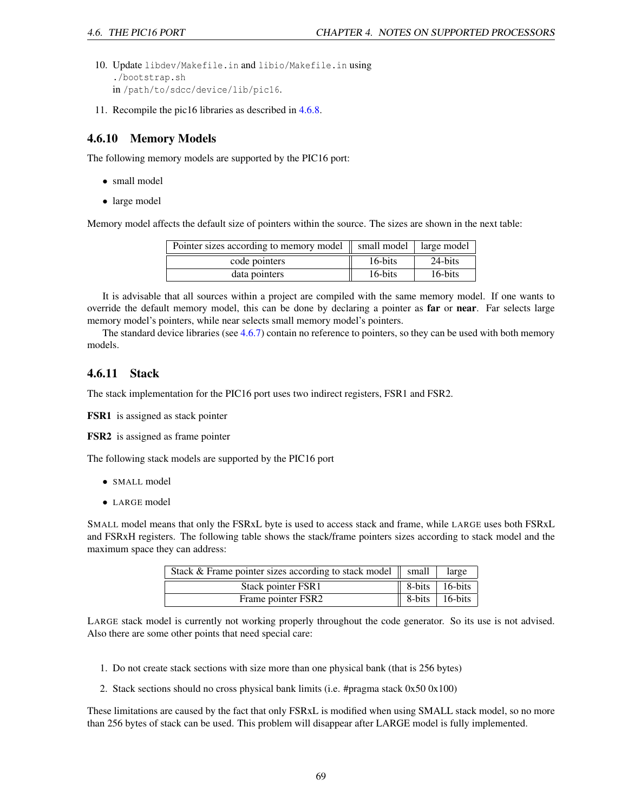- 10. Update libdev/Makefile.in and libio/Makefile.in using ./bootstrap.sh in /path/to/sdcc/device/lib/pic16.
- 11. Recompile the pic16 libraries as described in [4.6.8.](#page-68-0)

### 4.6.10 Memory Models

The following memory models are supported by the PIC16 port:

- small model
- large model

Memory model affects the default size of pointers within the source. The sizes are shown in the next table:

| Pointer sizes according to memory model   small model   large model |         |         |
|---------------------------------------------------------------------|---------|---------|
| code pointers                                                       | 16-bits | 24-bits |
| data pointers                                                       | 16-bits | 16-bits |

It is advisable that all sources within a project are compiled with the same memory model. If one wants to override the default memory model, this can be done by declaring a pointer as **far** or **near**. Far selects large memory model's pointers, while near selects small memory model's pointers.

The standard device libraries (see [4.6.7\)](#page-67-0) contain no reference to pointers, so they can be used with both memory models.

### 4.6.11 Stack

The stack implementation for the PIC16 port uses two indirect registers, FSR1 and FSR2.

FSR1 is assigned as stack pointer

FSR2 is assigned as frame pointer

The following stack models are supported by the PIC16 port

- SMALL model
- LARGE model

SMALL model means that only the FSRxL byte is used to access stack and frame, while LARGE uses both FSRxL and FSRxH registers. The following table shows the stack/frame pointers sizes according to stack model and the maximum space they can address:

| Stack & Frame pointer sizes according to stack model $\parallel$ small | large                                  |
|------------------------------------------------------------------------|----------------------------------------|
| Stack pointer FSR1                                                     | $\parallel$ 8-bits $\parallel$ 16-bits |
| Frame pointer FSR2                                                     | $\parallel$ 8-bits $\sqrt{16-bits}$    |

LARGE stack model is currently not working properly throughout the code generator. So its use is not advised. Also there are some other points that need special care:

- 1. Do not create stack sections with size more than one physical bank (that is 256 bytes)
- 2. Stack sections should no cross physical bank limits (i.e. #pragma stack 0x50 0x100)

These limitations are caused by the fact that only FSRxL is modified when using SMALL stack model, so no more than 256 bytes of stack can be used. This problem will disappear after LARGE model is fully implemented.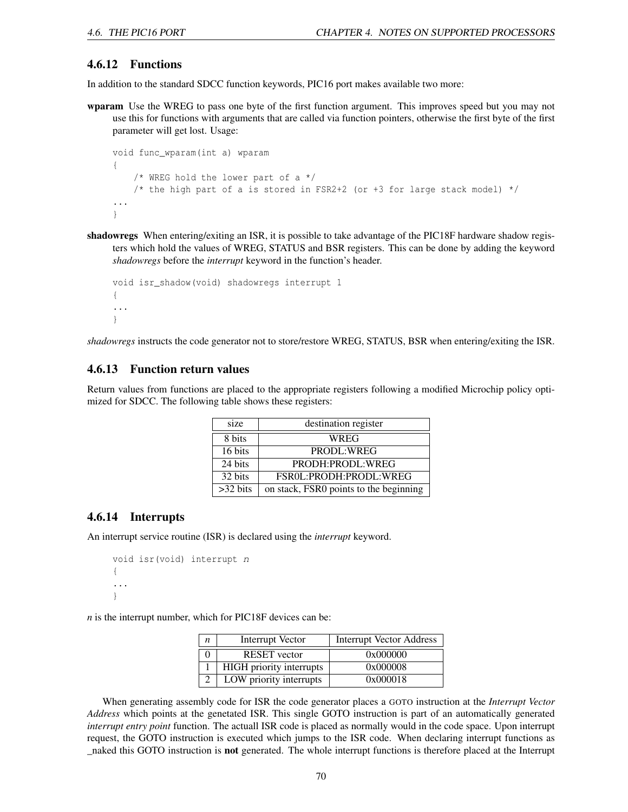### 4.6.12 Functions

In addition to the standard SDCC function keywords, PIC16 port makes available two more:

wparam Use the WREG to pass one byte of the first function argument. This improves speed but you may not use this for functions with arguments that are called via function pointers, otherwise the first byte of the first parameter will get lost. Usage:

```
void func_wparam(int a) wparam
{
    /* WREG hold the lower part of a */
    /* the high part of a is stored in FSR2+2 (or +3 for large stack model) */
...
}
```
shadowregs When entering/exiting an ISR, it is possible to take advantage of the PIC18F hardware shadow registers which hold the values of WREG, STATUS and BSR registers. This can be done by adding the keyword *shadowregs* before the *interrupt* keyword in the function's header.

```
void isr_shadow(void) shadowregs interrupt 1
{
...
}
```
*shadowregs* instructs the code generator not to store/restore WREG, STATUS, BSR when entering/exiting the ISR.

### 4.6.13 Function return values

Return values from functions are placed to the appropriate registers following a modified Microchip policy optimized for SDCC. The following table shows these registers:

| size               | destination register                   |  |  |  |
|--------------------|----------------------------------------|--|--|--|
| 8 bits             | WREG                                   |  |  |  |
| 16 bits            | PRODL:WREG                             |  |  |  |
| 24 bits            | PRODH:PRODL:WREG                       |  |  |  |
| 32 bits            | FSROL: PRODH: PRODL: WREG              |  |  |  |
| $>32 \text{ bits}$ | on stack, FSR0 points to the beginning |  |  |  |

### 4.6.14 Interrupts

An interrupt service routine (ISR) is declared using the *interrupt* keyword.

```
void isr(void) interrupt n
{
...
}
```
*n* is the interrupt number, which for PIC18F devices can be:

| $\boldsymbol{n}$ | Interrupt Vector                | <b>Interrupt Vector Address</b> |
|------------------|---------------------------------|---------------------------------|
|                  | <b>RESET</b> vector             | 0x000000                        |
|                  | <b>HIGH</b> priority interrupts | 0x000008                        |
|                  | LOW priority interrupts         | 0x000018                        |

When generating assembly code for ISR the code generator places a GOTO instruction at the *Interrupt Vector Address* which points at the genetated ISR. This single GOTO instruction is part of an automatically generated *interrupt entry point* function. The actuall ISR code is placed as normally would in the code space. Upon interrupt request, the GOTO instruction is executed which jumps to the ISR code. When declaring interrupt functions as \_naked this GOTO instruction is not generated. The whole interrupt functions is therefore placed at the Interrupt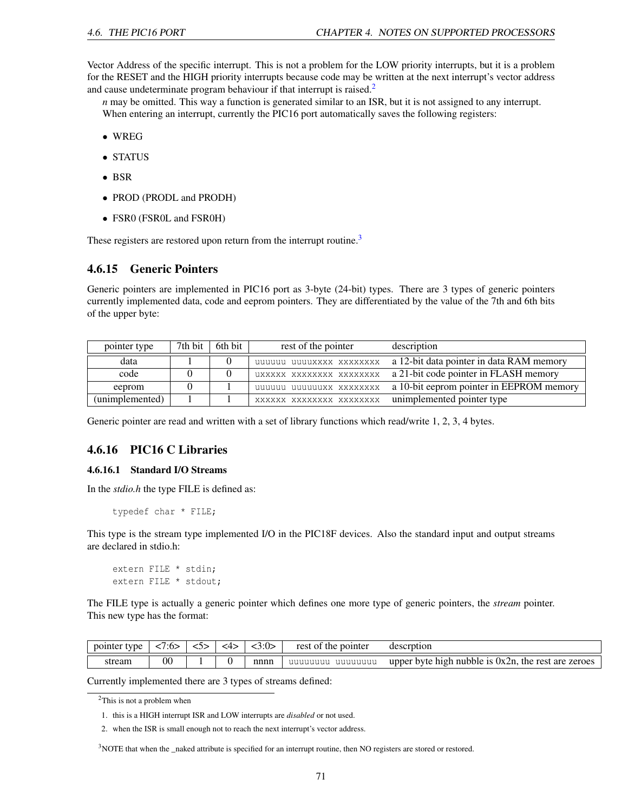Vector Address of the specific interrupt. This is not a problem for the LOW priority interrupts, but it is a problem for the RESET and the HIGH priority interrupts because code may be written at the next interrupt's vector address and cause undeterminate program behaviour if that interrupt is raised.<sup>[2](#page-71-0)</sup>

*n* may be omitted. This way a function is generated similar to an ISR, but it is not assigned to any interrupt. When entering an interrupt, currently the PIC16 port automatically saves the following registers:

- WREG
- STATUS
- BSR
- PROD (PRODL and PRODH)
- FSR0 (FSR0L and FSR0H)

These registers are restored upon return from the interrupt routine.<sup>[3](#page-71-1)</sup>

### 4.6.15 Generic Pointers

Generic pointers are implemented in PIC16 port as 3-byte (24-bit) types. There are 3 types of generic pointers currently implemented data, code and eeprom pointers. They are differentiated by the value of the 7th and 6th bits of the upper byte:

| pointer type    | 7th bit | 6th bit | rest of the pointer      | description                              |
|-----------------|---------|---------|--------------------------|------------------------------------------|
| data            |         |         | uuuuuu uuuuxxxx xxxxxxxx | a 12-bit data pointer in data RAM memory |
| code            |         |         | UXXXXX XXXXXXXX XXXXXXXX | a 21-bit code pointer in FLASH memory    |
| eeprom          |         |         | uuuuuu uuuuuuxx xxxxxxxx | a 10-bit eeprom pointer in EEPROM memory |
| (unimplemented) |         |         | XXXXXX XXXXXXXX XXXXXXXX | unimplemented pointer type               |

Generic pointer are read and written with a set of library functions which read/write 1, 2, 3, 4 bytes.

#### 4.6.16 PIC16 C Libraries

#### 4.6.16.1 Standard I/O Streams

In the *stdio.h* the type FILE is defined as:

```
typedef char * FILE;
```
This type is the stream type implemented I/O in the PIC18F devices. Also the standard input and output streams are declared in stdio.h:

extern FILE \* stdin; extern FILE \* stdout;

The FILE type is actually a generic pointer which defines one more type of generic pointers, the *stream* pointer. This new type has the format:

| pointer<br>tvne | /:6> | 4> | <3:0> | rest of the pointer | descrption                                             |
|-----------------|------|----|-------|---------------------|--------------------------------------------------------|
| stream          | 00   |    | nnnn  | uuuuuuu<br>uuuuuuu  | upper byte high nubble is $0x2n$ , the rest are zeroes |

Currently implemented there are 3 types of streams defined:

2. when the ISR is small enough not to reach the next interrupt's vector address.

<span id="page-71-1"></span><sup>3</sup>NOTE that when the \_naked attribute is specified for an interrupt routine, then NO registers are stored or restored.

<span id="page-71-0"></span><sup>2</sup>This is not a problem when

<sup>1.</sup> this is a HIGH interrupt ISR and LOW interrupts are *disabled* or not used.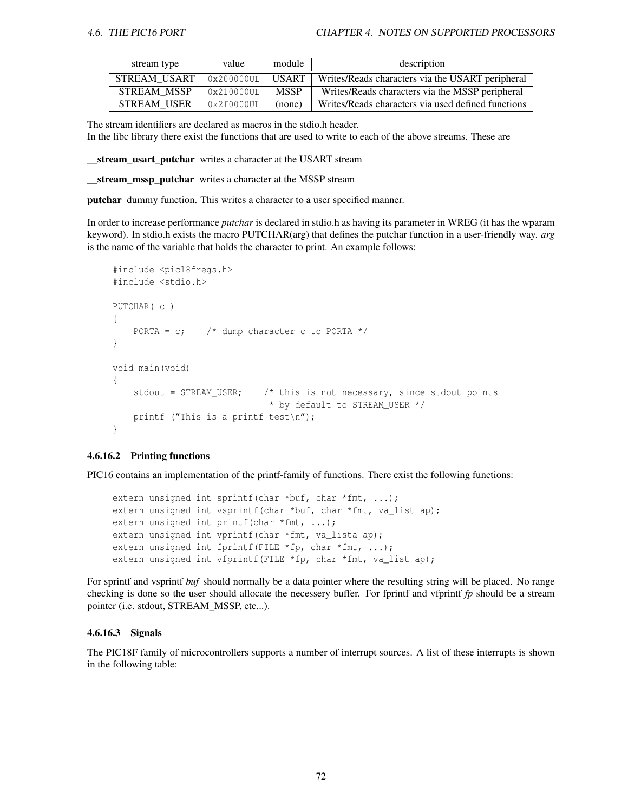| stream type        | value         | module       | description                                        |  |
|--------------------|---------------|--------------|----------------------------------------------------|--|
| STREAM USART       | 0x200000UL    | <b>USART</b> | Writes/Reads characters via the USART peripheral   |  |
| <b>STREAM MSSP</b> | $0x210000$ UL | <b>MSSP</b>  | Writes/Reads characters via the MSSP peripheral    |  |
| <b>STREAM USER</b> | $0x2f0000$ UL | (none)       | Writes/Reads characters via used defined functions |  |

The stream identifiers are declared as macros in the stdio.h header.

In the libc library there exist the functions that are used to write to each of the above streams. These are

stream\_usart\_putchar writes a character at the USART stream

\_\_stream\_mssp\_putchar writes a character at the MSSP stream

putchar dummy function. This writes a character to a user specified manner.

In order to increase performance *putchar* is declared in stdio.h as having its parameter in WREG (it has the wparam keyword). In stdio.h exists the macro PUTCHAR(arg) that defines the putchar function in a user-friendly way. *arg* is the name of the variable that holds the character to print. An example follows:

```
#include <pic18fregs.h>
#include <stdio.h>
PUTCHAR( c )
{
    PORTA = c; \frac{1}{x} dump character c to PORTA \frac{x}{x}}
void main(void)
{
    stdout = STREAM USER; \frac{1}{x} this is not necessary, since stdout points
                                * by default to STREAM_USER */
    printf ("This is a printf test\n");
}
```
#### 4.6.16.2 Printing functions

PIC16 contains an implementation of the printf-family of functions. There exist the following functions:

```
extern unsigned int sprintf(char *buf, char *fmt, ...);
extern unsigned int vsprintf(char *buf, char *fmt, va_list ap);
extern unsigned int printf(char *fmt, ...);
extern unsigned int vprintf(char *fmt, va_lista ap);
extern unsigned int fprintf(FILE *fp, char *fmt, ...);
extern unsigned int vfprintf(FILE *fp, char *fmt, va_list ap);
```
For sprintf and vsprintf *buf* should normally be a data pointer where the resulting string will be placed. No range checking is done so the user should allocate the necessery buffer. For fprintf and vfprintf *fp* should be a stream pointer (i.e. stdout, STREAM\_MSSP, etc...).

#### 4.6.16.3 Signals

The PIC18F family of microcontrollers supports a number of interrupt sources. A list of these interrupts is shown in the following table: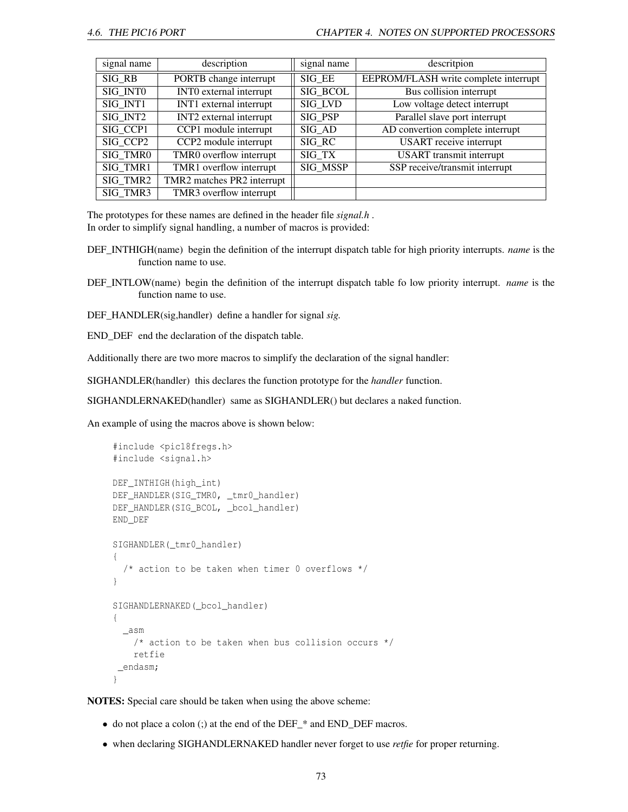| signal name | description                          | signal name     | descritpion                           |
|-------------|--------------------------------------|-----------------|---------------------------------------|
| SIG RB      | PORTB change interrupt               | SIG EE          | EEPROM/FLASH write complete interrupt |
| SIG INTO    | <b>INTO</b> external interrupt       | <b>SIG BCOL</b> | Bus collision interrupt               |
| SIG INT1    | INT1 external interrupt              | SIG LVD         | Low voltage detect interrupt          |
| SIG INT2    | $\overline{INT2}$ external interrupt | SIG PSP         | Parallel slave port interrupt         |
| SIG CCP1    | CCP1 module interrupt                | SIG AD          | AD convertion complete interrupt      |
| SIG CCP2    | CCP2 module interrupt                | SIG RC          | <b>USART</b> receive interrupt        |
| SIG TMR0    | TMR0 overflow interrupt              | SIG TX          | <b>USART</b> transmit interrupt       |
| SIG TMR1    | TMR1 overflow interrupt              | <b>SIG MSSP</b> | SSP receive/transmit interrupt        |
| SIG TMR2    | TMR2 matches PR2 interrupt           |                 |                                       |
| SIG TMR3    | TMR3 overflow interrupt              |                 |                                       |

The prototypes for these names are defined in the header file *signal.h* . In order to simplify signal handling, a number of macros is provided:

- DEF\_INTHIGH(name) begin the definition of the interrupt dispatch table for high priority interrupts. *name* is the function name to use.
- DEF\_INTLOW(name) begin the definition of the interrupt dispatch table fo low priority interrupt. *name* is the function name to use.
- DEF\_HANDLER(sig,handler) define a handler for signal *sig.*

END\_DEF end the declaration of the dispatch table.

Additionally there are two more macros to simplify the declaration of the signal handler:

SIGHANDLER(handler) this declares the function prototype for the *handler* function.

SIGHANDLERNAKED(handler) same as SIGHANDLER() but declares a naked function.

An example of using the macros above is shown below:

```
#include <pic18fregs.h>
#include <signal.h>
DEF_INTHIGH(high_int)
DEF_HANDLER(SIG_TMR0, _tmr0_handler)
DEF_HANDLER(SIG_BCOL, _bcol_handler)
END_DEF
SIGHANDLER( tmr0 handler)
{
  /* action to be taken when timer 0 overflows */
}
SIGHANDLERNAKED(_bcol_handler)
{
 _asm
    /* action to be taken when bus collision occurs */retfie
 _endasm;
}
```
NOTES: Special care should be taken when using the above scheme:

- do not place a colon (;) at the end of the DEF\_\* and END\_DEF macros.
- when declaring SIGHANDLERNAKED handler never forget to use *retfie* for proper returning.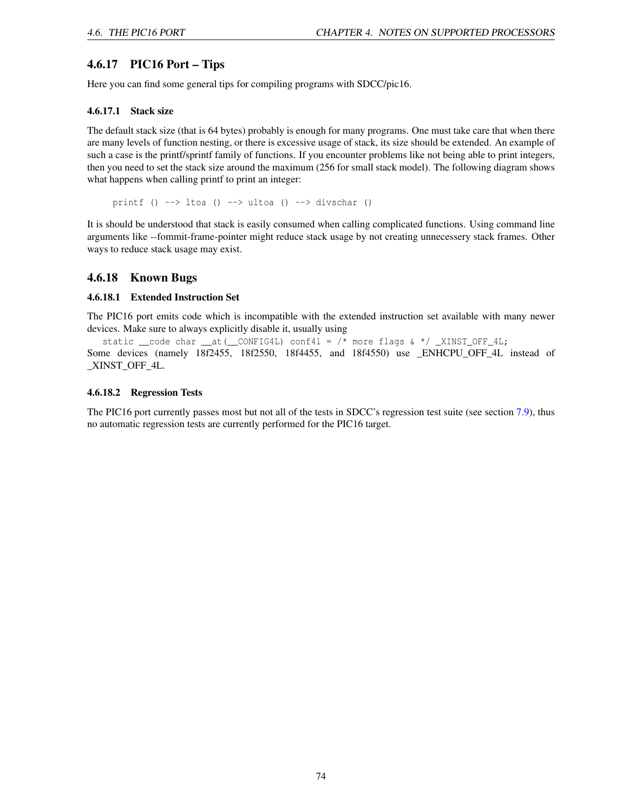## 4.6.17 PIC16 Port – Tips

Here you can find some general tips for compiling programs with SDCC/pic16.

### 4.6.17.1 Stack size

The default stack size (that is 64 bytes) probably is enough for many programs. One must take care that when there are many levels of function nesting, or there is excessive usage of stack, its size should be extended. An example of such a case is the printf/sprintf family of functions. If you encounter problems like not being able to print integers, then you need to set the stack size around the maximum (256 for small stack model). The following diagram shows what happens when calling printf to print an integer:

printf ()  $\rightarrow$  ltoa ()  $\rightarrow$  ultoa ()  $\rightarrow$  divschar ()

It is should be understood that stack is easily consumed when calling complicated functions. Using command line arguments like --fommit-frame-pointer might reduce stack usage by not creating unnecessery stack frames. Other ways to reduce stack usage may exist.

## 4.6.18 Known Bugs

### 4.6.18.1 Extended Instruction Set

The PIC16 port emits code which is incompatible with the extended instruction set available with many newer devices. Make sure to always explicitly disable it, usually using

static \_\_code char \_\_at(\_\_CONFIG4L) conf4l = /\* more flags & \*/ \_XINST\_OFF\_4L; Some devices (namely 18f2455, 18f2550, 18f4455, and 18f4550) use \_ENHCPU\_OFF\_4L instead of \_XINST\_OFF\_4L.

### 4.6.18.2 Regression Tests

The PIC16 port currently passes most but not all of the tests in SDCC's regression test suite (see section [7.9\)](#page-88-0), thus no automatic regression tests are currently performed for the PIC16 target.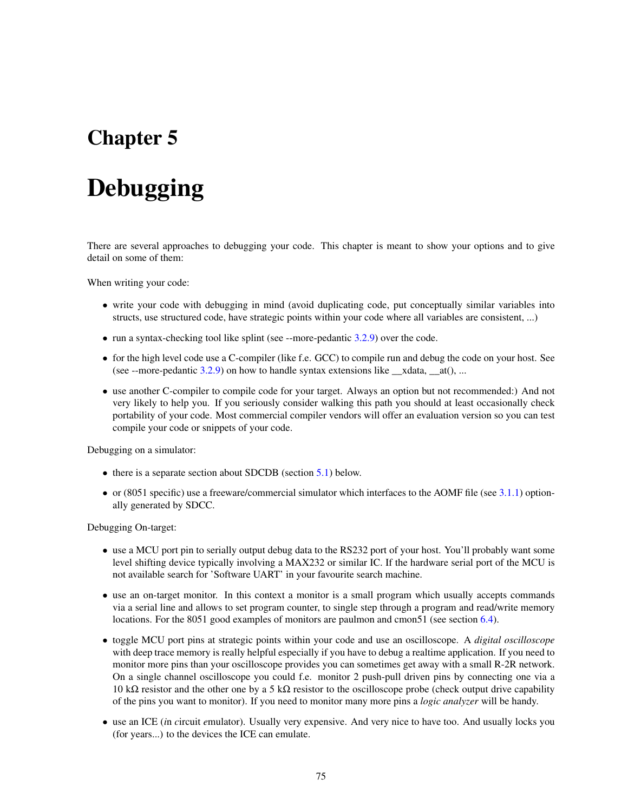# Chapter 5

# Debugging

There are several approaches to debugging your code. This chapter is meant to show your options and to give detail on some of them:

When writing your code:

- write your code with debugging in mind (avoid duplicating code, put conceptually similar variables into structs, use structured code, have strategic points within your code where all variables are consistent, ...)
- run a syntax-checking tool like splint (see --more-pedantic [3.2.9\)](#page-29-0) over the code.
- for the high level code use a C-compiler (like f.e. GCC) to compile run and debug the code on your host. See (see --more-pedantic [3.2.9\)](#page-29-0) on how to handle syntax extensions like  $\alpha$  xdata,  $\alpha$ t(), ...
- use another C-compiler to compile code for your target. Always an option but not recommended:) And not very likely to help you. If you seriously consider walking this path you should at least occasionally check portability of your code. Most commercial compiler vendors will offer an evaluation version so you can test compile your code or snippets of your code.

Debugging on a simulator:

- there is a separate section about SDCDB (section [5.1\)](#page-76-0) below.
- or  $(8051$  specific) use a freeware/commercial simulator which interfaces to the AOMF file (see [3.1.1\)](#page-21-0) optionally generated by SDCC.

Debugging On-target:

- use a MCU port pin to serially output debug data to the RS232 port of your host. You'll probably want some level shifting device typically involving a MAX232 or similar IC. If the hardware serial port of the MCU is not available search for 'Software UART' in your favourite search machine.
- use an on-target monitor. In this context a monitor is a small program which usually accepts commands via a serial line and allows to set program counter, to single step through a program and read/write memory locations. For the 8051 good examples of monitors are paulmon and cmon51 (see section [6.4\)](#page-84-0).
- toggle MCU port pins at strategic points within your code and use an oscilloscope. A *digital oscilloscope* with deep trace memory is really helpful especially if you have to debug a realtime application. If you need to monitor more pins than your oscilloscope provides you can sometimes get away with a small R-2R network. On a single channel oscilloscope you could f.e. monitor 2 push-pull driven pins by connecting one via a 10 kΩ resistor and the other one by a 5 kΩ resistor to the oscilloscope probe (check output drive capability of the pins you want to monitor). If you need to monitor many more pins a *logic analyzer* will be handy.
- use an ICE (*i*n *c*ircuit *e*mulator). Usually very expensive. And very nice to have too. And usually locks you (for years...) to the devices the ICE can emulate.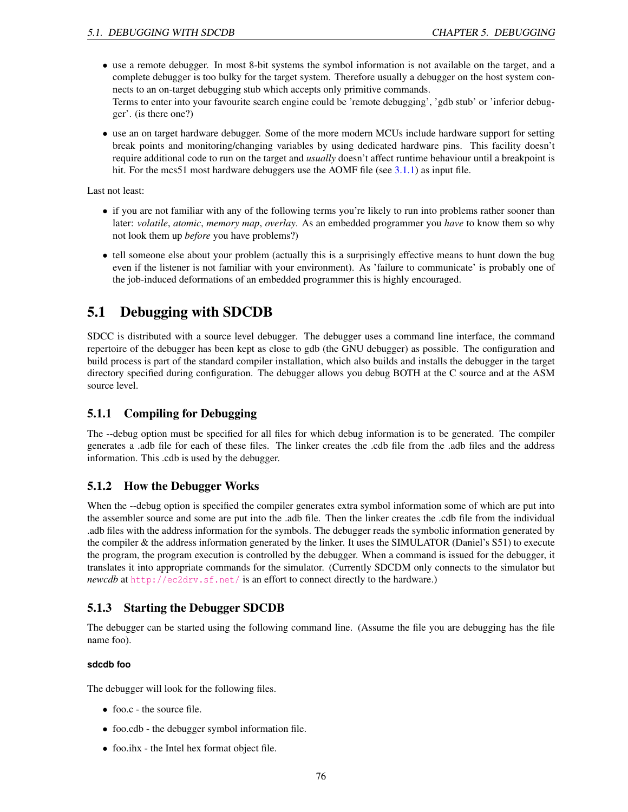- use a remote debugger. In most 8-bit systems the symbol information is not available on the target, and a complete debugger is too bulky for the target system. Therefore usually a debugger on the host system connects to an on-target debugging stub which accepts only primitive commands. Terms to enter into your favourite search engine could be 'remote debugging', 'gdb stub' or 'inferior debugger'. (is there one?)
- use an on target hardware debugger. Some of the more modern MCUs include hardware support for setting break points and monitoring/changing variables by using dedicated hardware pins. This facility doesn't require additional code to run on the target and *usually* doesn't affect runtime behaviour until a breakpoint is hit. For the mcs51 most hardware debuggers use the AOMF file (see [3.1.1\)](#page-21-0) as input file.

Last not least:

- if you are not familiar with any of the following terms you're likely to run into problems rather sooner than later: *volatile*, *atomic*, *memory map*, *overlay*. As an embedded programmer you *have* to know them so why not look them up *before* you have problems?)
- tell someone else about your problem (actually this is a surprisingly effective means to hunt down the bug even if the listener is not familiar with your environment). As 'failure to communicate' is probably one of the job-induced deformations of an embedded programmer this is highly encouraged.

# <span id="page-76-0"></span>5.1 Debugging with SDCDB

SDCC is distributed with a source level debugger. The debugger uses a command line interface, the command repertoire of the debugger has been kept as close to gdb (the GNU debugger) as possible. The configuration and build process is part of the standard compiler installation, which also builds and installs the debugger in the target directory specified during configuration. The debugger allows you debug BOTH at the C source and at the ASM source level.

# 5.1.1 Compiling for Debugging

The --debug option must be specified for all files for which debug information is to be generated. The compiler generates a .adb file for each of these files. The linker creates the .cdb file from the .adb files and the address information. This .cdb is used by the debugger.

## 5.1.2 How the Debugger Works

When the --debug option is specified the compiler generates extra symbol information some of which are put into the assembler source and some are put into the .adb file. Then the linker creates the .cdb file from the individual .adb files with the address information for the symbols. The debugger reads the symbolic information generated by the compiler & the address information generated by the linker. It uses the SIMULATOR (Daniel's S51) to execute the program, the program execution is controlled by the debugger. When a command is issued for the debugger, it translates it into appropriate commands for the simulator. (Currently SDCDM only connects to the simulator but *newcdb* at <http://ec2drv.sf.net/> is an effort to connect directly to the hardware.)

## 5.1.3 Starting the Debugger SDCDB

The debugger can be started using the following command line. (Assume the file you are debugging has the file name foo).

### **sdcdb foo**

The debugger will look for the following files.

- foo.c the source file.
- foo.cdb the debugger symbol information file.
- foo.ihx the Intel hex format object file.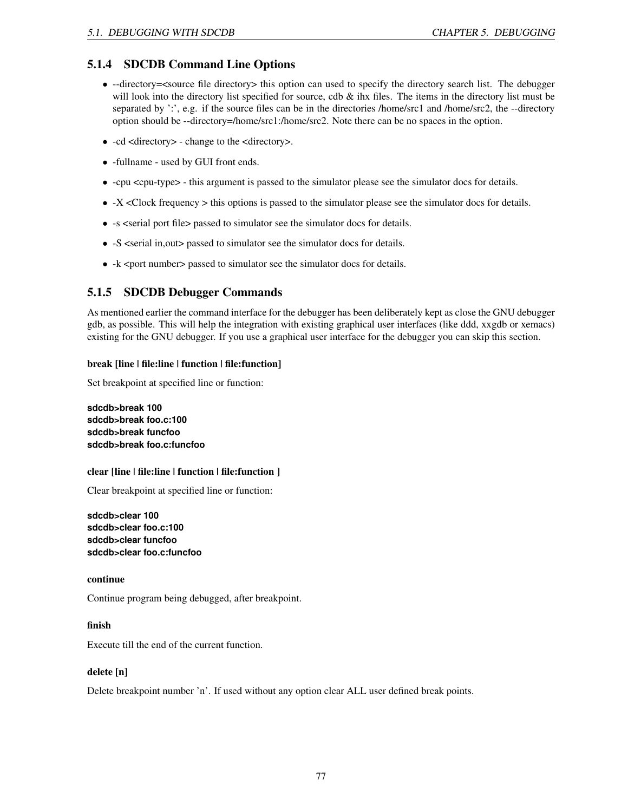## 5.1.4 SDCDB Command Line Options

- --directory=<source file directory> this option can used to specify the directory search list. The debugger will look into the directory list specified for source, cdb  $\&$  ihx files. The items in the directory list must be separated by ':', e.g. if the source files can be in the directories /home/src1 and /home/src2, the --directory option should be --directory=/home/src1:/home/src2. Note there can be no spaces in the option.
- -cd <directory> change to the <directory>.
- -fullname used by GUI front ends.
- -cpu <cpu-type> this argument is passed to the simulator please see the simulator docs for details.
- -X <Clock frequency > this options is passed to the simulator please see the simulator docs for details.
- -s <serial port file> passed to simulator see the simulator docs for details.
- -S <serial in, out > passed to simulator see the simulator docs for details.
- -k <port number> passed to simulator see the simulator docs for details.

## 5.1.5 SDCDB Debugger Commands

As mentioned earlier the command interface for the debugger has been deliberately kept as close the GNU debugger gdb, as possible. This will help the integration with existing graphical user interfaces (like ddd, xxgdb or xemacs) existing for the GNU debugger. If you use a graphical user interface for the debugger you can skip this section.

### break [line | file:line | function | file:function]

Set breakpoint at specified line or function:

**sdcdb>break 100 sdcdb>break foo.c:100 sdcdb>break funcfoo sdcdb>break foo.c:funcfoo**

### clear [line | file:line | function | file:function ]

Clear breakpoint at specified line or function:

**sdcdb>clear 100 sdcdb>clear foo.c:100 sdcdb>clear funcfoo sdcdb>clear foo.c:funcfoo**

### continue

Continue program being debugged, after breakpoint.

### finish

Execute till the end of the current function.

### delete [n]

Delete breakpoint number 'n'. If used without any option clear ALL user defined break points.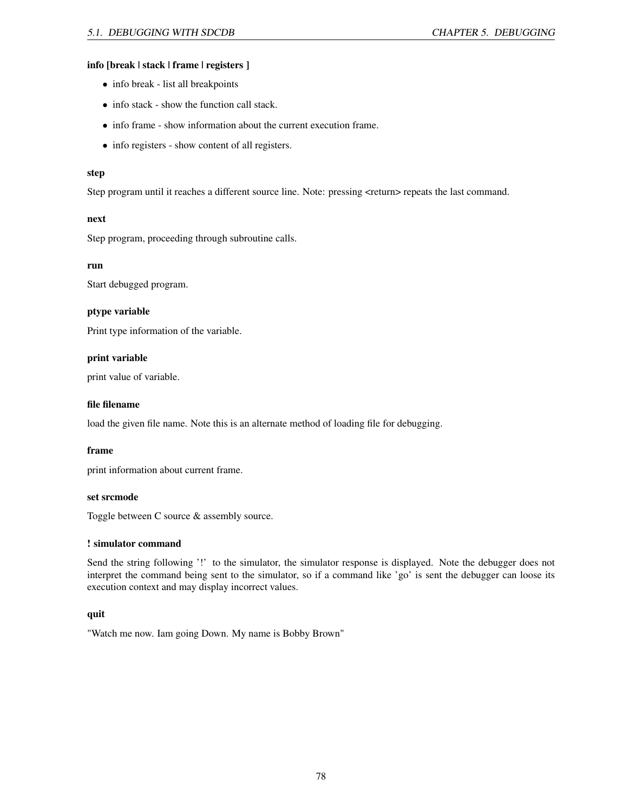### info [break | stack | frame | registers ]

- info break list all breakpoints
- info stack show the function call stack.
- info frame show information about the current execution frame.
- info registers show content of all registers.

#### step

Step program until it reaches a different source line. Note: pressing <return> repeats the last command.

#### next

Step program, proceeding through subroutine calls.

### run

Start debugged program.

#### ptype variable

Print type information of the variable.

#### print variable

print value of variable.

#### file filename

load the given file name. Note this is an alternate method of loading file for debugging.

### frame

print information about current frame.

#### set srcmode

Toggle between C source & assembly source.

#### ! simulator command

Send the string following '!' to the simulator, the simulator response is displayed. Note the debugger does not interpret the command being sent to the simulator, so if a command like 'go' is sent the debugger can loose its execution context and may display incorrect values.

### quit

"Watch me now. Iam going Down. My name is Bobby Brown"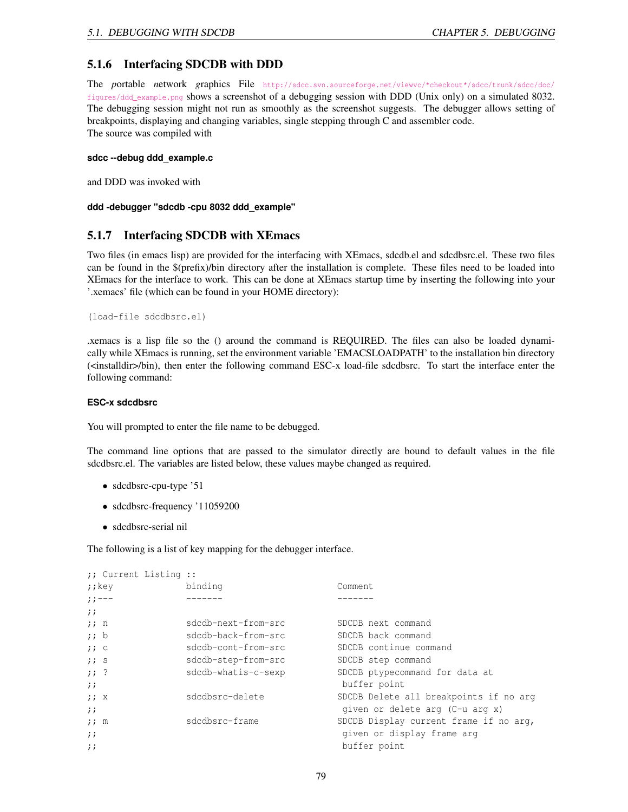## 5.1.6 Interfacing SDCDB with DDD

The *p*ortable *n*etwork *g*raphics File [http://sdcc.svn.sourceforge.net/viewvc/\\*checkout\\*/sdcc/trunk/sdcc/doc/](http://sdcc.svn.sourceforge.net/viewvc/*checkout*/sdcc/trunk/sdcc/doc/figures/ddd_example.png) [figures/ddd\\_example.png](http://sdcc.svn.sourceforge.net/viewvc/*checkout*/sdcc/trunk/sdcc/doc/figures/ddd_example.png) shows a screenshot of a debugging session with DDD (Unix only) on a simulated 8032. The debugging session might not run as smoothly as the screenshot suggests. The debugger allows setting of breakpoints, displaying and changing variables, single stepping through C and assembler code. The source was compiled with

#### **sdcc --debug ddd\_example.c**

and DDD was invoked with

#### **ddd -debugger "sdcdb -cpu 8032 ddd\_example"**

## 5.1.7 Interfacing SDCDB with XEmacs

Two files (in emacs lisp) are provided for the interfacing with XEmacs, sdcdb.el and sdcdbsrc.el. These two files can be found in the \$(prefix)/bin directory after the installation is complete. These files need to be loaded into XEmacs for the interface to work. This can be done at XEmacs startup time by inserting the following into your '.xemacs' file (which can be found in your HOME directory):

```
(load-file sdcdbsrc.el)
```
.xemacs is a lisp file so the () around the command is REQUIRED. The files can also be loaded dynamically while XEmacs is running, set the environment variable 'EMACSLOADPATH' to the installation bin directory (<installdir>/bin), then enter the following command ESC-x load-file sdcdbsrc. To start the interface enter the following command:

#### **ESC-x sdcdbsrc**

You will prompted to enter the file name to be debugged.

The command line options that are passed to the simulator directly are bound to default values in the file sdcdbsrc.el. The variables are listed below, these values maybe changed as required.

- sdcdbsrc-cpu-type '51
- sdcdbsrc-frequency '11059200
- sdcdbsrc-serial nil

The following is a list of key mapping for the debugger interface.

```
;; Current Listing ::
;; key binding Comment
;;--- ------- -------
;;
;; n sdcdb-next-from-src SDCDB next command
;; b sdcdb-back-from-src SDCDB back command
;; c sdcdb-cont-from-src SDCDB continue command
;; s sdcdb-step-from-src SDCDB step command
;; ? sdcdb-whatis-c-sexp SDCDB ptypecommand for data at
;; buffer point
;; x       sdcdbsrc-delete       SDCDB Delete all breakpoints if no arg
;; given or delete arg (C-u arg x)
;; m sdcdbsrc-frame SDCDB Display current frame if no arg,
;; given or display frame arguest that is a set of display frame arguest \mathfrak{g};; buffer point
```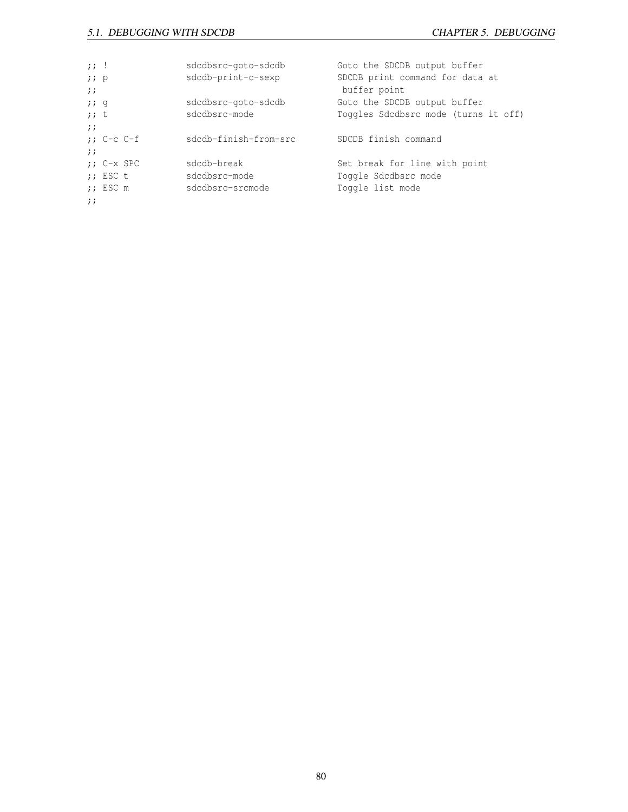| $\mathbf{z}$ ; $\mathbf{z}$ |             | sdcdbsrc-qoto-sdcdb   | Goto the SDCDB output buffer         |
|-----------------------------|-------------|-----------------------|--------------------------------------|
| i : p                       |             | sdcdb-print-c-sexp    | SDCDB print command for data at      |
| $\cdots$                    |             |                       | buffer point                         |
| 779                         |             | sdcdbsrc-goto-sdcdb   | Goto the SDCDB output buffer         |
| $;;$ t                      |             | sdcdbsrc-mode         | Toggles Sdcdbsrc mode (turns it off) |
| $\cdots$                    |             |                       |                                      |
|                             | $: C-c C-f$ | sdcdb-finish-from-src | SDCDB finish command                 |
| $\ddot{\phantom{0}}$        |             |                       |                                      |
|                             | $: C-x$ SPC | sdcdb-break           | Set break for line with point        |
|                             | $;$ ESC t   | sdcdbsrc-mode         | Toggle Sdcdbsrc mode                 |
|                             | $;$ ESC m   | sdcdbsrc-srcmode      | Toggle list mode                     |
| $\cdots$                    |             |                       |                                      |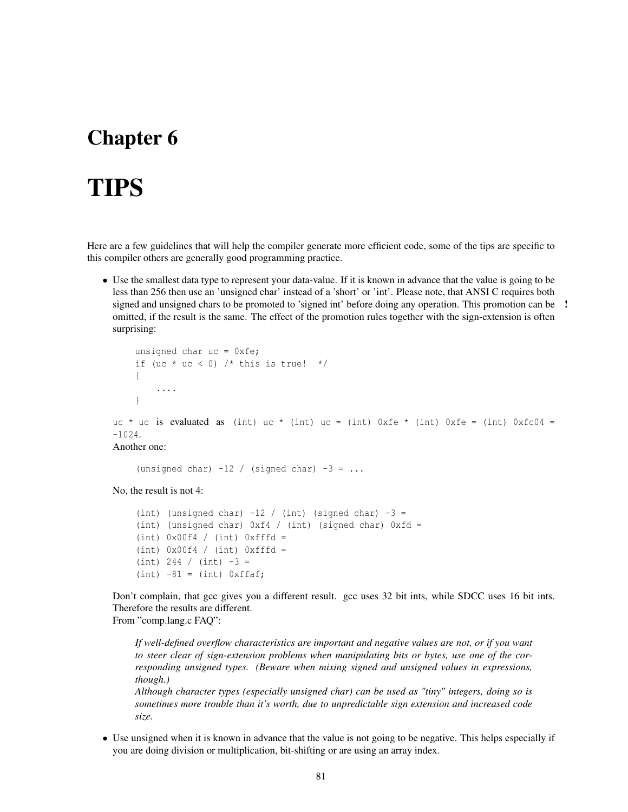# <span id="page-81-0"></span>Chapter 6

# TIPS

Here are a few guidelines that will help the compiler generate more efficient code, some of the tips are specific to this compiler others are generally good programming practice.

• Use the smallest data type to represent your data-value. If it is known in advance that the value is going to be less than 256 then use an 'unsigned char' instead of a 'short' or 'int'. Please note, that ANSI C requires both signed and unsigned chars to be promoted to 'signed int' before doing any operation. This promotion can be ! omitted, if the result is the same. The effect of the promotion rules together with the sign-extension is often surprising:

```
unsigned char uc = 0xfe;
    if (uc * uc < 0) /* this is true! */{
        ....
    }
uc * uc is evaluated as (int) uc * (int) uc = (int) 0xfe * (int) 0xfe = (int) 0xfc04 =
-1024.
Another one:
```
(unsigned char)  $-12$  / (signed char)  $-3 = ...$ 

No, the result is not 4:

```
(int) (unsigned char) -12 / (int) (signed char) -3 =
(int) (unsigned char) 0xf4 / (int) (signed char) 0xfd =(int) 0x00f4 / (int) 0xffd =(int) 0x00f4 / (int) 0xffd =(int) 244 / (int) -3 =(int) -81 = (int) 0xffaf;
```
Don't complain, that gcc gives you a different result. gcc uses 32 bit ints, while SDCC uses 16 bit ints. Therefore the results are different.

From "comp.lang.c FAQ":

*If well-defined overflow characteristics are important and negative values are not, or if you want to steer clear of sign-extension problems when manipulating bits or bytes, use one of the corresponding unsigned types. (Beware when mixing signed and unsigned values in expressions, though.)*

*Although character types (especially unsigned char) can be used as "tiny" integers, doing so is sometimes more trouble than it's worth, due to unpredictable sign extension and increased code size.*

• Use unsigned when it is known in advance that the value is not going to be negative. This helps especially if you are doing division or multiplication, bit-shifting or are using an array index.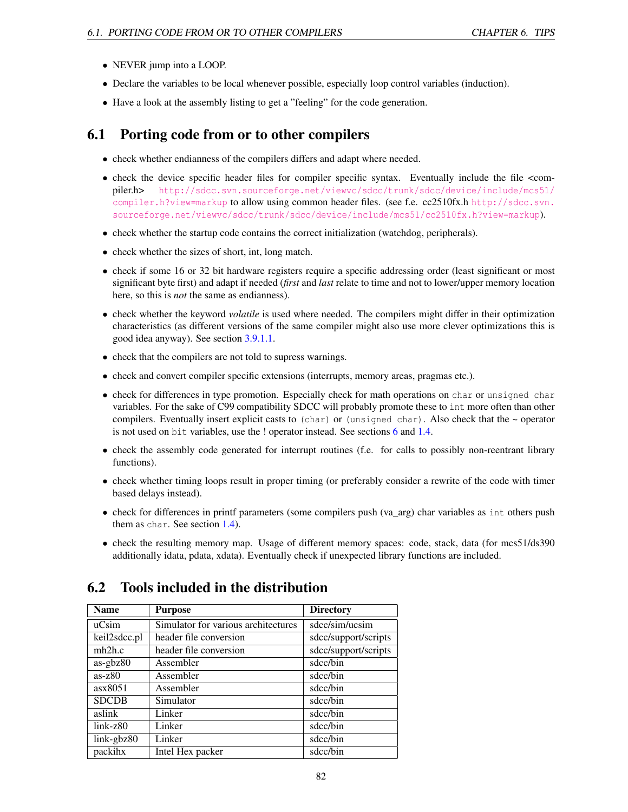- NEVER jump into a LOOP.
- Declare the variables to be local whenever possible, especially loop control variables (induction).
- Have a look at the assembly listing to get a "feeling" for the code generation.

# 6.1 Porting code from or to other compilers

- check whether endianness of the compilers differs and adapt where needed.
- check the device specific header files for compiler specific syntax. Eventually include the file <compiler.h> [http://sdcc.svn.sourceforge.net/viewvc/sdcc/trunk/sdcc/device/include/mcs51/](http://sdcc.svn.sourceforge.net/viewvc/sdcc/trunk/sdcc/device/include/mcs51/compiler.h?view=markup) [compiler.h?view=markup](http://sdcc.svn.sourceforge.net/viewvc/sdcc/trunk/sdcc/device/include/mcs51/compiler.h?view=markup) to allow using common header files. (see f.e. cc2510fx.h [http://sdcc.svn.](http://sdcc.svn.sourceforge.net/viewvc/sdcc/trunk/sdcc/device/include/mcs51/cc2510fx.h?view=markup) [sourceforge.net/viewvc/sdcc/trunk/sdcc/device/include/mcs51/cc2510fx.h?view=markup](http://sdcc.svn.sourceforge.net/viewvc/sdcc/trunk/sdcc/device/include/mcs51/cc2510fx.h?view=markup)).
- check whether the startup code contains the correct initialization (watchdog, peripherals).
- check whether the sizes of short, int, long match.
- check if some 16 or 32 bit hardware registers require a specific addressing order (least significant or most significant byte first) and adapt if needed (*first* and *last* relate to time and not to lower/upper memory location here, so this is *not* the same as endianness).
- check whether the keyword *volatile* is used where needed. The compilers might differ in their optimization characteristics (as different versions of the same compiler might also use more clever optimizations this is good idea anyway). See section [3.9.1.1.](#page-39-0)
- check that the compilers are not told to supress warnings.
- check and convert compiler specific extensions (interrupts, memory areas, pragmas etc.).
- check for differences in type promotion. Especially check for math operations on char or unsigned char variables. For the sake of C99 compatibility SDCC will probably promote these to int more often than other compilers. Eventually insert explicit casts to (char) or (unsigned char). Also check that the  $\sim$  operator is not used on bit variables, use the ! operator instead. See sections [6](#page-81-0) and [1.4.](#page-7-0)
- check the assembly code generated for interrupt routines (f.e. for calls to possibly non-reentrant library functions).
- check whether timing loops result in proper timing (or preferably consider a rewrite of the code with timer based delays instead).
- check for differences in printf parameters (some compilers push (va\_arg) char variables as int others push them as char. See section [1.4\)](#page-7-0).
- check the resulting memory map. Usage of different memory spaces: code, stack, data (for mcs51/ds390) additionally idata, pdata, xdata). Eventually check if unexpected library functions are included.

# 6.2 Tools included in the distribution

| <b>Name</b>  | <b>Purpose</b>                      | <b>Directory</b>     |
|--------------|-------------------------------------|----------------------|
| ucsim        | Simulator for various architectures | sdcc/sim/ucsim       |
| keil2sdcc.pl | header file conversion              | sdcc/support/scripts |
| mh2h.c       | header file conversion              | sdcc/support/scripts |
| $as-gbz80$   | Assembler                           | sdcc/bin             |
| $as-z80$     | Assembler                           | sdcc/bin             |
| ax8051       | Assembler                           | sdcc/bin             |
| <b>SDCDB</b> | Simulator                           | sdcc/bin             |
| aslink       | Linker                              | sdcc/bin             |
| $link-z80$   | Linker                              | sdcc/bin             |
| link-gbz80   | Linker                              | sdcc/bin             |
| packihx      | Intel Hex packer                    | sdcc/bin             |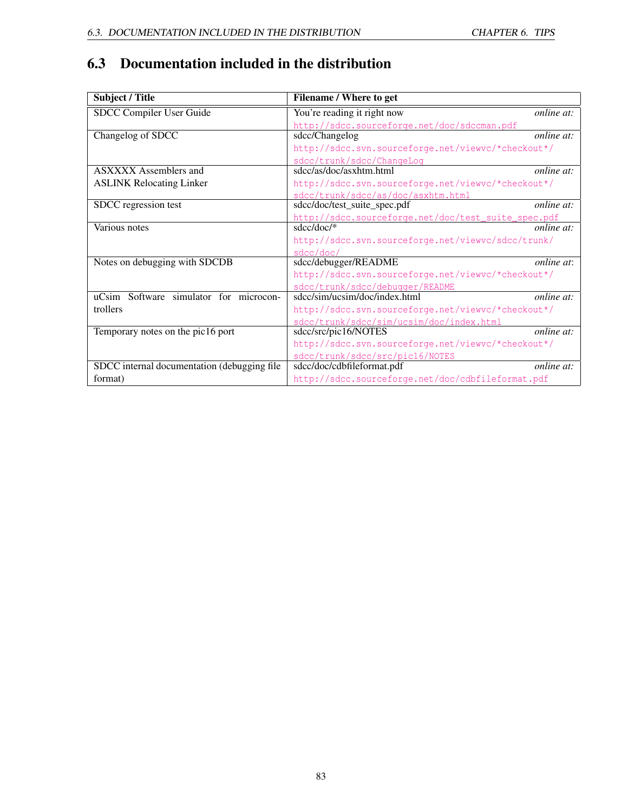|  |  |  | 6.3 Documentation included in the distribution |  |
|--|--|--|------------------------------------------------|--|
|--|--|--|------------------------------------------------|--|

| Subject / Title                             | Filename / Where to get                             |                   |
|---------------------------------------------|-----------------------------------------------------|-------------------|
| <b>SDCC Compiler User Guide</b>             | You're reading it right now                         | <i>online at:</i> |
|                                             | http://sdcc.sourceforge.net/doc/sdccman.pdf         |                   |
| Changelog of SDCC                           | sdcc/Changelog                                      | online at:        |
|                                             | http://sdcc.svn.sourceforge.net/viewvc/*checkout*/  |                   |
|                                             | sdcc/trunk/sdcc/ChangeLog                           |                   |
| <b>ASXXXX</b> Assemblers and                | sdcc/as/doc/asxhtm.html                             | <i>online at:</i> |
| <b>ASLINK Relocating Linker</b>             | http://sdcc.svn.sourceforge.net/viewvc/*checkout*/  |                   |
|                                             | sdcc/trunk/sdcc/as/doc/asxhtm.html                  |                   |
| SDCC regression test                        | sdcc/doc/test_suite_spec.pdf                        | online at:        |
|                                             | http://sdcc.sourceforge.net/doc/test_suite_spec.pdf |                   |
| Various notes                               | $sdcc/doc/*$                                        | <i>online at:</i> |
|                                             | http://sdcc.svn.sourceforge.net/viewvc/sdcc/trunk/  |                   |
|                                             | sdcc/doc/                                           |                   |
| Notes on debugging with SDCDB               | sdcc/debugger/README                                | online at:        |
|                                             | http://sdcc.svn.sourceforge.net/viewvc/*checkout*/  |                   |
|                                             | sdcc/trunk/sdcc/debugger/README                     |                   |
| uCsim Software simulator for microcon-      | sdcc/sim/ucsim/doc/index.html                       | online at:        |
| trollers                                    | http://sdcc.svn.sourceforge.net/viewvc/*checkout*/  |                   |
|                                             | sdcc/trunk/sdcc/sim/ucsim/doc/index.html            |                   |
| Temporary notes on the pic16 port           | sdcc/src/pic16/NOTES                                | online at:        |
|                                             | http://sdcc.svn.sourceforge.net/viewvc/*checkout*/  |                   |
|                                             | sdcc/trunk/sdcc/src/pic16/NOTES                     |                   |
| SDCC internal documentation (debugging file | sdcc/doc/cdbfileformat.pdf                          | <i>online at:</i> |
| format)                                     | http://sdcc.sourceforge.net/doc/cdbfileformat.pdf   |                   |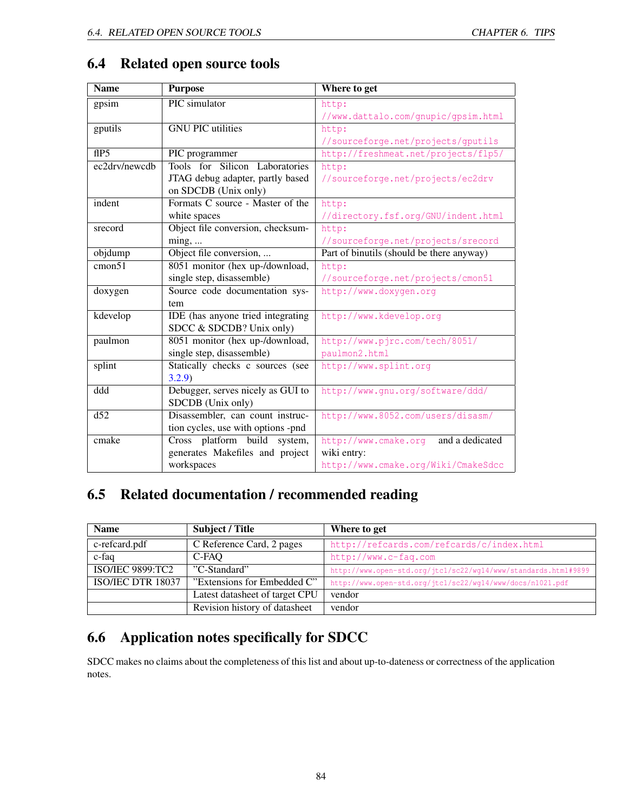| <b>Name</b>      | <b>Purpose</b>                     | Where to get                              |
|------------------|------------------------------------|-------------------------------------------|
| gpsim            | PIC simulator                      | http:                                     |
|                  |                                    | //www.dattalo.com/gnupic/gpsim.html       |
| gputils          | <b>GNU PIC</b> utilities           | http:                                     |
|                  |                                    | //sourceforge.net/projects/gputils        |
| flP5             | PIC programmer                     | http://freshmeat.net/projects/flp5/       |
| ec2drv/newcdb    | Tools for Silicon Laboratories     | http:                                     |
|                  | JTAG debug adapter, partly based   | //sourceforge.net/projects/ec2drv         |
|                  | on SDCDB (Unix only)               |                                           |
| indent           | Formats C source - Master of the   | http:                                     |
|                  | white spaces                       | //directory.fsf.org/GNU/indent.html       |
| srecord          | Object file conversion, checksum-  | http:                                     |
|                  | $\min$ g,                          | //sourceforge.net/projects/srecord        |
| objdump          | Object file conversion,            | Part of binutils (should be there anyway) |
| cmon51           | 8051 monitor (hex up-/download,    | http:                                     |
|                  | single step, disassemble)          | //sourceforge.net/projects/cmon51         |
| doxygen          | Source code documentation sys-     | http://www.doxygen.org                    |
|                  | tem                                |                                           |
| kdevelop         | IDE (has anyone tried integrating  | http://www.kdevelop.org                   |
|                  | SDCC & SDCDB? Unix only)           |                                           |
| paulmon          | 8051 monitor (hex up-/download,    | http://www.pjrc.com/tech/8051/            |
|                  | single step, disassemble)          | paulmon2.html                             |
| splint           | Statically checks c sources (see   | http://www.splint.org                     |
|                  | 3.2.9                              |                                           |
| ddd              | Debugger, serves nicely as GUI to  | http://www.gnu.org/software/ddd/          |
|                  | SDCDB (Unix only)                  |                                           |
| $\overline{d52}$ | Disassembler, can count instruc-   | http://www.8052.com/users/disasm/         |
|                  | tion cycles, use with options -pnd |                                           |
| cmake            | Cross platform build<br>system,    | and a dedicated<br>http://www.cmake.org   |
|                  | generates Makefiles and project    | wiki entry:                               |
|                  | workspaces                         | http://www.cmake.org/Wiki/CmakeSdcc       |

# <span id="page-84-0"></span>6.4 Related open source tools

# 6.5 Related documentation / recommended reading

| <b>Name</b>              | Subject / Title                | Where to get                                                   |
|--------------------------|--------------------------------|----------------------------------------------------------------|
| c-refeard.pdf            | C Reference Card, 2 pages      | http://refcards.com/refcards/c/index.html                      |
| c-faq                    | C-FAO                          | http://www.c-faq.com                                           |
| <b>ISO/IEC 9899:TC2</b>  | "C-Standard"                   | http://www.open-std.org/jtcl/sc22/wg14/www/standards.html#9899 |
| <b>ISO/IEC DTR 18037</b> | "Extensions for Embedded C"    | http://www.open-std.org/jtcl/sc22/wq14/www/docs/n1021.pdf      |
|                          | Latest datasheet of target CPU | vendor                                                         |
|                          | Revision history of datasheet  | vendor                                                         |

# 6.6 Application notes specifically for SDCC

SDCC makes no claims about the completeness of this list and about up-to-dateness or correctness of the application notes.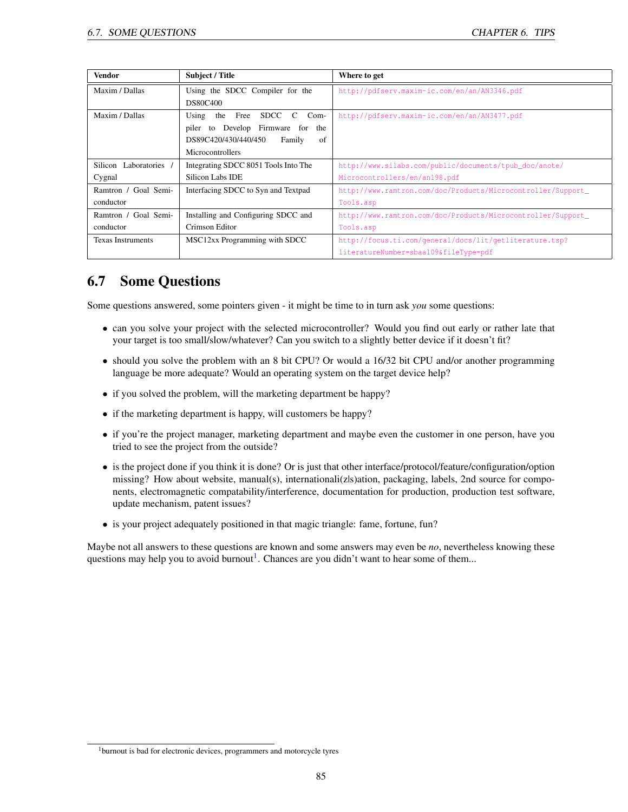| <b>Vendor</b>            | <b>Subject / Title</b>                         | Where to get                                                 |
|--------------------------|------------------------------------------------|--------------------------------------------------------------|
| Maxim / Dallas           | Using the SDCC Compiler for the                | http://pdfserv.maxim-ic.com/en/an/AN3346.pdf                 |
|                          | <b>DS80C400</b>                                |                                                              |
| Maxim / Dallas           | the Free SDCC<br>Using<br>$\mathbf{C}$<br>Com- | http://pdfserv.maxim-ic.com/en/an/AN3477.pdf                 |
|                          | Develop Firmware for the<br>piler to           |                                                              |
|                          | DS89C420/430/440/450<br>of<br>Family           |                                                              |
|                          | Microcontrollers                               |                                                              |
| Silicon Laboratories     | Integrating SDCC 8051 Tools Into The           | http://www.silabs.com/public/documents/tpub_doc/anote/       |
| Cygnal                   | Silicon Labs IDE                               | Microcontrollers/en/an198.pdf                                |
| Ramtron / Goal Semi-     | Interfacing SDCC to Syn and Textpad            | http://www.ramtron.com/doc/Products/Microcontroller/Support_ |
| conductor                |                                                | Tools.asp                                                    |
| Ramtron / Goal Semi-     | Installing and Configuring SDCC and            | http://www.ramtron.com/doc/Products/Microcontroller/Support_ |
| conductor                | Crimson Editor                                 | Tools.asp                                                    |
| <b>Texas Instruments</b> | MSC12xx Programming with SDCC                  | http://focus.ti.com/general/docs/lit/getliterature.tsp?      |
|                          |                                                | literatureNumber=sbaa109&fileType=pdf                        |

# 6.7 Some Questions

Some questions answered, some pointers given - it might be time to in turn ask *you* some questions:

- can you solve your project with the selected microcontroller? Would you find out early or rather late that your target is too small/slow/whatever? Can you switch to a slightly better device if it doesn't fit?
- should you solve the problem with an 8 bit CPU? Or would a 16/32 bit CPU and/or another programming language be more adequate? Would an operating system on the target device help?
- if you solved the problem, will the marketing department be happy?
- if the marketing department is happy, will customers be happy?
- if you're the project manager, marketing department and maybe even the customer in one person, have you tried to see the project from the outside?
- is the project done if you think it is done? Or is just that other interface/protocol/feature/configuration/option missing? How about website, manual(s), internationali(zls)ation, packaging, labels, 2nd source for components, electromagnetic compatability/interference, documentation for production, production test software, update mechanism, patent issues?
- is your project adequately positioned in that magic triangle: fame, fortune, fun?

Maybe not all answers to these questions are known and some answers may even be *no*, nevertheless knowing these questions may help you to avoid burnout<sup>[1](#page-85-0)</sup>. Chances are you didn't want to hear some of them...

<span id="page-85-0"></span><sup>&</sup>lt;sup>1</sup>burnout is bad for electronic devices, programmers and motorcycle tyres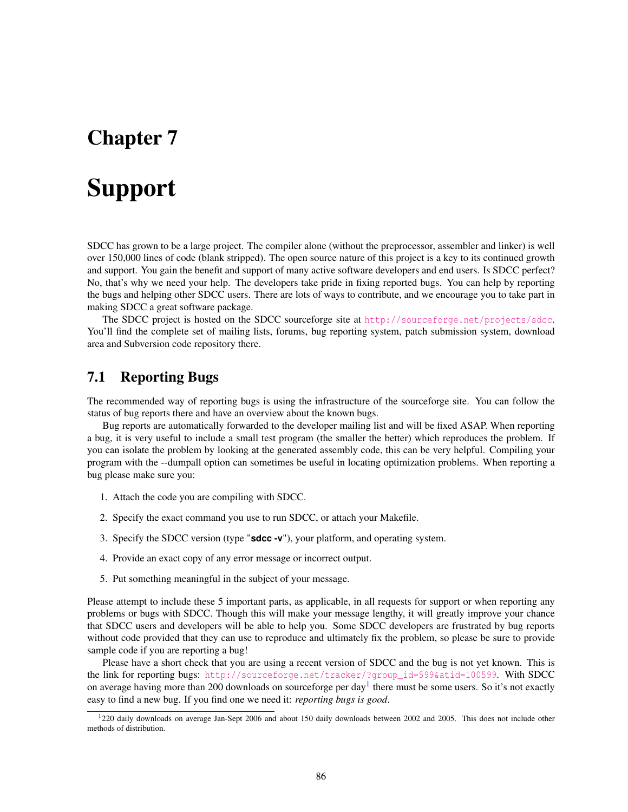# Chapter 7

# Support

SDCC has grown to be a large project. The compiler alone (without the preprocessor, assembler and linker) is well over 150,000 lines of code (blank stripped). The open source nature of this project is a key to its continued growth and support. You gain the benefit and support of many active software developers and end users. Is SDCC perfect? No, that's why we need your help. The developers take pride in fixing reported bugs. You can help by reporting the bugs and helping other SDCC users. There are lots of ways to contribute, and we encourage you to take part in making SDCC a great software package.

The SDCC project is hosted on the SDCC sourceforge site at <http://sourceforge.net/projects/sdcc>. You'll find the complete set of mailing lists, forums, bug reporting system, patch submission system, download area and Subversion code repository there.

# 7.1 Reporting Bugs

The recommended way of reporting bugs is using the infrastructure of the sourceforge site. You can follow the status of bug reports there and have an overview about the known bugs.

Bug reports are automatically forwarded to the developer mailing list and will be fixed ASAP. When reporting a bug, it is very useful to include a small test program (the smaller the better) which reproduces the problem. If you can isolate the problem by looking at the generated assembly code, this can be very helpful. Compiling your program with the --dumpall option can sometimes be useful in locating optimization problems. When reporting a bug please make sure you:

- 1. Attach the code you are compiling with SDCC.
- 2. Specify the exact command you use to run SDCC, or attach your Makefile.
- 3. Specify the SDCC version (type "**sdcc -v**"), your platform, and operating system.
- 4. Provide an exact copy of any error message or incorrect output.
- 5. Put something meaningful in the subject of your message.

Please attempt to include these 5 important parts, as applicable, in all requests for support or when reporting any problems or bugs with SDCC. Though this will make your message lengthy, it will greatly improve your chance that SDCC users and developers will be able to help you. Some SDCC developers are frustrated by bug reports without code provided that they can use to reproduce and ultimately fix the problem, so please be sure to provide sample code if you are reporting a bug!

Please have a short check that you are using a recent version of SDCC and the bug is not yet known. This is the link for reporting bugs: [http://sourceforge.net/tracker/?group\\_id=599&atid=100599](http://sourceforge.net/tracker/?group_id=599&atid=100599). With SDCC on average having more than 200 downloads on sourceforge per day<sup>[1](#page-86-0)</sup> there must be some users. So it's not exactly easy to find a new bug. If you find one we need it: *reporting bugs is good*.

<span id="page-86-0"></span><sup>1</sup>220 daily downloads on average Jan-Sept 2006 and about 150 daily downloads between 2002 and 2005. This does not include other methods of distribution.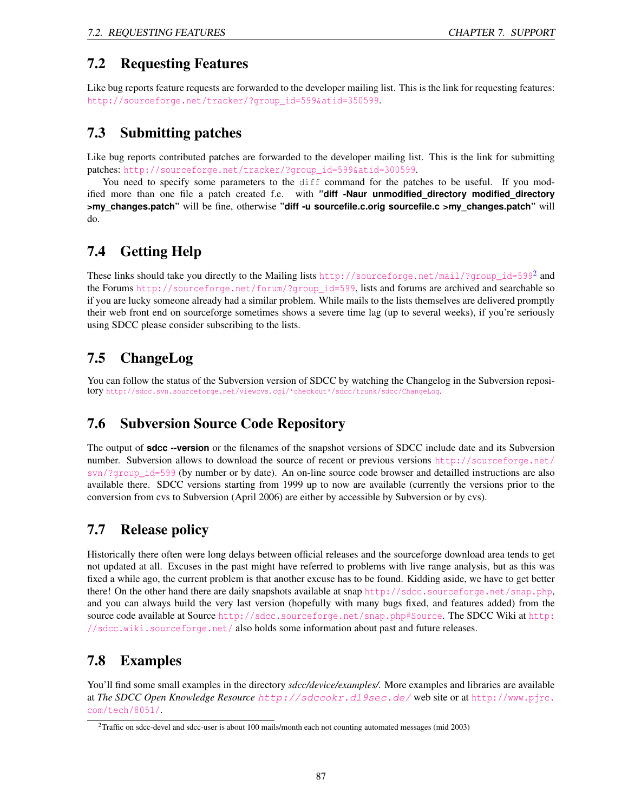# 7.2 Requesting Features

Like bug reports feature requests are forwarded to the developer mailing list. This is the link for requesting features: [http://sourceforge.net/tracker/?group\\_id=599&atid=350599](http://sourceforge.net/tracker/?group_id=599&atid=350599).

# 7.3 Submitting patches

Like bug reports contributed patches are forwarded to the developer mailing list. This is the link for submitting patches: [http://sourceforge.net/tracker/?group\\_id=599&atid=300599](http://sourceforge.net/tracker/?group_id=599&atid=300599).

You need to specify some parameters to the diff command for the patches to be useful. If you modified more than one file a patch created f.e. with **"diff -Naur unmodified\_directory modified\_directory >my\_changes.patch"** will be fine, otherwise **"diff -u sourcefile.c.orig sourcefile.c >my\_changes.patch"** will do.

# 7.4 Getting Help

These links should take you directly to the Mailing lists  $\text{http://sourceforget.net/mail/?group_id=599^2}$  $\text{http://sourceforget.net/mail/?group_id=599^2}$  $\text{http://sourceforget.net/mail/?group_id=599^2}$  and the Forums [http://sourceforge.net/forum/?group\\_id=599](http://sourceforge.net/forum/?group_id=599), lists and forums are archived and searchable so if you are lucky someone already had a similar problem. While mails to the lists themselves are delivered promptly their web front end on sourceforge sometimes shows a severe time lag (up to several weeks), if you're seriously using SDCC please consider subscribing to the lists.

# 7.5 ChangeLog

You can follow the status of the Subversion version of SDCC by watching the Changelog in the Subversion repository [http://sdcc.svn.sourceforge.net/viewcvs.cgi/\\*checkout\\*/sdcc/trunk/sdcc/ChangeLog](http://sdcc.svn.sourceforge.net/viewcvs.cgi/*checkout*/sdcc/trunk/sdcc/ChangeLog).

# 7.6 Subversion Source Code Repository

The output of **sdcc --version** or the filenames of the snapshot versions of SDCC include date and its Subversion number. Subversion allows to download the source of recent or previous versions [http://sourceforge.net/](http://sourceforge.net/svn/?group_id=599) [svn/?group\\_id=599](http://sourceforge.net/svn/?group_id=599) (by number or by date). An on-line source code browser and detailled instructions are also available there. SDCC versions starting from 1999 up to now are available (currently the versions prior to the conversion from cvs to Subversion (April 2006) are either by accessible by Subversion or by cvs).

# 7.7 Release policy

Historically there often were long delays between official releases and the sourceforge download area tends to get not updated at all. Excuses in the past might have referred to problems with live range analysis, but as this was fixed a while ago, the current problem is that another excuse has to be found. Kidding aside, we have to get better there! On the other hand there are daily snapshots available at snap <http://sdcc.sourceforge.net/snap.php>, and you can always build the very last version (hopefully with many bugs fixed, and features added) from the source code available at Source <http://sdcc.sourceforge.net/snap.php#Source>. The SDCC Wiki at [http:](http://sdcc.wiki.sourceforge.net/) [//sdcc.wiki.sourceforge.net/](http://sdcc.wiki.sourceforge.net/) also holds some information about past and future releases.

# 7.8 Examples

You'll find some small examples in the directory *sdcc/device/examples/.* More examples and libraries are available at *The SDCC Open Knowledge Resource* <http://sdccokr.dl9sec.de/> web site or at [http://www.pjrc.](http://www.pjrc.com/tech/8051/) [com/tech/8051/](http://www.pjrc.com/tech/8051/).

<span id="page-87-0"></span><sup>&</sup>lt;sup>2</sup>Traffic on sdcc-devel and sdcc-user is about 100 mails/month each not counting automated messages (mid 2003)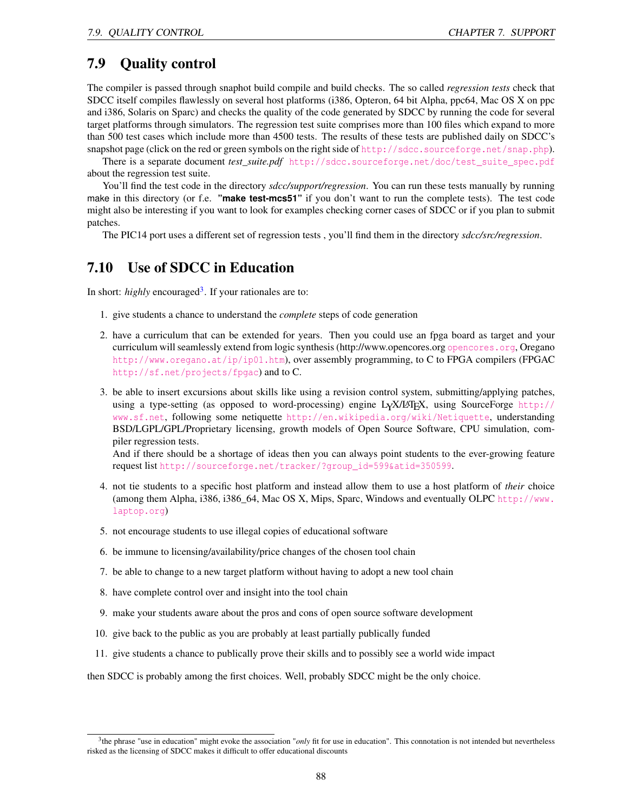# <span id="page-88-0"></span>7.9 Quality control

The compiler is passed through snaphot build compile and build checks. The so called *regression tests* check that SDCC itself compiles flawlessly on several host platforms (i386, Opteron, 64 bit Alpha, ppc64, Mac OS X on ppc and i386, Solaris on Sparc) and checks the quality of the code generated by SDCC by running the code for several target platforms through simulators. The regression test suite comprises more than 100 files which expand to more than 500 test cases which include more than 4500 tests. The results of these tests are published daily on SDCC's snapshot page (click on the red or green symbols on the right side of <http://sdcc.sourceforge.net/snap.php>).

There is a separate document *test\_suite.pdf* [http://sdcc.sourceforge.net/doc/test\\_suite\\_spec.pdf](http://sdcc.sourceforge.net/doc/test_suite_spec.pdf) about the regression test suite.

You'll find the test code in the directory *sdcc/support/regression*. You can run these tests manually by running make in this directory (or f.e. **"make test-mcs51"** if you don't want to run the complete tests). The test code might also be interesting if you want to look for examples checking corner cases of SDCC or if you plan to submit patches.

The PIC14 port uses a different set of regression tests , you'll find them in the directory *sdcc/src/regression*.

# 7.10 Use of SDCC in Education

In short: *highly* encouraged<sup>[3](#page-88-1)</sup>. If your rationales are to:

- 1. give students a chance to understand the *complete* steps of code generation
- 2. have a curriculum that can be extended for years. Then you could use an fpga board as target and your curriculum will seamlessly extend from logic synthesis (http://www.opencores.org <opencores.org>, Oregano <http://www.oregano.at/ip/ip01.htm>), over assembly programming, to C to FPGA compilers (FPGAC <http://sf.net/projects/fpgac>) and to C.
- 3. be able to insert excursions about skills like using a revision control system, submitting/applying patches, using a type-setting (as opposed to word-processing) engine LYX/LATEX, using SourceForge [http://](http://www.sf.net) [www.sf.net](http://www.sf.net), following some netiquette <http://en.wikipedia.org/wiki/Netiquette>, understanding BSD/LGPL/GPL/Proprietary licensing, growth models of Open Source Software, CPU simulation, compiler regression tests.

And if there should be a shortage of ideas then you can always point students to the ever-growing feature request list [http://sourceforge.net/tracker/?group\\_id=599&atid=350599](http://sourceforge.net/tracker/?group_id=599&atid=350599).

- 4. not tie students to a specific host platform and instead allow them to use a host platform of *their* choice (among them Alpha, i386, i386\_64, Mac OS X, Mips, Sparc, Windows and eventually OLPC [http://www.](http://www.laptop.org) [laptop.org](http://www.laptop.org))
- 5. not encourage students to use illegal copies of educational software
- 6. be immune to licensing/availability/price changes of the chosen tool chain
- 7. be able to change to a new target platform without having to adopt a new tool chain
- 8. have complete control over and insight into the tool chain
- 9. make your students aware about the pros and cons of open source software development
- 10. give back to the public as you are probably at least partially publically funded
- 11. give students a chance to publically prove their skills and to possibly see a world wide impact

then SDCC is probably among the first choices. Well, probably SDCC might be the only choice.

<span id="page-88-1"></span><sup>&</sup>lt;sup>3</sup>the phrase "use in education" might evoke the association "*only* fit for use in education". This connotation is not intended but nevertheless risked as the licensing of SDCC makes it difficult to offer educational discounts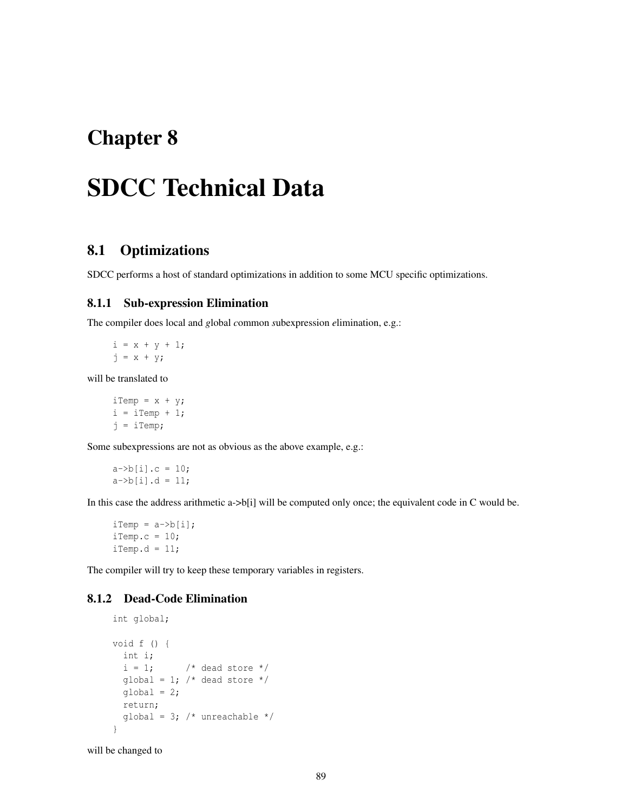# Chapter 8

# SDCC Technical Data

# 8.1 Optimizations

SDCC performs a host of standard optimizations in addition to some MCU specific optimizations.

### 8.1.1 Sub-expression Elimination

The compiler does local and *g*lobal *c*ommon *s*ubexpression *e*limination, e.g.:

 $i = x + y + 1;$  $j = x + y;$ 

will be translated to

 $iTemp = x + y;$  $i = iTemp + 1;$ j = iTemp;

Some subexpressions are not as obvious as the above example, e.g.:

 $a \rightarrow b[i].c = 10;$  $a \rightarrow b[i].d = 11;$ 

In this case the address arithmetic a- $>b[i]$  will be computed only once; the equivalent code in C would be.

 $iTemp = a->b[i];$ iTemp.c =  $10;$  $iTemp.d = 11;$ 

The compiler will try to keep these temporary variables in registers.

## 8.1.2 Dead-Code Elimination

```
int global;
void f () {
 int i;
  i = 1; /* dead store */qlobal = 1; /* dead store */qlobal = 2;
  return;
  global = 3; /* unreachable */}
```
will be changed to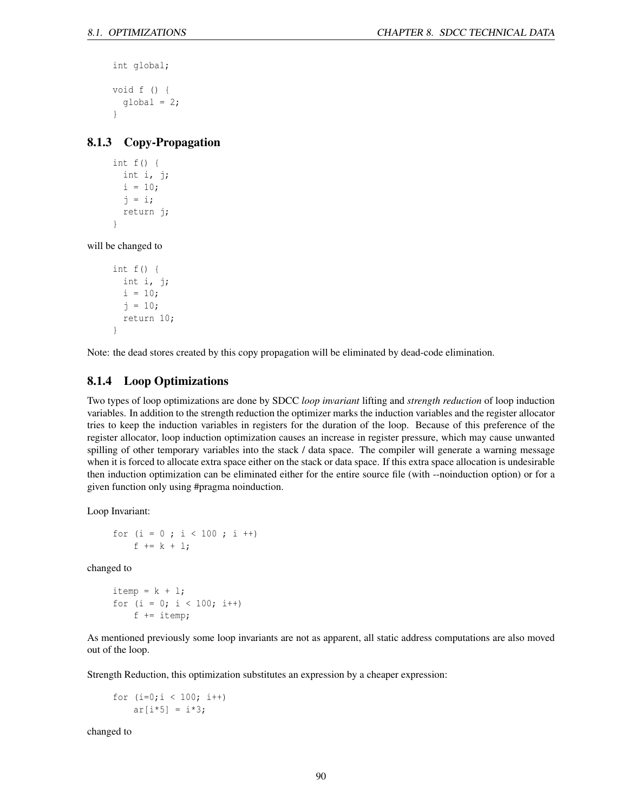```
int global;
void f () {
  global = 2;}
```
## 8.1.3 Copy-Propagation

```
int f() {
  int i, j;
  i = 10;j = i;
  return j;
}
```
will be changed to

```
int f() {
  int i, j;
  i = 10;j = 10;return 10;
}
```
Note: the dead stores created by this copy propagation will be eliminated by dead-code elimination.

## 8.1.4 Loop Optimizations

Two types of loop optimizations are done by SDCC *loop invariant* lifting and *strength reduction* of loop induction variables. In addition to the strength reduction the optimizer marks the induction variables and the register allocator tries to keep the induction variables in registers for the duration of the loop. Because of this preference of the register allocator, loop induction optimization causes an increase in register pressure, which may cause unwanted spilling of other temporary variables into the stack / data space. The compiler will generate a warning message when it is forced to allocate extra space either on the stack or data space. If this extra space allocation is undesirable then induction optimization can be eliminated either for the entire source file (with --noinduction option) or for a given function only using #pragma noinduction.

Loop Invariant:

```
for (i = 0 ; i < 100 ; i++)f += k + 1;
```
changed to

```
itemp = k + 1;
for (i = 0; i < 100; i++)f += itemp;
```
As mentioned previously some loop invariants are not as apparent, all static address computations are also moved out of the loop.

Strength Reduction, this optimization substitutes an expression by a cheaper expression:

for  $(i=0; i < 100; i++)$  $ar[i*5] = i*3;$ 

changed to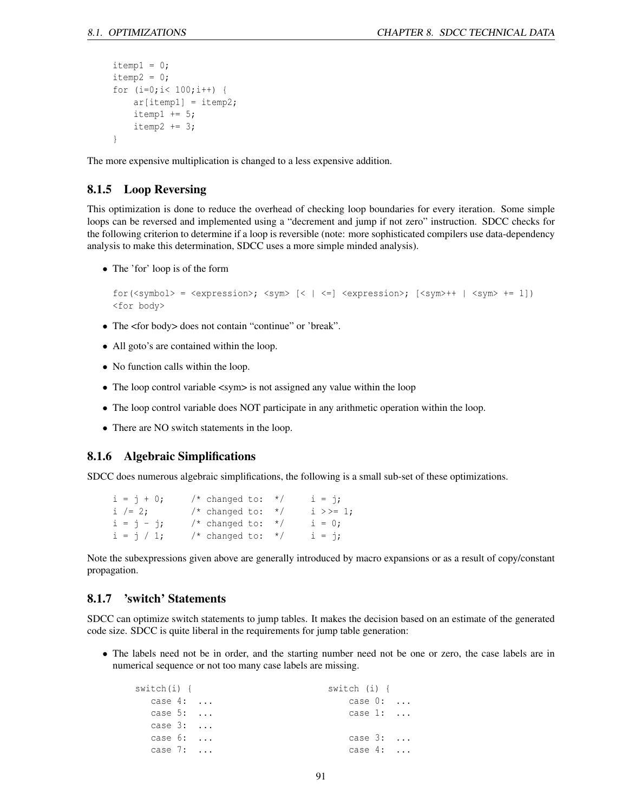```
itemp1 = 0;itemp2 = 0;for (i=0; i< 100; i++) {
    ar[itemp1] = itemp2;itemp1 += 5;itemp2 += 3;}
```
The more expensive multiplication is changed to a less expensive addition.

### 8.1.5 Loop Reversing

This optimization is done to reduce the overhead of checking loop boundaries for every iteration. Some simple loops can be reversed and implemented using a "decrement and jump if not zero" instruction. SDCC checks for the following criterion to determine if a loop is reversible (note: more sophisticated compilers use data-dependency analysis to make this determination, SDCC uses a more simple minded analysis).

• The 'for' loop is of the form

```
for(<symbol> = <expression>; <sym> [< | < = ] <expression>; [<i>sym>++</i> | <i>sym>+=1</i>])
<for body>
```
- The <for body> does not contain "continue" or 'break".
- All goto's are contained within the loop.
- No function calls within the loop.
- The loop control variable <sym> is not assigned any value within the loop
- The loop control variable does NOT participate in any arithmetic operation within the loop.
- There are NO switch statements in the loop.

### 8.1.6 Algebraic Simplifications

SDCC does numerous algebraic simplifications, the following is a small sub-set of these optimizations.

| $i = j + 0;$ | $/*$ changed to: $*/$ | $i = j$ ;    |
|--------------|-----------------------|--------------|
| i /= 2;      | $/*$ changed to: $*/$ | $i \gg = 1;$ |
| $i = j - j;$ | $/*$ changed to: $*/$ | $i = 0;$     |
| $i = j / 1;$ | $/*$ changed to: $*/$ | $i = j$ ;    |

Note the subexpressions given above are generally introduced by macro expansions or as a result of copy/constant propagation.

### 8.1.7 'switch' Statements

SDCC can optimize switch statements to jump tables. It makes the decision based on an estimate of the generated code size. SDCC is quite liberal in the requirements for jump table generation:

• The labels need not be in order, and the starting number need not be one or zero, the case labels are in numerical sequence or not too many case labels are missing.

| switch(i) {      | switch (i) {     |  |
|------------------|------------------|--|
| case $4: \ldots$ | case $0: \ldots$ |  |
| case $5: \ldots$ | case $1: \ldots$ |  |
| case $3: \ldots$ |                  |  |
| case $6: \ldots$ | case $3: \ldots$ |  |
| case $7:$        | case $4: \ldots$ |  |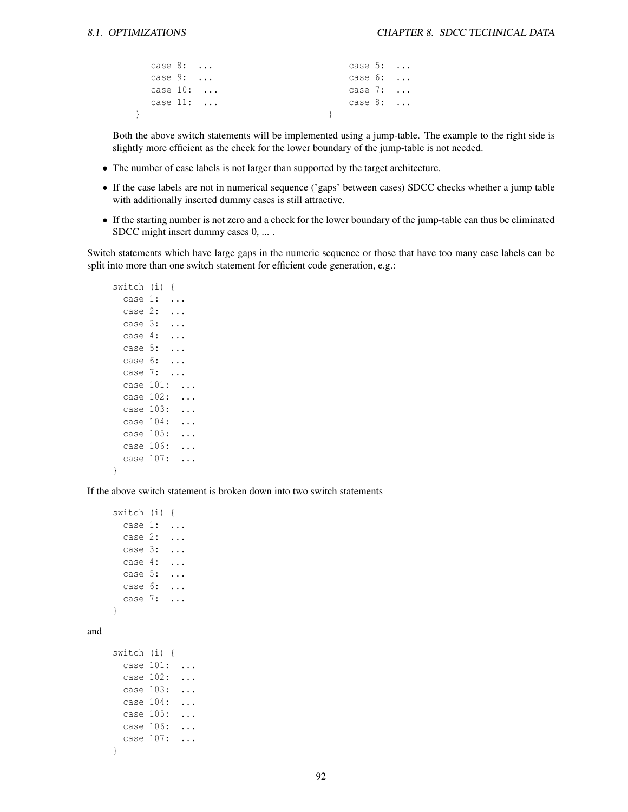| case $8: \ldots$  |  | case $5: \ldots$ |  |
|-------------------|--|------------------|--|
| case $9: \ldots$  |  | case $6: \ldots$ |  |
| case $10: \ldots$ |  | case $7: \ldots$ |  |
| case $11: \ldots$ |  | case $8: \ldots$ |  |
|                   |  |                  |  |

Both the above switch statements will be implemented using a jump-table. The example to the right side is slightly more efficient as the check for the lower boundary of the jump-table is not needed.

- The number of case labels is not larger than supported by the target architecture.
- If the case labels are not in numerical sequence ('gaps' between cases) SDCC checks whether a jump table with additionally inserted dummy cases is still attractive.
- If the starting number is not zero and a check for the lower boundary of the jump-table can thus be eliminated SDCC might insert dummy cases 0, ... .

Switch statements which have large gaps in the numeric sequence or those that have too many case labels can be split into more than one switch statement for efficient code generation, e.g.:

```
switch (i) {
 case 1: ...
 case 2: ...
 case 3: ...
 case 4: ...
 case 5: ...
 case 6: ...
 case 7: ...
 case 101: ...
 case 102: ...
 case 103: ...
 case 104: ...
 case 105: ...
 case 106: ...
 case 107: ...
```
}

and

If the above switch statement is broken down into two switch statements

```
switch (i) {
 case 1: ...
 case 2: ...
 case 3: ...
 case 4: ...
 case 5: ...
 case 6: ...
 case 7: ...
}
switch (i) {
 case 101: ...
 case 102: ...
 case 103: ...
 case 104: ...
 case 105: ...
 case 106: ...
 case 107: ...
}
```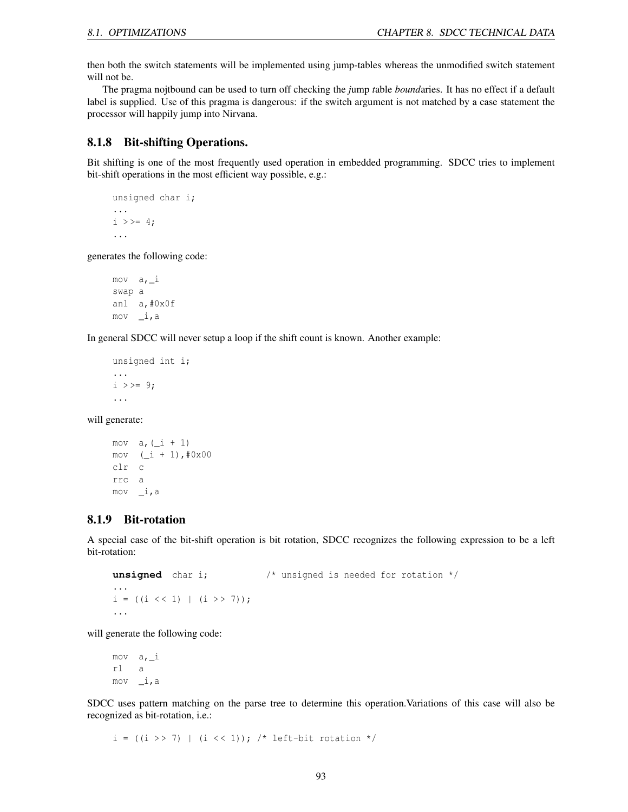then both the switch statements will be implemented using jump-tables whereas the unmodified switch statement will not be.

The pragma nojtbound can be used to turn off checking the *j*ump *t*able *bound*aries. It has no effect if a default label is supplied. Use of this pragma is dangerous: if the switch argument is not matched by a case statement the processor will happily jump into Nirvana.

### 8.1.8 Bit-shifting Operations.

Bit shifting is one of the most frequently used operation in embedded programming. SDCC tries to implement bit-shift operations in the most efficient way possible, e.g.:

```
unsigned char i;
...
i \rightarrow > = 4;...
```
generates the following code:

```
mov a,_i
swap a
anl a,#0x0f
mov _i,a
```
In general SDCC will never setup a loop if the shift count is known. Another example:

```
unsigned int i;
...
i \rangle = \frac{1}{9};
...
```
will generate:

```
mov a, (\_i + 1)mov (\_i + 1), \#0x00clr c
rrc a
mov _i,a
```
### 8.1.9 Bit-rotation

A special case of the bit-shift operation is bit rotation, SDCC recognizes the following expression to be a left bit-rotation:

```
unsigned char i; \frac{1}{2} /* unsigned is needed for rotation */
...
i = ((i \le 1) | (i \ge 7));...
```
will generate the following code:

mov  $a_{\ell}$   $i$ rl a mov \_i,a

SDCC uses pattern matching on the parse tree to determine this operation.Variations of this case will also be recognized as bit-rotation, i.e.:

 $i = ((i \gg 7) | (i \ll 1));$  /\* left-bit rotation \*/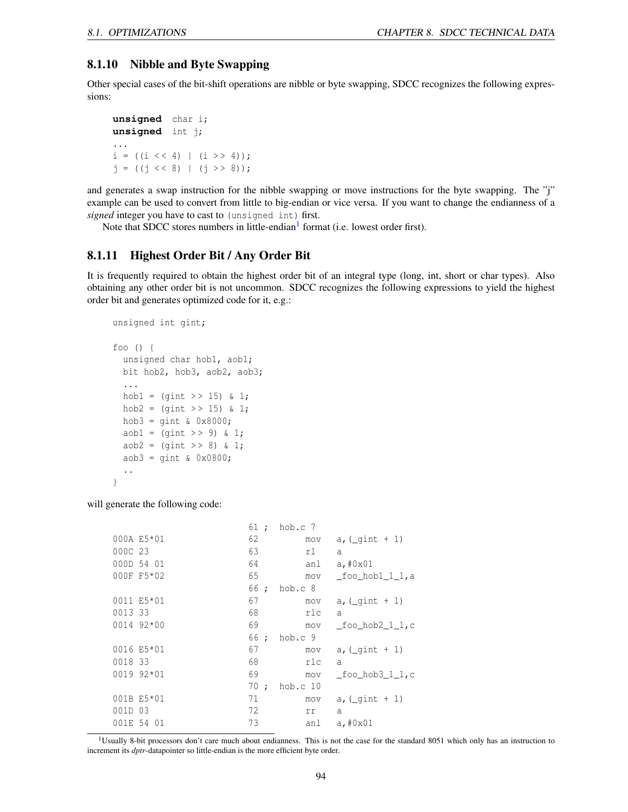### 8.1.10 Nibble and Byte Swapping

Other special cases of the bit-shift operations are nibble or byte swapping, SDCC recognizes the following expressions:

**unsigned** char i; **unsigned** int j; ...  $i = ((i \leq 4) | (i \geq 4));$  $j = ((j \lt\lt 8) | (j \gt\gt 8));$ 

and generates a swap instruction for the nibble swapping or move instructions for the byte swapping. The "j" example can be used to convert from little to big-endian or vice versa. If you want to change the endianness of a *signed* integer you have to cast to (unsigned int) first.

Note that SDCC stores numbers in little-endian<sup>[1](#page-94-0)</sup> format (i.e. lowest order first).

### 8.1.11 Highest Order Bit / Any Order Bit

It is frequently required to obtain the highest order bit of an integral type (long, int, short or char types). Also obtaining any other order bit is not uncommon. SDCC recognizes the following expressions to yield the highest order bit and generates optimized code for it, e.g.:

```
unsigned int gint;
foo () {
  unsigned char hob1, aob1;
  bit hob2, hob3, aob2, aob3;
  ...
  hobl = (qint >> 15) \& 1;hob2 = (\text{qint} >> 15) & 1;
  hob3 = qint \& 0x8000;aob1 = (qint \gt{9}) \& 1;aob2 = (gint \gg 8) \& 1;aob3 = gint & 0x0800;
  ..
}
```
will generate the following code:

|             | 61 ; | hob.c 7  |                        |
|-------------|------|----------|------------------------|
| 000A E5*01  | 62   | mov      | $a, (qint + 1)$        |
| 000C 23     | 63   | rl       | $\overline{a}$         |
| 000D 54 01  | 64   | anl      | a, #0x01               |
| 000F F5*02  | 65   | mov      | foo hob1 1 1,a         |
|             | 66 ; | hob.c 8  |                        |
| 0011 E5*01  | 67   | mov      | a, $($ qint + 1)       |
| 0013 33     | 68   | rlc      | $\overline{a}$         |
| 0014 92*00  | 69   | mov      | foo hob $2$ 1 1,c      |
|             | 66 ; | hob.c 9  |                        |
| 0016 E5*01  | 67   | mov      | a, $(\text{qint} + 1)$ |
| 0018 33     | 68   | rlc      | $\overline{a}$         |
| $001992*01$ | 69   | mov      | foo hob3 1 1,c         |
|             | 70 ; | hob.c 10 |                        |
| 001B E5*01  | 71   | mov      | $a, (-gint + 1)$       |
| 001D 03     | 72   | rr       | a                      |
| 001E 54 01  | 73   | anl      | a, #0x01               |

<span id="page-94-0"></span><sup>1</sup>Usually 8-bit processors don't care much about endianness. This is not the case for the standard 8051 which only has an instruction to increment its *dptr*-datapointer so little-endian is the more efficient byte order.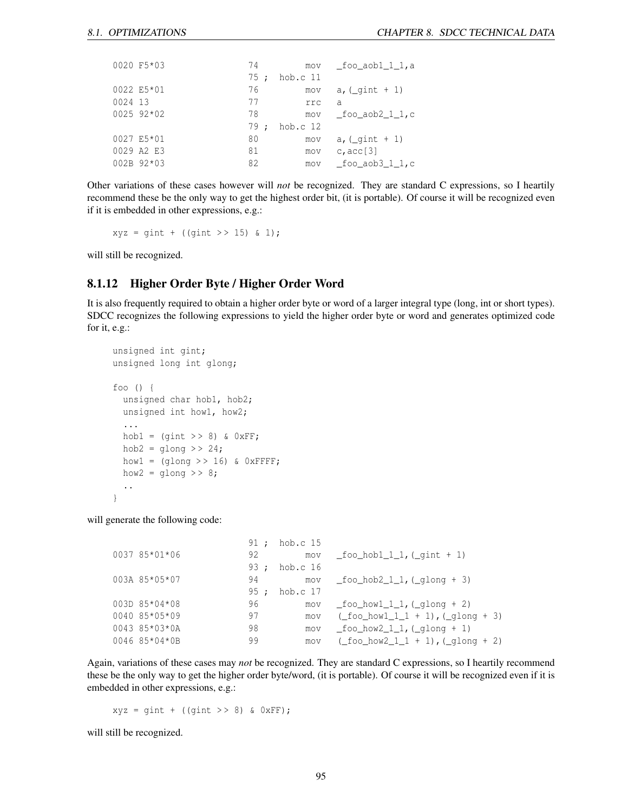| 0020 F5*03      | 74   | mov        | foo aobl 1 1,a        |
|-----------------|------|------------|-----------------------|
|                 | 75 : | $hob.c$ 11 |                       |
| 0022 E5*01      | 76   | mov        | $a, (qint + 1)$       |
| 0024 13         | 77   | rrc        | a                     |
| 0025 92*02      | 78   | mov        | foo aob2 1 1,c        |
|                 | 79:  | hob.c $12$ |                       |
| 0027 E5*01      | 80   | mov        | $a, (qint + 1)$       |
| 0029 A2 E3      | 81   | mov        | c, $acc[3]$           |
| $002B$ 92 $*03$ | 82   | mov        | foo aob $3\,1\,1$ , c |

Other variations of these cases however will *not* be recognized. They are standard C expressions, so I heartily recommend these be the only way to get the highest order bit, (it is portable). Of course it will be recognized even if it is embedded in other expressions, e.g.:

 $xyz = gint + ((gint >> 15) & 1);$ 

will still be recognized.

### 8.1.12 Higher Order Byte / Higher Order Word

It is also frequently required to obtain a higher order byte or word of a larger integral type (long, int or short types). SDCC recognizes the following expressions to yield the higher order byte or word and generates optimized code for it, e.g.:

```
unsigned int gint;
unsigned long int glong;
foo () {
  unsigned char hob1, hob2;
  unsigned int how1, how2;
  ...
  hob1 = (gint \gg 8) & 0xFF;hob2 = qlong >> 24;
  how1 = (q \text{long} >> 16) & 0 \text{xFFFF};
  how2 = qlong >> 8;
  ..
}
```
will generate the following code:

| 91 ;                                                                                                     |            |                                                        |
|----------------------------------------------------------------------------------------------------------|------------|--------------------------------------------------------|
| 92                                                                                                       | mov        | foo hob $1 \; 1 \; 1$ , ( gint + 1)                    |
| 93 :                                                                                                     | hob.c $16$ |                                                        |
| 94                                                                                                       | mov        | foo hob $2 \ 1 \ 1$ , (qlong + 3)                      |
| 95:                                                                                                      | hob.c 17   |                                                        |
| 96                                                                                                       | mov        | foo howl 1 $1$ , ( $q$ long + 2)                       |
| 97                                                                                                       | <b>MOV</b> | ( foo howl $1 \t1 + 1$ ), ( $q$ long + 3)              |
| 98                                                                                                       | mov        | foo how $2 \; 1 \; 1$ , (qlong + 1)                    |
| 99                                                                                                       | mov        | $(\text{\_foo\_how2\_1\_1 + 1}), (\text{\_glong + 2})$ |
| 0037 85*01*06<br>003A 85*05*07<br>$003D 85*04*08$<br>$0040$ 85*05*09<br>0043 85*03*0A<br>$0046$ 85*04*0B |            | hob.c 15                                               |

Again, variations of these cases may *not* be recognized. They are standard C expressions, so I heartily recommend these be the only way to get the higher order byte/word, (it is portable). Of course it will be recognized even if it is embedded in other expressions, e.g.:

 $xyz = gint + ((gint >> 8) & QxFF);$ 

will still be recognized.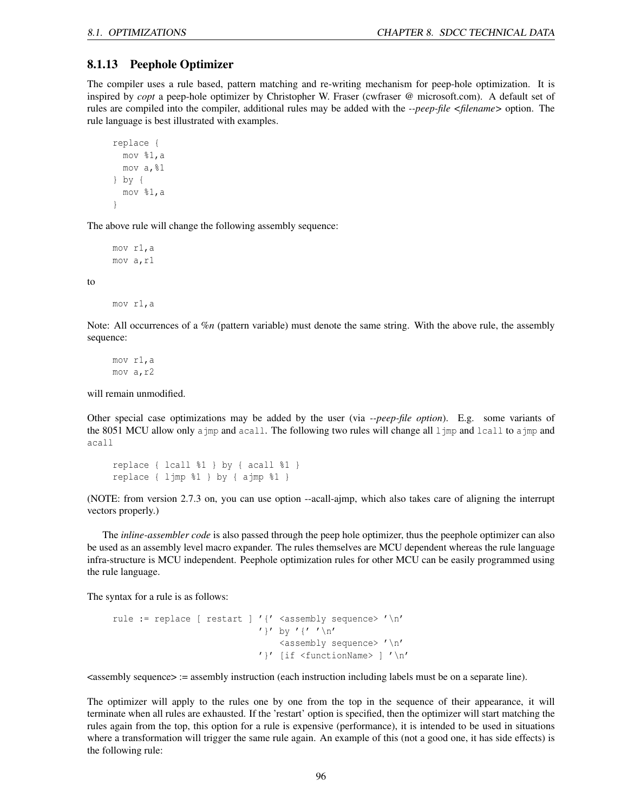#### 8.1.13 Peephole Optimizer

The compiler uses a rule based, pattern matching and re-writing mechanism for peep-hole optimization. It is inspired by *copt* a peep-hole optimizer by Christopher W. Fraser (cwfraser @ microsoft.com). A default set of rules are compiled into the compiler, additional rules may be added with the *--peep-file <filename>* option. The rule language is best illustrated with examples.

```
replace {
 mov %1,a
 mov a,%1
} by {
 mov %1,a
}
```
The above rule will change the following assembly sequence:

mov r1,a mov a,r1

to

mov r1,a

Note: All occurrences of a *%n* (pattern variable) must denote the same string. With the above rule, the assembly sequence:

mov r1,a mov a,r2

will remain unmodified.

Other special case optimizations may be added by the user (via *--peep-file option*). E.g. some variants of the 8051 MCU allow only a jmp and acall. The following two rules will change all ljmp and lcall to a jmp and acall

```
replace { lcall %1 } by { acall %1 }
replace { ljmp %1 } by { ajmp %1 }
```
(NOTE: from version 2.7.3 on, you can use option --acall-ajmp, which also takes care of aligning the interrupt vectors properly.)

The *inline-assembler code* is also passed through the peep hole optimizer, thus the peephole optimizer can also be used as an assembly level macro expander. The rules themselves are MCU dependent whereas the rule language infra-structure is MCU independent. Peephole optimization rules for other MCU can be easily programmed using the rule language.

The syntax for a rule is as follows:

```
rule := replace [ restart ] '{' <assembly sequence> '\n'
                               ' }' by '{' '\n\overline{r}'
                                   <assembly sequence> '\n'
                               '}' [if <functionName> ] '\n'
```
 $\leq$ assembly sequence $\geq$  := assembly instruction (each instruction including labels must be on a separate line).

The optimizer will apply to the rules one by one from the top in the sequence of their appearance, it will terminate when all rules are exhausted. If the 'restart' option is specified, then the optimizer will start matching the rules again from the top, this option for a rule is expensive (performance), it is intended to be used in situations where a transformation will trigger the same rule again. An example of this (not a good one, it has side effects) is the following rule: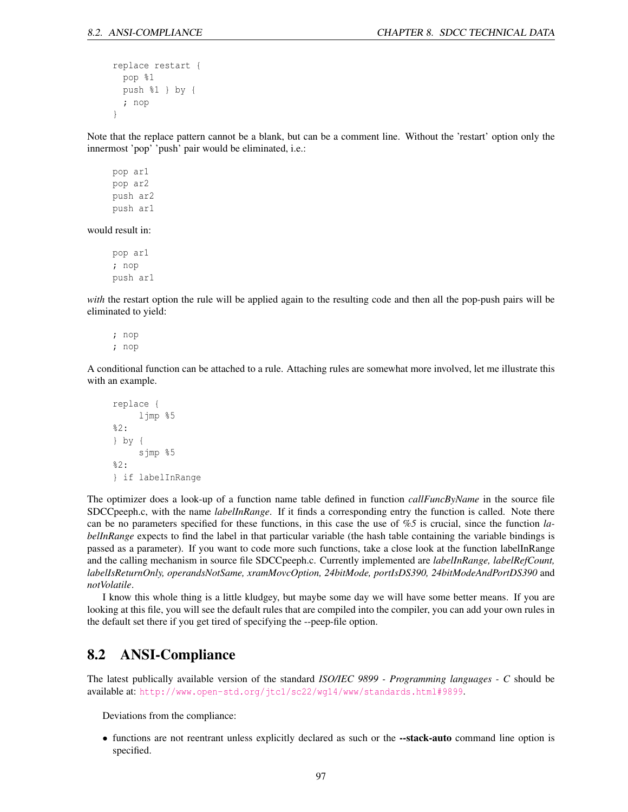```
replace restart {
  pop %1
 push %1 } by {
  ; nop
}
```
Note that the replace pattern cannot be a blank, but can be a comment line. Without the 'restart' option only the innermost 'pop' 'push' pair would be eliminated, i.e.:

pop ar1 pop ar2 push ar2 push ar1

would result in:

pop ar1 ; nop push ar1

*with* the restart option the rule will be applied again to the resulting code and then all the pop-push pairs will be eliminated to yield:

; nop ; nop

A conditional function can be attached to a rule. Attaching rules are somewhat more involved, let me illustrate this with an example.

```
replace {
     ljmp %5
%2:
} by {
     sjmp %5
%2:
} if labelInRange
```
The optimizer does a look-up of a function name table defined in function *callFuncByName* in the source file SDCCpeeph.c, with the name *labelInRange*. If it finds a corresponding entry the function is called. Note there can be no parameters specified for these functions, in this case the use of *%5* is crucial, since the function *labelInRange* expects to find the label in that particular variable (the hash table containing the variable bindings is passed as a parameter). If you want to code more such functions, take a close look at the function labelInRange and the calling mechanism in source file SDCCpeeph.c. Currently implemented are *labelInRange, labelRefCount, labelIsReturnOnly, operandsNotSame, xramMovcOption, 24bitMode, portIsDS390, 24bitModeAndPortDS390* and *notVolatile*.

I know this whole thing is a little kludgey, but maybe some day we will have some better means. If you are looking at this file, you will see the default rules that are compiled into the compiler, you can add your own rules in the default set there if you get tired of specifying the --peep-file option.

# 8.2 ANSI-Compliance

The latest publically available version of the standard *ISO/IEC 9899 - Programming languages - C* should be available at: <http://www.open-std.org/jtc1/sc22/wg14/www/standards.html#9899>.

Deviations from the compliance:

• functions are not reentrant unless explicitly declared as such or the --stack-auto command line option is specified.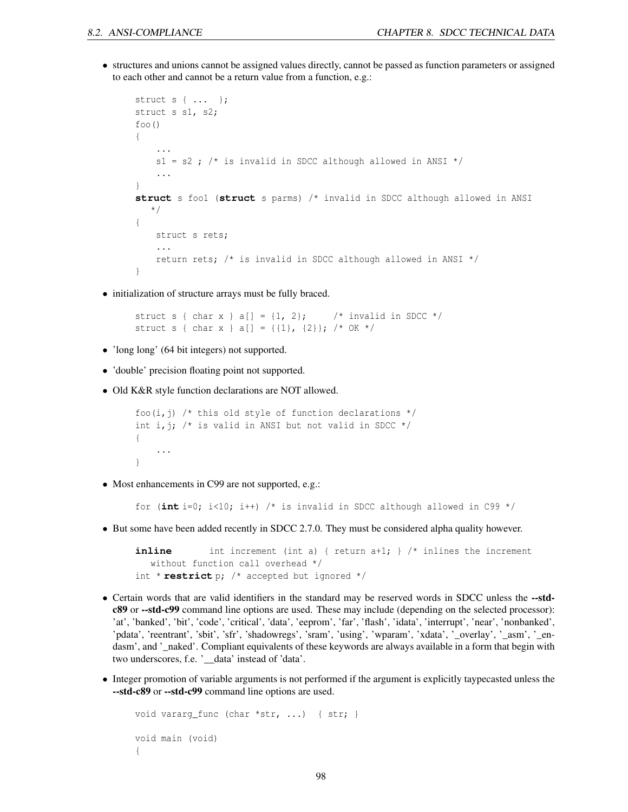• structures and unions cannot be assigned values directly, cannot be passed as function parameters or assigned to each other and cannot be a return value from a function, e.g.:

```
struct s { ... };
struct s s1, s2;
foo(){
    ...
   s1 = s2; /* is invalid in SDCC although allowed in ANSI */
    ...
}
struct s foo1 (struct s parms) /* invalid in SDCC although allowed in ANSI
   */
{
   struct s rets;
    ...
    return rets; /* is invalid in SDCC although allowed in ANSI */
}
```
• initialization of structure arrays must be fully braced.

```
struct s { char x } a[] = \{1, 2\}; /* invalid in SDCC */
struct s { char x } a[] = {{1}, {2}}; /* OK */
```
- 'long long' (64 bit integers) not supported.
- 'double' precision floating point not supported.
- Old K&R style function declarations are NOT allowed.

```
foo(i,j) /* this old style of function declarations */int i, j; /* is valid in ANSI but not valid in SDCC */{
    ...
}
```
• Most enhancements in C99 are not supported, e.g.:

for (**int** i=0; i<10; i++) /\* is invalid in SDCC although allowed in C99 \*/

• But some have been added recently in SDCC 2.7.0. They must be considered alpha quality however.

```
inline int increment (int a) { return a+1; } /* inlines the increment
  without function call overhead */
int * restrict p; /* accepted but ignored */
```
- Certain words that are valid identifiers in the standard may be reserved words in SDCC unless the --stdc89 or --std-c99 command line options are used. These may include (depending on the selected processor): 'at', 'banked', 'bit', 'code', 'critical', 'data', 'eeprom', 'far', 'flash', 'idata', 'interrupt', 'near', 'nonbanked', 'pdata', 'reentrant', 'sbit', 'sfr', 'shadowregs', 'sram', 'using', 'wparam', 'xdata', '\_overlay', '\_asm', '\_endasm', and '\_naked'. Compliant equivalents of these keywords are always available in a form that begin with two underscores, f.e. '\_\_data' instead of 'data'.
- Integer promotion of variable arguments is not performed if the argument is explicitly taypecasted unless the --std-c89 or --std-c99 command line options are used.

```
void vararg_func (char *str, ...) { str; }
void main (void)
{
```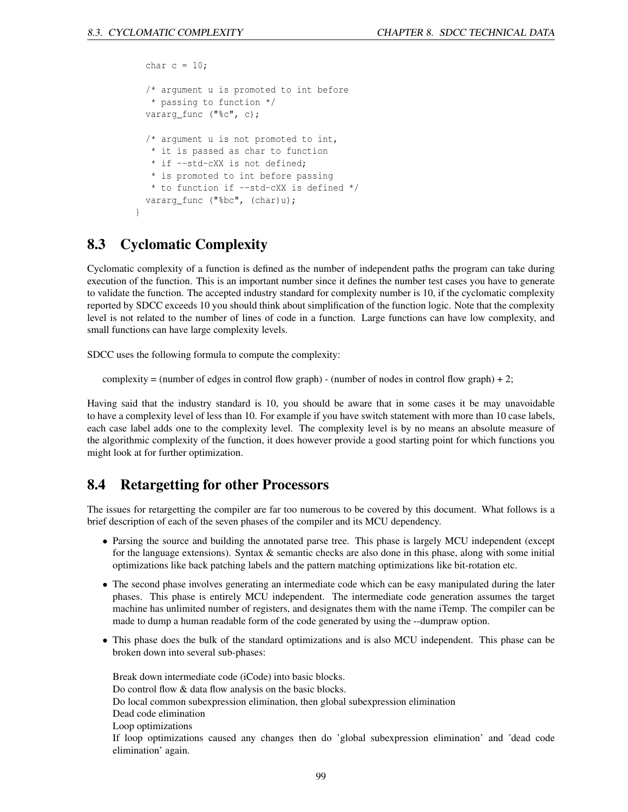```
char c = 10;
 /* argument u is promoted to int before
  * passing to function */
 vararg_func ("%c", c);
 /* argument u is not promoted to int,
  * it is passed as char to function
  * if --std-cXX is not defined;
  * is promoted to int before passing
  * to function if --std-cXX is defined */
 vararg_func ("%bc", (char)u);
}
```
# 8.3 Cyclomatic Complexity

Cyclomatic complexity of a function is defined as the number of independent paths the program can take during execution of the function. This is an important number since it defines the number test cases you have to generate to validate the function. The accepted industry standard for complexity number is 10, if the cyclomatic complexity reported by SDCC exceeds 10 you should think about simplification of the function logic. Note that the complexity level is not related to the number of lines of code in a function. Large functions can have low complexity, and small functions can have large complexity levels.

SDCC uses the following formula to compute the complexity:

complexity = (number of edges in control flow graph) - (number of nodes in control flow graph) + 2;

Having said that the industry standard is 10, you should be aware that in some cases it be may unavoidable to have a complexity level of less than 10. For example if you have switch statement with more than 10 case labels, each case label adds one to the complexity level. The complexity level is by no means an absolute measure of the algorithmic complexity of the function, it does however provide a good starting point for which functions you might look at for further optimization.

# 8.4 Retargetting for other Processors

The issues for retargetting the compiler are far too numerous to be covered by this document. What follows is a brief description of each of the seven phases of the compiler and its MCU dependency.

- Parsing the source and building the annotated parse tree. This phase is largely MCU independent (except for the language extensions). Syntax & semantic checks are also done in this phase, along with some initial optimizations like back patching labels and the pattern matching optimizations like bit-rotation etc.
- The second phase involves generating an intermediate code which can be easy manipulated during the later phases. This phase is entirely MCU independent. The intermediate code generation assumes the target machine has unlimited number of registers, and designates them with the name iTemp. The compiler can be made to dump a human readable form of the code generated by using the --dumpraw option.
- This phase does the bulk of the standard optimizations and is also MCU independent. This phase can be broken down into several sub-phases:

Break down intermediate code (iCode) into basic blocks. Do control flow & data flow analysis on the basic blocks. Do local common subexpression elimination, then global subexpression elimination Dead code elimination Loop optimizations If loop optimizations caused any changes then do 'global subexpression elimination' and 'dead code elimination' again.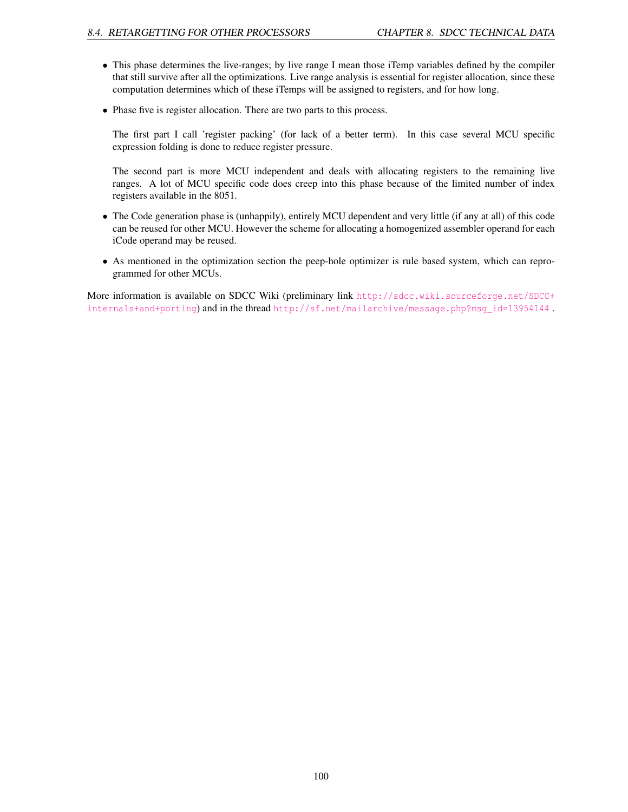- This phase determines the live-ranges; by live range I mean those iTemp variables defined by the compiler that still survive after all the optimizations. Live range analysis is essential for register allocation, since these computation determines which of these iTemps will be assigned to registers, and for how long.
- Phase five is register allocation. There are two parts to this process.

The first part I call 'register packing' (for lack of a better term). In this case several MCU specific expression folding is done to reduce register pressure.

The second part is more MCU independent and deals with allocating registers to the remaining live ranges. A lot of MCU specific code does creep into this phase because of the limited number of index registers available in the 8051.

- The Code generation phase is (unhappily), entirely MCU dependent and very little (if any at all) of this code can be reused for other MCU. However the scheme for allocating a homogenized assembler operand for each iCode operand may be reused.
- As mentioned in the optimization section the peep-hole optimizer is rule based system, which can reprogrammed for other MCUs.

More information is available on SDCC Wiki (preliminary link [http://sdcc.wiki.sourceforge.net/SDCC+](http://sdcc.wiki.sourceforge.net/SDCC+internals+and+porting) [internals+and+porting](http://sdcc.wiki.sourceforge.net/SDCC+internals+and+porting)) and in the thread [http://sf.net/mailarchive/message.php?msg\\_id=13954144](http://sf.net/mailarchive/message.php?msg_id=13954144).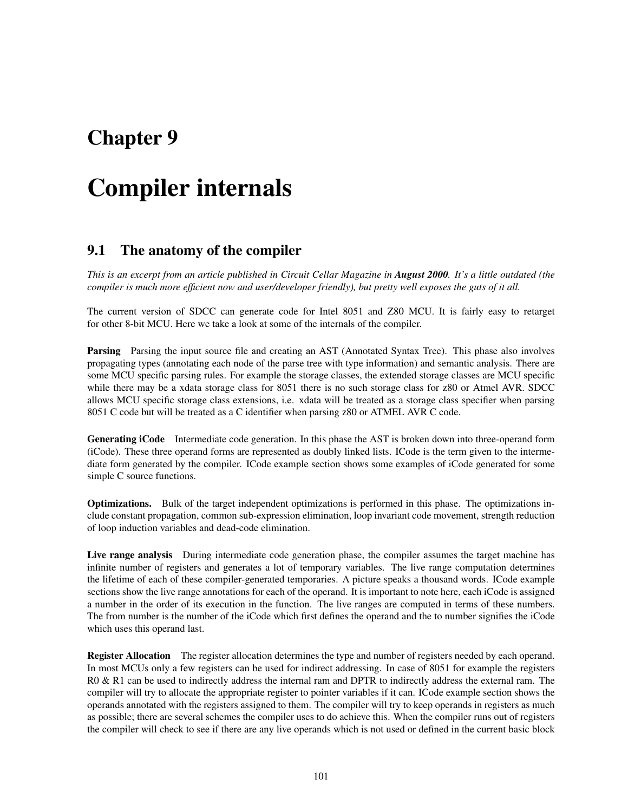# Chapter 9

# Compiler internals

# 9.1 The anatomy of the compiler

*This is an excerpt from an article published in Circuit Cellar Magazine in August 2000. It's a little outdated (the compiler is much more efficient now and user/developer friendly), but pretty well exposes the guts of it all.*

The current version of SDCC can generate code for Intel 8051 and Z80 MCU. It is fairly easy to retarget for other 8-bit MCU. Here we take a look at some of the internals of the compiler.

Parsing Parsing the input source file and creating an AST (Annotated Syntax Tree). This phase also involves propagating types (annotating each node of the parse tree with type information) and semantic analysis. There are some MCU specific parsing rules. For example the storage classes, the extended storage classes are MCU specific while there may be a xdata storage class for 8051 there is no such storage class for z80 or Atmel AVR. SDCC allows MCU specific storage class extensions, i.e. xdata will be treated as a storage class specifier when parsing 8051 C code but will be treated as a C identifier when parsing z80 or ATMEL AVR C code.

Generating iCode Intermediate code generation. In this phase the AST is broken down into three-operand form (iCode). These three operand forms are represented as doubly linked lists. ICode is the term given to the intermediate form generated by the compiler. ICode example section shows some examples of iCode generated for some simple C source functions.

Optimizations. Bulk of the target independent optimizations is performed in this phase. The optimizations include constant propagation, common sub-expression elimination, loop invariant code movement, strength reduction of loop induction variables and dead-code elimination.

Live range analysis During intermediate code generation phase, the compiler assumes the target machine has infinite number of registers and generates a lot of temporary variables. The live range computation determines the lifetime of each of these compiler-generated temporaries. A picture speaks a thousand words. ICode example sections show the live range annotations for each of the operand. It is important to note here, each iCode is assigned a number in the order of its execution in the function. The live ranges are computed in terms of these numbers. The from number is the number of the iCode which first defines the operand and the to number signifies the iCode which uses this operand last.

Register Allocation The register allocation determines the type and number of registers needed by each operand. In most MCUs only a few registers can be used for indirect addressing. In case of 8051 for example the registers R0 & R1 can be used to indirectly address the internal ram and DPTR to indirectly address the external ram. The compiler will try to allocate the appropriate register to pointer variables if it can. ICode example section shows the operands annotated with the registers assigned to them. The compiler will try to keep operands in registers as much as possible; there are several schemes the compiler uses to do achieve this. When the compiler runs out of registers the compiler will check to see if there are any live operands which is not used or defined in the current basic block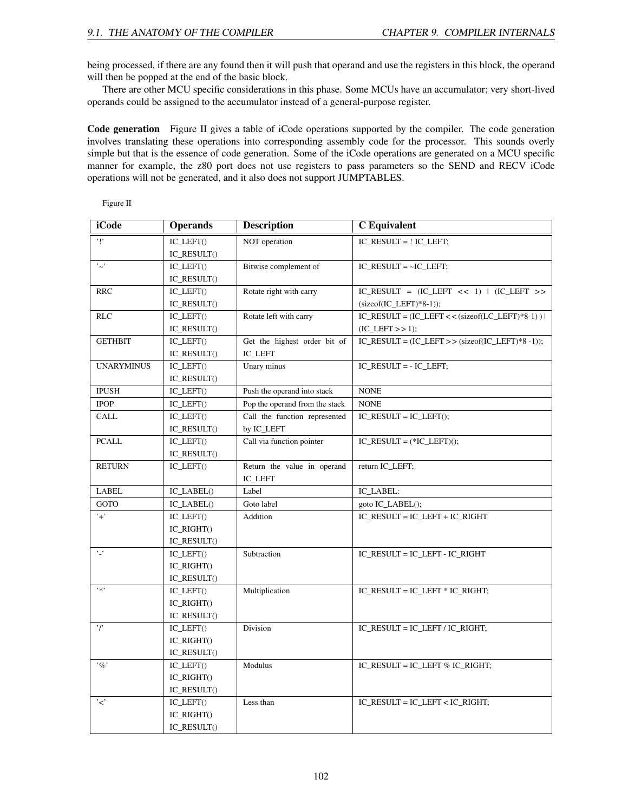being processed, if there are any found then it will push that operand and use the registers in this block, the operand will then be popped at the end of the basic block.

There are other MCU specific considerations in this phase. Some MCUs have an accumulator; very short-lived operands could be assigned to the accumulator instead of a general-purpose register.

Code generation Figure II gives a table of iCode operations supported by the compiler. The code generation involves translating these operations into corresponding assembly code for the processor. This sounds overly simple but that is the essence of code generation. Some of the iCode operations are generated on a MCU specific manner for example, the z80 port does not use registers to pass parameters so the SEND and RECV iCode operations will not be generated, and it also does not support JUMPTABLES.

Figure II

| <i>i</i> Code          | <b>Operands</b>                     | <b>Description</b>             | <b>C</b> Equivalent                                     |
|------------------------|-------------------------------------|--------------------------------|---------------------------------------------------------|
| $, \mathsf{L}$         | IC LEFT()                           | NOT operation                  | IC_RESULT = ! IC_LEFT;                                  |
|                        | IC_RESULT()                         |                                |                                                         |
| $, \cdot$ .            | IC_LEFT()                           | Bitwise complement of          | $IC\_RESULT = ~IC\_LEFT;$                               |
|                        | IC_RESULT()                         |                                |                                                         |
| <b>RRC</b>             | IC_LEFT()                           | Rotate right with carry        | $IC\_RESULT = (IC\_LEFT << 1)   (IC\_LEFT >>$           |
|                        | IC_RESULT()                         |                                | $(sizeof(IC\_LEFT)*8-1));$                              |
| <b>RLC</b>             | $IC$ <sub>LEFT</sub> $()$           | Rotate left with carry         | $IC\_RESULT = (IC\_LEFT << (sizeof (LC\_LEFT)*8-1))$    |
|                        | IC_RESULT()                         |                                | $(IC$ <sub>LEFT</sub> $>> 1$ ;                          |
| <b>GETHBIT</b>         | $IC$ <sub>LEFT</sub> $()$           | Get the highest order bit of   | $IC\_RESULT = (IC\_LEFT \gg (sizeof(IC\_LEFT)*8 - 1));$ |
|                        | IC_RESULT()                         | IC_LEFT                        |                                                         |
| <b>UNARYMINUS</b>      | IC_LEFT()                           | Unary minus                    | $IC$ RESULT = $- IC$ LEFT;                              |
|                        | IC_RESULT()                         |                                |                                                         |
| <b>IPUSH</b>           | IC_LEFT()                           | Push the operand into stack    | <b>NONE</b>                                             |
| <b>IPOP</b>            | $IC$ $LEFT()$                       | Pop the operand from the stack | <b>NONE</b>                                             |
| CALL                   | IC_LEFT()                           | Call the function represented  | $IC\_RESULT = IC\_LEFT();$                              |
|                        | $IC\_RESULT()$                      | by IC_LEFT                     |                                                         |
| <b>PCALL</b>           | IC_LEFT()                           | Call via function pointer      | $IC\_RESULT = (*IC\_LEFT)();$                           |
|                        | IC_RESULT()                         |                                |                                                         |
| <b>RETURN</b>          | $IC$ $LEFT()$                       | Return the value in operand    | return IC_LEFT;                                         |
|                        |                                     | IC_LEFT                        |                                                         |
| LABEL                  | IC_LABEL()                          | Label                          | IC_LABEL:                                               |
| GOTO                   | IC_LABEL()                          | Goto label                     | goto IC_LABEL();                                        |
| $+$                    | IC_LEFT()                           | Addition                       | IC_RESULT = IC_LEFT + IC_RIGHT                          |
|                        | IC_RIGHT()                          |                                |                                                         |
|                        | IC_RESULT()                         |                                |                                                         |
| $^{\circ}$ .           | IC_LEFT()                           | Subtraction                    | IC_RESULT = IC_LEFT - IC_RIGHT                          |
|                        | IC_RIGHT()                          |                                |                                                         |
|                        | IC_RESULT()                         |                                |                                                         |
| $\rightarrow \infty$ : | IC_LEFT()                           | Multiplication                 | IC_RESULT = IC_LEFT * IC_RIGHT;                         |
|                        | IC_RIGHT()                          |                                |                                                         |
|                        | IC_RESULT()                         |                                |                                                         |
| $\cdot$ r              | IC_LEFT()                           | Division                       | $IC$ RESULT = $IC$ LEFT / $IC$ RIGHT;                   |
|                        | IC_RIGHT()                          |                                |                                                         |
|                        | IC_RESULT()                         |                                |                                                         |
| $, \sigma$             | $IC$ <sub><math>LEFT()</math></sub> | Modulus                        | IC_RESULT = IC_LEFT % IC_RIGHT;                         |
|                        | IC_RIGHT()                          |                                |                                                         |
|                        | $IC\_RESULT()$                      |                                |                                                         |
| '<'                    | IC_LEFT()                           | Less than                      | $IC$ RESULT = $IC$ LEFT < $IC$ RIGHT;                   |
|                        | IC_RIGHT()                          |                                |                                                         |
|                        | IC_RESULT()                         |                                |                                                         |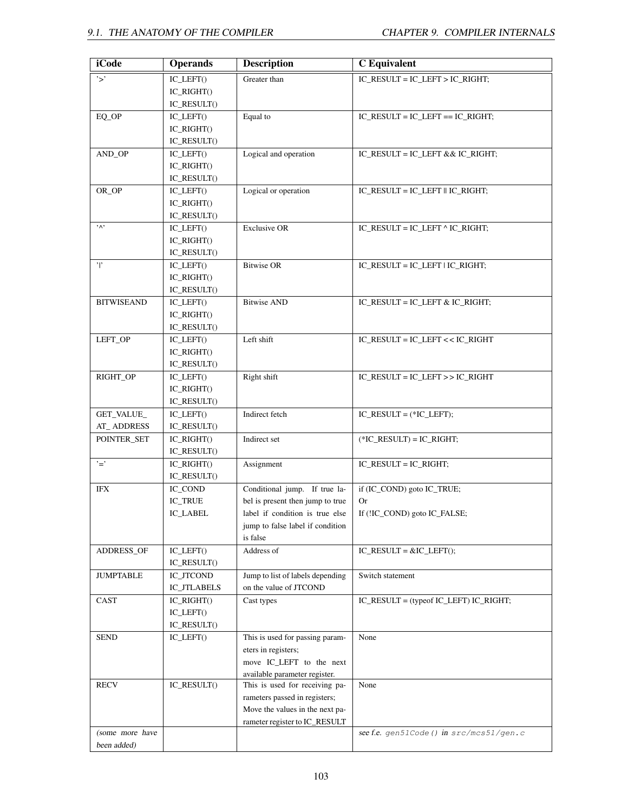| iCode             | <b>Operands</b>    | <b>Description</b>               | <b>C</b> Equivalent                       |
|-------------------|--------------------|----------------------------------|-------------------------------------------|
| $\cdot$ >'        | IC_LEFT()          | Greater than                     | IC_RESULT = IC_LEFT > IC_RIGHT;           |
|                   | IC_RIGHT()         |                                  |                                           |
|                   | IC_RESULT()        |                                  |                                           |
| EQ_OP             | IC_LEFT()          | Equal to                         | IC RESULT = IC LEFT == IC RIGHT;          |
|                   | IC_RIGHT()         |                                  |                                           |
|                   | IC_RESULT()        |                                  |                                           |
| AND_OP            | $IC$ $LEFT()$      | Logical and operation            | IC_RESULT = IC_LEFT && IC_RIGHT;          |
|                   | IC_RIGHT()         |                                  |                                           |
|                   | IC_RESULT()        |                                  |                                           |
| OR_OP             | $IC$ $LEFT()$      | Logical or operation             | IC RESULT = IC LEFT $\parallel$ IC RIGHT; |
|                   | $IC_RIGHT()$       |                                  |                                           |
|                   | IC_RESULT()        |                                  |                                           |
| $, \wedge,$       | IC_LEFT()          | <b>Exclusive OR</b>              | IC_RESULT = IC_LEFT $^{\wedge}$ IC_RIGHT; |
|                   | $IC_RIGHT()$       |                                  |                                           |
|                   | IC_RESULT()        |                                  |                                           |
| $^{\prime}$       | $IC$ $LEFT()$      | <b>Bitwise OR</b>                | IC RESULT = IC LEFT $\vert$ IC RIGHT;     |
|                   | $IC_RIGHT()$       |                                  |                                           |
|                   | IC_RESULT()        |                                  |                                           |
| <b>BITWISEAND</b> | IC_LEFT()          | <b>Bitwise AND</b>               | IC_RESULT = $IC$ _LEFT & $IC$ _RIGHT;     |
|                   | IC_RIGHT()         |                                  |                                           |
|                   | IC_RESULT()        |                                  |                                           |
| LEFT_OP           | IC_LEFT()          | Left shift                       | IC_RESULT = IC_LEFT << IC_RIGHT           |
|                   | IC_RIGHT()         |                                  |                                           |
|                   | IC_RESULT()        |                                  |                                           |
| RIGHT_OP          | IC_LEFT()          | Right shift                      | IC_RESULT = IC_LEFT >> IC_RIGHT           |
|                   | IC_RIGHT()         |                                  |                                           |
|                   | IC_RESULT()        |                                  |                                           |
| GET_VALUE_        | IC_LEFT()          | Indirect fetch                   | $IC\_RESULT = (*IC\_LEFT);$               |
| <b>AT_ADDRESS</b> | IC_RESULT()        |                                  |                                           |
| POINTER_SET       | IC_RIGHT()         | Indirect set                     | $(*IC\_RESULT) = IC\_RIGHT;$              |
|                   | IC_RESULT()        |                                  |                                           |
| $\cdot$ $\equiv$  | IC_RIGHT()         | Assignment                       | IC_RESULT = IC_RIGHT;                     |
|                   | IC_RESULT()        |                                  |                                           |
| IFX               | IC_COND            | Conditional jump. If true la-    | if (IC_COND) goto IC_TRUE;                |
|                   | <b>IC_TRUE</b>     | bel is present then jump to true | <b>Or</b>                                 |
|                   | IC_LABEL           | label if condition is true else  | If (!IC_COND) goto IC_FALSE;              |
|                   |                    | jump to false label if condition |                                           |
|                   |                    | is false                         |                                           |
| ADDRESS_OF        | IC_LEFT()          | Address of                       | $IC\_RESULT = & IC\_LEFT();$              |
|                   | IC_RESULT()        |                                  |                                           |
| <b>JUMPTABLE</b>  | IC_JTCOND          | Jump to list of labels depending | Switch statement                          |
|                   | <b>IC_JTLABELS</b> | on the value of JTCOND           |                                           |
| CAST              | IC_RIGHT()         | Cast types                       | IC_RESULT = (typeof IC_LEFT) IC_RIGHT;    |
|                   | IC_LEFT()          |                                  |                                           |
|                   | IC_RESULT()        |                                  |                                           |
| <b>SEND</b>       | $IC$ $LEFT()$      | This is used for passing param-  | None                                      |
|                   |                    | eters in registers;              |                                           |
|                   |                    | move IC_LEFT to the next         |                                           |
|                   |                    | available parameter register.    |                                           |
| <b>RECV</b>       | IC_RESULT()        | This is used for receiving pa-   | None                                      |
|                   |                    | rameters passed in registers;    |                                           |
|                   |                    | Move the values in the next pa-  |                                           |
|                   |                    | rameter register to IC_RESULT    |                                           |
| (some more have   |                    |                                  | see f.e. gen51Code () in src/mcs51/gen.c  |
| been added)       |                    |                                  |                                           |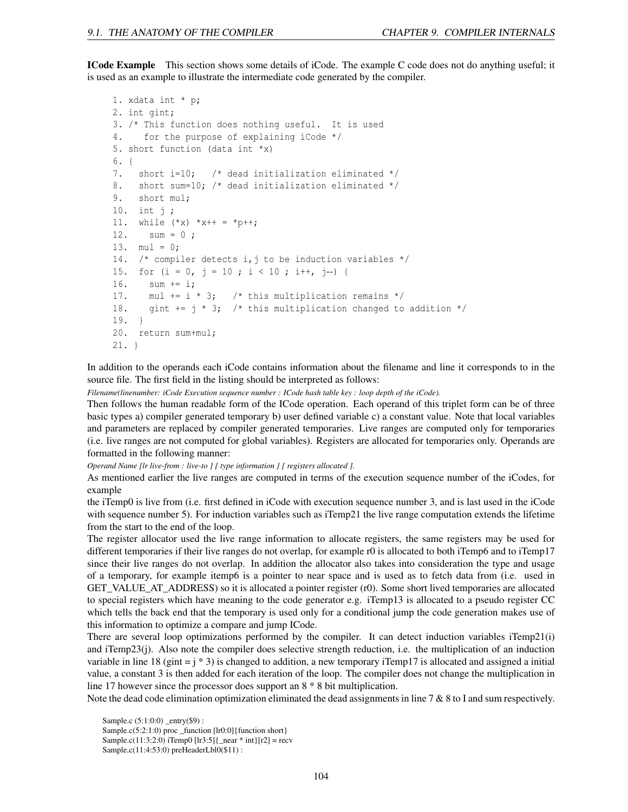ICode Example This section shows some details of iCode. The example C code does not do anything useful; it is used as an example to illustrate the intermediate code generated by the compiler.

```
1. xdata int * p;
2. int gint;
3. /* This function does nothing useful. It is used
4. for the purpose of explaining iCode */
5. short function (data int *x)
6. {
7. short i=10; /* dead initialization eliminated */
8. short sum=10; /* dead initialization eliminated */
9. short mul;
10. int j ;
11. while (*x) *x++ = *p++;12. sum = 0 ;
13. mul = 0;
14. /* compiler detects i, j to be induction variables */15. for (i = 0, j = 10; i < 10; i++)16. sum += i;
17. mul += i * 3; /* this multiplication remains */18. gint += j * 3; /* this multiplication changed to addition */19. }
20. return sum+mul;
21. }
```
In addition to the operands each iCode contains information about the filename and line it corresponds to in the source file. The first field in the listing should be interpreted as follows:

*Filename(linenumber: iCode Execution sequence number : ICode hash table key : loop depth of the iCode).*

Then follows the human readable form of the ICode operation. Each operand of this triplet form can be of three basic types a) compiler generated temporary b) user defined variable c) a constant value. Note that local variables and parameters are replaced by compiler generated temporaries. Live ranges are computed only for temporaries (i.e. live ranges are not computed for global variables). Registers are allocated for temporaries only. Operands are formatted in the following manner:

*Operand Name [lr live-from : live-to ] { type information } [ registers allocated ].*

As mentioned earlier the live ranges are computed in terms of the execution sequence number of the iCodes, for example

the iTemp0 is live from (i.e. first defined in iCode with execution sequence number 3, and is last used in the iCode with sequence number 5). For induction variables such as iTemp21 the live range computation extends the lifetime from the start to the end of the loop.

The register allocator used the live range information to allocate registers, the same registers may be used for different temporaries if their live ranges do not overlap, for example r0 is allocated to both iTemp6 and to iTemp17 since their live ranges do not overlap. In addition the allocator also takes into consideration the type and usage of a temporary, for example itemp6 is a pointer to near space and is used as to fetch data from (i.e. used in GET\_VALUE\_AT\_ADDRESS) so it is allocated a pointer register (r0). Some short lived temporaries are allocated to special registers which have meaning to the code generator e.g. iTemp13 is allocated to a pseudo register CC which tells the back end that the temporary is used only for a conditional jump the code generation makes use of this information to optimize a compare and jump ICode.

There are several loop optimizations performed by the compiler. It can detect induction variables iTemp21(i) and iTemp23(j). Also note the compiler does selective strength reduction, i.e. the multiplication of an induction variable in line 18 (gint  $= j * 3$ ) is changed to addition, a new temporary iTemp17 is allocated and assigned a initial value, a constant 3 is then added for each iteration of the loop. The compiler does not change the multiplication in line 17 however since the processor does support an 8 \* 8 bit multiplication.

Note the dead code elimination optimization eliminated the dead assignments in line 7 & 8 to I and sum respectively.

Sample.c (5:1:0:0) \_entry(\$9) :

Sample.c(5:2:1:0) proc \_function [lr0:0]{function short}

Sample.c(11:3:2:0) iTemp0 [lr3:5] $\{\text{near } * \text{ int}\}[r2] = \text{recv}$ 

Sample.c(11:4:53:0) preHeaderLbl0(\$11) :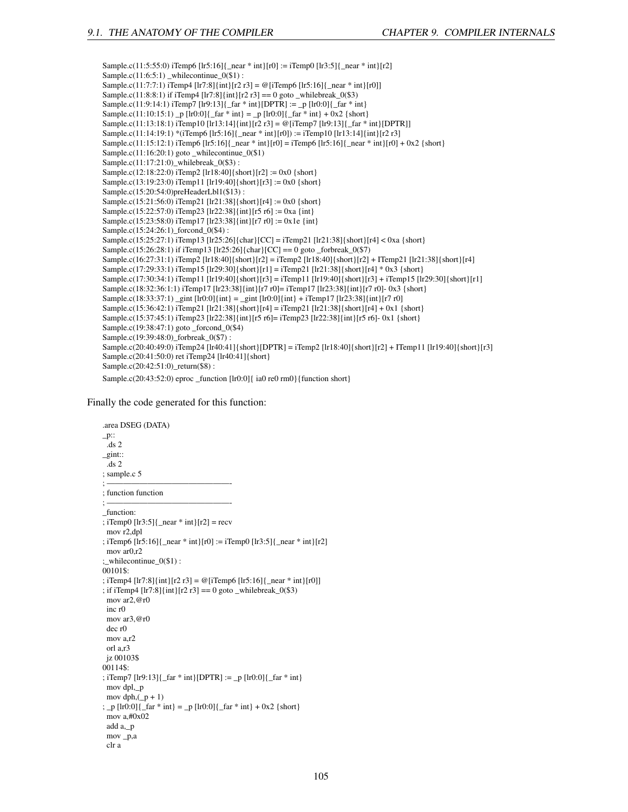Sample.c(11:5:55:0) iTemp6 [lr5:16]{\_near \* int}[r0] := iTemp0 [lr3:5]{\_near \* int}[r2] Sample.c(11:6:5:1) \_whilecontinue\_0(\$1) : Sample.c(11:7:7:1) iTemp4 [lr7:8]{int}[r2 r3] = @[iTemp6 [lr5:16]{\_near \* int}[r0]] Sample.c(11:8:8:1) if iTemp4 [lr7:8]{int}[r2 r3] =  $\sigma$  goto \_whilebreak\_0(\$3) Sample.c(11:9:14:1) iTemp7 [lr9:13]{ $_{far}$  \* int}[DPTR] := \_p [lr0:0]{ $_{far}$  \* int} Sample.c(11:10:15:1) \_p [lr0:0]{\_far \* int} = \_p [lr0:0]{\_far \* int} + 0x2 {short} Sample.c(11:13:18:1) iTemp10 [lr13:14]{int}[r2 r3] = @[iTemp7 [lr9:13]{\_far \* int}[DPTR]] Sample.c(11:14:19:1) \*(iTemp6 [lr5:16]{\_near \* int}[r0]) := iTemp10 [lr13:14]{int}[r2 r3] Sample.c(11:15:12:1) iTemp6 [lr5:16]{\_near \* int}[r0] = iTemp6 [lr5:16]{\_near \* int}[r0] + 0x2 {short} Sample.c(11:16:20:1) goto \_whilecontinue\_0(\$1) Sample.c(11:17:21:0)\_whilebreak\_0(\$3) : Sample.c(12:18:22:0) iTemp2 [lr18:40]{short}[r2] := 0x0 {short} Sample.c(13:19:23:0) iTemp11 [lr19:40]{short}[r3] := 0x0 {short} Sample.c(15:20:54:0)preHeaderLbl1(\$13) : Sample.c(15:21:56:0) iTemp21 [lr21:38]{short}[r4] := 0x0 {short} Sample.c(15:22:57:0) iTemp23 [lr22:38]{int}[r5 r6] := 0xa {int} Sample.c(15:23:58:0) iTemp17 [lr23:38]{int}[r7 r0] := 0x1e {int} Sample.c(15:24:26:1) forcond  $0(4)$  : Sample.c(15:25:27:1) iTemp13 [lr25:26]{char}[CC] = iTemp21 [lr21:38]{short}[r4] < 0xa {short} Sample.c(15:26:28:1) if iTemp13 [lr25:26]{char}[CC] == 0 goto \_forbreak\_0(\$7) Sample.c(16:27:31:1) iTemp2 [lr18:40]{short}[r2] = iTemp2 [lr18:40]{short}[r2] + ITemp21 [lr21:38]{short}[r4] Sample.c(17:29:33:1) iTemp15 [lr29:30]{short}[r1] = iTemp21 [lr21:38]{short}[r4] \* 0x3 {short} Sample.c(17:30:34:1) iTemp11 [lr19:40]{short}[r3] = iTemp11 [lr19:40]{short}[r3] + iTemp15 [lr29:30]{short}[r1] Sample.c(18:32:36:1:1) iTemp17 [lr23:38]{int}[r7 r0]= iTemp17 [lr23:38]{int}[r7 r0]- 0x3 {short} Sample.c(18:33:37:1) \_gint [lr0:0]{int} = \_gint [lr0:0]{int} + iTemp17 [lr23:38]{int}[r7 r0] Sample.c(15:36:42:1) iTemp21 [lr21:38]{short}[r4] = iTemp21 [lr21:38]{short}[r4] + 0x1 {short} Sample.c(15:37:45:1) iTemp23 [lr22:38]{int}[r5 r6]= iTemp23 [lr22:38]{int}[r5 r6]- 0x1 {short} Sample.c(19:38:47:1) goto \_forcond\_0(\$4) Sample.c(19:39:48:0)\_forbreak\_0(\$7) : Sample.c(20:40:49:0) iTemp24 [lr40:41]{short}[DPTR] = iTemp2 [lr18:40]{short}[r2] + ITemp11 [lr19:40]{short}[r3] Sample.c(20:41:50:0) ret iTemp24 [lr40:41]{short} Sample.c(20:42:51:0)\_return(\$8) : Sample.c(20:43:52:0) eproc \_function [lr0:0]{ ia0 re0 rm0}{function short}

Finally the code generated for this function:

```
.area DSEG (DATA)
p::.ds 2
_gint::
 .ds 2
; sample.c 5
; ———————————————-
; function function
; ———————————————-
_function:
; iTemp0 [\text{lr3:5}]{ _near * int}[\text{r2}] = recv
 mov r2,dpl
; iTemp6 [lr5:16]{_near * int}[r0] := iTemp0 [lr3:5]{_near * int}[r2]
 mov ar0,r2
;_whilecontinue_0($1) :
00101$:
; iTemp4 [\text{lr7:8}]\{\text{int}\}[r2 r3] = \text{@}[iTemp6 [\text{lr5:16}]\{\text{near } * \text{int}\}[r0]]; if iTemp4 [\text{lr7:8}]\{\text{int}\}[r2 r3] == 0 goto _whilebreak_0($3)
 mov ar2,@r0
 inc r0
 mov ar3,@r0
 dec r0
 mov a,r2
 orl a,r3
 jz 00103$
00114$:
; iTemp7 [lr9:13]{_far * int}[DPTR] := _p [lr0:0]{_far * int}
 mov dpl,_p
 mov dph,(\underline{\ }p + 1); p \lfloor ln(0.0) \rfloor far * int} = p \lfloor ln(0.0) \rfloor far * int} + 0x2 {short}
 mov a,#0x02
 add a,_p
 mov _p,a
 clr a
```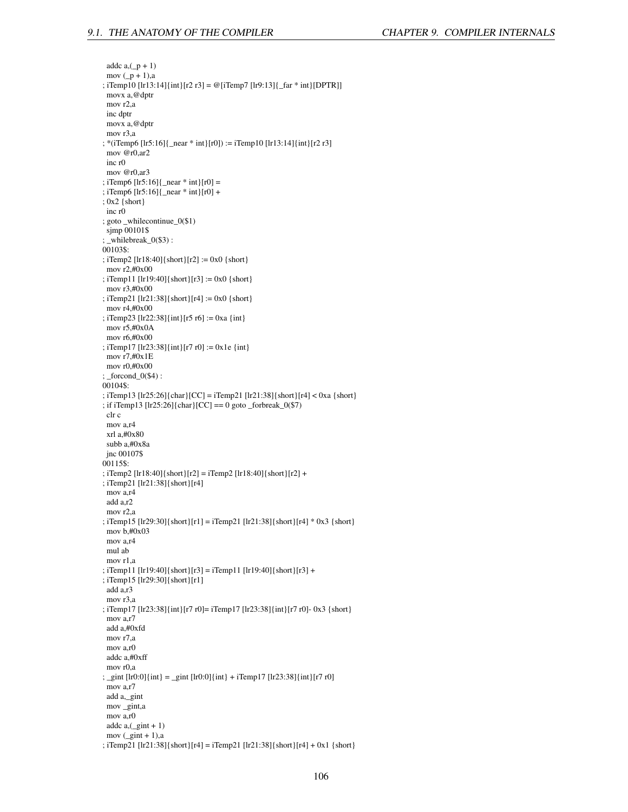addc  $a$ ,  $(p + 1)$ mov  $(p + 1)$ ,a ; iTemp10 [lr13:14]{int}[r2 r3] = @[iTemp7 [lr9:13]{\_far \* int}[DPTR]] movx a,@dptr mov r2,a inc dptr movx a,@dptr mov r3,a ; \*(iTemp6 [lr5:16]{\_near \* int}[r0]) := iTemp10 [lr13:14]{int}[r2 r3] mov @r0,ar2 inc r0 mov @r0,ar3 ; iTemp6  $[\text{lr5:16}]$  { \_near \* int }  $[\text{r0}]$  = ; iTemp6 [lr5:16]{\_near \* int}[r0] + ; 0x2 {short} inc r0 ; goto \_whilecontinue\_0(\$1) sjmp 00101\$ ; \_whilebreak\_0(\$3) : 00103\$: ; iTemp2 [lr18:40]{short}[r2] := 0x0 {short} mov r2,#0x00 ; iTemp11 [lr19:40]{short}[r3] := 0x0 {short} mov r3,#0x00 ; iTemp21 [lr21:38]{short}[r4] := 0x0 {short} mov r4,#0x00 ; iTemp23 [lr22:38]{int}[r5 r6] := 0xa {int} mov r5,#0x0A mov r6,#0x00 ; iTemp17 [lr23:38]{int}[r7 r0] := 0x1e {int} mov r7,#0x1E mov r0,#0x00 ; \_forcond\_0(\$4) : 00104\$: ; iTemp13 [lr25:26]{char}[CC] = iTemp21 [lr21:38]{short}[r4] < 0xa {short} ; if iTemp13 [lr25:26]{char}[CC] == 0 goto \_forbreak\_0(\$7) clr c mov a,r4 xrl a,#0x80 subb a,#0x8a jnc 00107\$ 00115\$: ; iTemp2 [lr18:40]{short}[r2] = iTemp2 [lr18:40]{short}[r2] + ; iTemp21 [lr21:38]{short}[r4] mov a,r4 add a,r2 mov r2,a ; iTemp15 [lr29:30]{short}[r1] = iTemp21 [lr21:38]{short}[r4] \* 0x3 {short} mov b,#0x03 mov a,r4 mul ab mov r1,a ; iTemp11 [lr19:40]{short}[r3] = iTemp11 [lr19:40]{short}[r3] + ; iTemp15 [lr29:30]{short}[r1] add a,r3 mov r3,a ; iTemp17 [lr23:38]{int}[r7 r0]= iTemp17 [lr23:38]{int}[r7 r0]- 0x3 {short} mov a,r7 add a,#0xfd mov r7,a mov a,r0 addc a,#0xff mov r0,a ; \_gint [lr0:0]{int} = \_gint [lr0:0]{int} + iTemp17 [lr23:38]{int}[r7 r0] mov a,r7 add a,\_gint mov \_gint,a mov a,r0 addc  $a$ ,  $(jint + 1)$ mov  $(\text{gint} + 1)$ ,a

; iTemp21 [lr21:38]{short}[r4] = iTemp21 [lr21:38]{short}[r4] + 0x1 {short}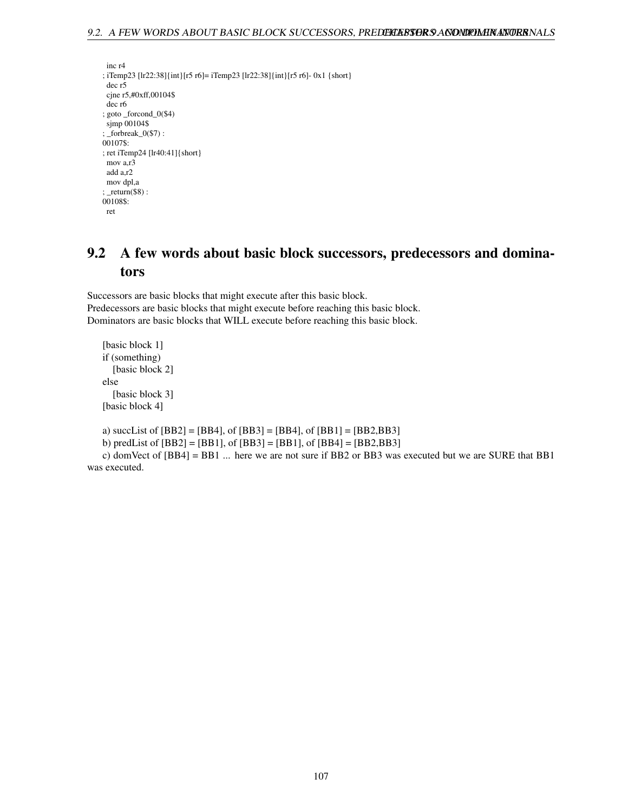```
inc r4
; iTemp23 [lr22:38]{int}[r5 r6]= iTemp23 [lr22:38]{int}[r5 r6]- 0x1 {short}
 dec r5
 cjne r5,#0xff,00104$
 dec r6
; goto _forcond_0($4)
 sjmp 00104$
; _forbreak_0($7) :
00107$:
; ret iTemp24 [lr40:41]{short}
mov a,r3
 add a,r2
mov dpl,a
; _return($8) :
00108$:
 ret
```
# 9.2 A few words about basic block successors, predecessors and dominators

Successors are basic blocks that might execute after this basic block. Predecessors are basic blocks that might execute before reaching this basic block. Dominators are basic blocks that WILL execute before reaching this basic block.

```
[basic block 1]
if (something)
  [basic block 2]
else
  [basic block 3]
[basic block 4]
```
a) succList of [BB2] = [BB4], of [BB3] = [BB4], of [BB1] = [BB2,BB3]

b) predList of [BB2] = [BB1], of [BB3] = [BB1], of [BB4] = [BB2,BB3]

c) domVect of [BB4] = BB1 ... here we are not sure if BB2 or BB3 was executed but we are SURE that BB1 was executed.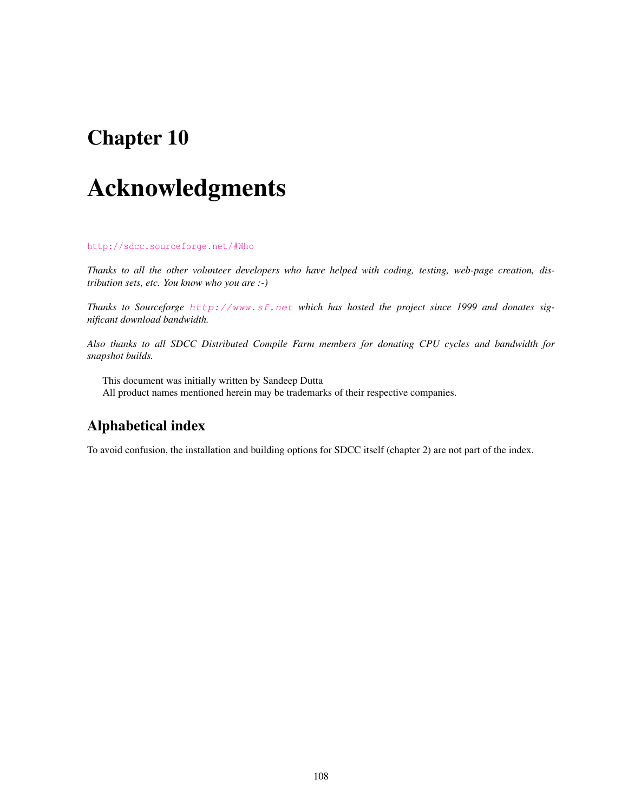### <span id="page-108-0"></span>Chapter 10

# Acknowledgments

<http://sdcc.sourceforge.net/#Who>

*Thanks to all the other volunteer developers who have helped with coding, testing, web-page creation, distribution sets, etc. You know who you are :-)*

*Thanks to Sourceforge* <http://www.sf.net> *which has hosted the project since 1999 and donates significant download bandwidth.*

*Also thanks to all SDCC Distributed Compile Farm members for donating CPU cycles and bandwidth for snapshot builds.*

This document was initially written by Sandeep Dutta All product names mentioned herein may be trademarks of their respective companies.

### Alphabetical index

To avoid confusion, the installation and building options for SDCC itself (chapter 2) are not part of the index.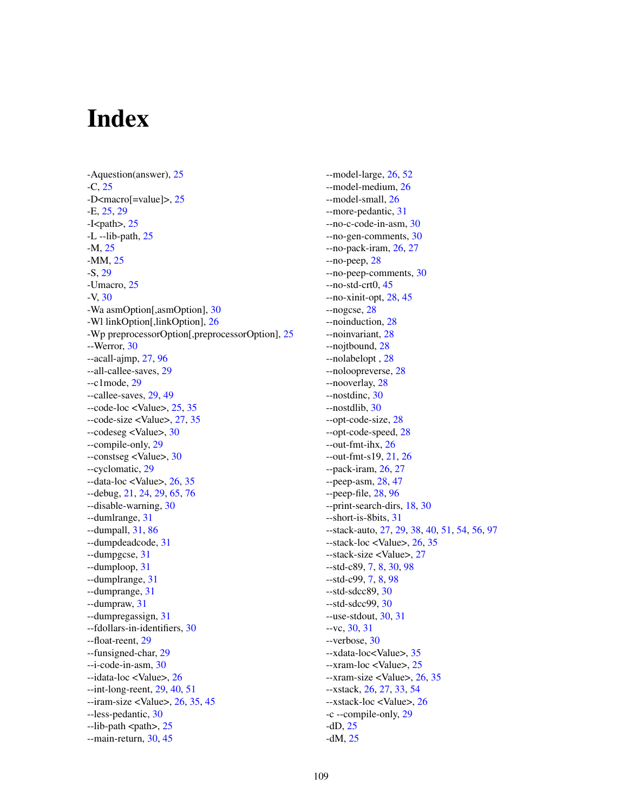## Index

-Aquestion(answer), [25](#page-25-0) -C, [25](#page-25-0) -D<macro[=value]>, [25](#page-25-0) -E, [25,](#page-25-0) [29](#page-29-0)  $-I$ <path>, [25](#page-25-0) -L --lib-path, [25](#page-25-0) -M, [25](#page-25-0) -MM, [25](#page-25-0) -S, [29](#page-29-0) -Umacro, [25](#page-25-0) -V, [30](#page-30-0) -Wa asmOption[,asmOption], [30](#page-30-0) -Wl linkOption[,linkOption], [26](#page-26-0) -Wp preprocessorOption[,preprocessorOption], [25](#page-25-0) --Werror, [30](#page-30-0) --acall-ajmp, [27,](#page-27-0) [96](#page-96-0) --all-callee-saves, [29](#page-29-0) --c1mode, [29](#page-29-0) --callee-saves, [29,](#page-29-0) [49](#page-49-0)  $-code-loc <$ Value $>$ , [25,](#page-25-0) [35](#page-35-0) --code-size <Value>, [27,](#page-27-0) [35](#page-35-0) --codeseg <Value>, [30](#page-30-0) --compile-only, [29](#page-29-0) --constseg <Value>, [30](#page-30-0) --cyclomatic, [29](#page-29-0)  $-$ data-loc  $\langle$ Value $\rangle$ , [26,](#page-26-0) [35](#page-35-0) --debug, [21,](#page-21-0) [24,](#page-24-0) [29,](#page-29-0) [65,](#page-65-0) [76](#page-76-0) --disable-warning, [30](#page-30-0) --dumlrange, [31](#page-31-0) --dumpall, [31,](#page-31-0) [86](#page-86-0) --dumpdeadcode, [31](#page-31-0) --dumpgcse, [31](#page-31-0) --dumploop, [31](#page-31-0) --dumplrange, [31](#page-31-0) --dumprange, [31](#page-31-0) --dumpraw, [31](#page-31-0) --dumpregassign, [31](#page-31-0) --fdollars-in-identifiers, [30](#page-30-0) --float-reent, [29](#page-29-0) --funsigned-char, [29](#page-29-0) --i-code-in-asm, [30](#page-30-0) --idata-loc <Value>, [26](#page-26-0) --int-long-reent, [29,](#page-29-0) [40,](#page-40-0) [51](#page-51-0)  $-$ iram-size <Value>, [26,](#page-26-0) [35,](#page-35-0) [45](#page-45-0) --less-pedantic, [30](#page-30-0) --lib-path <path>, [25](#page-25-0) --main-return, [30,](#page-30-0) [45](#page-45-0)

--model-large, [26,](#page-26-0) [52](#page-52-0) --model-medium, [26](#page-26-0) --model-small, [26](#page-26-0) --more-pedantic, [31](#page-31-0) --no-c-code-in-asm, [30](#page-30-0) --no-gen-comments, [30](#page-30-0) --no-pack-iram, [26,](#page-26-0) [27](#page-27-0) --no-peep, [28](#page-28-0) --no-peep-comments, [30](#page-30-0) --no-std-crt0, [45](#page-45-0) --no-xinit-opt, [28,](#page-28-0) [45](#page-45-0) --nogcse, [28](#page-28-0) --noinduction, [28](#page-28-0) --noinvariant, [28](#page-28-0) --nojtbound, [28](#page-28-0) --nolabelopt , [28](#page-28-0) --noloopreverse, [28](#page-28-0) --nooverlay, [28](#page-28-0) --nostdinc, [30](#page-30-0) --nostdlib, [30](#page-30-0) --opt-code-size, [28](#page-28-0) --opt-code-speed, [28](#page-28-0) --out-fmt-ihx, [26](#page-26-0) --out-fmt-s19, [21,](#page-21-0) [26](#page-26-0) --pack-iram, [26,](#page-26-0) [27](#page-27-0) --peep-asm, [28,](#page-28-0) [47](#page-47-0) --peep-file, [28,](#page-28-0) [96](#page-96-0) --print-search-dirs, [18,](#page-18-0) [30](#page-30-0) --short-is-8bits, [31](#page-31-0) --stack-auto, [27,](#page-27-0) [29,](#page-29-0) [38,](#page-38-0) [40,](#page-40-0) [51,](#page-51-0) [54,](#page-54-0) [56,](#page-56-0) [97](#page-97-0) --stack-loc <Value>, [26,](#page-26-0) [35](#page-35-0) --stack-size <Value>, [27](#page-27-0) --std-c89, [7,](#page-7-0) [8,](#page-8-0) [30,](#page-30-0) [98](#page-98-0) --std-c99, [7,](#page-7-0) [8,](#page-8-0) [98](#page-98-0) --std-sdcc89, [30](#page-30-0) --std-sdcc99, [30](#page-30-0) --use-stdout, [30,](#page-30-0) [31](#page-31-0) --vc, [30,](#page-30-0) [31](#page-31-0) --verbose, [30](#page-30-0) --xdata-loc<Value>, [35](#page-35-0) --xram-loc <Value>, [25](#page-25-0) --xram-size <Value>, [26,](#page-26-0) [35](#page-35-0) --xstack, [26,](#page-26-0) [27,](#page-27-0) [33,](#page-33-0) [54](#page-54-0) --xstack-loc <Value>, [26](#page-26-0) -c --compile-only, [29](#page-29-0) -dD, [25](#page-25-0) -dM, [25](#page-25-0)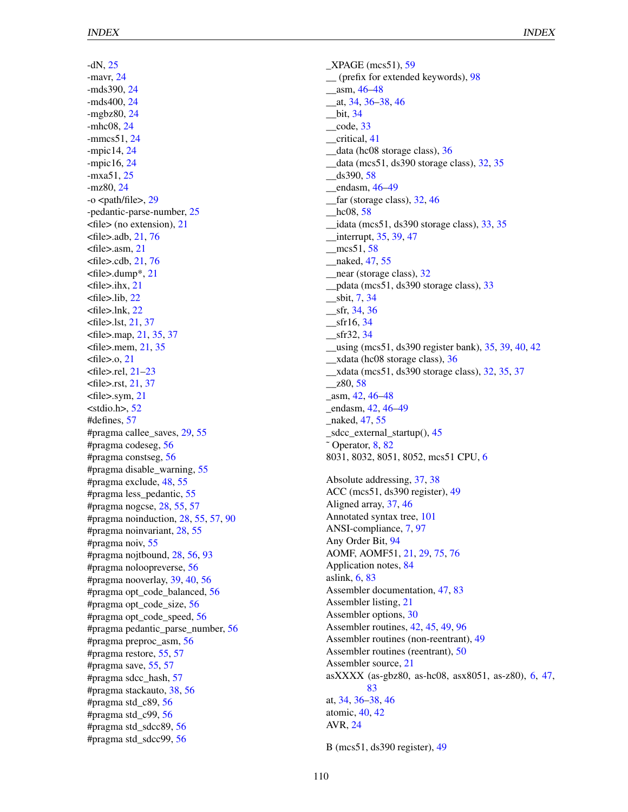-dN, [25](#page-25-0) -mavr, [24](#page-24-0) -mds390, [24](#page-24-0) -mds400, [24](#page-24-0) -mgbz80, [24](#page-24-0) -mhc08, [24](#page-24-0) -mmcs51, [24](#page-24-0) -mpic14, [24](#page-24-0) -mpic16, [24](#page-24-0) -mxa51, [25](#page-25-0) -mz80, [24](#page-24-0)  $-o$   $\lt$ path/file $>$ , [29](#page-29-0) -pedantic-parse-number, [25](#page-25-0) <file> (no extension), [21](#page-21-0) <file>.adb, [21,](#page-21-0) [76](#page-76-0) <file>.asm, [21](#page-21-0) <file>.cdb, [21,](#page-21-0) [76](#page-76-0) <file>.dump\*, [21](#page-21-0) <file>.ihx, [21](#page-21-0) <file>.lib, [22](#page-22-0) <file>.lnk, [22](#page-22-0) <file>.lst, [21,](#page-21-0) [37](#page-37-0) <file>.map, [21,](#page-21-0) [35,](#page-35-0) [37](#page-37-0) <file>.mem, [21,](#page-21-0) [35](#page-35-0)  $<$ file $>$ .o, [21](#page-21-0) <file>.rel, [21–](#page-21-0)[23](#page-23-0) <file>.rst, [21,](#page-21-0) [37](#page-37-0) <file>.sym, [21](#page-21-0)  $<$ stdio.h $> 52$  $> 52$ #defines, [57](#page-57-0) #pragma callee\_saves, [29,](#page-29-0) [55](#page-55-0) #pragma codeseg, [56](#page-56-0) #pragma constseg, [56](#page-56-0) #pragma disable\_warning, [55](#page-55-0) #pragma exclude, [48,](#page-48-0) [55](#page-55-0) #pragma less\_pedantic, [55](#page-55-0) #pragma nogcse, [28,](#page-28-0) [55,](#page-55-0) [57](#page-57-0) #pragma noinduction, [28,](#page-28-0) [55,](#page-55-0) [57,](#page-57-0) [90](#page-90-0) #pragma noinvariant, [28,](#page-28-0) [55](#page-55-0) #pragma noiv, [55](#page-55-0) #pragma nojtbound, [28,](#page-28-0) [56,](#page-56-0) [93](#page-93-0) #pragma noloopreverse, [56](#page-56-0) #pragma nooverlay, [39,](#page-39-0) [40,](#page-40-0) [56](#page-56-0) #pragma opt\_code\_balanced, [56](#page-56-0) #pragma opt\_code\_size, [56](#page-56-0) #pragma opt\_code\_speed, [56](#page-56-0) #pragma pedantic\_parse\_number, [56](#page-56-0) #pragma preproc\_asm, [56](#page-56-0) #pragma restore, [55,](#page-55-0) [57](#page-57-0) #pragma save, [55,](#page-55-0) [57](#page-57-0) #pragma sdcc\_hash, [57](#page-57-0) #pragma stackauto, [38,](#page-38-0) [56](#page-56-0) #pragma std\_c89, [56](#page-56-0) #pragma std\_c99, [56](#page-56-0) #pragma std\_sdcc89, [56](#page-56-0) #pragma std\_sdcc99, [56](#page-56-0)

\_XPAGE (mcs51), [59](#page-59-0) \_\_ (prefix for extended keywords), [98](#page-98-0) \_\_asm, [46](#page-46-0)[–48](#page-48-0) \_\_at, [34,](#page-34-0) [36](#page-36-0)[–38,](#page-38-0) [46](#page-46-0) \_\_bit, [34](#page-34-0)  $\_\text{code}, 33$  $\_\text{code}, 33$ \_\_critical, [41](#page-41-0) \_\_data (hc08 storage class), [36](#page-36-0) \_\_data (mcs51, ds390 storage class), [32,](#page-32-0) [35](#page-35-0)  $_$ s390, [58](#page-58-0) endasm,  $46-49$  $46-49$ far (storage class), [32,](#page-32-0) [46](#page-46-0) hc08, [58](#page-58-0)  $\_$ idata (mcs51, ds390 storage class),  $33, 35$  $33, 35$  $33, 35$  $_{\text{interrupt, 35, 39, 47}}$  $_{\text{interrupt, 35, 39, 47}}$  $_{\text{interrupt, 35, 39, 47}}$  $_{\text{interrupt, 35, 39, 47}}$  $_{\text{interrupt, 35, 39, 47}}$  $_{\text{interrupt, 35, 39, 47}}$  $_{\text{interrupt, 35, 39, 47}}$  $\text{~\_mcs51, 58}$  $\text{~\_mcs51, 58}$  $\text{~\_mcs51, 58}$ naked, [47,](#page-47-0) [55](#page-55-0) \_\_near (storage class), [32](#page-32-0) \_\_pdata (mcs51, ds390 storage class), [33](#page-33-0) \_\_sbit, [7,](#page-7-0) [34](#page-34-0)  $\_$ sfr, [34,](#page-34-0) [36](#page-36-0)  $\_$ sfr16, [34](#page-34-0) \_\_sfr32, [34](#page-34-0) \_\_using (mcs51, ds390 register bank), [35,](#page-35-0) [39,](#page-39-0) [40,](#page-40-0) [42](#page-42-0) \_\_xdata (hc08 storage class), [36](#page-36-0) \_\_xdata (mcs51, ds390 storage class), [32,](#page-32-0) [35,](#page-35-0) [37](#page-37-0)  $\_z80, 58$  $\_z80, 58$ \_asm, [42,](#page-42-0) [46–](#page-46-0)[48](#page-48-0) \_endasm, [42,](#page-42-0) [46](#page-46-0)[–49](#page-49-0) naked, [47,](#page-47-0) [55](#page-55-0) \_sdcc\_external\_startup(), [45](#page-45-0)  $\degree$  Operator, [8,](#page-8-0) [82](#page-82-0) 8031, 8032, 8051, 8052, mcs51 CPU, [6](#page-6-0) Absolute addressing, [37,](#page-37-0) [38](#page-38-0) ACC (mcs51, ds390 register), [49](#page-49-0) Aligned array, [37,](#page-37-0) [46](#page-46-0) Annotated syntax tree, [101](#page-101-0) ANSI-compliance, [7,](#page-7-0) [97](#page-97-0) Any Order Bit, [94](#page-94-0) AOMF, AOMF51, [21,](#page-21-0) [29,](#page-29-0) [75,](#page-75-0) [76](#page-76-0) Application notes, [84](#page-84-0) aslink, [6,](#page-6-0) [83](#page-83-0) Assembler documentation, [47,](#page-47-0) [83](#page-83-0) Assembler listing, [21](#page-21-0) Assembler options, [30](#page-30-0) Assembler routines, [42,](#page-42-0) [45,](#page-45-0) [49,](#page-49-0) [96](#page-96-0) Assembler routines (non-reentrant), [49](#page-49-0) Assembler routines (reentrant), [50](#page-50-0) Assembler source, [21](#page-21-0) asXXXX (as-gbz80, as-hc08, asx8051, as-z80), [6,](#page-6-0) [47,](#page-47-0) [83](#page-83-0) at, [34,](#page-34-0) [36](#page-36-0)[–38,](#page-38-0) [46](#page-46-0) atomic, [40,](#page-40-0) [42](#page-42-0) AVR, [24](#page-24-0)

B (mcs51, ds390 register), [49](#page-49-0)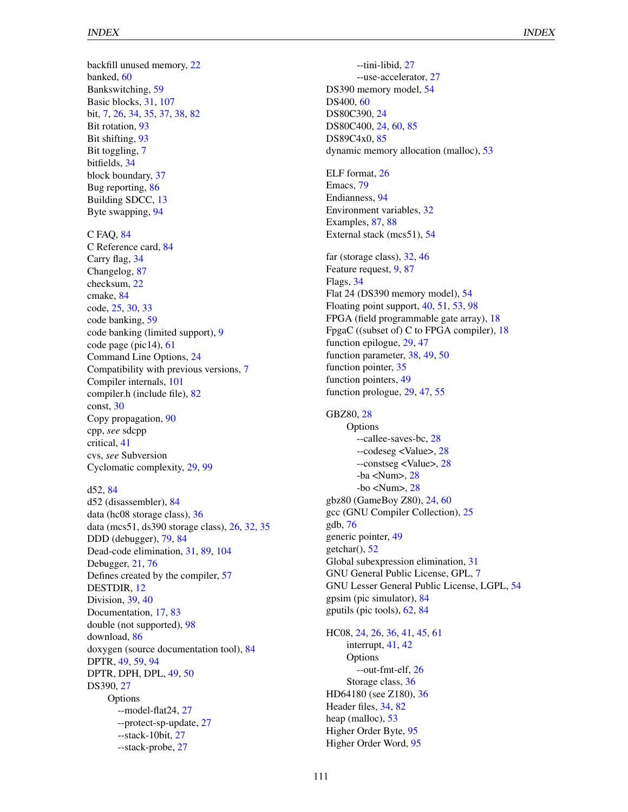backfill unused memory, [22](#page-22-0) banked, [60](#page-60-0) Bankswitching, [59](#page-59-0) Basic blocks, [31,](#page-31-0) [107](#page-107-0) bit, [7,](#page-7-0) [26,](#page-26-0) [34,](#page-34-0) [35,](#page-35-0) [37,](#page-37-0) [38,](#page-38-0) [82](#page-82-0) Bit rotation, [93](#page-93-0) Bit shifting, [93](#page-93-0) Bit toggling, [7](#page-7-0) bitfields, [34](#page-34-0) block boundary, [37](#page-37-0) Bug reporting, [86](#page-86-0) Building SDCC, [13](#page-13-0) Byte swapping, [94](#page-94-0)

C FAQ, [84](#page-84-0) C Reference card, [84](#page-84-0) Carry flag, [34](#page-34-0) Changelog, [87](#page-87-0) checksum, [22](#page-22-0) cmake, [84](#page-84-0) code, [25,](#page-25-0) [30,](#page-30-0) [33](#page-33-0) code banking, [59](#page-59-0) code banking (limited support), [9](#page-9-0) code page (pic14), [61](#page-61-0) Command Line Options, [24](#page-24-0) Compatibility with previous versions, [7](#page-7-0) Compiler internals, [101](#page-101-0) compiler.h (include file), [82](#page-82-0) const, [30](#page-30-0) Copy propagation, [90](#page-90-0) cpp, *see* sdcpp critical, [41](#page-41-0) cvs, *see* Subversion Cyclomatic complexity, [29,](#page-29-0) [99](#page-99-0)

#### d52, [84](#page-84-0)

d52 (disassembler), [84](#page-84-0) data (hc08 storage class), [36](#page-36-0) data (mcs51, ds390 storage class), [26,](#page-26-0) [32,](#page-32-0) [35](#page-35-0) DDD (debugger), [79,](#page-79-0) [84](#page-84-0) Dead-code elimination, [31,](#page-31-0) [89,](#page-89-0) [104](#page-104-0) Debugger, [21,](#page-21-0) [76](#page-76-0) Defines created by the compiler, [57](#page-57-0) DESTDIR, [12](#page-12-0) Division, [39,](#page-39-0) [40](#page-40-0) Documentation, [17,](#page-17-0) [83](#page-83-0) double (not supported), [98](#page-98-0) download, [86](#page-86-0) doxygen (source documentation tool), [84](#page-84-0) DPTR, [49,](#page-49-0) [59,](#page-59-0) [94](#page-94-0) DPTR, DPH, DPL, [49,](#page-49-0) [50](#page-50-0) DS390, [27](#page-27-0) **Options** --model-flat24, [27](#page-27-0) --protect-sp-update, [27](#page-27-0) --stack-10bit, [27](#page-27-0) --stack-probe, [27](#page-27-0)

--tini-libid, [27](#page-27-0) --use-accelerator, [27](#page-27-0) DS390 memory model, [54](#page-54-0) DS400, [60](#page-60-0) DS80C390, [24](#page-24-0) DS80C400, [24,](#page-24-0) [60,](#page-60-0) [85](#page-85-0) DS89C4x0, [85](#page-85-0) dynamic memory allocation (malloc), [53](#page-53-0)

ELF format, [26](#page-26-0) Emacs, [79](#page-79-0) Endianness, [94](#page-94-0) Environment variables, [32](#page-32-0) Examples, [87,](#page-87-0) [88](#page-88-0) External stack (mcs51), [54](#page-54-0)

far (storage class), [32,](#page-32-0) [46](#page-46-0) Feature request, [9,](#page-9-0) [87](#page-87-0) Flags, [34](#page-34-0) Flat 24 (DS390 memory model), [54](#page-54-0) Floating point support, [40,](#page-40-0) [51,](#page-51-0) [53,](#page-53-0) [98](#page-98-0) FPGA (field programmable gate array), [18](#page-18-0) FpgaC ((subset of) C to FPGA compiler), [18](#page-18-0) function epilogue, [29,](#page-29-0) [47](#page-47-0) function parameter, [38,](#page-38-0) [49,](#page-49-0) [50](#page-50-0) function pointer, [35](#page-35-0) function pointers, [49](#page-49-0) function prologue, [29,](#page-29-0) [47,](#page-47-0) [55](#page-55-0)

GBZ80, [28](#page-28-0) **Options** --callee-saves-bc, [28](#page-28-0) --codeseg <Value>, [28](#page-28-0) --constseg <Value>, [28](#page-28-0) -ba <Num>, [28](#page-28-0) -bo <Num>, [28](#page-28-0) gbz80 (GameBoy Z80), [24,](#page-24-0) [60](#page-60-0) gcc (GNU Compiler Collection), [25](#page-25-0) gdb, [76](#page-76-0) generic pointer, [49](#page-49-0) getchar(), [52](#page-52-0) Global subexpression elimination, [31](#page-31-0) GNU General Public License, GPL, [7](#page-7-0) GNU Lesser General Public License, LGPL, [54](#page-54-0) gpsim (pic simulator), [84](#page-84-0) gputils (pic tools), [62,](#page-62-0) [84](#page-84-0)

HC08, [24,](#page-24-0) [26,](#page-26-0) [36,](#page-36-0) [41,](#page-41-0) [45,](#page-45-0) [61](#page-61-0) interrupt, [41,](#page-41-0) [42](#page-42-0) **Options** --out-fmt-elf, [26](#page-26-0) Storage class, [36](#page-36-0) HD64180 (see Z180), [36](#page-36-0) Header files, [34,](#page-34-0) [82](#page-82-0) heap (malloc), [53](#page-53-0) Higher Order Byte, [95](#page-95-0) Higher Order Word, [95](#page-95-0)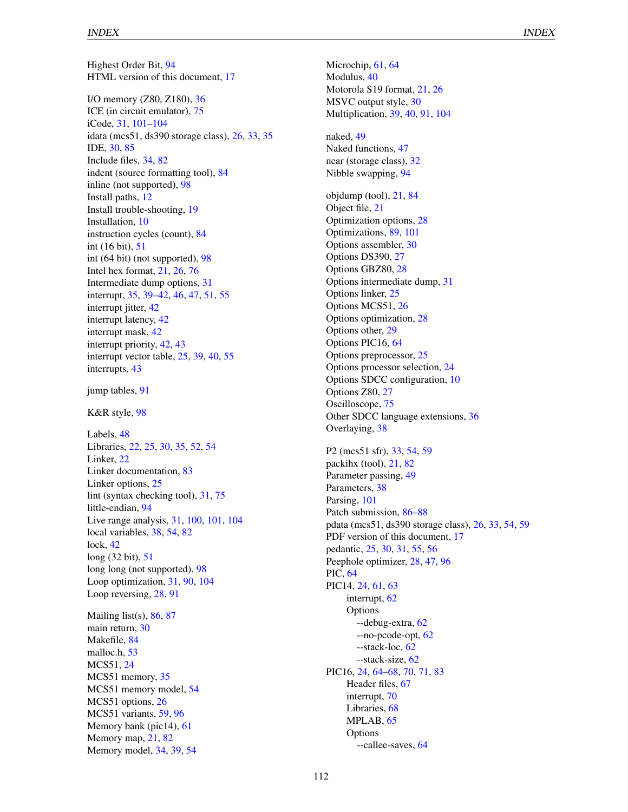Highest Order Bit, [94](#page-94-0) HTML version of this document, [17](#page-17-0) I/O memory (Z80, Z180), [36](#page-36-0) ICE (in circuit emulator), [75](#page-75-0) iCode, [31,](#page-31-0) [101–](#page-101-0)[104](#page-104-0) idata (mcs51, ds390 storage class), [26,](#page-26-0) [33,](#page-33-0) [35](#page-35-0) IDE, [30,](#page-30-0) [85](#page-85-0) Include files, [34,](#page-34-0) [82](#page-82-0) indent (source formatting tool), [84](#page-84-0) inline (not supported), [98](#page-98-0) Install paths, [12](#page-12-0) Install trouble-shooting, [19](#page-19-0) Installation, [10](#page-10-0) instruction cycles (count), [84](#page-84-0) int (16 bit), [51](#page-51-0) int (64 bit) (not supported), [98](#page-98-0) Intel hex format, [21,](#page-21-0) [26,](#page-26-0) [76](#page-76-0) Intermediate dump options, [31](#page-31-0) interrupt, [35,](#page-35-0) [39](#page-39-0)[–42,](#page-42-0) [46,](#page-46-0) [47,](#page-47-0) [51,](#page-51-0) [55](#page-55-0) interrupt jitter, [42](#page-42-0) interrupt latency, [42](#page-42-0) interrupt mask, [42](#page-42-0) interrupt priority, [42,](#page-42-0) [43](#page-43-0) interrupt vector table, [25,](#page-25-0) [39,](#page-39-0) [40,](#page-40-0) [55](#page-55-0) interrupts, [43](#page-43-0) jump tables, [91](#page-91-0) K&R style, [98](#page-98-0) Labels, [48](#page-48-0) Libraries, [22,](#page-22-0) [25,](#page-25-0) [30,](#page-30-0) [35,](#page-35-0) [52,](#page-52-0) [54](#page-54-0) Linker, [22](#page-22-0) Linker documentation, [83](#page-83-0) Linker options, [25](#page-25-0) lint (syntax checking tool), [31,](#page-31-0) [75](#page-75-0) little-endian, [94](#page-94-0) Live range analysis, [31,](#page-31-0) [100,](#page-100-0) [101,](#page-101-0) [104](#page-104-0) local variables, [38,](#page-38-0) [54,](#page-54-0) [82](#page-82-0) lock, [42](#page-42-0) long (32 bit), [51](#page-51-0) long long (not supported), [98](#page-98-0) Loop optimization, [31,](#page-31-0) [90,](#page-90-0) [104](#page-104-0) Loop reversing, [28,](#page-28-0) [91](#page-91-0) Mailing list(s),  $86, 87$  $86, 87$  $86, 87$ main return, [30](#page-30-0) Makefile, [84](#page-84-0) malloc.h, [53](#page-53-0) MCS51, [24](#page-24-0) MCS51 memory, [35](#page-35-0) MCS51 memory model, [54](#page-54-0) MCS51 options, [26](#page-26-0) MCS51 variants, [59,](#page-59-0) [96](#page-96-0) Memory bank (pic14), [61](#page-61-0) Memory map, [21,](#page-21-0) [82](#page-82-0) Memory model, [34,](#page-34-0) [39,](#page-39-0) [54](#page-54-0)

Microchip, [61,](#page-61-0) [64](#page-64-0) Modulus, [40](#page-40-0) Motorola S19 format, [21,](#page-21-0) [26](#page-26-0) MSVC output style, [30](#page-30-0) Multiplication, [39,](#page-39-0) [40,](#page-40-0) [91,](#page-91-0) [104](#page-104-0) naked, [49](#page-49-0) Naked functions, [47](#page-47-0) near (storage class), [32](#page-32-0) Nibble swapping, [94](#page-94-0) objdump (tool), [21,](#page-21-0) [84](#page-84-0) Object file, [21](#page-21-0) Optimization options, [28](#page-28-0) Optimizations, [89,](#page-89-0) [101](#page-101-0) Options assembler, [30](#page-30-0) Options DS390, [27](#page-27-0) Options GBZ80, [28](#page-28-0) Options intermediate dump, [31](#page-31-0) Options linker, [25](#page-25-0) Options MCS51, [26](#page-26-0) Options optimization, [28](#page-28-0) Options other, [29](#page-29-0) Options PIC16, [64](#page-64-0) Options preprocessor, [25](#page-25-0) Options processor selection, [24](#page-24-0) Options SDCC configuration, [10](#page-10-0) Options Z80, [27](#page-27-0) Oscilloscope, [75](#page-75-0) Other SDCC language extensions, [36](#page-36-0) Overlaying, [38](#page-38-0) P2 (mcs51 sfr), [33,](#page-33-0) [54,](#page-54-0) [59](#page-59-0) packihx (tool), [21,](#page-21-0) [82](#page-82-0) Parameter passing, [49](#page-49-0) Parameters, [38](#page-38-0) Parsing, [101](#page-101-0) Patch submission, [86](#page-86-0)[–88](#page-88-0) pdata (mcs51, ds390 storage class), [26,](#page-26-0) [33,](#page-33-0) [54,](#page-54-0) [59](#page-59-0) PDF version of this document, [17](#page-17-0) pedantic, [25,](#page-25-0) [30,](#page-30-0) [31,](#page-31-0) [55,](#page-55-0) [56](#page-56-0) Peephole optimizer, [28,](#page-28-0) [47,](#page-47-0) [96](#page-96-0) PIC, [64](#page-64-0) PIC14, [24,](#page-24-0) [61,](#page-61-0) [63](#page-63-0) interrupt, [62](#page-62-0) Options --debug-extra, [62](#page-62-0) --no-pcode-opt, [62](#page-62-0) --stack-loc, [62](#page-62-0) --stack-size, [62](#page-62-0) PIC16, [24,](#page-24-0) [64](#page-64-0)[–68,](#page-68-0) [70,](#page-70-0) [71,](#page-71-0) [83](#page-83-0) Header files, [67](#page-67-0) interrupt, [70](#page-70-0) Libraries, [68](#page-68-0) MPLAB, [65](#page-65-0) Options --callee-saves, [64](#page-64-0)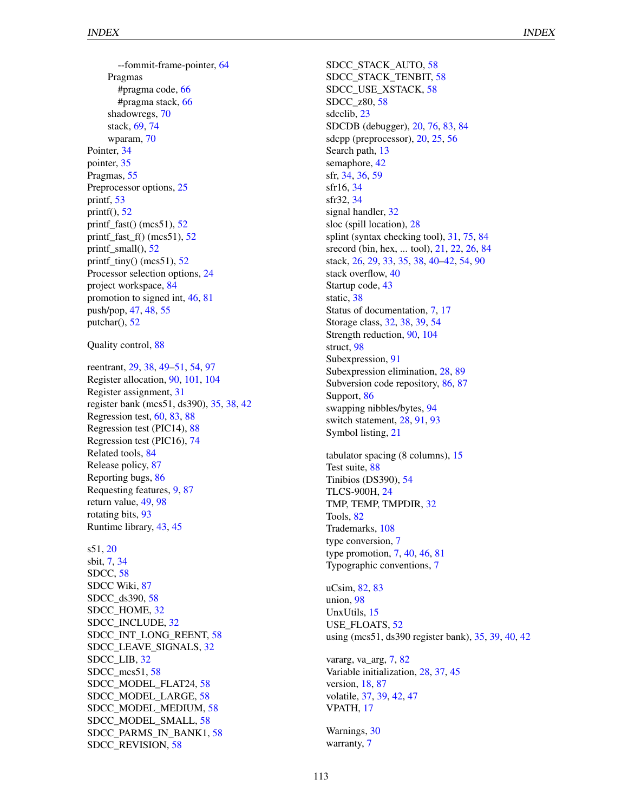--fommit-frame-pointer, [64](#page-64-0) Pragmas #pragma code, [66](#page-66-0) #pragma stack, [66](#page-66-0) shadowregs, [70](#page-70-0) stack, [69,](#page-69-0) [74](#page-74-0) wparam, [70](#page-70-0) Pointer, [34](#page-34-0) pointer, [35](#page-35-0) Pragmas, [55](#page-55-0) Preprocessor options, [25](#page-25-0) printf, [53](#page-53-0) printf $($ ),  $52$ printf\_fast() (mcs51),  $52$ printf\_fast\_f() (mcs51),  $52$ printf\_small(), [52](#page-52-0) printf\_tiny() (mcs51),  $52$ Processor selection options, [24](#page-24-0) project workspace, [84](#page-84-0) promotion to signed int, [46,](#page-46-0) [81](#page-81-0) push/pop, [47,](#page-47-0) [48,](#page-48-0) [55](#page-55-0) putchar(), [52](#page-52-0)

Quality control, [88](#page-88-0)

reentrant, [29,](#page-29-0) [38,](#page-38-0) [49](#page-49-0)[–51,](#page-51-0) [54,](#page-54-0) [97](#page-97-0) Register allocation, [90,](#page-90-0) [101,](#page-101-0) [104](#page-104-0) Register assignment, [31](#page-31-0) register bank (mcs51, ds390), [35,](#page-35-0) [38,](#page-38-0) [42](#page-42-0) Regression test, [60,](#page-60-0) [83,](#page-83-0) [88](#page-88-0) Regression test (PIC14), [88](#page-88-0) Regression test (PIC16), [74](#page-74-0) Related tools, [84](#page-84-0) Release policy, [87](#page-87-0) Reporting bugs, [86](#page-86-0) Requesting features, [9,](#page-9-0) [87](#page-87-0) return value, [49,](#page-49-0) [98](#page-98-0) rotating bits, [93](#page-93-0) Runtime library, [43,](#page-43-0) [45](#page-45-0)

s51, [20](#page-20-0) sbit, [7,](#page-7-0) [34](#page-34-0) SDCC, [58](#page-58-0) SDCC Wiki, [87](#page-87-0) SDCC\_ds390, [58](#page-58-0) SDCC\_HOME, [32](#page-32-0) SDCC\_INCLUDE, [32](#page-32-0) SDCC\_INT\_LONG\_REENT, [58](#page-58-0) SDCC\_LEAVE\_SIGNALS, [32](#page-32-0) SDCC\_LIB, [32](#page-32-0) SDCC\_mcs51, [58](#page-58-0) SDCC\_MODEL\_FLAT24, [58](#page-58-0) SDCC\_MODEL\_LARGE, [58](#page-58-0) SDCC\_MODEL\_MEDIUM, [58](#page-58-0) SDCC\_MODEL\_SMALL, [58](#page-58-0) SDCC\_PARMS\_IN\_BANK1, [58](#page-58-0) SDCC\_REVISION, [58](#page-58-0)

SDCC\_STACK\_AUTO, [58](#page-58-0) SDCC\_STACK\_TENBIT, [58](#page-58-0) SDCC\_USE\_XSTACK, [58](#page-58-0) SDCC\_z80, [58](#page-58-0) sdcclib, [23](#page-23-0) SDCDB (debugger), [20,](#page-20-0) [76,](#page-76-0) [83,](#page-83-0) [84](#page-84-0) sdcpp (preprocessor), [20,](#page-20-0) [25,](#page-25-0) [56](#page-56-0) Search path, [13](#page-13-0) semaphore, [42](#page-42-0) sfr, [34,](#page-34-0) [36,](#page-36-0) [59](#page-59-0) sfr16, [34](#page-34-0) sfr32, [34](#page-34-0) signal handler, [32](#page-32-0) sloc (spill location), [28](#page-28-0) splint (syntax checking tool), [31,](#page-31-0) [75,](#page-75-0) [84](#page-84-0) srecord (bin, hex, ... tool), [21,](#page-21-0) [22,](#page-22-0) [26,](#page-26-0) [84](#page-84-0) stack, [26,](#page-26-0) [29,](#page-29-0) [33,](#page-33-0) [35,](#page-35-0) [38,](#page-38-0) [40](#page-40-0)[–42,](#page-42-0) [54,](#page-54-0) [90](#page-90-0) stack overflow, [40](#page-40-0) Startup code, [43](#page-43-0) static, [38](#page-38-0) Status of documentation, [7,](#page-7-0) [17](#page-17-0) Storage class, [32,](#page-32-0) [38,](#page-38-0) [39,](#page-39-0) [54](#page-54-0) Strength reduction, [90,](#page-90-0) [104](#page-104-0) struct, [98](#page-98-0) Subexpression, [91](#page-91-0)

Subexpression elimination, [28,](#page-28-0) [89](#page-89-0) Subversion code repository, [86,](#page-86-0) [87](#page-87-0) Support, [86](#page-86-0) swapping nibbles/bytes, [94](#page-94-0) switch statement, [28,](#page-28-0) [91,](#page-91-0) [93](#page-93-0) Symbol listing, [21](#page-21-0)

tabulator spacing (8 columns), [15](#page-15-0) Test suite, [88](#page-88-0) Tinibios (DS390), [54](#page-54-0) TLCS-900H, [24](#page-24-0) TMP, TEMP, TMPDIR, [32](#page-32-0) Tools, [82](#page-82-0) Trademarks, [108](#page-108-0) type conversion, [7](#page-7-0) type promotion, [7,](#page-7-0) [40,](#page-40-0) [46,](#page-46-0) [81](#page-81-0) Typographic conventions, [7](#page-7-0)

uCsim, [82,](#page-82-0) [83](#page-83-0) union, [98](#page-98-0) UnxUtils, [15](#page-15-0) USE\_FLOATS, [52](#page-52-0) using (mcs51, ds390 register bank), [35,](#page-35-0) [39,](#page-39-0) [40,](#page-40-0) [42](#page-42-0)

vararg, va\_arg, [7,](#page-7-0) [82](#page-82-0) Variable initialization, [28,](#page-28-0) [37,](#page-37-0) [45](#page-45-0) version, [18,](#page-18-0) [87](#page-87-0) volatile, [37,](#page-37-0) [39,](#page-39-0) [42,](#page-42-0) [47](#page-47-0) VPATH, [17](#page-17-0)

Warnings, [30](#page-30-0) warranty, [7](#page-7-0)